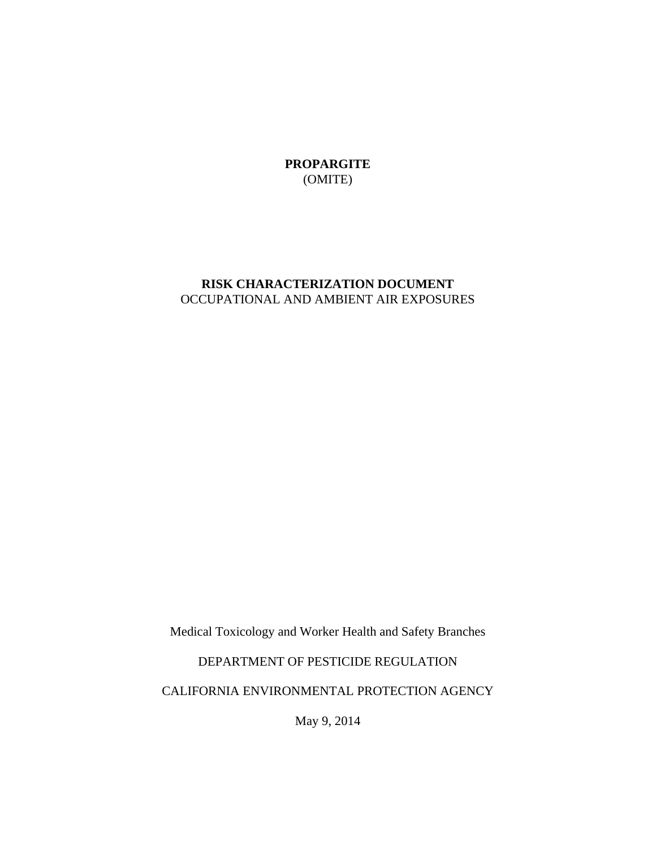**PROPARGITE**  (OMITE)

# **RISK CHARACTERIZATION DOCUMENT**  OCCUPATIONAL AND AMBIENT AIR EXPOSURES

Medical Toxicology and Worker Health and Safety Branches

### DEPARTMENT OF PESTICIDE REGULATION

CALIFORNIA ENVIRONMENTAL PROTECTION AGENCY

May 9, 2014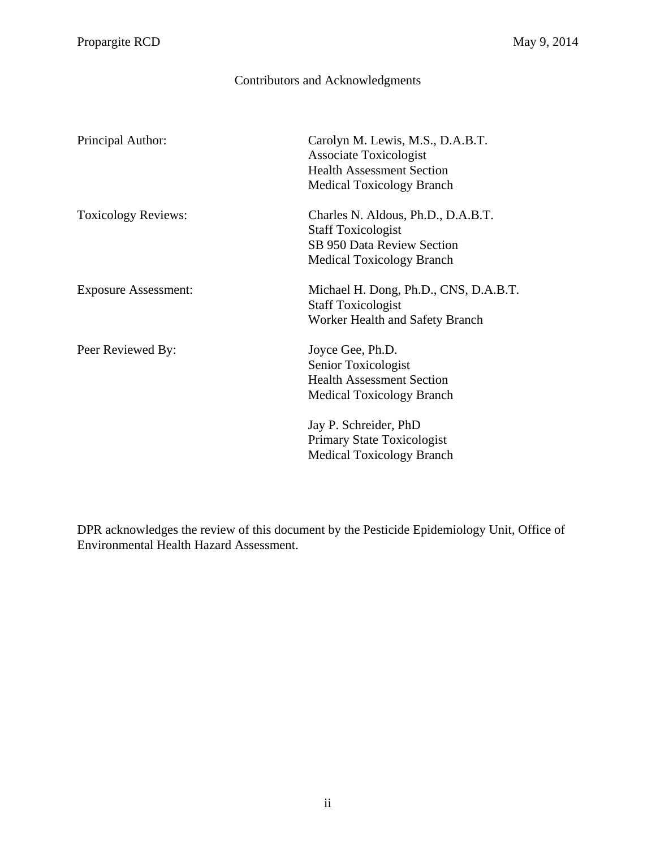# Contributors and Acknowledgments

<span id="page-1-0"></span>

| Principal Author:           | Carolyn M. Lewis, M.S., D.A.B.T.      |
|-----------------------------|---------------------------------------|
|                             | <b>Associate Toxicologist</b>         |
|                             | <b>Health Assessment Section</b>      |
|                             | <b>Medical Toxicology Branch</b>      |
| <b>Toxicology Reviews:</b>  | Charles N. Aldous, Ph.D., D.A.B.T.    |
|                             | <b>Staff Toxicologist</b>             |
|                             | <b>SB 950 Data Review Section</b>     |
|                             | <b>Medical Toxicology Branch</b>      |
| <b>Exposure Assessment:</b> | Michael H. Dong, Ph.D., CNS, D.A.B.T. |
|                             | <b>Staff Toxicologist</b>             |
|                             | Worker Health and Safety Branch       |
| Peer Reviewed By:           | Joyce Gee, Ph.D.                      |
|                             | Senior Toxicologist                   |
|                             | <b>Health Assessment Section</b>      |
|                             |                                       |
|                             | <b>Medical Toxicology Branch</b>      |
|                             | Jay P. Schreider, PhD                 |
|                             | Primary State Toxicologist            |
|                             | <b>Medical Toxicology Branch</b>      |
|                             |                                       |

DPR acknowledges the review of this document by the Pesticide Epidemiology Unit, Office of Environmental Health Hazard Assessment.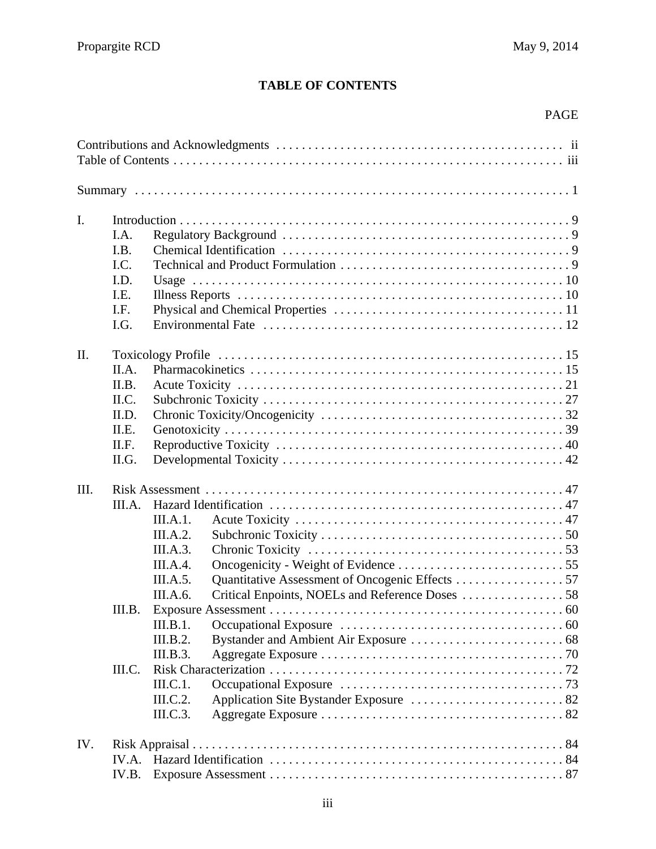# **TABLE OF CONTENTS**

# PAGE

| $\mathbf{I}$ . |        |          |                                                 |  |  |  |  |  |
|----------------|--------|----------|-------------------------------------------------|--|--|--|--|--|
|                | I.A.   |          |                                                 |  |  |  |  |  |
|                | I.B.   |          |                                                 |  |  |  |  |  |
|                | I.C.   |          |                                                 |  |  |  |  |  |
|                | I.D.   |          |                                                 |  |  |  |  |  |
|                | I.E.   |          |                                                 |  |  |  |  |  |
|                | I.F.   |          |                                                 |  |  |  |  |  |
|                | I.G.   |          |                                                 |  |  |  |  |  |
| II.            |        |          |                                                 |  |  |  |  |  |
|                | II.A.  |          |                                                 |  |  |  |  |  |
|                | II.B.  |          |                                                 |  |  |  |  |  |
|                | II.C.  |          |                                                 |  |  |  |  |  |
|                | II.D.  |          |                                                 |  |  |  |  |  |
|                | II.E.  |          |                                                 |  |  |  |  |  |
|                | II.F.  |          |                                                 |  |  |  |  |  |
|                | II.G.  |          |                                                 |  |  |  |  |  |
| III.           |        |          |                                                 |  |  |  |  |  |
|                | III.A. |          |                                                 |  |  |  |  |  |
|                |        | III.A.1. |                                                 |  |  |  |  |  |
|                |        | III.A.2. |                                                 |  |  |  |  |  |
|                |        | III.A.3. |                                                 |  |  |  |  |  |
|                |        | III.A.4. |                                                 |  |  |  |  |  |
|                |        | III.A.5. | Quantitative Assessment of Oncogenic Effects 57 |  |  |  |  |  |
|                |        | III.A.6. |                                                 |  |  |  |  |  |
|                | III.B. |          |                                                 |  |  |  |  |  |
|                |        | III.B.1. |                                                 |  |  |  |  |  |
|                |        | III.B.2. |                                                 |  |  |  |  |  |
|                |        | III.B.3. |                                                 |  |  |  |  |  |
|                | III.C. |          |                                                 |  |  |  |  |  |
|                |        | III.C.1. |                                                 |  |  |  |  |  |
|                |        | III.C.2. |                                                 |  |  |  |  |  |
|                |        | III.C.3. |                                                 |  |  |  |  |  |
| IV.            |        |          |                                                 |  |  |  |  |  |
|                | IV.A.  |          |                                                 |  |  |  |  |  |
|                | IV.B.  |          |                                                 |  |  |  |  |  |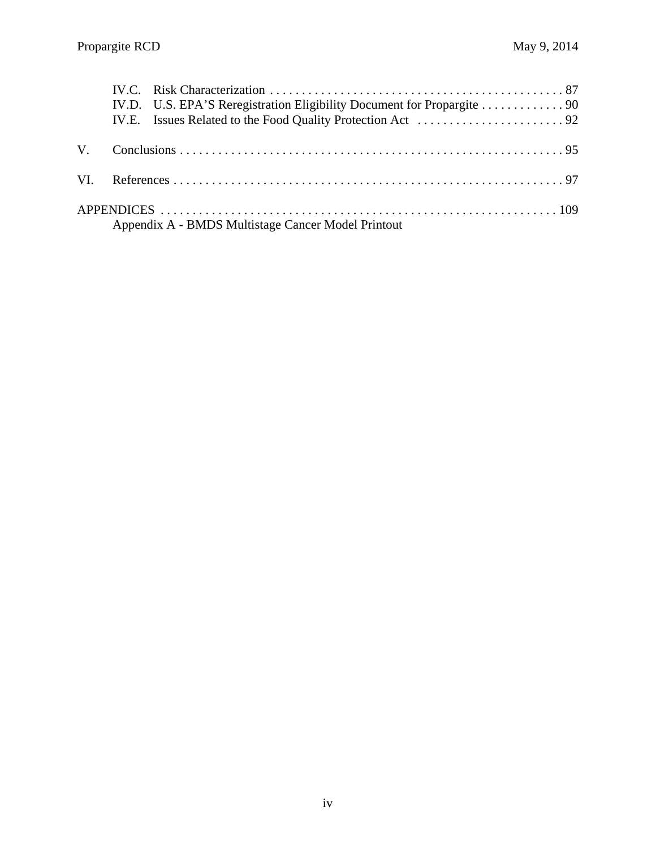| Appendix A - BMDS Multistage Cancer Model Printout |  |
|----------------------------------------------------|--|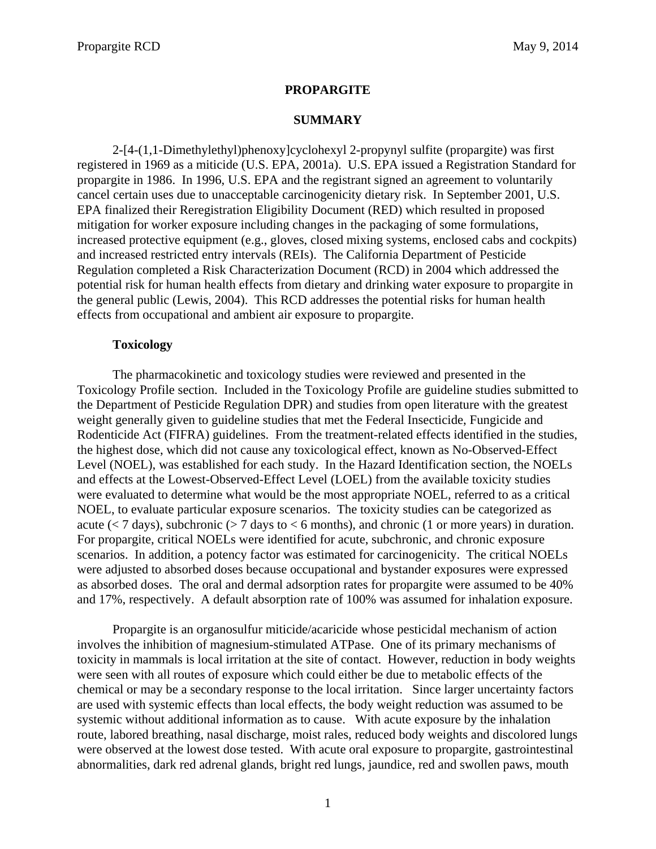### **PROPARGITE**

### **SUMMARY**

<span id="page-4-0"></span>2-[4-(1,1-Dimethylethyl)phenoxy]cyclohexyl 2-propynyl sulfite (propargite) was first registered in 1969 as a miticide (U.S. EPA, 2001a). U.S. EPA issued a Registration Standard for propargite in 1986. In 1996, U.S. EPA and the registrant signed an agreement to voluntarily cancel certain uses due to unacceptable carcinogenicity dietary risk. In September 2001, U.S. EPA finalized their Reregistration Eligibility Document (RED) which resulted in proposed mitigation for worker exposure including changes in the packaging of some formulations, increased protective equipment (e.g., gloves, closed mixing systems, enclosed cabs and cockpits) and increased restricted entry intervals (REIs). The California Department of Pesticide Regulation completed a Risk Characterization Document (RCD) in 2004 which addressed the potential risk for human health effects from dietary and drinking water exposure to propargite in the general public (Lewis, 2004). This RCD addresses the potential risks for human health effects from occupational and ambient air exposure to propargite.

#### **Toxicology**

The pharmacokinetic and toxicology studies were reviewed and presented in the Toxicology Profile section. Included in the Toxicology Profile are guideline studies submitted to the Department of Pesticide Regulation DPR) and studies from open literature with the greatest weight generally given to guideline studies that met the Federal Insecticide, Fungicide and Rodenticide Act (FIFRA) guidelines. From the treatment-related effects identified in the studies, the highest dose, which did not cause any toxicological effect, known as No-Observed-Effect Level (NOEL), was established for each study. In the Hazard Identification section, the NOELs and effects at the Lowest-Observed-Effect Level (LOEL) from the available toxicity studies were evaluated to determine what would be the most appropriate NOEL, referred to as a critical NOEL, to evaluate particular exposure scenarios. The toxicity studies can be categorized as acute ( $< 7$  days), subchronic ( $> 7$  days to  $< 6$  months), and chronic (1 or more years) in duration. For propargite, critical NOELs were identified for acute, subchronic, and chronic exposure scenarios. In addition, a potency factor was estimated for carcinogenicity. The critical NOELs were adjusted to absorbed doses because occupational and bystander exposures were expressed as absorbed doses. The oral and dermal adsorption rates for propargite were assumed to be 40% and 17%, respectively. A default absorption rate of 100% was assumed for inhalation exposure.

Propargite is an organosulfur miticide/acaricide whose pesticidal mechanism of action involves the inhibition of magnesium-stimulated ATPase. One of its primary mechanisms of toxicity in mammals is local irritation at the site of contact. However, reduction in body weights were seen with all routes of exposure which could either be due to metabolic effects of the chemical or may be a secondary response to the local irritation. Since larger uncertainty factors are used with systemic effects than local effects, the body weight reduction was assumed to be systemic without additional information as to cause. With acute exposure by the inhalation route, labored breathing, nasal discharge, moist rales, reduced body weights and discolored lungs were observed at the lowest dose tested. With acute oral exposure to propargite, gastrointestinal abnormalities, dark red adrenal glands, bright red lungs, jaundice, red and swollen paws, mouth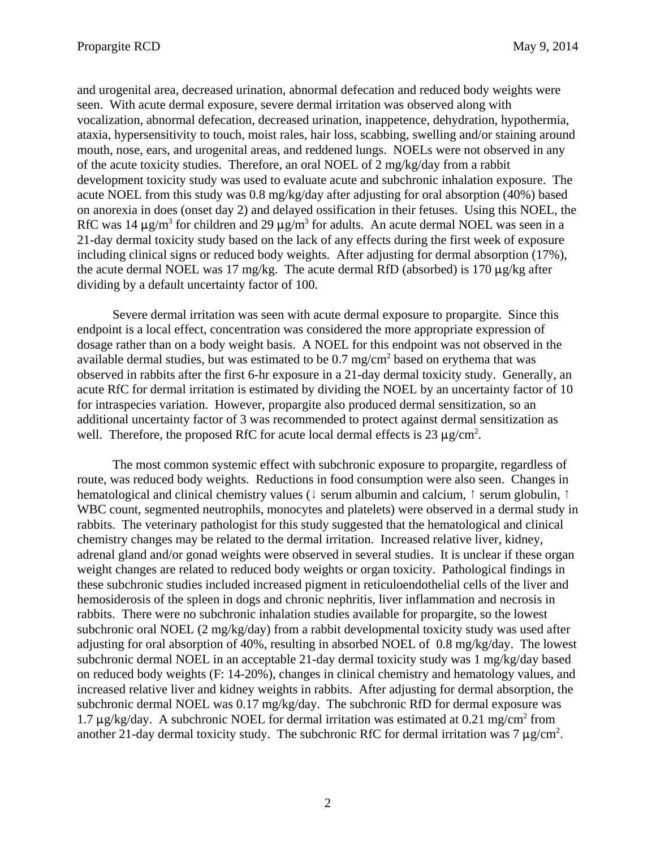and urogenital area, decreased urination, abnormal defecation and reduced body weights were seen. With acute dermal exposure, severe dermal irritation was observed along with vocalization, abnormal defecation, decreased urination, inappetence, dehydration, hypothermia, ataxia, hypersensitivity to touch, moist rales, hair loss, scabbing, swelling and/or staining around mouth, nose, ears, and urogenital areas, and reddened lungs. NOELs were not observed in any of the acute toxicity studies. Therefore, an oral NOEL of 2 mg/kg/day from a rabbit development toxicity study was used to evaluate acute and subchronic inhalation exposure. The acute NOEL from this study was 0.8 mg/kg/day after adjusting for oral absorption (40%) based on anorexia in does (onset day 2) and delayed ossification in their fetuses. Using this NOEL, the RfC was 14  $\mu$ g/m<sup>3</sup> for children and 29  $\mu$ g/m<sup>3</sup> for adults. An acute dermal NOEL was seen in a 21-day dermal toxicity study based on the lack of any effects during the first week of exposure including clinical signs or reduced body weights. After adjusting for dermal absorption (17%), the acute dermal NOEL was 17 mg/kg. The acute dermal RfD (absorbed) is 170  $\mu$ g/kg after dividing by a default uncertainty factor of 100.

Severe dermal irritation was seen with acute dermal exposure to propargite. Since this endpoint is a local effect, concentration was considered the more appropriate expression of dosage rather than on a body weight basis. A NOEL for this endpoint was not observed in the available dermal studies, but was estimated to be  $0.7 \text{ mg/cm}^2$  based on erythema that was observed in rabbits after the first 6-hr exposure in a 21-day dermal toxicity study. Generally, an acute RfC for dermal irritation is estimated by dividing the NOEL by an uncertainty factor of 10 for intraspecies variation. However, propargite also produced dermal sensitization, so an additional uncertainty factor of 3 was recommended to protect against dermal sensitization as well. Therefore, the proposed RfC for acute local dermal effects is  $23 \mu g/cm^2$ .

The most common systemic effect with subchronic exposure to propargite, regardless of route, was reduced body weights. Reductions in food consumption were also seen. Changes in hematological and clinical chemistry values ( $\downarrow$  serum albumin and calcium,  $\uparrow$  serum globulin,  $\uparrow$ WBC count, segmented neutrophils, monocytes and platelets) were observed in a dermal study in rabbits. The veterinary pathologist for this study suggested that the hematological and clinical chemistry changes may be related to the dermal irritation. Increased relative liver, kidney, adrenal gland and/or gonad weights were observed in several studies. It is unclear if these organ weight changes are related to reduced body weights or organ toxicity. Pathological findings in these subchronic studies included increased pigment in reticuloendothelial cells of the liver and hemosiderosis of the spleen in dogs and chronic nephritis, liver inflammation and necrosis in rabbits. There were no subchronic inhalation studies available for propargite, so the lowest subchronic oral NOEL (2 mg/kg/day) from a rabbit developmental toxicity study was used after adjusting for oral absorption of 40%, resulting in absorbed NOEL of 0.8 mg/kg/day. The lowest subchronic dermal NOEL in an acceptable 21-day dermal toxicity study was 1 mg/kg/day based on reduced body weights (F: 14-20%), changes in clinical chemistry and hematology values, and increased relative liver and kidney weights in rabbits. After adjusting for dermal absorption, the subchronic dermal NOEL was 0.17 mg/kg/day. The subchronic RfD for dermal exposure was 1.7  $\mu$ g/kg/day. A subchronic NOEL for dermal irritation was estimated at 0.21 mg/cm<sup>2</sup> from another 21-day dermal toxicity study. The subchronic RfC for dermal irritation was 7  $\mu$ g/cm<sup>2</sup>.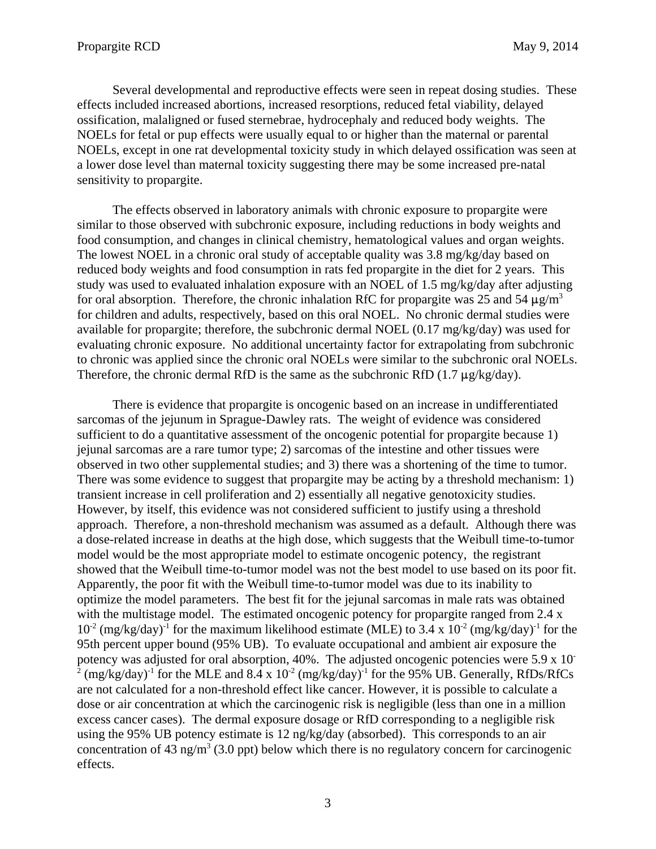Several developmental and reproductive effects were seen in repeat dosing studies. These effects included increased abortions, increased resorptions, reduced fetal viability, delayed ossification, malaligned or fused sternebrae, hydrocephaly and reduced body weights. The NOELs for fetal or pup effects were usually equal to or higher than the maternal or parental NOELs, except in one rat developmental toxicity study in which delayed ossification was seen at a lower dose level than maternal toxicity suggesting there may be some increased pre-natal sensitivity to propargite.

The effects observed in laboratory animals with chronic exposure to propargite were similar to those observed with subchronic exposure, including reductions in body weights and food consumption, and changes in clinical chemistry, hematological values and organ weights. The lowest NOEL in a chronic oral study of acceptable quality was 3.8 mg/kg/day based on reduced body weights and food consumption in rats fed propargite in the diet for 2 years. This study was used to evaluated inhalation exposure with an NOEL of 1.5 mg/kg/day after adjusting for oral absorption. Therefore, the chronic inhalation RfC for propargite was 25 and 54  $\mu$ g/m<sup>3</sup> for children and adults, respectively, based on this oral NOEL. No chronic dermal studies were available for propargite; therefore, the subchronic dermal NOEL (0.17 mg/kg/day) was used for evaluating chronic exposure. No additional uncertainty factor for extrapolating from subchronic to chronic was applied since the chronic oral NOELs were similar to the subchronic oral NOELs. Therefore, the chronic dermal RfD is the same as the subchronic RfD (1.7  $\mu$ g/kg/day).

There is evidence that propargite is oncogenic based on an increase in undifferentiated sarcomas of the jejunum in Sprague-Dawley rats. The weight of evidence was considered sufficient to do a quantitative assessment of the oncogenic potential for propargite because 1) jejunal sarcomas are a rare tumor type; 2) sarcomas of the intestine and other tissues were observed in two other supplemental studies; and 3) there was a shortening of the time to tumor. There was some evidence to suggest that propargite may be acting by a threshold mechanism: 1) transient increase in cell proliferation and 2) essentially all negative genotoxicity studies. However, by itself, this evidence was not considered sufficient to justify using a threshold approach. Therefore, a non-threshold mechanism was assumed as a default. Although there was a dose-related increase in deaths at the high dose, which suggests that the Weibull time-to-tumor model would be the most appropriate model to estimate oncogenic potency, the registrant showed that the Weibull time-to-tumor model was not the best model to use based on its poor fit. Apparently, the poor fit with the Weibull time-to-tumor model was due to its inability to optimize the model parameters. The best fit for the jejunal sarcomas in male rats was obtained with the multistage model. The estimated oncogenic potency for propargite ranged from 2.4 x  $10^{-2}$  (mg/kg/day)<sup>-1</sup> for the maximum likelihood estimate (MLE) to 3.4 x  $10^{-2}$  (mg/kg/day)<sup>-1</sup> for the 95th percent upper bound (95% UB). To evaluate occupational and ambient air exposure the potency was adjusted for oral absorption, 40%. The adjusted oncogenic potencies were 5.9 x 10 <sup>2</sup> (mg/kg/day)<sup>-1</sup> for the MLE and 8.4 x 10<sup>-2</sup> (mg/kg/day)<sup>-1</sup> for the 95% UB. Generally, RfDs/RfCs are not calculated for a non-threshold effect like cancer. However, it is possible to calculate a dose or air concentration at which the carcinogenic risk is negligible (less than one in a million excess cancer cases). The dermal exposure dosage or RfD corresponding to a negligible risk using the 95% UB potency estimate is 12 ng/kg/day (absorbed). This corresponds to an air concentration of 43 ng/m<sup>3</sup> (3.0 ppt) below which there is no regulatory concern for carcinogenic effects.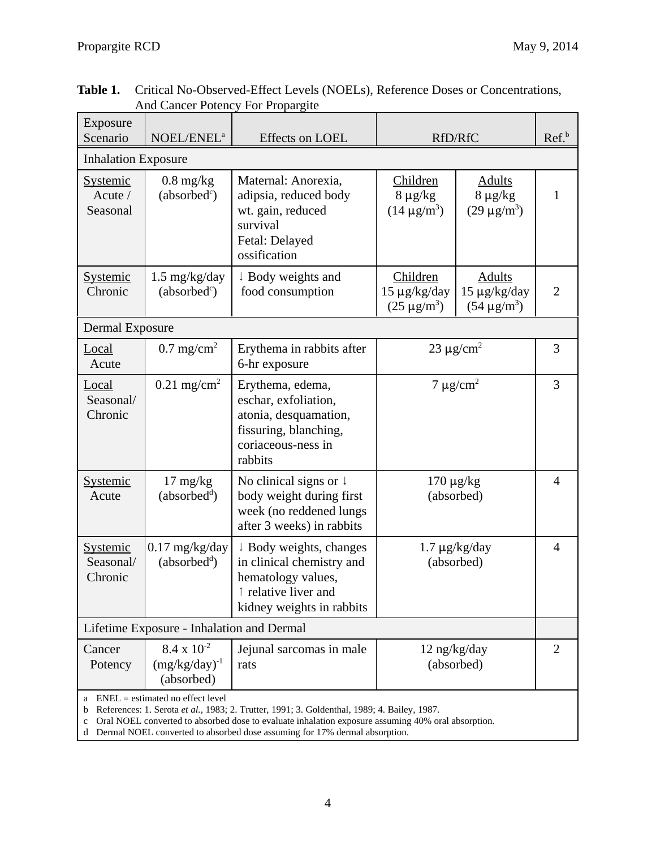| Exposure<br>Scenario                   | NOEL/ENEL <sup>a</sup>                                                                                                            | Effects on LOEL                                                                                                                                                                                                 | RfD/RfC                                                                                                |              | Ref. <sup>b</sup> |  |   |  |
|----------------------------------------|-----------------------------------------------------------------------------------------------------------------------------------|-----------------------------------------------------------------------------------------------------------------------------------------------------------------------------------------------------------------|--------------------------------------------------------------------------------------------------------|--------------|-------------------|--|---|--|
| <b>Inhalation Exposure</b>             |                                                                                                                                   |                                                                                                                                                                                                                 |                                                                                                        |              |                   |  |   |  |
| <b>Systemic</b><br>Acute /<br>Seasonal | $0.8 \text{ mg/kg}$<br>(absorbed <sup>c</sup> )                                                                                   | Maternal: Anorexia,<br>Children<br>Adults<br>adipsia, reduced body<br>$8 \mu g/kg$<br>$8 \mu g/kg$<br>wt. gain, reduced<br>$(14 \mu g/m^3)$<br>$(29 \,\mu g/m^3)$<br>survival<br>Fetal: Delayed<br>ossification |                                                                                                        | $\mathbf{1}$ |                   |  |   |  |
| <b>Systemic</b><br>Chronic             | $1.5 \text{ mg/kg/day}$<br>(absorbed <sup>c</sup> )                                                                               | ↓ Body weights and<br>food consumption                                                                                                                                                                          | Children<br>Adults<br>$15 \mu g/kg/day$<br>$15 \mu g/kg/day$<br>$(25 \mu g/m^3)$<br>$(54 \,\mu g/m^3)$ |              | $\overline{2}$    |  |   |  |
|                                        | <b>Dermal Exposure</b>                                                                                                            |                                                                                                                                                                                                                 |                                                                                                        |              |                   |  |   |  |
| Local<br>Acute                         | $0.7 \text{ mg/cm}^2$                                                                                                             | Erythema in rabbits after<br>6-hr exposure                                                                                                                                                                      | $23 \mu g/cm^2$                                                                                        |              |                   |  | 3 |  |
| Local<br>Seasonal/<br>Chronic          | $0.21 \text{ mg/cm}^2$                                                                                                            | Erythema, edema,<br>eschar, exfoliation,<br>atonia, desquamation,<br>fissuring, blanching,<br>coriaceous-ness in<br>rabbits                                                                                     | $7 \mu g/cm^2$                                                                                         |              | 3                 |  |   |  |
| <b>Systemic</b><br>Acute               | $17 \text{ mg/kg}$<br>(absorbed <sup>d</sup> )                                                                                    | No clinical signs or $\downarrow$<br>body weight during first<br>week (no reddened lungs<br>after 3 weeks) in rabbits                                                                                           | $170 \mu g/kg$<br>(absorbed)                                                                           |              | $\overline{4}$    |  |   |  |
| Systemic<br>Seasonal/<br>Chronic       | $0.17$ mg/kg/day<br>(absorbed <sup>d</sup> )                                                                                      | ↓ Body weights, changes<br>in clinical chemistry and<br>hematology values,<br>↑ relative liver and<br>kidney weights in rabbits                                                                                 | $1.7 \mu g/kg/day$<br>(absorbed)                                                                       |              | $\overline{4}$    |  |   |  |
|                                        | Lifetime Exposure - Inhalation and Dermal                                                                                         |                                                                                                                                                                                                                 |                                                                                                        |              |                   |  |   |  |
| Cancer<br>Potency                      | $8.4 \times 10^{-2}$<br>$(mg/kg/day)^{-1}$<br>(absorbed)                                                                          | Jejunal sarcomas in male<br>rats                                                                                                                                                                                | $12$ ng/kg/day<br>(absorbed)                                                                           |              | $\overline{2}$    |  |   |  |
|                                        | a ENEL = estimated no effect level<br><b>b</b> References: 1 Serota et al. 1983: 2 Trutter 1991: 3 Goldenthal 1989: 4 Bailey 1987 |                                                                                                                                                                                                                 |                                                                                                        |              |                   |  |   |  |

| Table 1. Critical No-Observed-Effect Levels (NOELs), Reference Doses or Concentrations, |
|-----------------------------------------------------------------------------------------|
| <b>And Cancer Potency For Propargite</b>                                                |

b References: 1. Serota *et al.,* 1983; 2. Trutter, 1991; 3. Goldenthal, 1989; 4. Bailey, 1987.

c Oral NOEL converted to absorbed dose to evaluate inhalation exposure assuming 40% oral absorption.

d Dermal NOEL converted to absorbed dose assuming for 17% dermal absorption.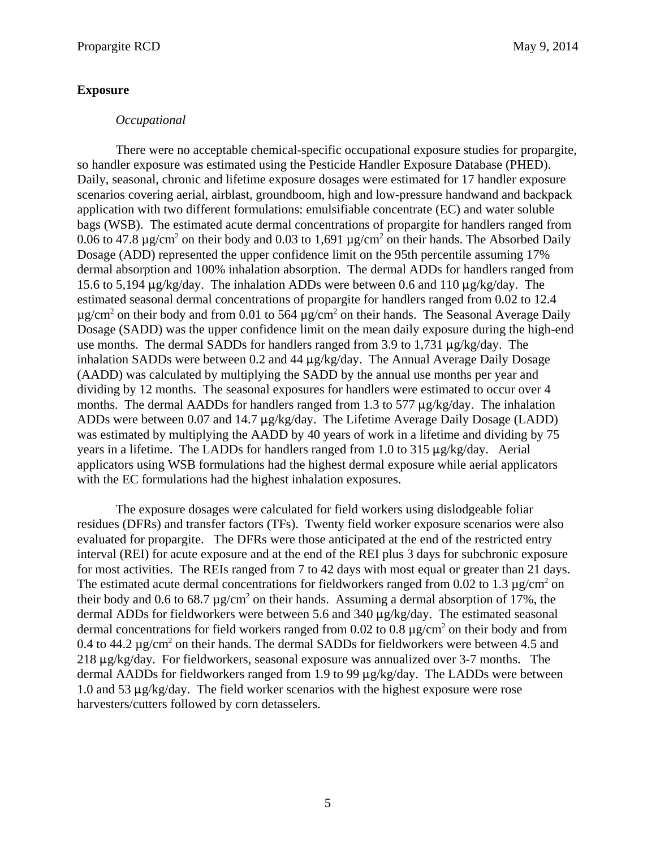#### **Exposure**

There were no acceptable chemical-specific occupational exposure studies for propargite, so handler exposure was estimated using the Pesticide Handler Exposure Database (PHED). Daily, seasonal, chronic and lifetime exposure dosages were estimated for 17 handler exposure scenarios covering aerial, airblast, groundboom, high and low-pressure handwand and backpack application with two different formulations: emulsifiable concentrate (EC) and water soluble bags (WSB). The estimated acute dermal concentrations of propargite for handlers ranged from 0.06 to 47.8  $\mu$ g/cm<sup>2</sup> on their body and 0.03 to 1,691  $\mu$ g/cm<sup>2</sup> on their hands. The Absorbed Daily Dosage (ADD) represented the upper confidence limit on the 95th percentile assuming 17% dermal absorption and 100% inhalation absorption. The dermal ADDs for handlers ranged from 15.6 to 5,194  $\mu$ g/kg/day. The inhalation ADDs were between 0.6 and 110  $\mu$ g/kg/day. The estimated seasonal dermal concentrations of propargite for handlers ranged from 0.02 to 12.4  $\mu$ g/cm<sup>2</sup> on their body and from 0.01 to 564  $\mu$ g/cm<sup>2</sup> on their hands. The Seasonal Average Daily Dosage (SADD) was the upper confidence limit on the mean daily exposure during the high-end use months. The dermal SADDs for handlers ranged from 3.9 to 1,731  $\mu$ g/kg/day. The inhalation SADDs were between 0.2 and 44  $\mu$ g/kg/day. The Annual Average Daily Dosage (AADD) was calculated by multiplying the SADD by the annual use months per year and dividing by 12 months. The seasonal exposures for handlers were estimated to occur over 4 months. The dermal AADDs for handlers ranged from 1.3 to 577  $\mu$ g/kg/day. The inhalation ADDs were between 0.07 and 14.7  $\mu$ g/kg/day. The Lifetime Average Daily Dosage (LADD) was estimated by multiplying the AADD by 40 years of work in a lifetime and dividing by 75 years in a lifetime. The LADDs for handlers ranged from 1.0 to 315  $\mu$ g/kg/day. Aerial applicators using WSB formulations had the highest dermal exposure while aerial applicators with the EC formulations had the highest inhalation exposures.

The exposure dosages were calculated for field workers using dislodgeable foliar residues (DFRs) and transfer factors (TFs). Twenty field worker exposure scenarios were also evaluated for propargite. The DFRs were those anticipated at the end of the restricted entry interval (REI) for acute exposure and at the end of the REI plus 3 days for subchronic exposure for most activities. The REIs ranged from 7 to 42 days with most equal or greater than 21 days. The estimated acute dermal concentrations for fieldworkers ranged from 0.02 to 1.3  $\mu$ g/cm<sup>2</sup> on their body and 0.6 to 68.7  $\mu$ g/cm<sup>2</sup> on their hands. Assuming a dermal absorption of 17%, the dermal ADDs for fieldworkers were between 5.6 and 340  $\mu$ g/kg/day. The estimated seasonal dermal concentrations for field workers ranged from 0.02 to 0.8  $\mu$ g/cm<sup>2</sup> on their body and from 0.4 to 44.2  $\mu$ g/cm<sup>2</sup> on their hands. The dermal SADDs for fieldworkers were between 4.5 and  $218 \mu g/kg/day$ . For fieldworkers, seasonal exposure was annualized over 3-7 months. The dermal AADDs for fieldworkers ranged from 1.9 to 99  $\mu$ g/kg/day. The LADDs were between 1.0 and 53  $\mu$ g/kg/day. The field worker scenarios with the highest exposure were rose harvesters/cutters followed by corn detasselers.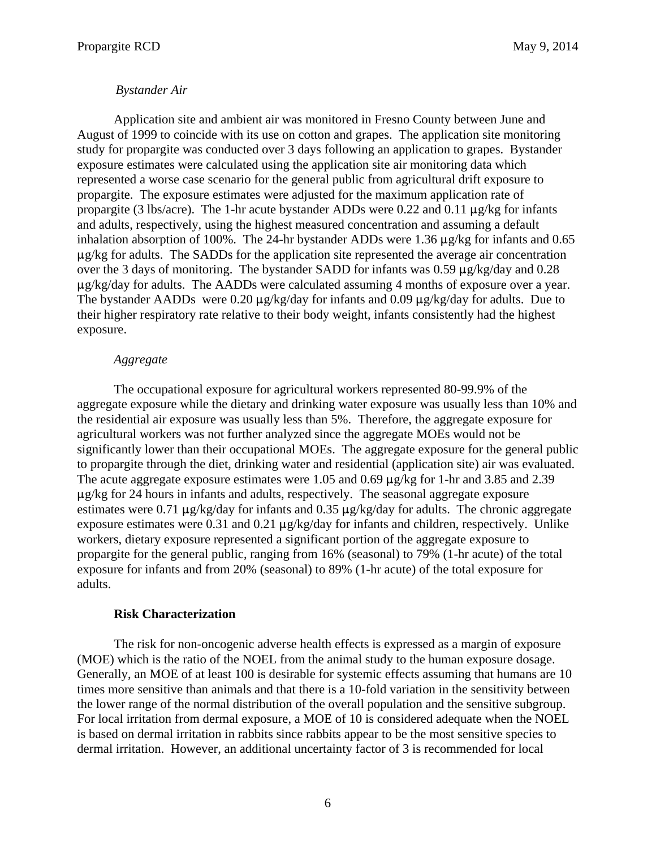### *Bystander Air*

Application site and ambient air was monitored in Fresno County between June and August of 1999 to coincide with its use on cotton and grapes. The application site monitoring study for propargite was conducted over 3 days following an application to grapes. Bystander exposure estimates were calculated using the application site air monitoring data which represented a worse case scenario for the general public from agricultural drift exposure to propargite. The exposure estimates were adjusted for the maximum application rate of propargite (3 lbs/acre). The 1-hr acute bystander ADDs were 0.22 and 0.11  $\mu$ g/kg for infants and adults, respectively, using the highest measured concentration and assuming a default inhalation absorption of 100%. The 24-hr bystander ADDs were 1.36  $\mu$ g/kg for infants and 0.65  $\mu$ g/kg for adults. The SADDs for the application site represented the average air concentration over the 3 days of monitoring. The bystander SADD for infants was 0.59  $\mu$ g/kg/day and 0.28  $\mu$ g/kg/day for adults. The AADDs were calculated assuming 4 months of exposure over a year. The bystander AADDs were 0.20  $\mu$ g/kg/day for infants and 0.09  $\mu$ g/kg/day for adults. Due to their higher respiratory rate relative to their body weight, infants consistently had the highest exposure.

### *Aggregate*

The occupational exposure for agricultural workers represented 80-99.9% of the aggregate exposure while the dietary and drinking water exposure was usually less than 10% and the residential air exposure was usually less than 5%. Therefore, the aggregate exposure for agricultural workers was not further analyzed since the aggregate MOEs would not be significantly lower than their occupational MOEs. The aggregate exposure for the general public to propargite through the diet, drinking water and residential (application site) air was evaluated. The acute aggregate exposure estimates were 1.05 and 0.69  $\mu$ g/kg for 1-hr and 3.85 and 2.39  $\mu$ g/kg for 24 hours in infants and adults, respectively. The seasonal aggregate exposure estimates were 0.71  $\mu$ g/kg/day for infants and 0.35  $\mu$ g/kg/day for adults. The chronic aggregate exposure estimates were 0.31 and 0.21  $\mu$ g/kg/day for infants and children, respectively. Unlike workers, dietary exposure represented a significant portion of the aggregate exposure to propargite for the general public, ranging from 16% (seasonal) to 79% (1-hr acute) of the total exposure for infants and from 20% (seasonal) to 89% (1-hr acute) of the total exposure for adults.

#### **Risk Characterization**

The risk for non-oncogenic adverse health effects is expressed as a margin of exposure (MOE) which is the ratio of the NOEL from the animal study to the human exposure dosage. Generally, an MOE of at least 100 is desirable for systemic effects assuming that humans are 10 times more sensitive than animals and that there is a 10-fold variation in the sensitivity between the lower range of the normal distribution of the overall population and the sensitive subgroup. For local irritation from dermal exposure, a MOE of 10 is considered adequate when the NOEL is based on dermal irritation in rabbits since rabbits appear to be the most sensitive species to dermal irritation. However, an additional uncertainty factor of 3 is recommended for local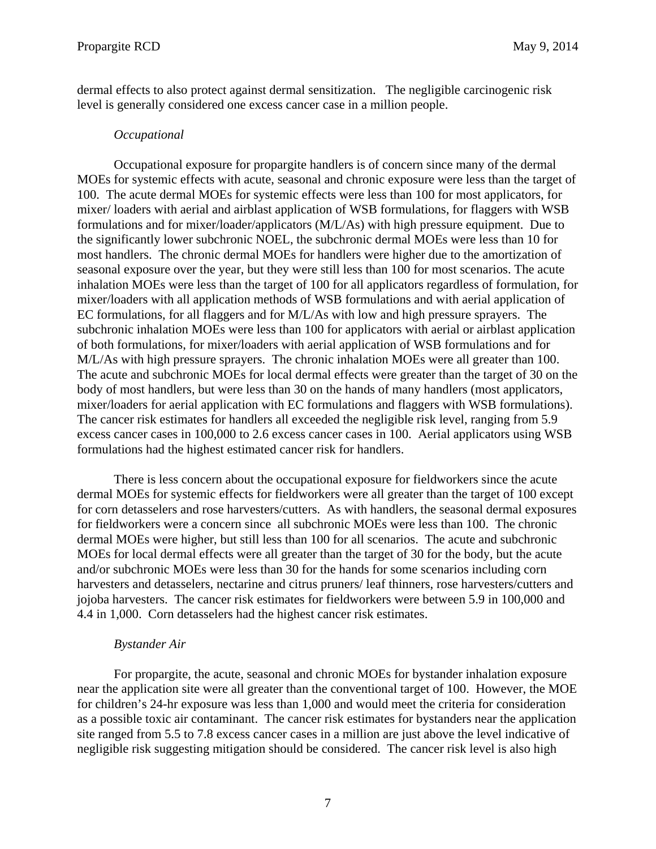dermal effects to also protect against dermal sensitization. The negligible carcinogenic risk level is generally considered one excess cancer case in a million people.

# *Occupational*

Occupational exposure for propargite handlers is of concern since many of the dermal MOEs for systemic effects with acute, seasonal and chronic exposure were less than the target of 100. The acute dermal MOEs for systemic effects were less than 100 for most applicators, for mixer/ loaders with aerial and airblast application of WSB formulations, for flaggers with WSB formulations and for mixer/loader/applicators (M/L/As) with high pressure equipment. Due to the significantly lower subchronic NOEL, the subchronic dermal MOEs were less than 10 for most handlers. The chronic dermal MOEs for handlers were higher due to the amortization of seasonal exposure over the year, but they were still less than 100 for most scenarios. The acute inhalation MOEs were less than the target of 100 for all applicators regardless of formulation, for mixer/loaders with all application methods of WSB formulations and with aerial application of EC formulations, for all flaggers and for M/L/As with low and high pressure sprayers. The subchronic inhalation MOEs were less than 100 for applicators with aerial or airblast application of both formulations, for mixer/loaders with aerial application of WSB formulations and for M/L/As with high pressure sprayers. The chronic inhalation MOEs were all greater than 100. The acute and subchronic MOEs for local dermal effects were greater than the target of 30 on the body of most handlers, but were less than 30 on the hands of many handlers (most applicators, mixer/loaders for aerial application with EC formulations and flaggers with WSB formulations). The cancer risk estimates for handlers all exceeded the negligible risk level, ranging from 5.9 excess cancer cases in 100,000 to 2.6 excess cancer cases in 100. Aerial applicators using WSB formulations had the highest estimated cancer risk for handlers.

There is less concern about the occupational exposure for fieldworkers since the acute dermal MOEs for systemic effects for fieldworkers were all greater than the target of 100 except for corn detasselers and rose harvesters/cutters. As with handlers, the seasonal dermal exposures for fieldworkers were a concern since all subchronic MOEs were less than 100. The chronic dermal MOEs were higher, but still less than 100 for all scenarios. The acute and subchronic MOEs for local dermal effects were all greater than the target of 30 for the body, but the acute and/or subchronic MOEs were less than 30 for the hands for some scenarios including corn harvesters and detasselers, nectarine and citrus pruners/ leaf thinners, rose harvesters/cutters and jojoba harvesters. The cancer risk estimates for fieldworkers were between 5.9 in 100,000 and 4.4 in 1,000. Corn detasselers had the highest cancer risk estimates.

#### *Bystander Air*

For propargite, the acute, seasonal and chronic MOEs for bystander inhalation exposure near the application site were all greater than the conventional target of 100. However, the MOE for children's 24-hr exposure was less than 1,000 and would meet the criteria for consideration as a possible toxic air contaminant. The cancer risk estimates for bystanders near the application site ranged from 5.5 to 7.8 excess cancer cases in a million are just above the level indicative of negligible risk suggesting mitigation should be considered. The cancer risk level is also high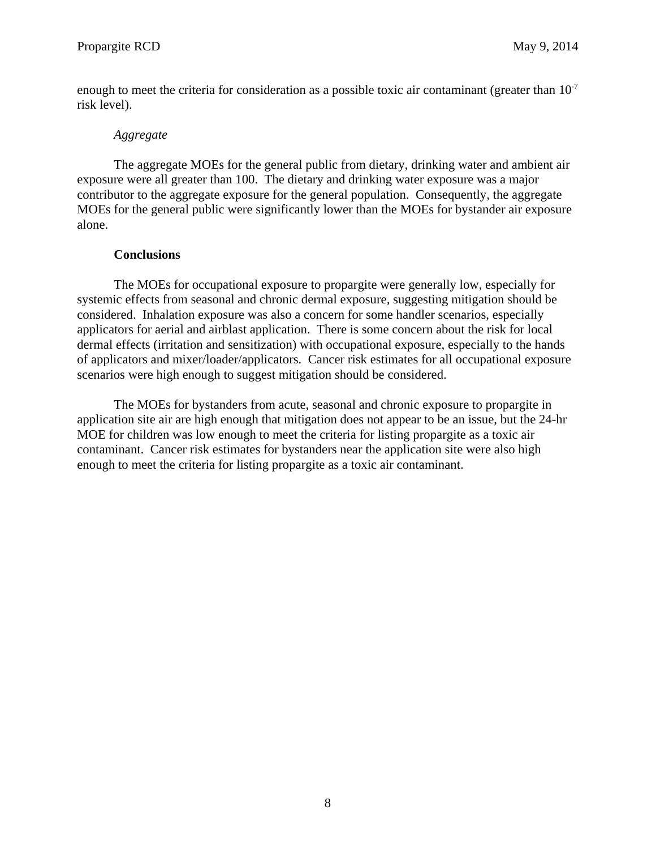enough to meet the criteria for consideration as a possible toxic air contaminant (greater than  $10^{-7}$ ) risk level).

# *Aggregate*

The aggregate MOEs for the general public from dietary, drinking water and ambient air exposure were all greater than 100. The dietary and drinking water exposure was a major contributor to the aggregate exposure for the general population. Consequently, the aggregate MOEs for the general public were significantly lower than the MOEs for bystander air exposure alone.

# **Conclusions**

The MOEs for occupational exposure to propargite were generally low, especially for systemic effects from seasonal and chronic dermal exposure, suggesting mitigation should be considered. Inhalation exposure was also a concern for some handler scenarios, especially applicators for aerial and airblast application. There is some concern about the risk for local dermal effects (irritation and sensitization) with occupational exposure, especially to the hands of applicators and mixer/loader/applicators. Cancer risk estimates for all occupational exposure scenarios were high enough to suggest mitigation should be considered.

The MOEs for bystanders from acute, seasonal and chronic exposure to propargite in application site air are high enough that mitigation does not appear to be an issue, but the 24-hr MOE for children was low enough to meet the criteria for listing propargite as a toxic air contaminant. Cancer risk estimates for bystanders near the application site were also high enough to meet the criteria for listing propargite as a toxic air contaminant.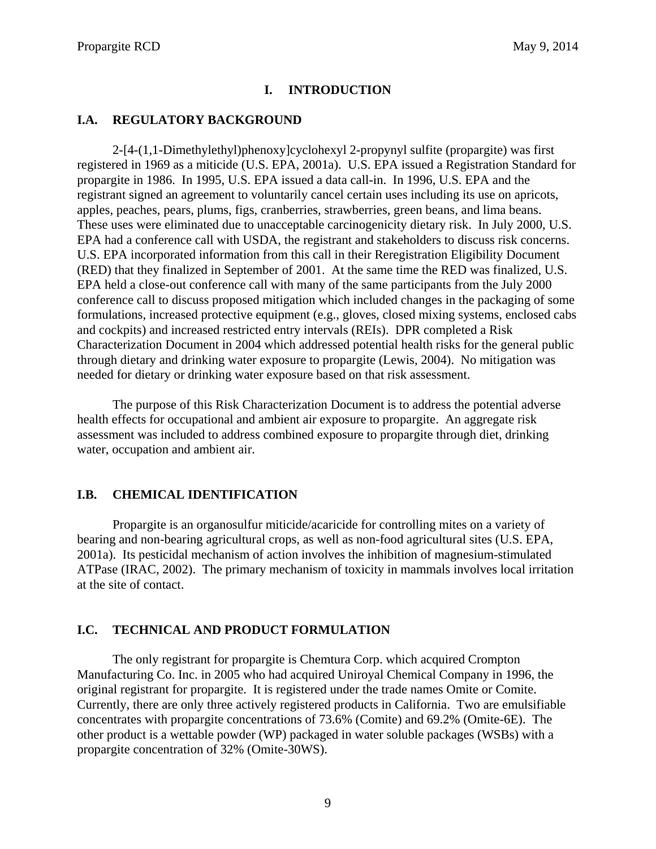# **I. INTRODUCTION**

# <span id="page-12-0"></span>**I.A. REGULATORY BACKGROUND**

2-[4-(1,1-Dimethylethyl)phenoxy]cyclohexyl 2-propynyl sulfite (propargite) was first registered in 1969 as a miticide (U.S. EPA, 2001a). U.S. EPA issued a Registration Standard for propargite in 1986. In 1995, U.S. EPA issued a data call-in. In 1996, U.S. EPA and the registrant signed an agreement to voluntarily cancel certain uses including its use on apricots, apples, peaches, pears, plums, figs, cranberries, strawberries, green beans, and lima beans. These uses were eliminated due to unacceptable carcinogenicity dietary risk. In July 2000, U.S. EPA had a conference call with USDA, the registrant and stakeholders to discuss risk concerns. U.S. EPA incorporated information from this call in their Reregistration Eligibility Document (RED) that they finalized in September of 2001. At the same time the RED was finalized, U.S. EPA held a close-out conference call with many of the same participants from the July 2000 conference call to discuss proposed mitigation which included changes in the packaging of some formulations, increased protective equipment (e.g., gloves, closed mixing systems, enclosed cabs and cockpits) and increased restricted entry intervals (REIs). DPR completed a Risk Characterization Document in 2004 which addressed potential health risks for the general public through dietary and drinking water exposure to propargite (Lewis, 2004). No mitigation was needed for dietary or drinking water exposure based on that risk assessment.

The purpose of this Risk Characterization Document is to address the potential adverse health effects for occupational and ambient air exposure to propargite. An aggregate risk assessment was included to address combined exposure to propargite through diet, drinking water, occupation and ambient air.

# **I.B. CHEMICAL IDENTIFICATION**

Propargite is an organosulfur miticide/acaricide for controlling mites on a variety of bearing and non-bearing agricultural crops, as well as non-food agricultural sites (U.S. EPA, 2001a). Its pesticidal mechanism of action involves the inhibition of magnesium-stimulated ATPase (IRAC, 2002). The primary mechanism of toxicity in mammals involves local irritation at the site of contact.

#### **I.C. TECHNICAL AND PRODUCT FORMULATION**

The only registrant for propargite is Chemtura Corp. which acquired Crompton Manufacturing Co. Inc. in 2005 who had acquired Uniroyal Chemical Company in 1996, the original registrant for propargite. It is registered under the trade names Omite or Comite. Currently, there are only three actively registered products in California. Two are emulsifiable concentrates with propargite concentrations of 73.6% (Comite) and 69.2% (Omite-6E). The other product is a wettable powder (WP) packaged in water soluble packages (WSBs) with a propargite concentration of 32% (Omite-30WS).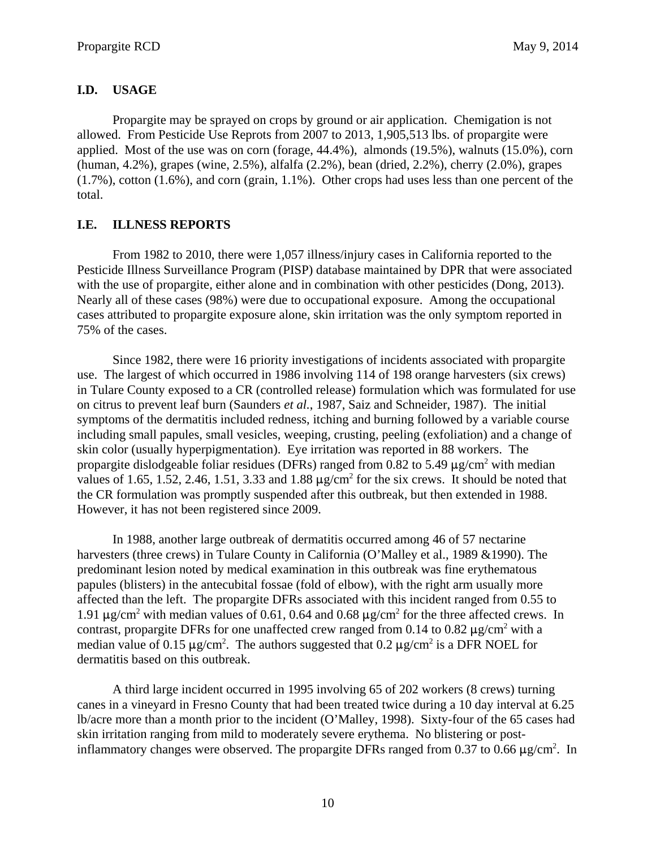# <span id="page-13-0"></span>**I.D. USAGE**

Propargite may be sprayed on crops by ground or air application. Chemigation is not allowed. From Pesticide Use Reprots from 2007 to 2013, 1,905,513 lbs. of propargite were applied. Most of the use was on corn (forage, 44.4%), almonds (19.5%), walnuts (15.0%), corn (human, 4.2%), grapes (wine, 2.5%), alfalfa (2.2%), bean (dried, 2.2%), cherry (2.0%), grapes (1.7%), cotton (1.6%), and corn (grain, 1.1%). Other crops had uses less than one percent of the total.

# **I.E. ILLNESS REPORTS**

From 1982 to 2010, there were 1,057 illness/injury cases in California reported to the Pesticide Illness Surveillance Program (PISP) database maintained by DPR that were associated with the use of propargite, either alone and in combination with other pesticides (Dong, 2013). Nearly all of these cases (98%) were due to occupational exposure. Among the occupational cases attributed to propargite exposure alone, skin irritation was the only symptom reported in 75% of the cases.

Since 1982, there were 16 priority investigations of incidents associated with propargite use. The largest of which occurred in 1986 involving 114 of 198 orange harvesters (six crews) in Tulare County exposed to a CR (controlled release) formulation which was formulated for use on citrus to prevent leaf burn (Saunders *et al.*, 1987, Saiz and Schneider, 1987). The initial symptoms of the dermatitis included redness, itching and burning followed by a variable course including small papules, small vesicles, weeping, crusting, peeling (exfoliation) and a change of skin color (usually hyperpigmentation). Eye irritation was reported in 88 workers. The propargite dislodgeable foliar residues (DFRs) ranged from 0.82 to 5.49  $\mu$ g/cm<sup>2</sup> with median values of 1.65, 1.52, 2.46, 1.51, 3.33 and 1.88  $\mu$ g/cm<sup>2</sup> for the six crews. It should be noted that the CR formulation was promptly suspended after this outbreak, but then extended in 1988. However, it has not been registered since 2009.

In 1988, another large outbreak of dermatitis occurred among 46 of 57 nectarine harvesters (three crews) in Tulare County in California (O'Malley et al., 1989 &1990). The predominant lesion noted by medical examination in this outbreak was fine erythematous papules (blisters) in the antecubital fossae (fold of elbow), with the right arm usually more affected than the left. The propargite DFRs associated with this incident ranged from 0.55 to 1.91  $\mu$ g/cm<sup>2</sup> with median values of 0.61, 0.64 and 0.68  $\mu$ g/cm<sup>2</sup> for the three affected crews. In contrast, propargite DFRs for one unaffected crew ranged from 0.14 to 0.82  $\mu$ g/cm<sup>2</sup> with a median value of 0.15  $\mu$ g/cm<sup>2</sup>. The authors suggested that 0.2  $\mu$ g/cm<sup>2</sup> is a DFR NOEL for dermatitis based on this outbreak.

A third large incident occurred in 1995 involving 65 of 202 workers (8 crews) turning canes in a vineyard in Fresno County that had been treated twice during a 10 day interval at 6.25 lb/acre more than a month prior to the incident (O'Malley, 1998). Sixty-four of the 65 cases had skin irritation ranging from mild to moderately severe erythema. No blistering or postinflammatory changes were observed. The propargite DFRs ranged from 0.37 to 0.66  $\mu$ g/cm<sup>2</sup>. In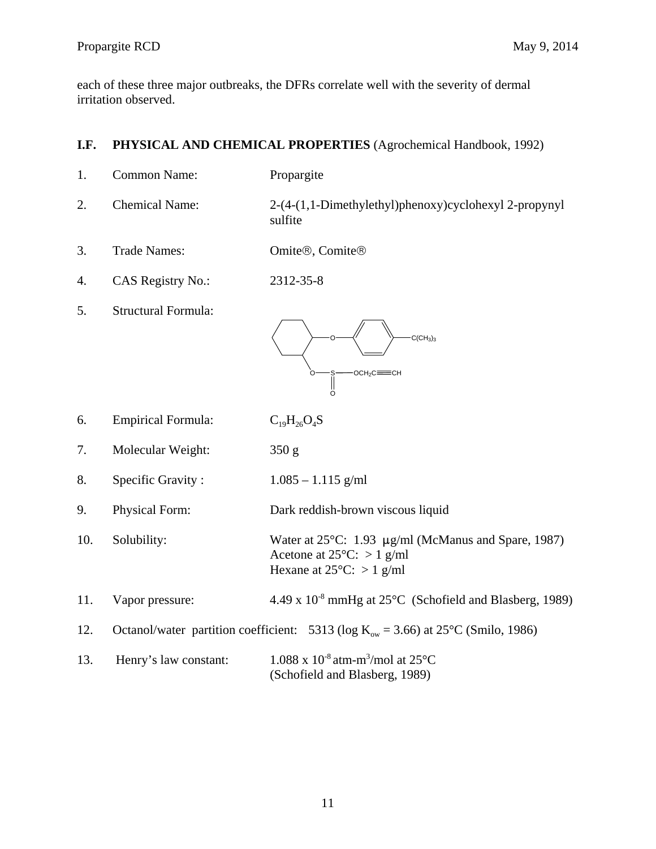<span id="page-14-0"></span>each of these three major outbreaks, the DFRs correlate well with the severity of dermal irritation observed.

# **I.F. PHYSICAL AND CHEMICAL PROPERTIES** (Agrochemical Handbook, 1992)

| 1.  | <b>Common Name:</b>        | Propargite                                                                                                                       |
|-----|----------------------------|----------------------------------------------------------------------------------------------------------------------------------|
| 2.  | <b>Chemical Name:</b>      | 2-(4-(1,1-Dimethylethyl)phenoxy)cyclohexyl 2-propynyl<br>sulfite                                                                 |
| 3.  | <b>Trade Names:</b>        | Omite®, Comite®                                                                                                                  |
| 4.  | <b>CAS Registry No.:</b>   | 2312-35-8                                                                                                                        |
| 5.  | <b>Structural Formula:</b> | C(CH <sub>3</sub> ) <sub>3</sub><br>ОСН,С:                                                                                       |
| 6.  | <b>Empirical Formula:</b>  | $C_{19}H_{26}O_4S$                                                                                                               |
| 7.  | Molecular Weight:          | 350 g                                                                                                                            |
| 8.  | Specific Gravity:          | $1.085 - 1.115$ g/ml                                                                                                             |
| 9.  | Physical Form:             | Dark reddish-brown viscous liquid                                                                                                |
| 10. | Solubility:                | Water at 25°C: 1.93 µg/ml (McManus and Spare, 1987)<br>Acetone at $25^{\circ}$ C: > 1 g/ml<br>Hexane at $25^{\circ}$ C: > 1 g/ml |
| 11. | Vapor pressure:            | 4.49 x 10 <sup>-8</sup> mmHg at 25°C (Schofield and Blasberg, 1989)                                                              |
| 12. |                            | Octanol/water partition coefficient: 5313 (log $K_{ow} = 3.66$ ) at 25°C (Smilo, 1986)                                           |
| 13. | Henry's law constant:      | $1.088 \times 10^{-8}$ atm-m <sup>3</sup> /mol at 25 <sup>o</sup> C<br>(Schofield and Blasberg, 1989)                            |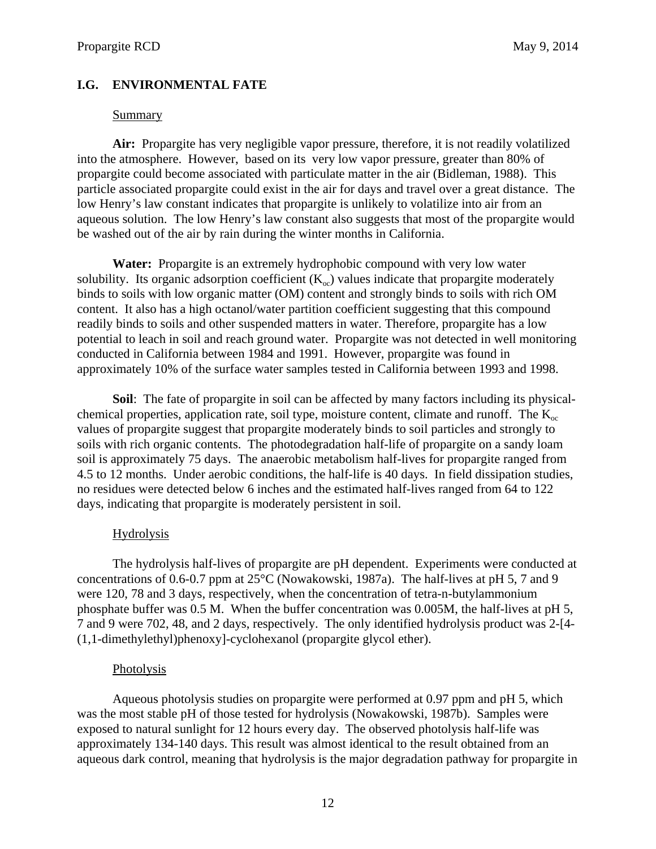### <span id="page-15-0"></span>**I.G. ENVIRONMENTAL FATE**

#### Summary

**Air:** Propargite has very negligible vapor pressure, therefore, it is not readily volatilized into the atmosphere. However, based on its very low vapor pressure, greater than 80% of propargite could become associated with particulate matter in the air (Bidleman, 1988). This particle associated propargite could exist in the air for days and travel over a great distance. The low Henry's law constant indicates that propargite is unlikely to volatilize into air from an aqueous solution. The low Henry's law constant also suggests that most of the propargite would be washed out of the air by rain during the winter months in California.

**Water:** Propargite is an extremely hydrophobic compound with very low water solubility. Its organic adsorption coefficient  $(K_{\infty})$  values indicate that propargite moderately binds to soils with low organic matter (OM) content and strongly binds to soils with rich OM content. It also has a high octanol/water partition coefficient suggesting that this compound readily binds to soils and other suspended matters in water. Therefore, propargite has a low potential to leach in soil and reach ground water. Propargite was not detected in well monitoring conducted in California between 1984 and 1991. However, propargite was found in approximately 10% of the surface water samples tested in California between 1993 and 1998.

**Soil**: The fate of propargite in soil can be affected by many factors including its physicalchemical properties, application rate, soil type, moisture content, climate and runoff. The  $K_{oc}$ values of propargite suggest that propargite moderately binds to soil particles and strongly to soils with rich organic contents. The photodegradation half-life of propargite on a sandy loam soil is approximately 75 days. The anaerobic metabolism half-lives for propargite ranged from 4.5 to 12 months. Under aerobic conditions, the half-life is 40 days. In field dissipation studies, no residues were detected below 6 inches and the estimated half-lives ranged from 64 to 122 days, indicating that propargite is moderately persistent in soil.

#### Hydrolysis

The hydrolysis half-lives of propargite are pH dependent. Experiments were conducted at concentrations of 0.6-0.7 ppm at 25°C (Nowakowski, 1987a). The half-lives at pH 5, 7 and 9 were 120, 78 and 3 days, respectively, when the concentration of tetra-n-butylammonium phosphate buffer was 0.5 M. When the buffer concentration was 0.005M, the half-lives at pH 5, 7 and 9 were 702, 48, and 2 days, respectively. The only identified hydrolysis product was 2-[4 (1,1-dimethylethyl)phenoxy]-cyclohexanol (propargite glycol ether).

### Photolysis

Aqueous photolysis studies on propargite were performed at 0.97 ppm and pH 5, which was the most stable pH of those tested for hydrolysis (Nowakowski, 1987b). Samples were exposed to natural sunlight for 12 hours every day. The observed photolysis half-life was approximately 134-140 days. This result was almost identical to the result obtained from an aqueous dark control, meaning that hydrolysis is the major degradation pathway for propargite in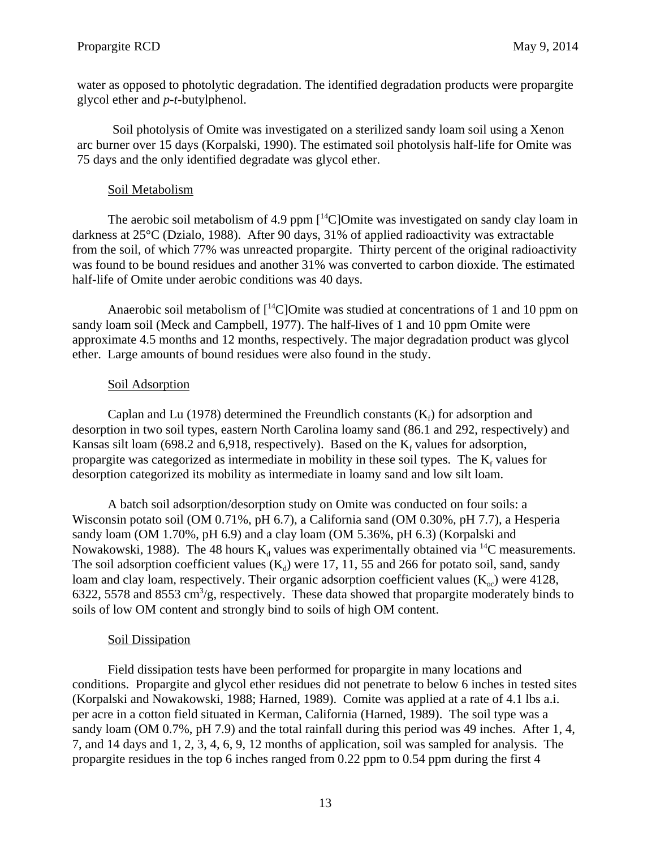water as opposed to photolytic degradation. The identified degradation products were propargite glycol ether and *p*-*t*-butylphenol.

Soil photolysis of Omite was investigated on a sterilized sandy loam soil using a Xenon arc burner over 15 days (Korpalski, 1990). The estimated soil photolysis half-life for Omite was 75 days and the only identified degradate was glycol ether.

# Soil Metabolism

The aerobic soil metabolism of 4.9 ppm  $\lceil {^{14}C} \rceil$ Omite was investigated on sandy clay loam in darkness at 25°C (Dzialo, 1988). After 90 days, 31% of applied radioactivity was extractable from the soil, of which 77% was unreacted propargite. Thirty percent of the original radioactivity was found to be bound residues and another 31% was converted to carbon dioxide. The estimated half-life of Omite under aerobic conditions was 40 days.

Anaerobic soil metabolism of  $\lceil \frac{14}{2} \rceil$ Omite was studied at concentrations of 1 and 10 ppm on sandy loam soil (Meck and Campbell, 1977). The half-lives of 1 and 10 ppm Omite were approximate 4.5 months and 12 months, respectively. The major degradation product was glycol ether. Large amounts of bound residues were also found in the study.

# Soil Adsorption

Caplan and Lu (1978) determined the Freundlich constants  $(K_f)$  for adsorption and desorption in two soil types, eastern North Carolina loamy sand (86.1 and 292, respectively) and Kansas silt loam (698.2 and 6,918, respectively). Based on the  $K_f$  values for adsorption, propargite was categorized as intermediate in mobility in these soil types. The  $K_f$  values for desorption categorized its mobility as intermediate in loamy sand and low silt loam.

A batch soil adsorption/desorption study on Omite was conducted on four soils: a Wisconsin potato soil (OM 0.71%, pH 6.7), a California sand (OM 0.30%, pH 7.7), a Hesperia sandy loam (OM 1.70%, pH 6.9) and a clay loam (OM 5.36%, pH 6.3) (Korpalski and Nowakowski, 1988). The 48 hours  $K_d$  values was experimentally obtained via <sup>14</sup>C measurements. The soil adsorption coefficient values  $(K_d)$  were 17, 11, 55 and 266 for potato soil, sand, sandy loam and clay loam, respectively. Their organic adsorption coefficient values  $(K_{\infty})$  were 4128, 6322, 5578 and 8553  $\text{cm}^3/\text{g}$ , respectively. These data showed that propargite moderately binds to soils of low OM content and strongly bind to soils of high OM content.

# Soil Dissipation

Field dissipation tests have been performed for propargite in many locations and conditions. Propargite and glycol ether residues did not penetrate to below 6 inches in tested sites (Korpalski and Nowakowski, 1988; Harned, 1989). Comite was applied at a rate of 4.1 lbs a.i. per acre in a cotton field situated in Kerman, California (Harned, 1989). The soil type was a sandy loam (OM 0.7%, pH 7.9) and the total rainfall during this period was 49 inches. After 1, 4, 7, and 14 days and 1, 2, 3, 4, 6, 9, 12 months of application, soil was sampled for analysis. The propargite residues in the top 6 inches ranged from 0.22 ppm to 0.54 ppm during the first 4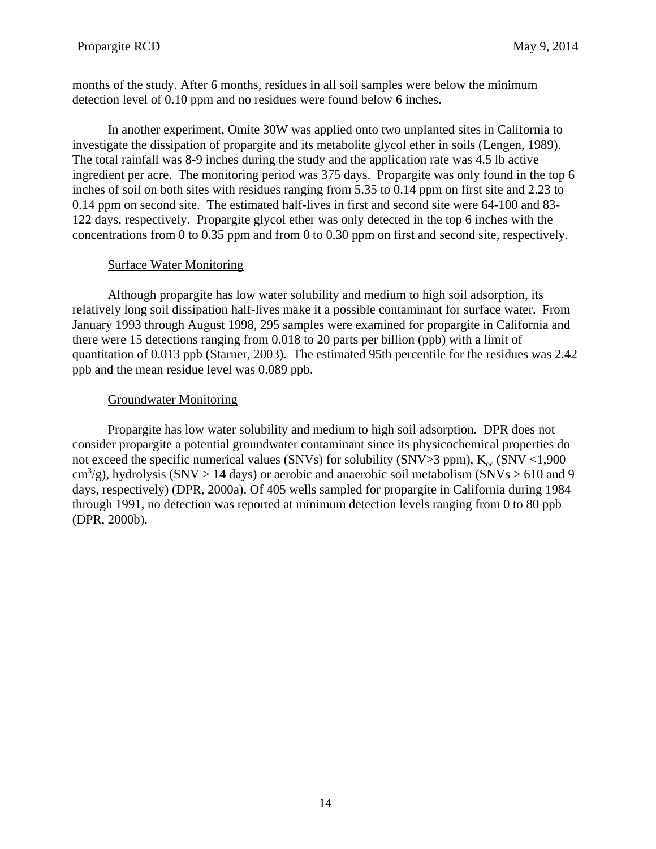months of the study. After 6 months, residues in all soil samples were below the minimum detection level of 0.10 ppm and no residues were found below 6 inches.

In another experiment, Omite 30W was applied onto two unplanted sites in California to investigate the dissipation of propargite and its metabolite glycol ether in soils (Lengen, 1989). The total rainfall was 8-9 inches during the study and the application rate was 4.5 lb active ingredient per acre. The monitoring period was 375 days. Propargite was only found in the top 6 inches of soil on both sites with residues ranging from 5.35 to 0.14 ppm on first site and 2.23 to 0.14 ppm on second site. The estimated half-lives in first and second site were 64-100 and 83 122 days, respectively. Propargite glycol ether was only detected in the top 6 inches with the concentrations from 0 to 0.35 ppm and from 0 to 0.30 ppm on first and second site, respectively.

# Surface Water Monitoring

Although propargite has low water solubility and medium to high soil adsorption, its relatively long soil dissipation half-lives make it a possible contaminant for surface water. From January 1993 through August 1998, 295 samples were examined for propargite in California and there were 15 detections ranging from 0.018 to 20 parts per billion (ppb) with a limit of quantitation of 0.013 ppb (Starner, 2003). The estimated 95th percentile for the residues was 2.42 ppb and the mean residue level was 0.089 ppb.

# Groundwater Monitoring

Propargite has low water solubility and medium to high soil adsorption. DPR does not consider propargite a potential groundwater contaminant since its physicochemical properties do not exceed the specific numerical values (SNVs) for solubility (SNV>3 ppm),  $K_{oc}$  (SNV <1,900  $\text{cm}^3/\text{g}$ ), hydrolysis (SNV > 14 days) or aerobic and anaerobic soil metabolism (SNVs > 610 and 9 days, respectively) (DPR, 2000a). Of 405 wells sampled for propargite in California during 1984 through 1991, no detection was reported at minimum detection levels ranging from 0 to 80 ppb (DPR, 2000b).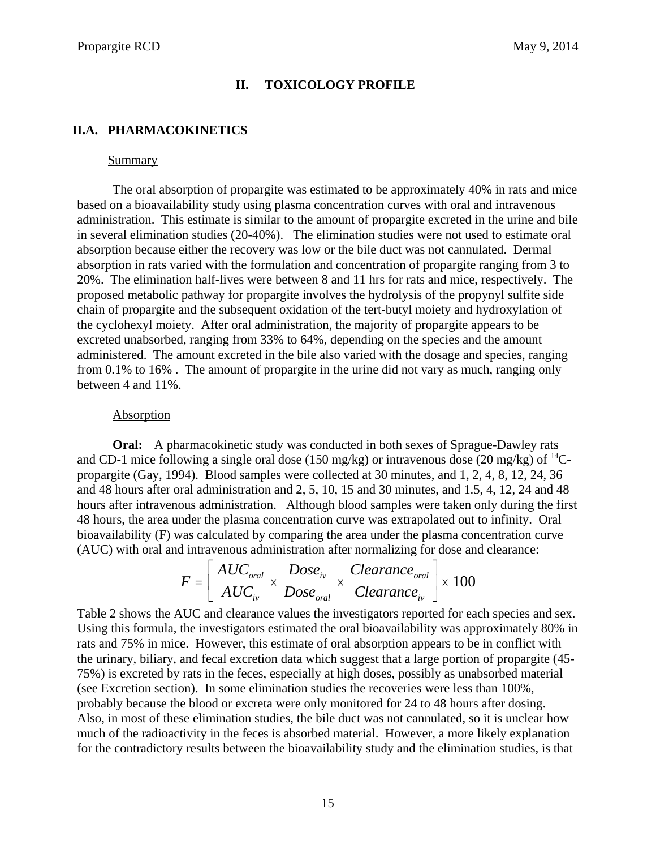### **II. TOXICOLOGY PROFILE**

# <span id="page-18-0"></span>**II.A. PHARMACOKINETICS**

#### Summary

The oral absorption of propargite was estimated to be approximately 40% in rats and mice based on a bioavailability study using plasma concentration curves with oral and intravenous administration. This estimate is similar to the amount of propargite excreted in the urine and bile in several elimination studies (20-40%). The elimination studies were not used to estimate oral absorption because either the recovery was low or the bile duct was not cannulated. Dermal absorption in rats varied with the formulation and concentration of propargite ranging from 3 to 20%. The elimination half-lives were between 8 and 11 hrs for rats and mice, respectively. The proposed metabolic pathway for propargite involves the hydrolysis of the propynyl sulfite side chain of propargite and the subsequent oxidation of the tert-butyl moiety and hydroxylation of the cyclohexyl moiety. After oral administration, the majority of propargite appears to be excreted unabsorbed, ranging from 33% to 64%, depending on the species and the amount administered. The amount excreted in the bile also varied with the dosage and species, ranging from 0.1% to 16% . The amount of propargite in the urine did not vary as much, ranging only between 4 and 11%.

#### Absorption

**Oral:** A pharmacokinetic study was conducted in both sexes of Sprague-Dawley rats and CD-1 mice following a single oral dose (150 mg/kg) or intravenous dose (20 mg/kg) of  $^{14}$ Cpropargite (Gay, 1994). Blood samples were collected at 30 minutes, and 1, 2, 4, 8, 12, 24, 36 and 48 hours after oral administration and 2, 5, 10, 15 and 30 minutes, and 1.5, 4, 12, 24 and 48 hours after intravenous administration. Although blood samples were taken only during the first 48 hours, the area under the plasma concentration curve was extrapolated out to infinity. Oral bioavailability (F) was calculated by comparing the area under the plasma concentration curve (AUC) with oral and intravenous administration after normalizing for dose and clearance:

$$
F = \left[ \frac{AUC_{oral}}{AUC_{iv}} \times \frac{Dose_{iv}}{Dose_{oral}} \times \frac{Clearance_{oral}}{Clearance_{iv}} \right] \times 100
$$

Table 2 shows the AUC and clearance values the investigators reported for each species and sex. Using this formula, the investigators estimated the oral bioavailability was approximately 80% in rats and 75% in mice. However, this estimate of oral absorption appears to be in conflict with the urinary, biliary, and fecal excretion data which suggest that a large portion of propargite (45 75%) is excreted by rats in the feces, especially at high doses, possibly as unabsorbed material (see Excretion section). In some elimination studies the recoveries were less than 100%, probably because the blood or excreta were only monitored for 24 to 48 hours after dosing. Also, in most of these elimination studies, the bile duct was not cannulated, so it is unclear how much of the radioactivity in the feces is absorbed material. However, a more likely explanation for the contradictory results between the bioavailability study and the elimination studies, is that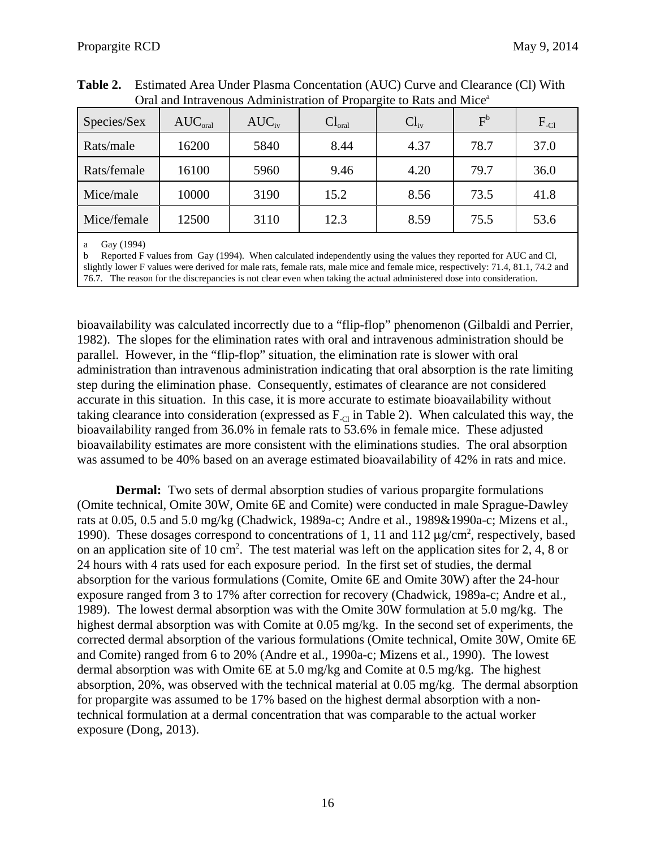| Species/Sex | $AUC_{\text{oral}}$ | $AUC_{iv}$ | $Cl_{\text{oral}}$ | $Cl_{iv}$ | F <sup>b</sup> | $F_{\text{-Cl}}$ |
|-------------|---------------------|------------|--------------------|-----------|----------------|------------------|
| Rats/male   | 16200               | 5840       | 8.44               | 4.37      | 78.7           | 37.0             |
| Rats/female | 16100               | 5960       | 9.46               | 4.20      | 79.7           | 36.0             |
| Mice/male   | 10000               | 3190       | 15.2               | 8.56      | 73.5           | 41.8             |
| Mice/female | 12500               | 3110       | 12.3               | 8.59      | 75.5           | 53.6             |
|             |                     |            |                    |           |                |                  |

**Table 2.** Estimated Area Under Plasma Concentation (AUC) Curve and Clearance (Cl) With Oral and Intravenous Administration of Propargite to Rats and Mice<sup>a</sup>

a Gay (1994)

b Reported F values from Gay (1994). When calculated independently using the values they reported for AUC and Cl, slightly lower F values were derived for male rats, female rats, male mice and female mice, respectively: 71.4, 81.1, 74.2 and 76.7. The reason for the discrepancies is not clear even when taking the actual administered dose into consideration.

bioavailability was calculated incorrectly due to a "flip-flop" phenomenon (Gilbaldi and Perrier, 1982). The slopes for the elimination rates with oral and intravenous administration should be parallel. However, in the "flip-flop" situation, the elimination rate is slower with oral administration than intravenous administration indicating that oral absorption is the rate limiting step during the elimination phase. Consequently, estimates of clearance are not considered accurate in this situation. In this case, it is more accurate to estimate bioavailability without taking clearance into consideration (expressed as  $F_{\text{c}}$  in Table 2). When calculated this way, the bioavailability ranged from 36.0% in female rats to 53.6% in female mice. These adjusted bioavailability estimates are more consistent with the eliminations studies. The oral absorption was assumed to be 40% based on an average estimated bioavailability of 42% in rats and mice.

**Dermal:** Two sets of dermal absorption studies of various propargite formulations (Omite technical, Omite 30W, Omite 6E and Comite) were conducted in male Sprague-Dawley rats at 0.05, 0.5 and 5.0 mg/kg (Chadwick, 1989a-c; Andre et al., 1989&1990a-c; Mizens et al., 1990). These dosages correspond to concentrations of 1, 11 and 112  $\mu$ g/cm<sup>2</sup>, respectively, based on an application site of 10 cm<sup>2</sup>. The test material was left on the application sites for 2, 4, 8 or 24 hours with 4 rats used for each exposure period. In the first set of studies, the dermal absorption for the various formulations (Comite, Omite 6E and Omite 30W) after the 24-hour exposure ranged from 3 to 17% after correction for recovery (Chadwick, 1989a-c; Andre et al., 1989). The lowest dermal absorption was with the Omite 30W formulation at 5.0 mg/kg. The highest dermal absorption was with Comite at 0.05 mg/kg. In the second set of experiments, the corrected dermal absorption of the various formulations (Omite technical, Omite 30W, Omite 6E and Comite) ranged from 6 to 20% (Andre et al., 1990a-c; Mizens et al., 1990). The lowest dermal absorption was with Omite 6E at 5.0 mg/kg and Comite at 0.5 mg/kg. The highest absorption, 20%, was observed with the technical material at 0.05 mg/kg. The dermal absorption for propargite was assumed to be 17% based on the highest dermal absorption with a nontechnical formulation at a dermal concentration that was comparable to the actual worker exposure (Dong, 2013).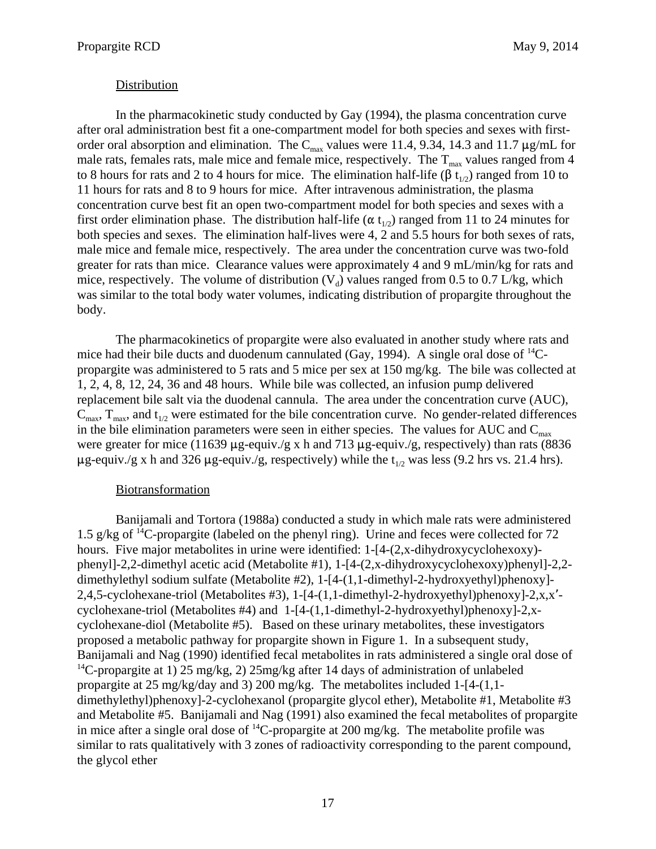### Distribution

In the pharmacokinetic study conducted by Gay (1994), the plasma concentration curve after oral administration best fit a one-compartment model for both species and sexes with firstorder oral absorption and elimination. The  $C_{\text{max}}$  values were 11.4, 9.34, 14.3 and 11.7  $\mu$ g/mL for male rats, females rats, male mice and female mice, respectively. The  $T_{\text{max}}$  values ranged from 4 to 8 hours for rats and 2 to 4 hours for mice. The elimination half-life ( $\beta t_{1/2}$ ) ranged from 10 to 11 hours for rats and 8 to 9 hours for mice. After intravenous administration, the plasma concentration curve best fit an open two-compartment model for both species and sexes with a first order elimination phase. The distribution half-life ( $\alpha t_{1/2}$ ) ranged from 11 to 24 minutes for both species and sexes. The elimination half-lives were 4, 2 and 5.5 hours for both sexes of rats, male mice and female mice, respectively. The area under the concentration curve was two-fold greater for rats than mice. Clearance values were approximately 4 and 9 mL/min/kg for rats and mice, respectively. The volume of distribution  $(V_d)$  values ranged from 0.5 to 0.7 L/kg, which was similar to the total body water volumes, indicating distribution of propargite throughout the body.

The pharmacokinetics of propargite were also evaluated in another study where rats and mice had their bile ducts and duodenum cannulated (Gay, 1994). A single oral dose of  $^{14}C$ propargite was administered to 5 rats and 5 mice per sex at 150 mg/kg. The bile was collected at 1, 2, 4, 8, 12, 24, 36 and 48 hours. While bile was collected, an infusion pump delivered replacement bile salt via the duodenal cannula. The area under the concentration curve (AUC),  $C_{\text{max}}$ ,  $T_{\text{max}}$ , and  $t_{1/2}$  were estimated for the bile concentration curve. No gender-related differences in the bile elimination parameters were seen in either species. The values for AUC and  $C_{\text{max}}$ were greater for mice (11639  $\mu$ g-equiv./g x h and 713  $\mu$ g-equiv./g, respectively) than rats (8836  $\mu$ g-equiv./g x h and 326  $\mu$ g-equiv./g, respectively) while the t<sub>1/2</sub> was less (9.2 hrs vs. 21.4 hrs).

#### Biotransformation

Banijamali and Tortora (1988a) conducted a study in which male rats were administered 1.5 g/kg of  ${}^{14}C$ -propargite (labeled on the phenyl ring). Urine and feces were collected for 72 hours. Five major metabolites in urine were identified: 1-[4-(2,x-dihydroxycyclohexoxy)phenyl]-2,2-dimethyl acetic acid (Metabolite #1), 1-[4-(2,x-dihydroxycyclohexoxy)phenyl]-2,2 dimethylethyl sodium sulfate (Metabolite #2), 1-[4-(1,1-dimethyl-2-hydroxyethyl)phenoxy]-2,4,5-cyclohexane-triol (Metabolites #3), 1-[4-(1,1-dimethyl-2-hydroxyethyl)phenoxy]-2,x,x' cyclohexane-triol (Metabolites #4) and 1-[4-(1,1-dimethyl-2-hydroxyethyl)phenoxy]-2,xcyclohexane-diol (Metabolite #5). Based on these urinary metabolites, these investigators proposed a metabolic pathway for propargite shown in Figure 1. In a subsequent study, Banijamali and Nag (1990) identified fecal metabolites in rats administered a single oral dose of <sup>14</sup>C-propargite at 1) 25 mg/kg, 2) 25mg/kg after 14 days of administration of unlabeled propargite at 25 mg/kg/day and 3) 200 mg/kg. The metabolites included 1-[4-(1,1 dimethylethyl)phenoxy]-2-cyclohexanol (propargite glycol ether), Metabolite #1, Metabolite #3 and Metabolite #5. Banijamali and Nag (1991) also examined the fecal metabolites of propargite in mice after a single oral dose of <sup>14</sup>C-propargite at 200 mg/kg. The metabolite profile was similar to rats qualitatively with 3 zones of radioactivity corresponding to the parent compound, the glycol ether 1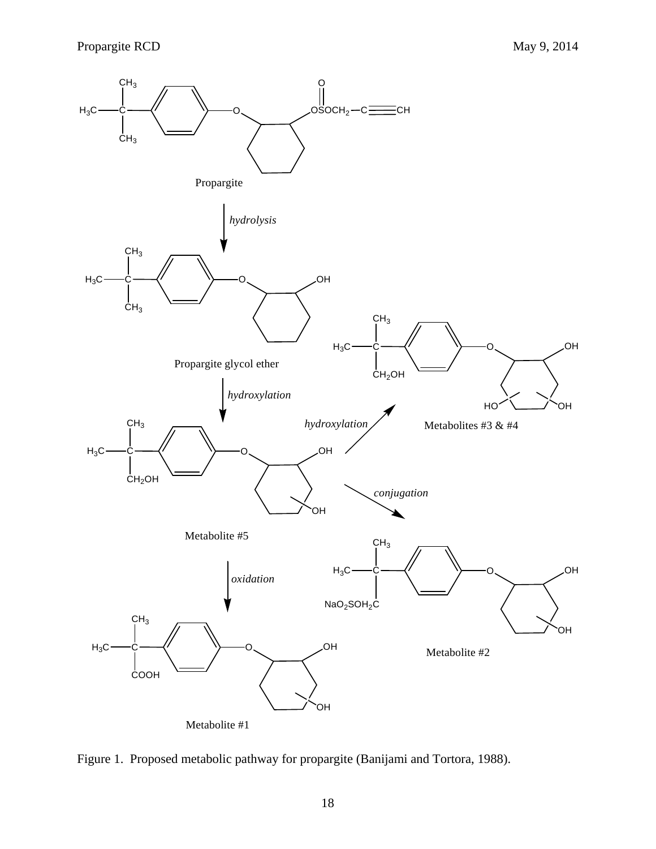

Figure 1. Proposed metabolic pathway for propargite (Banijami and Tortora, 1988).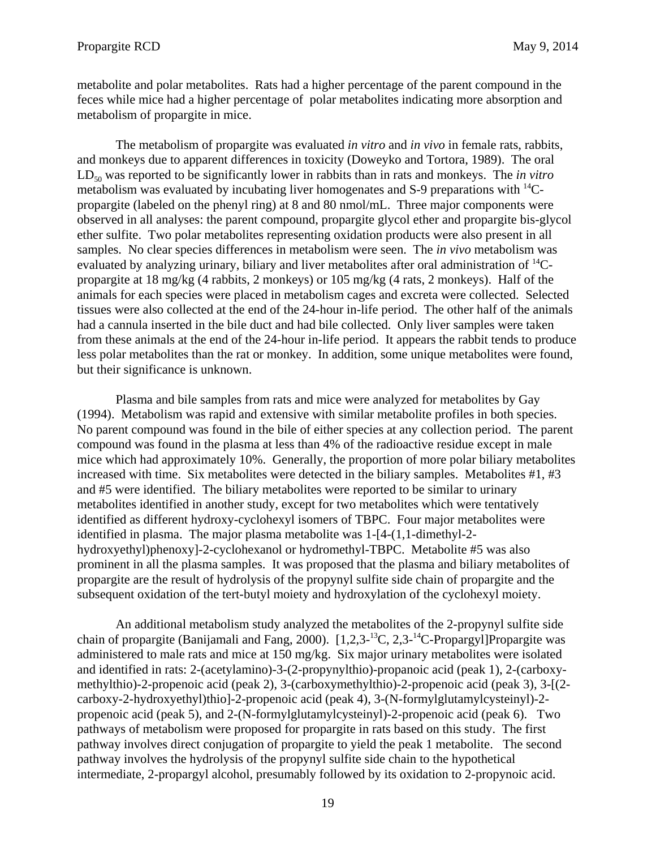metabolite and polar metabolites. Rats had a higher percentage of the parent compound in the feces while mice had a higher percentage of polar metabolites indicating more absorption and metabolism of propargite in mice.

The metabolism of propargite was evaluated *in vitro* and *in vivo* in female rats, rabbits, and monkeys due to apparent differences in toxicity (Doweyko and Tortora, 1989). The oral  $LD_{50}$  was reported to be significantly lower in rabbits than in rats and monkeys. The *in vitro* metabolism was evaluated by incubating liver homogenates and  $S$ -9 preparations with  $^{14}C$ propargite (labeled on the phenyl ring) at 8 and 80 nmol/mL. Three major components were observed in all analyses: the parent compound, propargite glycol ether and propargite bis-glycol ether sulfite. Two polar metabolites representing oxidation products were also present in all samples. No clear species differences in metabolism were seen. The *in vivo* metabolism was evaluated by analyzing urinary, biliary and liver metabolites after oral administration of  $^{14}C$ propargite at 18 mg/kg (4 rabbits, 2 monkeys) or 105 mg/kg (4 rats, 2 monkeys). Half of the animals for each species were placed in metabolism cages and excreta were collected. Selected tissues were also collected at the end of the 24-hour in-life period. The other half of the animals had a cannula inserted in the bile duct and had bile collected. Only liver samples were taken from these animals at the end of the 24-hour in-life period. It appears the rabbit tends to produce less polar metabolites than the rat or monkey. In addition, some unique metabolites were found, but their significance is unknown.

Plasma and bile samples from rats and mice were analyzed for metabolites by Gay (1994). Metabolism was rapid and extensive with similar metabolite profiles in both species. No parent compound was found in the bile of either species at any collection period. The parent compound was found in the plasma at less than 4% of the radioactive residue except in male mice which had approximately 10%. Generally, the proportion of more polar biliary metabolites increased with time. Six metabolites were detected in the biliary samples. Metabolites #1, #3 and #5 were identified. The biliary metabolites were reported to be similar to urinary metabolites identified in another study, except for two metabolites which were tentatively identified as different hydroxy-cyclohexyl isomers of TBPC. Four major metabolites were identified in plasma. The major plasma metabolite was 1-[4-(1,1-dimethyl-2hydroxyethyl)phenoxy]-2-cyclohexanol or hydromethyl-TBPC. Metabolite #5 was also prominent in all the plasma samples. It was proposed that the plasma and biliary metabolites of propargite are the result of hydrolysis of the propynyl sulfite side chain of propargite and the subsequent oxidation of the tert-butyl moiety and hydroxylation of the cyclohexyl moiety.

An additional metabolism study analyzed the metabolites of the 2-propynyl sulfite side chain of propargite (Banijamali and Fang, 2000).  $[1,2,3^{-13}C, 2,3^{-14}C$ -Propargyl]Propargite was administered to male rats and mice at 150 mg/kg. Six major urinary metabolites were isolated and identified in rats: 2-(acetylamino)-3-(2-propynylthio)-propanoic acid (peak 1), 2-(carboxymethylthio)-2-propenoic acid (peak 2), 3-(carboxymethylthio)-2-propenoic acid (peak 3), 3-[(2 carboxy-2-hydroxyethyl)thio]-2-propenoic acid (peak 4), 3-(N-formylglutamylcysteinyl)-2 propenoic acid (peak 5), and 2-(N-formylglutamylcysteinyl)-2-propenoic acid (peak 6). Two pathways of metabolism were proposed for propargite in rats based on this study. The first pathway involves direct conjugation of propargite to yield the peak 1 metabolite. The second pathway involves the hydrolysis of the propynyl sulfite side chain to the hypothetical intermediate, 2-propargyl alcohol, presumably followed by its oxidation to 2-propynoic acid.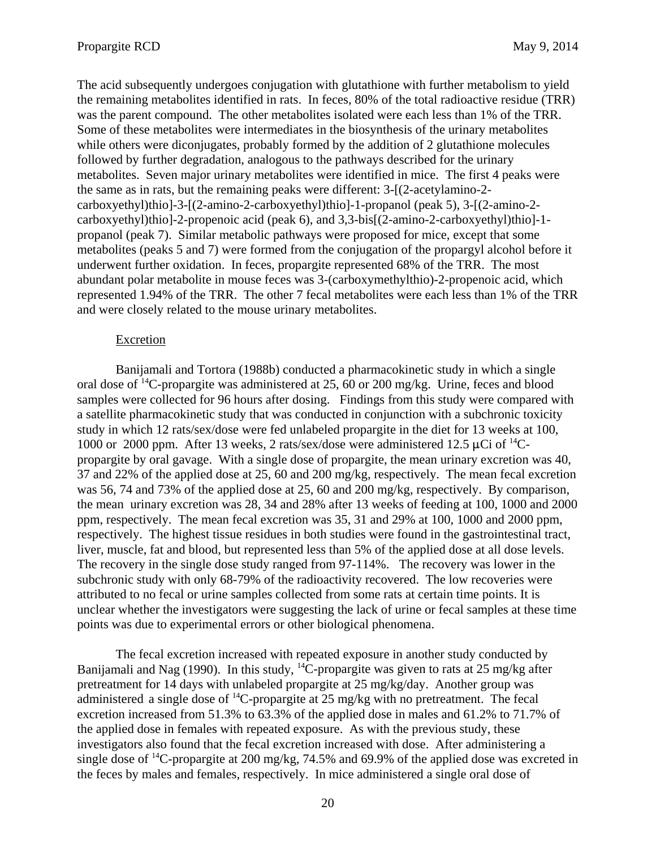The acid subsequently undergoes conjugation with glutathione with further metabolism to yield the remaining metabolites identified in rats. In feces, 80% of the total radioactive residue (TRR) was the parent compound. The other metabolites isolated were each less than 1% of the TRR. Some of these metabolites were intermediates in the biosynthesis of the urinary metabolites while others were diconjugates, probably formed by the addition of 2 glutathione molecules followed by further degradation, analogous to the pathways described for the urinary metabolites. Seven major urinary metabolites were identified in mice. The first 4 peaks were the same as in rats, but the remaining peaks were different: 3-[(2-acetylamino-2 carboxyethyl)thio]-3-[(2-amino-2-carboxyethyl)thio]-1-propanol (peak 5), 3-[(2-amino-2 carboxyethyl)thio]-2-propenoic acid (peak 6), and 3,3-bis[(2-amino-2-carboxyethyl)thio]-1 propanol (peak 7). Similar metabolic pathways were proposed for mice, except that some metabolites (peaks 5 and 7) were formed from the conjugation of the propargyl alcohol before it underwent further oxidation. In feces, propargite represented 68% of the TRR. The most abundant polar metabolite in mouse feces was 3-(carboxymethylthio)-2-propenoic acid, which represented 1.94% of the TRR. The other 7 fecal metabolites were each less than 1% of the TRR and were closely related to the mouse urinary metabolites.

### **Excretion**

Banijamali and Tortora (1988b) conducted a pharmacokinetic study in which a single oral dose of 14C-propargite was administered at 25, 60 or 200 mg/kg. Urine, feces and blood samples were collected for 96 hours after dosing. Findings from this study were compared with a satellite pharmacokinetic study that was conducted in conjunction with a subchronic toxicity study in which 12 rats/sex/dose were fed unlabeled propargite in the diet for 13 weeks at 100, 1000 or 2000 ppm. After 13 weeks, 2 rats/sex/dose were administered 12.5  $\mu$ Ci of <sup>14</sup>Cpropargite by oral gavage. With a single dose of propargite, the mean urinary excretion was 40, 37 and 22% of the applied dose at 25, 60 and 200 mg/kg, respectively. The mean fecal excretion was 56, 74 and 73% of the applied dose at 25, 60 and 200 mg/kg, respectively. By comparison, the mean urinary excretion was 28, 34 and 28% after 13 weeks of feeding at 100, 1000 and 2000 ppm, respectively. The mean fecal excretion was 35, 31 and 29% at 100, 1000 and 2000 ppm, respectively. The highest tissue residues in both studies were found in the gastrointestinal tract, liver, muscle, fat and blood, but represented less than 5% of the applied dose at all dose levels. The recovery in the single dose study ranged from 97-114%. The recovery was lower in the subchronic study with only 68-79% of the radioactivity recovered. The low recoveries were attributed to no fecal or urine samples collected from some rats at certain time points. It is unclear whether the investigators were suggesting the lack of urine or fecal samples at these time points was due to experimental errors or other biological phenomena.

The fecal excretion increased with repeated exposure in another study conducted by Banijamali and Nag (1990). In this study,  $^{14}$ C-propargite was given to rats at 25 mg/kg after pretreatment for 14 days with unlabeled propargite at 25 mg/kg/day. Another group was administered a single dose of  ${}^{14}C$ -propargite at 25 mg/kg with no pretreatment. The fecal excretion increased from 51.3% to 63.3% of the applied dose in males and 61.2% to 71.7% of the applied dose in females with repeated exposure. As with the previous study, these investigators also found that the fecal excretion increased with dose. After administering a single dose of <sup>14</sup>C-propargite at 200 mg/kg, 74.5% and 69.9% of the applied dose was excreted in the feces by males and females, respectively. In mice administered a single oral dose of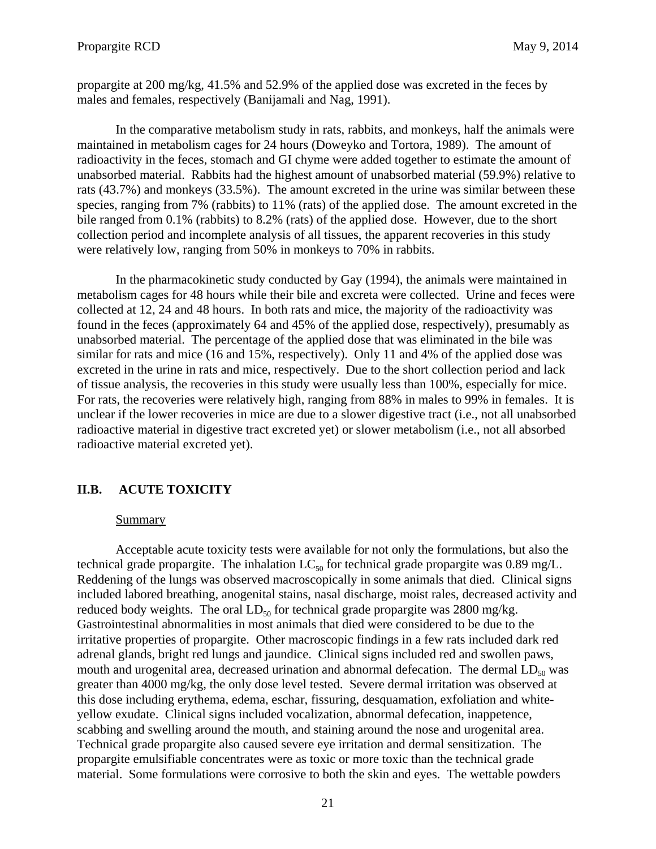<span id="page-24-0"></span>propargite at 200 mg/kg, 41.5% and 52.9% of the applied dose was excreted in the feces by males and females, respectively (Banijamali and Nag, 1991).

In the comparative metabolism study in rats, rabbits, and monkeys, half the animals were maintained in metabolism cages for 24 hours (Doweyko and Tortora, 1989). The amount of radioactivity in the feces, stomach and GI chyme were added together to estimate the amount of unabsorbed material. Rabbits had the highest amount of unabsorbed material (59.9%) relative to rats (43.7%) and monkeys (33.5%). The amount excreted in the urine was similar between these species, ranging from 7% (rabbits) to 11% (rats) of the applied dose. The amount excreted in the bile ranged from 0.1% (rabbits) to 8.2% (rats) of the applied dose. However, due to the short collection period and incomplete analysis of all tissues, the apparent recoveries in this study were relatively low, ranging from 50% in monkeys to 70% in rabbits.

In the pharmacokinetic study conducted by Gay (1994), the animals were maintained in metabolism cages for 48 hours while their bile and excreta were collected. Urine and feces were collected at 12, 24 and 48 hours. In both rats and mice, the majority of the radioactivity was found in the feces (approximately 64 and 45% of the applied dose, respectively), presumably as unabsorbed material. The percentage of the applied dose that was eliminated in the bile was similar for rats and mice (16 and 15%, respectively). Only 11 and 4% of the applied dose was excreted in the urine in rats and mice, respectively. Due to the short collection period and lack of tissue analysis, the recoveries in this study were usually less than 100%, especially for mice. For rats, the recoveries were relatively high, ranging from 88% in males to 99% in females. It is unclear if the lower recoveries in mice are due to a slower digestive tract (i.e., not all unabsorbed radioactive material in digestive tract excreted yet) or slower metabolism (i.e., not all absorbed radioactive material excreted yet).

# **II.B. ACUTE TOXICITY**

### Summary

Acceptable acute toxicity tests were available for not only the formulations, but also the technical grade propargite. The inhalation  $LC_{50}$  for technical grade propargite was 0.89 mg/L. Reddening of the lungs was observed macroscopically in some animals that died. Clinical signs included labored breathing, anogenital stains, nasal discharge, moist rales, decreased activity and reduced body weights. The oral  $LD_{50}$  for technical grade propargite was 2800 mg/kg. Gastrointestinal abnormalities in most animals that died were considered to be due to the irritative properties of propargite. Other macroscopic findings in a few rats included dark red adrenal glands, bright red lungs and jaundice. Clinical signs included red and swollen paws, mouth and urogenital area, decreased urination and abnormal defecation. The dermal  $LD_{50}$  was greater than 4000 mg/kg, the only dose level tested. Severe dermal irritation was observed at this dose including erythema, edema, eschar, fissuring, desquamation, exfoliation and whiteyellow exudate. Clinical signs included vocalization, abnormal defecation, inappetence, scabbing and swelling around the mouth, and staining around the nose and urogenital area. Technical grade propargite also caused severe eye irritation and dermal sensitization. The propargite emulsifiable concentrates were as toxic or more toxic than the technical grade material. Some formulations were corrosive to both the skin and eyes. The wettable powders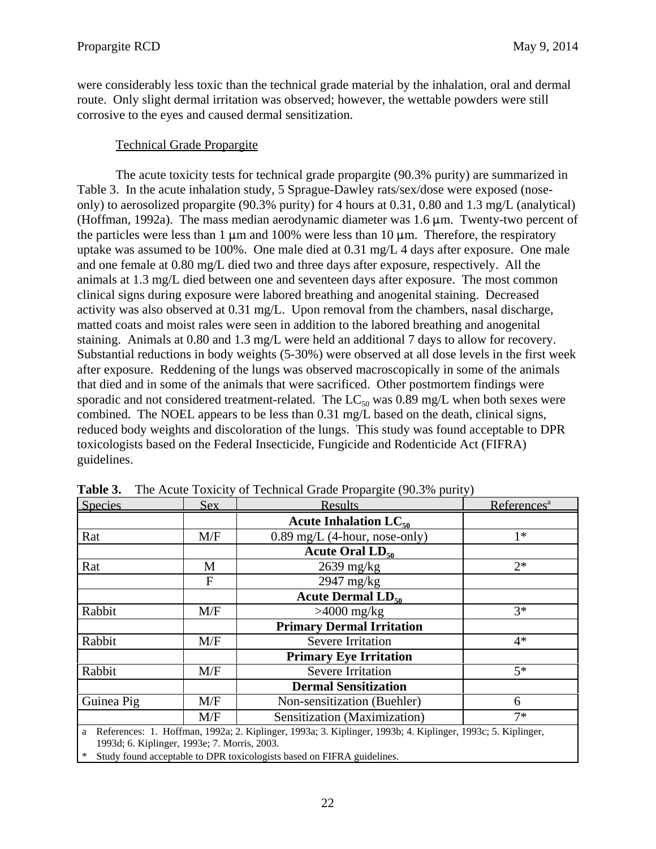were considerably less toxic than the technical grade material by the inhalation, oral and dermal route. Only slight dermal irritation was observed; however, the wettable powders were still corrosive to the eyes and caused dermal sensitization.

# Technical Grade Propargite

The acute toxicity tests for technical grade propargite (90.3% purity) are summarized in Table 3. In the acute inhalation study, 5 Sprague-Dawley rats/sex/dose were exposed (noseonly) to aerosolized propargite (90.3% purity) for 4 hours at 0.31, 0.80 and 1.3 mg/L (analytical) (Hoffman, 1992a). The mass median aerodynamic diameter was  $1.6 \mu m$ . Twenty-two percent of the particles were less than 1  $\mu$ m and 100% were less than 10  $\mu$ m. Therefore, the respiratory uptake was assumed to be 100%. One male died at 0.31 mg/L 4 days after exposure. One male and one female at 0.80 mg/L died two and three days after exposure, respectively. All the animals at 1.3 mg/L died between one and seventeen days after exposure. The most common clinical signs during exposure were labored breathing and anogenital staining. Decreased activity was also observed at 0.31 mg/L. Upon removal from the chambers, nasal discharge, matted coats and moist rales were seen in addition to the labored breathing and anogenital staining. Animals at 0.80 and 1.3 mg/L were held an additional 7 days to allow for recovery. Substantial reductions in body weights (5-30%) were observed at all dose levels in the first week after exposure. Reddening of the lungs was observed macroscopically in some of the animals that died and in some of the animals that were sacrificed. Other postmortem findings were sporadic and not considered treatment-related. The  $LC_{50}$  was 0.89 mg/L when both sexes were combined. The NOEL appears to be less than 0.31 mg/L based on the death, clinical signs, reduced body weights and discoloration of the lungs. This study was found acceptable to DPR toxicologists based on the Federal Insecticide, Fungicide and Rodenticide Act (FIFRA) guidelines.

| Species    | <b>Sex</b>                                   | <b>Results</b>                                                                                              | References <sup>a</sup> |
|------------|----------------------------------------------|-------------------------------------------------------------------------------------------------------------|-------------------------|
|            |                                              | Acute Inhalation $LC_{50}$                                                                                  |                         |
| Rat        | M/F                                          | $0.89$ mg/L (4-hour, nose-only)                                                                             | $1*$                    |
|            |                                              | Acute Oral $LD_{50}$                                                                                        |                         |
| Rat        | M                                            | $2639$ mg/kg                                                                                                | $2*$                    |
|            | F                                            | $2947 \text{ mg/kg}$                                                                                        |                         |
|            |                                              | <b>Acute Dermal <math>LD_{50}</math></b>                                                                    |                         |
| Rabbit     | M/F                                          | $>4000$ mg/kg                                                                                               | $3*$                    |
|            |                                              | <b>Primary Dermal Irritation</b>                                                                            |                         |
| Rabbit     | M/F                                          | <b>Severe Irritation</b>                                                                                    | $4*$                    |
|            |                                              | <b>Primary Eye Irritation</b>                                                                               |                         |
| Rabbit     | M/F                                          | <b>Severe Irritation</b>                                                                                    | $5*$                    |
|            |                                              | <b>Dermal Sensitization</b>                                                                                 |                         |
| Guinea Pig | M/F                                          | Non-sensitization (Buehler)                                                                                 | 6                       |
|            | M/F                                          | Sensitization (Maximization)                                                                                | $7*$                    |
| a          | 1993d: 6. Kiplinger, 1993e: 7. Morris, 2003. | References: 1. Hoffman, 1992a; 2. Kiplinger, 1993a; 3. Kiplinger, 1993b; 4. Kiplinger, 1993c; 5. Kiplinger, |                         |

**Table 3.** The Acute Toxicity of Technical Grade Propargite (90.3% purity)

1993d; 6. Kiplinger, 1993e; 7. Morris, 2003.

\* Study found acceptable to DPR toxicologists based on FIFRA guidelines.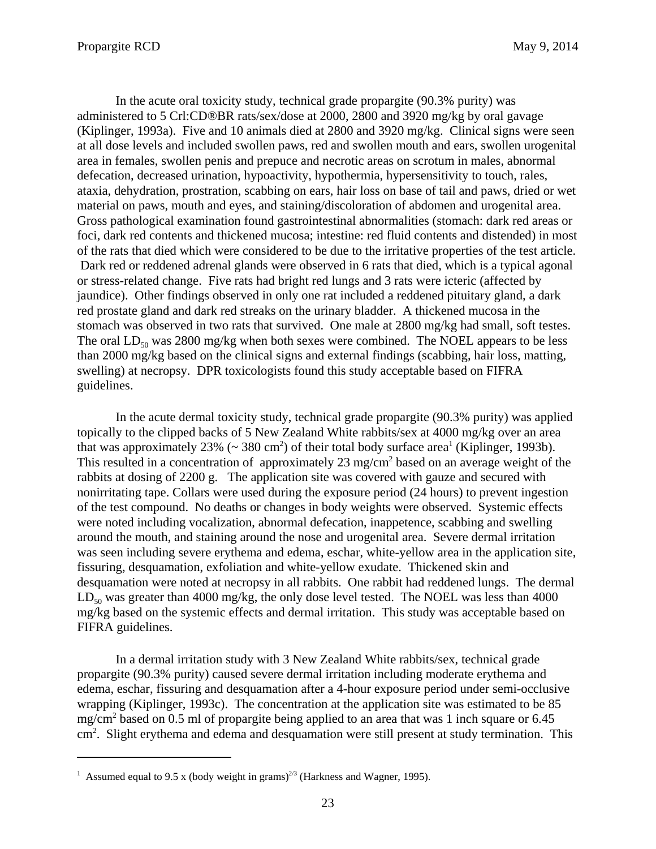In the acute oral toxicity study, technical grade propargite (90.3% purity) was administered to 5 Crl:CD®BR rats/sex/dose at 2000, 2800 and 3920 mg/kg by oral gavage (Kiplinger, 1993a). Five and 10 animals died at 2800 and 3920 mg/kg. Clinical signs were seen at all dose levels and included swollen paws, red and swollen mouth and ears, swollen urogenital area in females, swollen penis and prepuce and necrotic areas on scrotum in males, abnormal defecation, decreased urination, hypoactivity, hypothermia, hypersensitivity to touch, rales, ataxia, dehydration, prostration, scabbing on ears, hair loss on base of tail and paws, dried or wet material on paws, mouth and eyes, and staining/discoloration of abdomen and urogenital area. Gross pathological examination found gastrointestinal abnormalities (stomach: dark red areas or foci, dark red contents and thickened mucosa; intestine: red fluid contents and distended) in most of the rats that died which were considered to be due to the irritative properties of the test article. Dark red or reddened adrenal glands were observed in 6 rats that died, which is a typical agonal or stress-related change. Five rats had bright red lungs and 3 rats were icteric (affected by jaundice). Other findings observed in only one rat included a reddened pituitary gland, a dark red prostate gland and dark red streaks on the urinary bladder. A thickened mucosa in the stomach was observed in two rats that survived. One male at 2800 mg/kg had small, soft testes. The oral  $LD_{50}$  was 2800 mg/kg when both sexes were combined. The NOEL appears to be less than 2000 mg/kg based on the clinical signs and external findings (scabbing, hair loss, matting, swelling) at necropsy. DPR toxicologists found this study acceptable based on FIFRA guidelines.

In the acute dermal toxicity study, technical grade propargite (90.3% purity) was applied topically to the clipped backs of 5 New Zealand White rabbits/sex at 4000 mg/kg over an area that was approximately 23% ( $\sim$  380 cm<sup>2</sup>) of their total body surface area<sup>1</sup> (Kiplinger, 1993b). This resulted in a concentration of approximately  $23 \text{ mg/cm}^2$  based on an average weight of the rabbits at dosing of 2200 g. The application site was covered with gauze and secured with nonirritating tape. Collars were used during the exposure period (24 hours) to prevent ingestion of the test compound. No deaths or changes in body weights were observed. Systemic effects were noted including vocalization, abnormal defecation, inappetence, scabbing and swelling around the mouth, and staining around the nose and urogenital area. Severe dermal irritation was seen including severe erythema and edema, eschar, white-yellow area in the application site, fissuring, desquamation, exfoliation and white-yellow exudate. Thickened skin and desquamation were noted at necropsy in all rabbits. One rabbit had reddened lungs. The dermal  $LD_{50}$  was greater than 4000 mg/kg, the only dose level tested. The NOEL was less than 4000 mg/kg based on the systemic effects and dermal irritation. This study was acceptable based on FIFRA guidelines.

In a dermal irritation study with 3 New Zealand White rabbits/sex, technical grade propargite (90.3% purity) caused severe dermal irritation including moderate erythema and edema, eschar, fissuring and desquamation after a 4-hour exposure period under semi-occlusive wrapping (Kiplinger, 1993c). The concentration at the application site was estimated to be 85 mg/cm<sup>2</sup> based on 0.5 ml of propargite being applied to an area that was 1 inch square or 6.45 cm<sup>2</sup>. Slight erythema and edema and desquamation were still present at study termination. This

<sup>&</sup>lt;sup>1</sup> Assumed equal to 9.5 x (body weight in grams)<sup>2/3</sup> (Harkness and Wagner, 1995).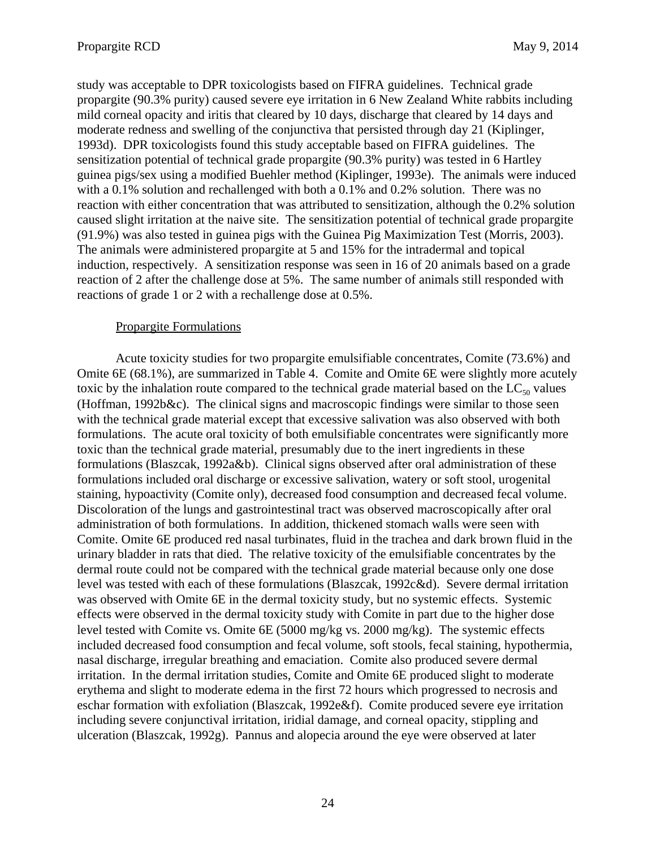study was acceptable to DPR toxicologists based on FIFRA guidelines. Technical grade propargite (90.3% purity) caused severe eye irritation in 6 New Zealand White rabbits including mild corneal opacity and iritis that cleared by 10 days, discharge that cleared by 14 days and moderate redness and swelling of the conjunctiva that persisted through day 21 (Kiplinger, 1993d). DPR toxicologists found this study acceptable based on FIFRA guidelines. The sensitization potential of technical grade propargite (90.3% purity) was tested in 6 Hartley guinea pigs/sex using a modified Buehler method (Kiplinger, 1993e). The animals were induced with a 0.1% solution and rechallenged with both a 0.1% and 0.2% solution. There was no reaction with either concentration that was attributed to sensitization, although the 0.2% solution caused slight irritation at the naive site. The sensitization potential of technical grade propargite (91.9%) was also tested in guinea pigs with the Guinea Pig Maximization Test (Morris, 2003). The animals were administered propargite at 5 and 15% for the intradermal and topical induction, respectively. A sensitization response was seen in 16 of 20 animals based on a grade reaction of 2 after the challenge dose at 5%. The same number of animals still responded with reactions of grade 1 or 2 with a rechallenge dose at 0.5%.

# Propargite Formulations

Acute toxicity studies for two propargite emulsifiable concentrates, Comite (73.6%) and Omite 6E (68.1%), are summarized in Table 4. Comite and Omite 6E were slightly more acutely toxic by the inhalation route compared to the technical grade material based on the  $LC_{50}$  values (Hoffman, 1992b&c). The clinical signs and macroscopic findings were similar to those seen with the technical grade material except that excessive salivation was also observed with both formulations. The acute oral toxicity of both emulsifiable concentrates were significantly more toxic than the technical grade material, presumably due to the inert ingredients in these formulations (Blaszcak, 1992a&b). Clinical signs observed after oral administration of these formulations included oral discharge or excessive salivation, watery or soft stool, urogenital staining, hypoactivity (Comite only), decreased food consumption and decreased fecal volume. Discoloration of the lungs and gastrointestinal tract was observed macroscopically after oral administration of both formulations. In addition, thickened stomach walls were seen with Comite. Omite 6E produced red nasal turbinates, fluid in the trachea and dark brown fluid in the urinary bladder in rats that died. The relative toxicity of the emulsifiable concentrates by the dermal route could not be compared with the technical grade material because only one dose level was tested with each of these formulations (Blaszcak, 1992c&d). Severe dermal irritation was observed with Omite 6E in the dermal toxicity study, but no systemic effects. Systemic effects were observed in the dermal toxicity study with Comite in part due to the higher dose level tested with Comite vs. Omite 6E (5000 mg/kg vs. 2000 mg/kg). The systemic effects included decreased food consumption and fecal volume, soft stools, fecal staining, hypothermia, nasal discharge, irregular breathing and emaciation. Comite also produced severe dermal irritation. In the dermal irritation studies, Comite and Omite 6E produced slight to moderate erythema and slight to moderate edema in the first 72 hours which progressed to necrosis and eschar formation with exfoliation (Blaszcak, 1992e&f). Comite produced severe eye irritation including severe conjunctival irritation, iridial damage, and corneal opacity, stippling and ulceration (Blaszcak, 1992g). Pannus and alopecia around the eye were observed at later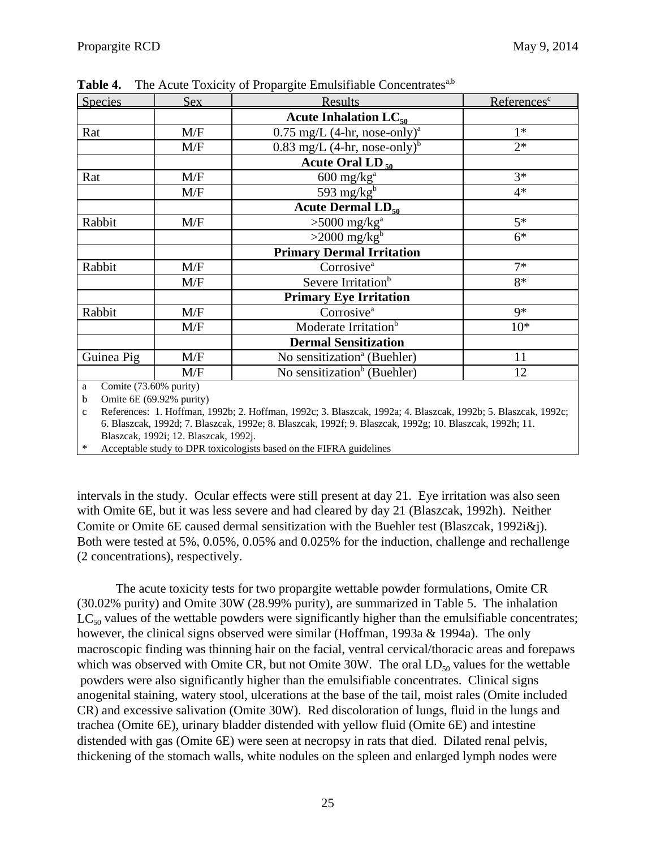| Species                                                                | Sex | <b>Results</b>                             | References <sup>c</sup> |
|------------------------------------------------------------------------|-----|--------------------------------------------|-------------------------|
|                                                                        |     | Acute Inhalation $LC_{50}$                 |                         |
| Rat                                                                    | M/F | $0.75$ mg/L (4-hr, nose-only) <sup>a</sup> | $1*$                    |
|                                                                        | M/F | $0.83$ mg/L (4-hr, nose-only) <sup>b</sup> | $2*$                    |
|                                                                        |     | Acute Oral LD $_{50}$                      |                         |
| Rat                                                                    | M/F | $600$ mg/ $kga$                            | $3*$                    |
|                                                                        | M/F | 593 mg/ $kgb$                              | $4*$                    |
|                                                                        |     | Acute Dermal $LD_{50}$                     |                         |
| Rabbit                                                                 | M/F | $>5000$ mg/kg <sup>a</sup>                 | $5*$                    |
|                                                                        |     | $>2000$ mg/kg <sup>b</sup>                 | $6*$                    |
|                                                                        |     | <b>Primary Dermal Irritation</b>           |                         |
| Rabbit                                                                 | M/F | Corrosive <sup>a</sup>                     | $7*$                    |
|                                                                        | M/F | Severe Irritation <sup>b</sup>             | $8*$                    |
|                                                                        |     | <b>Primary Eye Irritation</b>              |                         |
| Rabbit                                                                 | M/F | Corrosive <sup>a</sup>                     | $9*$                    |
|                                                                        | M/F | Moderate Irritation <sup>b</sup>           | $10*$                   |
|                                                                        |     | <b>Dermal Sensitization</b>                |                         |
| Guinea Pig                                                             | M/F | No sensitization <sup>a</sup> (Buehler)    | 11                      |
|                                                                        | M/F | No sensitization <sup>b</sup> (Buehler)    | 12                      |
| Comite (73.60% purity)<br>a<br>Omite 6E (69.92% purity)<br>$\mathbf b$ |     |                                            |                         |

**Table 4.** The Acute Toxicity of Propargite Emulsifiable Concentrates<sup>a,b</sup>

c References: 1. Hoffman, 1992b; 2. Hoffman, 1992c; 3. Blaszcak, 1992a; 4. Blaszcak, 1992b; 5. Blaszcak, 1992c; 6. Blaszcak, 1992d; 7. Blaszcak, 1992e; 8. Blaszcak, 1992f; 9. Blaszcak, 1992g; 10. Blaszcak, 1992h; 11. Blaszcak, 1992i; 12. Blaszcak, 1992j.

Acceptable study to DPR toxicologists based on the FIFRA guidelines

intervals in the study. Ocular effects were still present at day 21. Eye irritation was also seen with Omite 6E, but it was less severe and had cleared by day 21 (Blaszcak, 1992h). Neither Comite or Omite 6E caused dermal sensitization with the Buehler test (Blaszcak, 1992i&j). Both were tested at 5%, 0.05%, 0.05% and 0.025% for the induction, challenge and rechallenge (2 concentrations), respectively.

The acute toxicity tests for two propargite wettable powder formulations, Omite CR (30.02% purity) and Omite 30W (28.99% purity), are summarized in Table 5. The inhalation  $LC_{50}$  values of the wettable powders were significantly higher than the emulsifiable concentrates; however, the clinical signs observed were similar (Hoffman, 1993a & 1994a). The only macroscopic finding was thinning hair on the facial, ventral cervical/thoracic areas and forepaws which was observed with Omite CR, but not Omite  $30W$ . The oral  $LD_{50}$  values for the wettable powders were also significantly higher than the emulsifiable concentrates. Clinical signs anogenital staining, watery stool, ulcerations at the base of the tail, moist rales (Omite included CR) and excessive salivation (Omite 30W). Red discoloration of lungs, fluid in the lungs and trachea (Omite 6E), urinary bladder distended with yellow fluid (Omite 6E) and intestine distended with gas (Omite 6E) were seen at necropsy in rats that died. Dilated renal pelvis, thickening of the stomach walls, white nodules on the spleen and enlarged lymph nodes were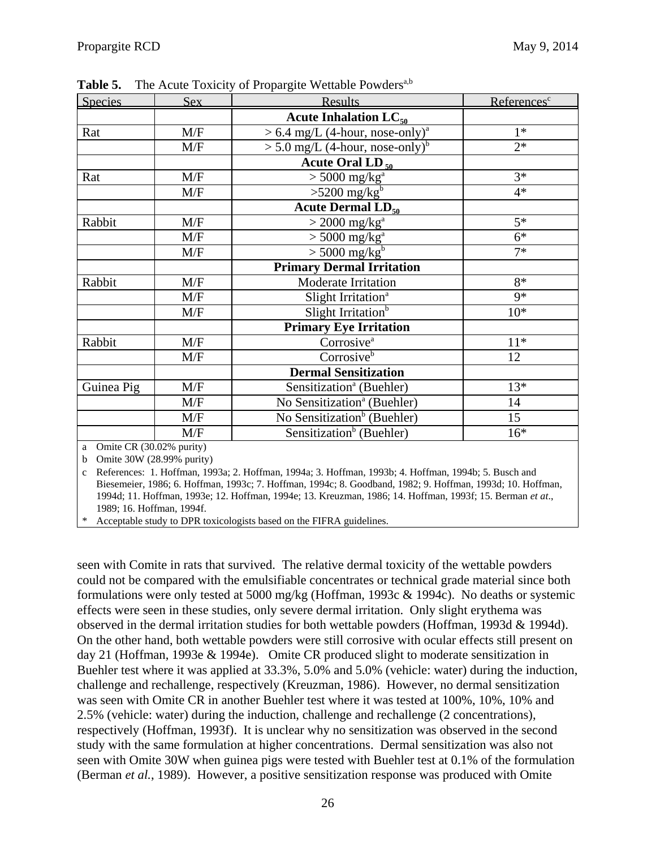| Species                           | Sex | <b>Results</b>                                | References <sup>c</sup> |
|-----------------------------------|-----|-----------------------------------------------|-------------------------|
|                                   |     | Acute Inhalation $LC_{50}$                    |                         |
| Rat                               | M/F | $> 6.4$ mg/L (4-hour, nose-only) <sup>a</sup> | $1*$                    |
|                                   | M/F | $> 5.0$ mg/L (4-hour, nose-only) <sup>b</sup> | $2*$                    |
|                                   |     | Acute Oral LD $_{50}$                         |                         |
| Rat                               | M/F | $> 5000$ mg/kg <sup>a</sup>                   | $\overline{3^*}$        |
|                                   | M/F | $>5200$ mg/kg <sup>b</sup>                    | $4*$                    |
|                                   |     | Acute Dermal $LD_{50}$                        |                         |
| Rabbit                            | M/F | $>$ 2000 mg/kg <sup>a</sup>                   | $5*$                    |
|                                   | M/F | $> 5000$ mg/kg <sup>a</sup>                   | $6*$                    |
|                                   | M/F | $>$ 5000 mg/kg <sup>b</sup>                   | $7*$                    |
|                                   |     | <b>Primary Dermal Irritation</b>              |                         |
| Rabbit                            | M/F | Moderate Irritation                           | $8*$                    |
|                                   | M/F | Slight Irritation <sup>a</sup>                | $9*$                    |
|                                   | M/F | Slight Irritation <sup>b</sup>                | $10*$                   |
|                                   |     | <b>Primary Eye Irritation</b>                 |                         |
| Rabbit                            | M/F | Corrosive <sup>a</sup>                        | $11*$                   |
|                                   | M/F | Corrosive <sup>b</sup>                        | 12                      |
|                                   |     | <b>Dermal Sensitization</b>                   |                         |
| Guinea Pig                        | M/F | Sensitization <sup>a</sup> (Buehler)          | $13*$                   |
|                                   | M/F | No Sensitization <sup>a</sup> (Buehler)       | 14                      |
|                                   | M/F | No Sensitization <sup>b</sup> (Buehler)       | 15                      |
|                                   | M/F | Sensitization <sup>b</sup> (Buehler)          | $16*$                   |
| $\Omega$ Omite CR (30.02% purity) |     |                                               |                         |

**Table 5.** The Acute Toxicity of Propargite Wettable Powders<sup>a,b</sup>

a Omite CR (30.02% purity)

b Omite 30W (28.99% purity)

c References: 1. Hoffman, 1993a; 2. Hoffman, 1994a; 3. Hoffman, 1993b; 4. Hoffman, 1994b; 5. Busch and Biesemeier, 1986; 6. Hoffman, 1993c; 7. Hoffman, 1994c; 8. Goodband, 1982; 9. Hoffman, 1993d; 10. Hoffman, 1994d; 11. Hoffman, 1993e; 12. Hoffman, 1994e; 13. Kreuzman, 1986; 14. Hoffman, 1993f; 15. Berman *et at*., 1989; 16. Hoffman, 1994f.

\* Acceptable study to DPR toxicologists based on the FIFRA guidelines.

seen with Comite in rats that survived. The relative dermal toxicity of the wettable powders could not be compared with the emulsifiable concentrates or technical grade material since both formulations were only tested at 5000 mg/kg (Hoffman, 1993c & 1994c). No deaths or systemic effects were seen in these studies, only severe dermal irritation. Only slight erythema was observed in the dermal irritation studies for both wettable powders (Hoffman, 1993d & 1994d). On the other hand, both wettable powders were still corrosive with ocular effects still present on day 21 (Hoffman, 1993e & 1994e). Omite CR produced slight to moderate sensitization in Buehler test where it was applied at 33.3%, 5.0% and 5.0% (vehicle: water) during the induction, challenge and rechallenge, respectively (Kreuzman, 1986). However, no dermal sensitization was seen with Omite CR in another Buehler test where it was tested at 100%, 10%, 10% and 2.5% (vehicle: water) during the induction, challenge and rechallenge (2 concentrations), respectively (Hoffman, 1993f). It is unclear why no sensitization was observed in the second study with the same formulation at higher concentrations. Dermal sensitization was also not seen with Omite 30W when guinea pigs were tested with Buehler test at 0.1% of the formulation (Berman *et al.*, 1989). However, a positive sensitization response was produced with Omite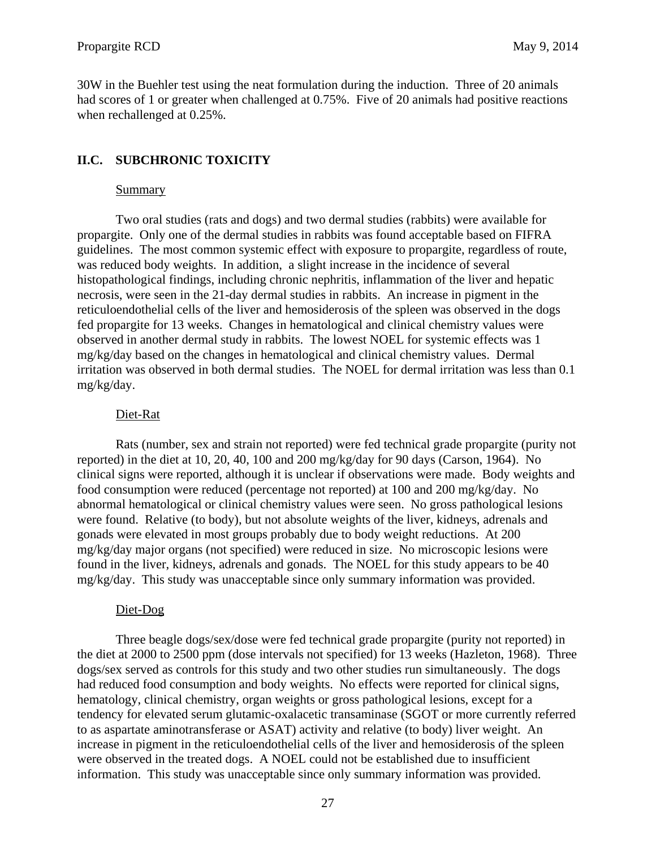<span id="page-30-0"></span>30W in the Buehler test using the neat formulation during the induction. Three of 20 animals had scores of 1 or greater when challenged at 0.75%. Five of 20 animals had positive reactions when rechallenged at 0.25%.

# **II.C. SUBCHRONIC TOXICITY**

### Summary

Two oral studies (rats and dogs) and two dermal studies (rabbits) were available for propargite. Only one of the dermal studies in rabbits was found acceptable based on FIFRA guidelines. The most common systemic effect with exposure to propargite, regardless of route, was reduced body weights. In addition, a slight increase in the incidence of several histopathological findings, including chronic nephritis, inflammation of the liver and hepatic necrosis, were seen in the 21-day dermal studies in rabbits. An increase in pigment in the reticuloendothelial cells of the liver and hemosiderosis of the spleen was observed in the dogs fed propargite for 13 weeks. Changes in hematological and clinical chemistry values were observed in another dermal study in rabbits. The lowest NOEL for systemic effects was 1 mg/kg/day based on the changes in hematological and clinical chemistry values. Dermal irritation was observed in both dermal studies. The NOEL for dermal irritation was less than 0.1 mg/kg/day.

# Diet-Rat

Rats (number, sex and strain not reported) were fed technical grade propargite (purity not reported) in the diet at 10, 20, 40, 100 and 200 mg/kg/day for 90 days (Carson, 1964). No clinical signs were reported, although it is unclear if observations were made. Body weights and food consumption were reduced (percentage not reported) at 100 and 200 mg/kg/day. No abnormal hematological or clinical chemistry values were seen. No gross pathological lesions were found. Relative (to body), but not absolute weights of the liver, kidneys, adrenals and gonads were elevated in most groups probably due to body weight reductions. At 200 mg/kg/day major organs (not specified) were reduced in size. No microscopic lesions were found in the liver, kidneys, adrenals and gonads. The NOEL for this study appears to be 40 mg/kg/day. This study was unacceptable since only summary information was provided.

# Diet-Dog

Three beagle dogs/sex/dose were fed technical grade propargite (purity not reported) in the diet at 2000 to 2500 ppm (dose intervals not specified) for 13 weeks (Hazleton, 1968). Three dogs/sex served as controls for this study and two other studies run simultaneously. The dogs had reduced food consumption and body weights. No effects were reported for clinical signs, hematology, clinical chemistry, organ weights or gross pathological lesions, except for a tendency for elevated serum glutamic-oxalacetic transaminase (SGOT or more currently referred to as aspartate aminotransferase or ASAT) activity and relative (to body) liver weight. An increase in pigment in the reticuloendothelial cells of the liver and hemosiderosis of the spleen were observed in the treated dogs. A NOEL could not be established due to insufficient information. This study was unacceptable since only summary information was provided.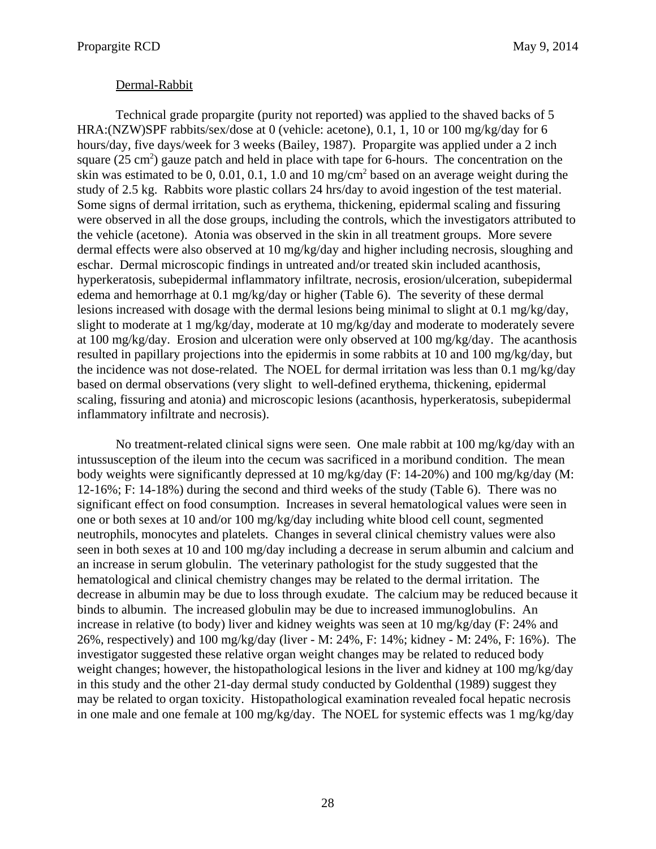### Dermal-Rabbit

Technical grade propargite (purity not reported) was applied to the shaved backs of 5 HRA:(NZW)SPF rabbits/sex/dose at 0 (vehicle: acetone), 0.1, 1, 10 or 100 mg/kg/day for 6 hours/day, five days/week for 3 weeks (Bailey, 1987). Propargite was applied under a 2 inch square  $(25 \text{ cm}^2)$  gauze patch and held in place with tape for 6-hours. The concentration on the skin was estimated to be 0, 0.01, 0.1, 1.0 and 10 mg/cm<sup>2</sup> based on an average weight during the study of 2.5 kg. Rabbits wore plastic collars 24 hrs/day to avoid ingestion of the test material. Some signs of dermal irritation, such as erythema, thickening, epidermal scaling and fissuring were observed in all the dose groups, including the controls, which the investigators attributed to the vehicle (acetone). Atonia was observed in the skin in all treatment groups. More severe dermal effects were also observed at 10 mg/kg/day and higher including necrosis, sloughing and eschar. Dermal microscopic findings in untreated and/or treated skin included acanthosis, hyperkeratosis, subepidermal inflammatory infiltrate, necrosis, erosion/ulceration, subepidermal edema and hemorrhage at 0.1 mg/kg/day or higher (Table 6). The severity of these dermal lesions increased with dosage with the dermal lesions being minimal to slight at 0.1 mg/kg/day, slight to moderate at 1 mg/kg/day, moderate at 10 mg/kg/day and moderate to moderately severe at 100 mg/kg/day. Erosion and ulceration were only observed at 100 mg/kg/day. The acanthosis resulted in papillary projections into the epidermis in some rabbits at 10 and 100 mg/kg/day, but the incidence was not dose-related. The NOEL for dermal irritation was less than 0.1 mg/kg/day based on dermal observations (very slight to well-defined erythema, thickening, epidermal scaling, fissuring and atonia) and microscopic lesions (acanthosis, hyperkeratosis, subepidermal inflammatory infiltrate and necrosis).

No treatment-related clinical signs were seen. One male rabbit at 100 mg/kg/day with an intussusception of the ileum into the cecum was sacrificed in a moribund condition. The mean body weights were significantly depressed at 10 mg/kg/day (F: 14-20%) and 100 mg/kg/day (M: 12-16%; F: 14-18%) during the second and third weeks of the study (Table 6). There was no significant effect on food consumption. Increases in several hematological values were seen in one or both sexes at 10 and/or 100 mg/kg/day including white blood cell count, segmented neutrophils, monocytes and platelets. Changes in several clinical chemistry values were also seen in both sexes at 10 and 100 mg/day including a decrease in serum albumin and calcium and an increase in serum globulin. The veterinary pathologist for the study suggested that the hematological and clinical chemistry changes may be related to the dermal irritation. The decrease in albumin may be due to loss through exudate. The calcium may be reduced because it binds to albumin. The increased globulin may be due to increased immunoglobulins. An increase in relative (to body) liver and kidney weights was seen at 10 mg/kg/day (F: 24% and 26%, respectively) and 100 mg/kg/day (liver - M: 24%, F: 14%; kidney - M: 24%, F: 16%). The investigator suggested these relative organ weight changes may be related to reduced body weight changes; however, the histopathological lesions in the liver and kidney at 100 mg/kg/day in this study and the other 21-day dermal study conducted by Goldenthal (1989) suggest they may be related to organ toxicity. Histopathological examination revealed focal hepatic necrosis in one male and one female at 100 mg/kg/day. The NOEL for systemic effects was 1 mg/kg/day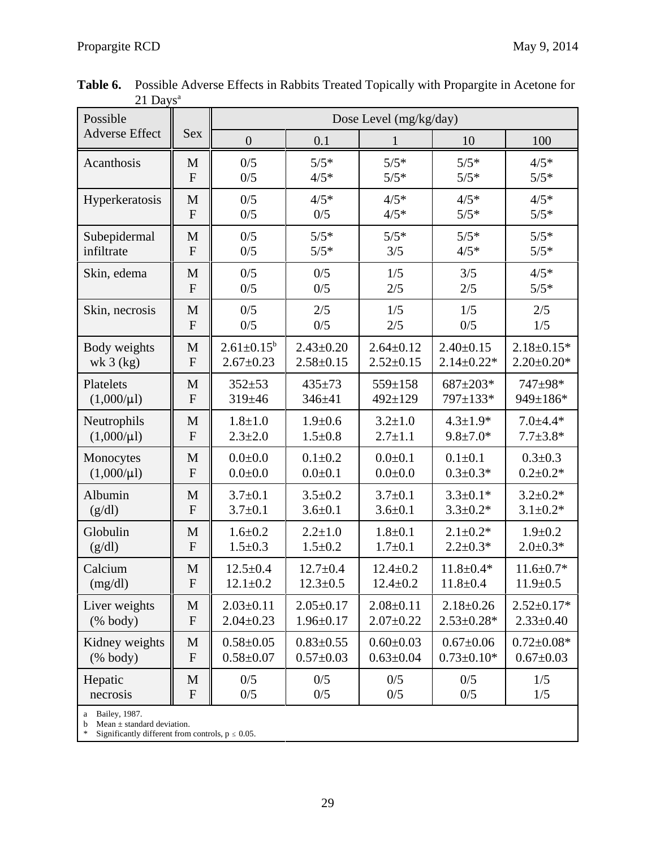| Possible                                                  |                |                   |                 | Dose Level (mg/kg/day) |                  |                  |
|-----------------------------------------------------------|----------------|-------------------|-----------------|------------------------|------------------|------------------|
| <b>Adverse Effect</b>                                     | <b>Sex</b>     | $\boldsymbol{0}$  | 0.1             | 1                      | 10               | 100              |
| Acanthosis                                                | M              | 0/5               | $5/5*$          | $5/5*$                 | $5/5*$           | $4/5*$           |
|                                                           | $\mathbf{F}$   | 0/5               | $4/5*$          | $5/5*$                 | $5/5*$           | $5/5*$           |
| Hyperkeratosis                                            | M              | 0/5               | $4/5*$          | $4/5*$                 | $4/5*$           | $4/5*$           |
|                                                           | $\mathbf{F}$   | 0/5               | 0/5             | $4/5*$                 | $5/5*$           | $5/5*$           |
| Subepidermal                                              | M              | 0/5               | $5/5*$          | $5/5*$                 | $5/5*$           | $5/5*$           |
| infiltrate                                                | $\mathbf{F}$   | 0/5               | $5/5*$          | 3/5                    | $4/5*$           | $5/5*$           |
| Skin, edema                                               | M              | 0/5               | 0/5             | 1/5                    | 3/5              | $4/5*$           |
|                                                           | $\mathbf{F}$   | 0/5               | 0/5             | 2/5                    | 2/5              | $5/5*$           |
| Skin, necrosis                                            | M              | 0/5               | 2/5             | 1/5                    | 1/5              | 2/5              |
|                                                           | $\mathbf{F}$   | 0/5               | 0/5             | 2/5                    | 0/5              | 1/5              |
| Body weights                                              | M              | $2.61 \pm 0.15^b$ | $2.43 \pm 0.20$ | $2.64 \pm 0.12$        | $2.40 \pm 0.15$  | $2.18 \pm 0.15*$ |
| wk $3$ (kg)                                               | $\overline{F}$ | $2.67 \pm 0.23$   | $2.58 \pm 0.15$ | $2.52 \pm 0.15$        | $2.14 \pm 0.22*$ | $2.20 \pm 0.20*$ |
| Platelets                                                 | M              | $352 + 53$        | $435 \pm 73$    | 559±158                | 687±203*         | 747±98*          |
| $(1,000/\mu l)$                                           | ${\bf F}$      | $319 \pm 46$      | $346 + 41$      | $492 \pm 129$          | 797±133*         | 949±186*         |
| Neutrophils                                               | M              | $1.8 + 1.0$       | $1.9 + 0.6$     | $3.2 \pm 1.0$          | $4.3 \pm 1.9*$   | $7.0 \pm 4.4*$   |
| $(1,000/\mu l)$                                           | ${\bf F}$      | $2.3 \pm 2.0$     | $1.5 \pm 0.8$   | $2.7 \pm 1.1$          | $9.8 \pm 7.0*$   | $7.7 \pm 3.8*$   |
| Monocytes                                                 | M              | $0.0 + 0.0$       | $0.1 \pm 0.2$   | $0.0 + 0.1$            | $0.1 \pm 0.1$    | $0.3 \pm 0.3$    |
| $(1,000/\mu l)$                                           | ${\bf F}$      | $0.0 + 0.0$       | $0.0 + 0.1$     | $0.0 + 0.0$            | $0.3 \pm 0.3*$   | $0.2 \pm 0.2*$   |
| Albumin                                                   | M              | $3.7 \pm 0.1$     | $3.5 \pm 0.2$   | $3.7 \pm 0.1$          | $3.3 \pm 0.1*$   | $3.2 \pm 0.2*$   |
| (g/dl)                                                    | ${\bf F}$      | $3.7 \pm 0.1$     | $3.6 \pm 0.1$   | $3.6 \pm 0.1$          | $3.3 \pm 0.2*$   | $3.1 \pm 0.2*$   |
| Globulin                                                  | M              | $1.6 + 0.2$       | $2.2 + 1.0$     | $1.8 + 0.1$            | $2.1 \pm 0.2*$   | $1.9 + 0.2$      |
| (g/dl)                                                    | ${\bf F}$      | $1.5 \pm 0.3$     | $1.5 \pm 0.2$   | $1.7 \pm 0.1$          | $2.2 \pm 0.3*$   | $2.0 \pm 0.3*$   |
| Calcium                                                   | M              | $12.5 \pm 0.4$    | $12.7 \pm 0.4$  | $12.4 \pm 0.2$         | $11.8 \pm 0.4*$  | $11.6 \pm 0.7*$  |
| (mg/dl)                                                   | F              | $12.1 \pm 0.2$    | $12.3 \pm 0.5$  | $12.4 \pm 0.2$         | $11.8 \pm 0.4$   | $11.9 \pm 0.5$   |
| Liver weights                                             | M              | $2.03 \pm 0.11$   | $2.05 \pm 0.17$ | $2.08 \pm 0.11$        | $2.18 \pm 0.26$  | $2.52 \pm 0.17*$ |
| $(% \mathcal{L}^{\prime }\mathcal{L}^{\prime })$ (% body) | ${\bf F}$      | $2.04 \pm 0.23$   | $1.96 \pm 0.17$ | $2.07 \pm 0.22$        | $2.53 \pm 0.28*$ | $2.33 \pm 0.40$  |
| Kidney weights                                            | M              | $0.58 + 0.05$     | $0.83 \pm 0.55$ | $0.60 \pm 0.03$        | $0.67 \pm 0.06$  | $0.72 \pm 0.08*$ |
| $(% \mathcal{L} \times \mathcal{L})$ (% body)             | ${\bf F}$      | $0.58 + 0.07$     | $0.57 \pm 0.03$ | $0.63 \pm 0.04$        | $0.73 \pm 0.10*$ | $0.67 \pm 0.03$  |
| Hepatic                                                   | M              | 0/5               | 0/5             | 0/5                    | 0/5              | 1/5              |
| necrosis                                                  | ${\bf F}$      | 0/5               | 0/5             | 0/5                    | 0/5              | 1/5              |
| Bailey, 1987.<br>Mean $\pm$ standard deviation.<br>b      |                |                   |                 |                        |                  |                  |

 **Table 6.** Possible Adverse Effects in Rabbits Treated Topically with Propargite in Acetone for  $21$  Days<sup>a</sup>

\* Significantly different from controls,  $p \le 0.05$ .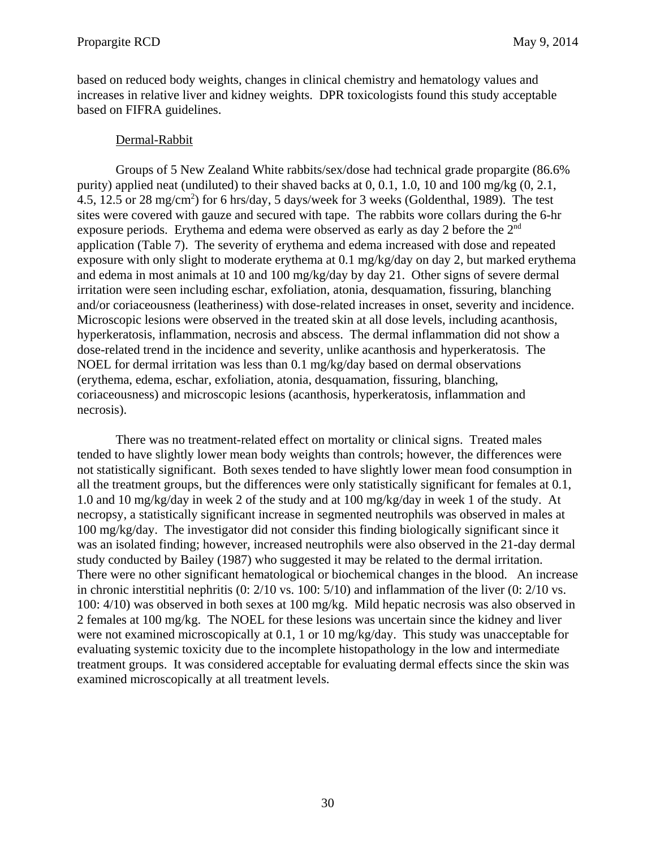based on reduced body weights, changes in clinical chemistry and hematology values and increases in relative liver and kidney weights. DPR toxicologists found this study acceptable based on FIFRA guidelines.

# Dermal-Rabbit

Groups of 5 New Zealand White rabbits/sex/dose had technical grade propargite (86.6% purity) applied neat (undiluted) to their shaved backs at  $0, 0.1, 1.0, 10$  and  $100$  mg/kg  $(0, 2.1, 1.0)$ 4.5, 12.5 or 28 mg/cm<sup>2</sup>) for 6 hrs/day, 5 days/week for 3 weeks (Goldenthal, 1989). The test sites were covered with gauze and secured with tape. The rabbits wore collars during the 6-hr exposure periods. Erythema and edema were observed as early as day 2 before the 2nd application (Table 7). The severity of erythema and edema increased with dose and repeated exposure with only slight to moderate erythema at 0.1 mg/kg/day on day 2, but marked erythema and edema in most animals at 10 and 100 mg/kg/day by day 21. Other signs of severe dermal irritation were seen including eschar, exfoliation, atonia, desquamation, fissuring, blanching and/or coriaceousness (leatheriness) with dose-related increases in onset, severity and incidence. Microscopic lesions were observed in the treated skin at all dose levels, including acanthosis, hyperkeratosis, inflammation, necrosis and abscess. The dermal inflammation did not show a dose-related trend in the incidence and severity, unlike acanthosis and hyperkeratosis. The NOEL for dermal irritation was less than 0.1 mg/kg/day based on dermal observations (erythema, edema, eschar, exfoliation, atonia, desquamation, fissuring, blanching, coriaceousness) and microscopic lesions (acanthosis, hyperkeratosis, inflammation and necrosis).

There was no treatment-related effect on mortality or clinical signs. Treated males tended to have slightly lower mean body weights than controls; however, the differences were not statistically significant. Both sexes tended to have slightly lower mean food consumption in all the treatment groups, but the differences were only statistically significant for females at 0.1, 1.0 and 10 mg/kg/day in week 2 of the study and at 100 mg/kg/day in week 1 of the study. At necropsy, a statistically significant increase in segmented neutrophils was observed in males at 100 mg/kg/day. The investigator did not consider this finding biologically significant since it was an isolated finding; however, increased neutrophils were also observed in the 21-day dermal study conducted by Bailey (1987) who suggested it may be related to the dermal irritation. There were no other significant hematological or biochemical changes in the blood. An increase in chronic interstitial nephritis (0: 2/10 vs. 100: 5/10) and inflammation of the liver (0: 2/10 vs. 100: 4/10) was observed in both sexes at 100 mg/kg. Mild hepatic necrosis was also observed in 2 females at 100 mg/kg. The NOEL for these lesions was uncertain since the kidney and liver were not examined microscopically at 0.1, 1 or 10 mg/kg/day. This study was unacceptable for evaluating systemic toxicity due to the incomplete histopathology in the low and intermediate treatment groups. It was considered acceptable for evaluating dermal effects since the skin was examined microscopically at all treatment levels.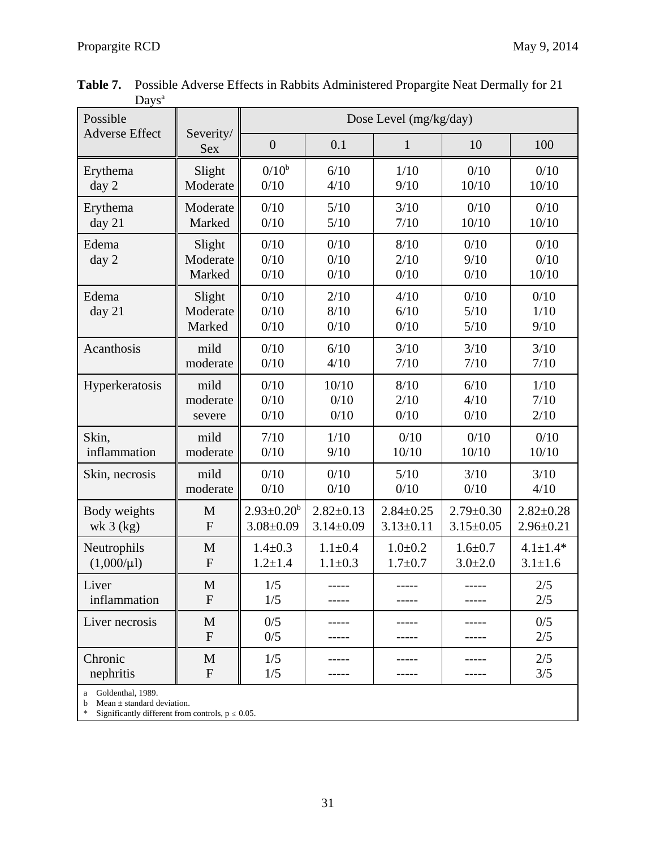| .<br>Possible         |                              |                      | Dose Level (mg/kg/day) |                      |                        |                       |  |
|-----------------------|------------------------------|----------------------|------------------------|----------------------|------------------------|-----------------------|--|
| <b>Adverse Effect</b> | Severity/<br><b>Sex</b>      | $\boldsymbol{0}$     | 0.1                    | $\mathbf{1}$         | 10                     | 100                   |  |
| Erythema              | Slight                       | $0/10^{b}$           | 6/10                   | 1/10                 | 0/10                   | 0/10                  |  |
| day 2                 | Moderate                     | 0/10                 | 4/10                   | 9/10                 | 10/10                  | 10/10                 |  |
| Erythema              | Moderate                     | 0/10                 | $5/10$                 | 3/10                 | 0/10                   | 0/10                  |  |
| day 21                | Marked                       | 0/10                 | 5/10                   | 7/10                 | 10/10                  | 10/10                 |  |
| Edema<br>day 2        | Slight<br>Moderate<br>Marked | 0/10<br>0/10<br>0/10 | 0/10<br>0/10<br>0/10   | 8/10<br>2/10<br>0/10 | 0/10<br>9/10<br>0/10   | 0/10<br>0/10<br>10/10 |  |
| Edema<br>day 21       | Slight<br>Moderate<br>Marked | 0/10<br>0/10<br>0/10 | 2/10<br>8/10<br>0/10   | 4/10<br>6/10<br>0/10 | 0/10<br>5/10<br>$5/10$ | 0/10<br>1/10<br>9/10  |  |
| Acanthosis            | mild                         | 0/10                 | 6/10                   | 3/10                 | 3/10                   | 3/10                  |  |
|                       | moderate                     | 0/10                 | 4/10                   | 7/10                 | 7/10                   | 7/10                  |  |
| Hyperkeratosis        | mild                         | 0/10                 | 10/10                  | 8/10                 | 6/10                   | 1/10                  |  |
|                       | moderate                     | 0/10                 | 0/10                   | 2/10                 | 4/10                   | 7/10                  |  |
|                       | severe                       | 0/10                 | 0/10                   | 0/10                 | 0/10                   | 2/10                  |  |
| Skin,                 | mild                         | 7/10                 | 1/10                   | 0/10                 | 0/10                   | 0/10                  |  |
| inflammation          | moderate                     | 0/10                 | 9/10                   | 10/10                | 10/10                  | 10/10                 |  |
| Skin, necrosis        | mild                         | 0/10                 | 0/10                   | $5/10$               | 3/10                   | 3/10                  |  |
|                       | moderate                     | 0/10                 | 0/10                   | 0/10                 | 0/10                   | 4/10                  |  |
| Body weights          | M                            | $2.93 \pm 0.20^b$    | $2.82 \pm 0.13$        | $2.84 \pm 0.25$      | $2.79 \pm 0.30$        | $2.82 \pm 0.28$       |  |
| wk $3$ (kg)           | ${\bf F}$                    | $3.08 \pm 0.09$      | $3.14 \pm 0.09$        | $3.13 \pm 0.11$      | $3.15 \pm 0.05$        | $2.96 \pm 0.21$       |  |
| Neutrophils           | M                            | $1.4 \pm 0.3$        | $1.1 \pm 0.4$          | $1.0 + 0.2$          | $1.6 + 0.7$            | $4.1 \pm 1.4*$        |  |
| $(1,000/\mu l)$       | ${\bf F}$                    | $1.2 + 1.4$          | $1.1 \pm 0.3$          | $1.7 + 0.7$          | $3.0 \pm 2.0$          | $3.1 \pm 1.6$         |  |
| Liver                 | $\mathbf M$                  | 1/5                  | -----                  | ------               | -----                  | 2/5                   |  |
| inflammation          | $\mathbf{F}$                 | 1/5                  | -----                  |                      | -----                  | 2/5                   |  |
| Liver necrosis        | M<br>$\mathbf{F}$            | 0/5<br>0/5           | -----                  | -----                | -----                  | 0/5<br>2/5            |  |
| Chronic<br>nephritis  | M<br>$\mathbf F$             | 1/5<br>1/5           |                        | -----                | -----                  | 2/5<br>3/5            |  |

 **Table 7.** Possible Adverse Effects in Rabbits Administered Propargite Neat Dermally for 21 Days<sup>a</sup>

a Goldenthal, 1989.

b Mean  $\pm$  standard deviation.

\* Significantly different from controls,  $p \le 0.05$ .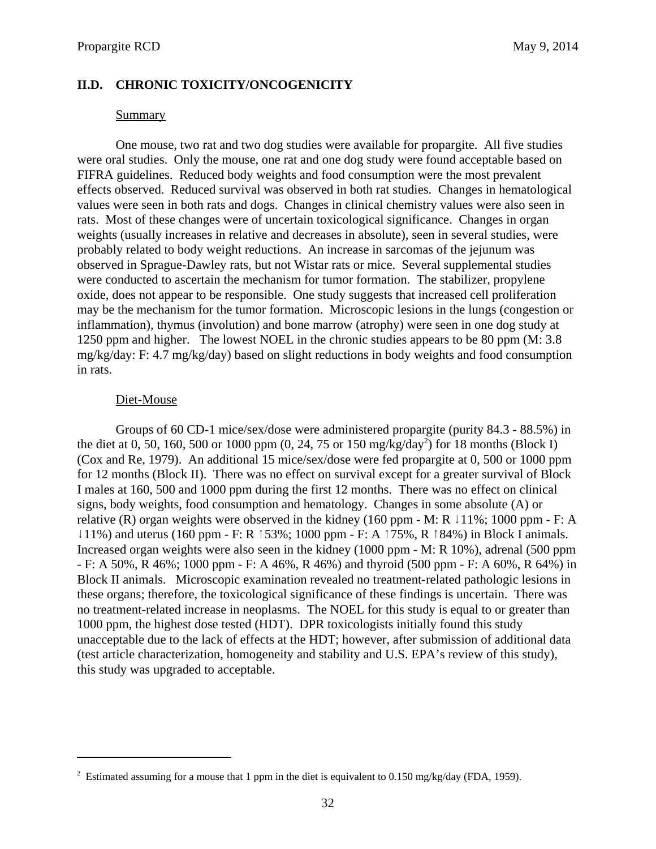### <span id="page-35-0"></span>**II.D. CHRONIC TOXICITY/ONCOGENICITY**

#### Summary

One mouse, two rat and two dog studies were available for propargite. All five studies were oral studies. Only the mouse, one rat and one dog study were found acceptable based on FIFRA guidelines. Reduced body weights and food consumption were the most prevalent effects observed. Reduced survival was observed in both rat studies. Changes in hematological values were seen in both rats and dogs. Changes in clinical chemistry values were also seen in rats. Most of these changes were of uncertain toxicological significance. Changes in organ weights (usually increases in relative and decreases in absolute), seen in several studies, were probably related to body weight reductions. An increase in sarcomas of the jejunum was observed in Sprague-Dawley rats, but not Wistar rats or mice. Several supplemental studies were conducted to ascertain the mechanism for tumor formation. The stabilizer, propylene oxide, does not appear to be responsible. One study suggests that increased cell proliferation may be the mechanism for the tumor formation. Microscopic lesions in the lungs (congestion or inflammation), thymus (involution) and bone marrow (atrophy) were seen in one dog study at 1250 ppm and higher. The lowest NOEL in the chronic studies appears to be 80 ppm (M: 3.8 mg/kg/day: F: 4.7 mg/kg/day) based on slight reductions in body weights and food consumption in rats.

#### Diet-Mouse

Groups of 60 CD-1 mice/sex/dose were administered propargite (purity 84.3 - 88.5%) in the diet at 0, 50, 160, 500 or 1000 ppm  $(0, 24, 75)$  or 150 mg/kg/day<sup>2</sup>) for 18 months (Block I) (Cox and Re, 1979). An additional 15 mice/sex/dose were fed propargite at 0, 500 or 1000 ppm for 12 months (Block II). There was no effect on survival except for a greater survival of Block I males at 160, 500 and 1000 ppm during the first 12 months. There was no effect on clinical signs, body weights, food consumption and hematology. Changes in some absolute (A) or relative (R) organ weights were observed in the kidney (160 ppm - M: R  $\downarrow$  11%; 1000 ppm - F: A  $\downarrow$  11%) and uterus (160 ppm - F: R  $\uparrow$  53%; 1000 ppm - F: A  $\uparrow$  75%, R  $\uparrow$  84%) in Block I animals. Increased organ weights were also seen in the kidney (1000 ppm - M: R 10%), adrenal (500 ppm - F: A 50%, R 46%; 1000 ppm - F: A 46%, R 46%) and thyroid (500 ppm - F: A 60%, R 64%) in Block II animals. Microscopic examination revealed no treatment-related pathologic lesions in these organs; therefore, the toxicological significance of these findings is uncertain. There was no treatment-related increase in neoplasms. The NOEL for this study is equal to or greater than 1000 ppm, the highest dose tested (HDT). DPR toxicologists initially found this study unacceptable due to the lack of effects at the HDT; however, after submission of additional data (test article characterization, homogeneity and stability and U.S. EPA's review of this study), this study was upgraded to acceptable.

<sup>&</sup>lt;sup>2</sup> Estimated assuming for a mouse that 1 ppm in the diet is equivalent to 0.150 mg/kg/day (FDA, 1959).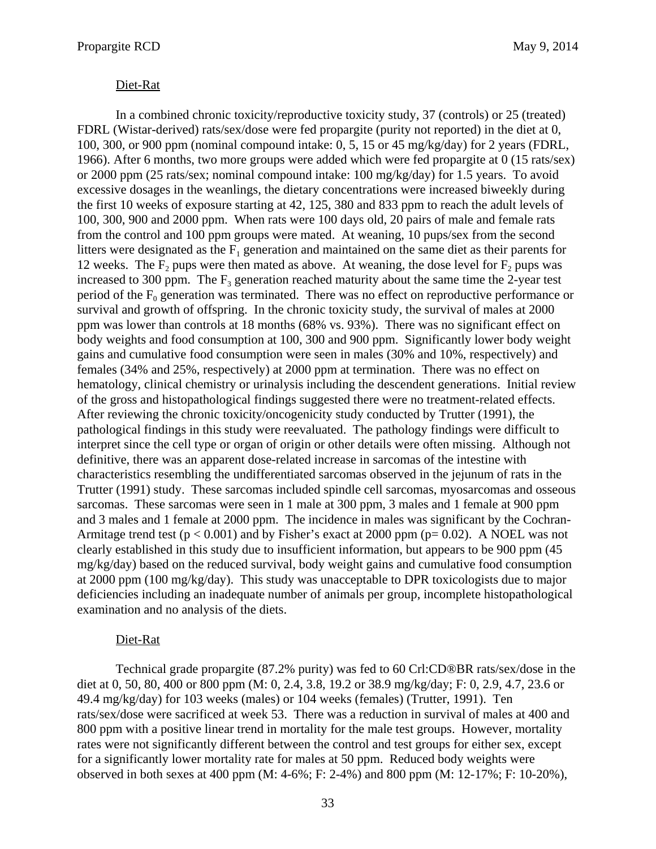## Diet-Rat

In a combined chronic toxicity/reproductive toxicity study, 37 (controls) or 25 (treated) FDRL (Wistar-derived) rats/sex/dose were fed propargite (purity not reported) in the diet at 0, 100, 300, or 900 ppm (nominal compound intake: 0, 5, 15 or 45 mg/kg/day) for 2 years (FDRL, 1966). After 6 months, two more groups were added which were fed propargite at 0 (15 rats/sex) or 2000 ppm (25 rats/sex; nominal compound intake: 100 mg/kg/day) for 1.5 years. To avoid excessive dosages in the weanlings, the dietary concentrations were increased biweekly during the first 10 weeks of exposure starting at 42, 125, 380 and 833 ppm to reach the adult levels of 100, 300, 900 and 2000 ppm. When rats were 100 days old, 20 pairs of male and female rats from the control and 100 ppm groups were mated. At weaning, 10 pups/sex from the second litters were designated as the  $F_1$  generation and maintained on the same diet as their parents for 12 weeks. The  $F_2$  pups were then mated as above. At weaning, the dose level for  $F_2$  pups was increased to 300 ppm. The  $F_3$  generation reached maturity about the same time the 2-year test period of the  $F_0$  generation was terminated. There was no effect on reproductive performance or survival and growth of offspring. In the chronic toxicity study, the survival of males at 2000 ppm was lower than controls at 18 months (68% vs. 93%). There was no significant effect on body weights and food consumption at 100, 300 and 900 ppm. Significantly lower body weight gains and cumulative food consumption were seen in males (30% and 10%, respectively) and females (34% and 25%, respectively) at 2000 ppm at termination. There was no effect on hematology, clinical chemistry or urinalysis including the descendent generations. Initial review of the gross and histopathological findings suggested there were no treatment-related effects. After reviewing the chronic toxicity/oncogenicity study conducted by Trutter (1991), the pathological findings in this study were reevaluated. The pathology findings were difficult to interpret since the cell type or organ of origin or other details were often missing. Although not definitive, there was an apparent dose-related increase in sarcomas of the intestine with characteristics resembling the undifferentiated sarcomas observed in the jejunum of rats in the Trutter (1991) study. These sarcomas included spindle cell sarcomas, myosarcomas and osseous sarcomas. These sarcomas were seen in 1 male at 300 ppm, 3 males and 1 female at 900 ppm and 3 males and 1 female at 2000 ppm. The incidence in males was significant by the Cochran-Armitage trend test ( $p < 0.001$ ) and by Fisher's exact at 2000 ppm ( $p=0.02$ ). A NOEL was not clearly established in this study due to insufficient information, but appears to be 900 ppm (45 mg/kg/day) based on the reduced survival, body weight gains and cumulative food consumption at 2000 ppm (100 mg/kg/day). This study was unacceptable to DPR toxicologists due to major deficiencies including an inadequate number of animals per group, incomplete histopathological examination and no analysis of the diets.

#### Diet-Rat

Technical grade propargite (87.2% purity) was fed to 60 Crl:CD®BR rats/sex/dose in the diet at 0, 50, 80, 400 or 800 ppm (M: 0, 2.4, 3.8, 19.2 or 38.9 mg/kg/day; F: 0, 2.9, 4.7, 23.6 or 49.4 mg/kg/day) for 103 weeks (males) or 104 weeks (females) (Trutter, 1991). Ten rats/sex/dose were sacrificed at week 53. There was a reduction in survival of males at 400 and 800 ppm with a positive linear trend in mortality for the male test groups. However, mortality rates were not significantly different between the control and test groups for either sex, except for a significantly lower mortality rate for males at 50 ppm. Reduced body weights were observed in both sexes at 400 ppm (M: 4-6%; F: 2-4%) and 800 ppm (M: 12-17%; F: 10-20%),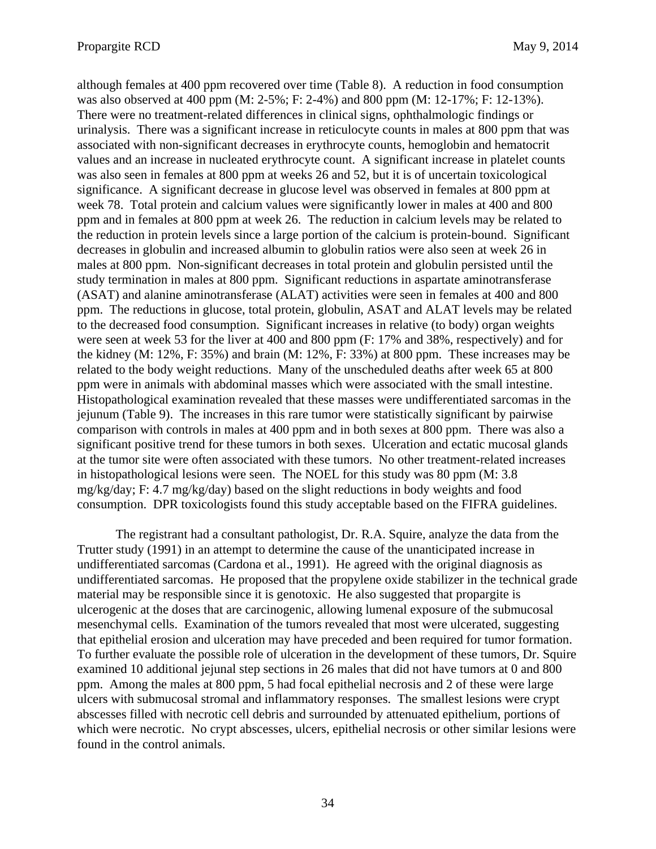although females at 400 ppm recovered over time (Table 8). A reduction in food consumption was also observed at 400 ppm (M: 2-5%; F: 2-4%) and 800 ppm (M: 12-17%; F: 12-13%). There were no treatment-related differences in clinical signs, ophthalmologic findings or urinalysis. There was a significant increase in reticulocyte counts in males at 800 ppm that was associated with non-significant decreases in erythrocyte counts, hemoglobin and hematocrit values and an increase in nucleated erythrocyte count. A significant increase in platelet counts was also seen in females at 800 ppm at weeks 26 and 52, but it is of uncertain toxicological significance. A significant decrease in glucose level was observed in females at 800 ppm at week 78. Total protein and calcium values were significantly lower in males at 400 and 800 ppm and in females at 800 ppm at week 26. The reduction in calcium levels may be related to the reduction in protein levels since a large portion of the calcium is protein-bound. Significant decreases in globulin and increased albumin to globulin ratios were also seen at week 26 in males at 800 ppm. Non-significant decreases in total protein and globulin persisted until the study termination in males at 800 ppm. Significant reductions in aspartate aminotransferase (ASAT) and alanine aminotransferase (ALAT) activities were seen in females at 400 and 800 ppm. The reductions in glucose, total protein, globulin, ASAT and ALAT levels may be related to the decreased food consumption. Significant increases in relative (to body) organ weights were seen at week 53 for the liver at 400 and 800 ppm (F: 17% and 38%, respectively) and for the kidney (M: 12%, F: 35%) and brain (M: 12%, F: 33%) at 800 ppm. These increases may be related to the body weight reductions. Many of the unscheduled deaths after week 65 at 800 ppm were in animals with abdominal masses which were associated with the small intestine. Histopathological examination revealed that these masses were undifferentiated sarcomas in the jejunum (Table 9). The increases in this rare tumor were statistically significant by pairwise comparison with controls in males at 400 ppm and in both sexes at 800 ppm. There was also a significant positive trend for these tumors in both sexes. Ulceration and ectatic mucosal glands at the tumor site were often associated with these tumors. No other treatment-related increases in histopathological lesions were seen. The NOEL for this study was 80 ppm (M: 3.8 mg/kg/day; F: 4.7 mg/kg/day) based on the slight reductions in body weights and food consumption. DPR toxicologists found this study acceptable based on the FIFRA guidelines.

The registrant had a consultant pathologist, Dr. R.A. Squire, analyze the data from the Trutter study (1991) in an attempt to determine the cause of the unanticipated increase in undifferentiated sarcomas (Cardona et al., 1991). He agreed with the original diagnosis as undifferentiated sarcomas. He proposed that the propylene oxide stabilizer in the technical grade material may be responsible since it is genotoxic. He also suggested that propargite is ulcerogenic at the doses that are carcinogenic, allowing lumenal exposure of the submucosal mesenchymal cells. Examination of the tumors revealed that most were ulcerated, suggesting that epithelial erosion and ulceration may have preceded and been required for tumor formation. To further evaluate the possible role of ulceration in the development of these tumors, Dr. Squire examined 10 additional jejunal step sections in 26 males that did not have tumors at 0 and 800 ppm. Among the males at 800 ppm, 5 had focal epithelial necrosis and 2 of these were large ulcers with submucosal stromal and inflammatory responses. The smallest lesions were crypt abscesses filled with necrotic cell debris and surrounded by attenuated epithelium, portions of which were necrotic. No crypt abscesses, ulcers, epithelial necrosis or other similar lesions were found in the control animals.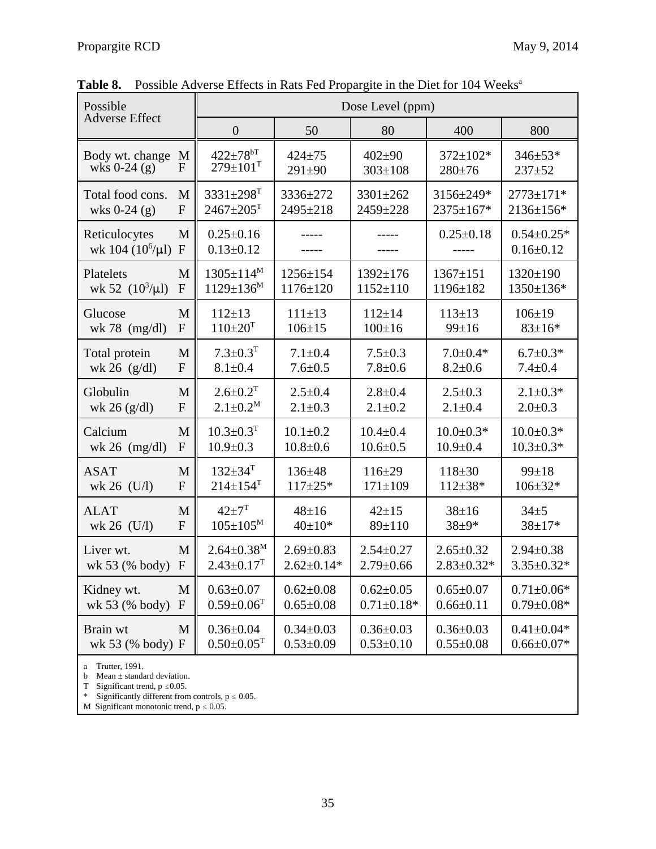| Possible<br><b>Adverse Effect</b>      |                   | Dose Level (ppm)                   |                  |                  |                  |                                     |  |  |  |  |
|----------------------------------------|-------------------|------------------------------------|------------------|------------------|------------------|-------------------------------------|--|--|--|--|
|                                        |                   | $\overline{0}$                     | 50               | 80               | 400              | 800                                 |  |  |  |  |
| Body wt. change                        | M                 | $422 \pm 78$ <sup>bT</sup>         | $424 + 75$       | $402 \pm 90$     | 372±102*         | 346±53*                             |  |  |  |  |
| wks $0-24$ (g)                         | $\mathbf{F}$      | $279 \pm 101$ <sup>T</sup>         | $291 \pm 90$     | $303 \pm 108$    | $280 \pm 76$     | $237 + 52$                          |  |  |  |  |
| Total food cons.                       | M                 | $3331 \pm 298$ <sup>T</sup>        | 3336±272         | 3301±262         | 3156±249*        | 2773±171*                           |  |  |  |  |
| wks $0-24$ (g)                         | ${\bf F}$         | $2467 \pm 205$ <sup>T</sup>        | 2495±218         | 2459±228         | 2375±167*        | 2136±156*                           |  |  |  |  |
| Reticulocytes<br>wk 104 $(10^6/\mu l)$ | M<br>$\mathbf{F}$ | $0.25 \pm 0.16$<br>$0.13 \pm 0.12$ |                  |                  | $0.25 \pm 0.18$  | $0.54 \pm 0.25*$<br>$0.16 \pm 0.12$ |  |  |  |  |
| Platelets                              | M                 | $1305 \pm 114^M$                   | $1256 \pm 154$   | 1392±176         | $1367 \pm 151$   | 1320±190                            |  |  |  |  |
| wk 52 $(10^3/\mu l)$                   | $\mathbf{F}$      | $1129 \pm 136^M$                   | $1176 \pm 120$   | $1152 \pm 110$   | 1196±182         | 1350±136*                           |  |  |  |  |
| Glucose                                | M                 | $112 \pm 13$                       | $111 \pm 13$     | $112 \pm 14$     | $113 \pm 13$     | $106 \pm 19$                        |  |  |  |  |
| wk 78 $(mg/dl)$                        | $\mathbf{F}$      | $110 \pm 20$ <sup>T</sup>          | $106 \pm 15$     | $100 \pm 16$     | $99 \pm 16$      | $83 \pm 16*$                        |  |  |  |  |
| Total protein                          | M                 | $7.3 \pm 0.3$ <sup>T</sup>         | $7.1 \pm 0.4$    | $7.5 \pm 0.3$    | $7.0 \pm 0.4*$   | $6.7 \pm 0.3*$                      |  |  |  |  |
| wk 26 $(g/dl)$                         | F                 | $8.1 \pm 0.4$                      | $7.6 \pm 0.5$    | $7.8 + 0.6$      | $8.2 \pm 0.6$    | $7.4 \pm 0.4$                       |  |  |  |  |
| Globulin                               | M                 | $2.6 \pm 0.2$ <sup>T</sup>         | $2.5 \pm 0.4$    | $2.8 + 0.4$      | $2.5 \pm 0.3$    | $2.1 \pm 0.3*$                      |  |  |  |  |
| wk 26 $(g/dl)$                         | $\mathbf{F}$      | $2.1 \pm 0.2^M$                    | $2.1 \pm 0.3$    | $2.1 \pm 0.2$    | $2.1 \pm 0.4$    | $2.0 \pm 0.3$                       |  |  |  |  |
| Calcium                                | M                 | $10.3 \pm 0.3$ <sup>T</sup>        | $10.1 \pm 0.2$   | $10.4 \pm 0.4$   | $10.0 \pm 0.3*$  | $10.0 \pm 0.3*$                     |  |  |  |  |
| wk 26 $(mg/dl)$                        | $\mathbf{F}$      | $10.9 + 0.3$                       | $10.8 + 0.6$     | $10.6 \pm 0.5$   | $10.9 \pm 0.4$   | $10.3 \pm 0.3*$                     |  |  |  |  |
| <b>ASAT</b>                            | M                 | $132 \pm 34$ <sup>T</sup>          | $136 + 48$       | $116 \pm 29$     | $118 + 30$       | $99 \pm 18$                         |  |  |  |  |
| wk 26 $(U/l)$                          | $\mathbf{F}$      | $214 \pm 154$ <sup>T</sup>         | $117 + 25*$      | $171 \pm 109$    | $112 \pm 38*$    | $106 \pm 32*$                       |  |  |  |  |
| <b>ALAT</b>                            | M                 | $42 + 7^T$                         | $48 + 16$        | $42 + 15$        | $38 + 16$        | $34 + 5$                            |  |  |  |  |
| wk 26 (U/l)                            | $\mathbf{F}$      | $105 \pm 105^M$                    | $40 \pm 10*$     | $89 \pm 110$     | $38 + 9*$        | $38 + 17*$                          |  |  |  |  |
| Liver wt.                              | M                 | $2.64 \pm 0.38^M$                  | $2.69 \pm 0.83$  | $2.54 \pm 0.27$  | $2.65 \pm 0.32$  | $2.94 \pm 0.38$                     |  |  |  |  |
| wk 53 (% body)                         | ${\bf F}$         | $2.43 \pm 0.17$ <sup>T</sup>       | $2.62 \pm 0.14*$ | $2.79 \pm 0.66$  | $2.83 \pm 0.32*$ | $3.35 \pm 0.32*$                    |  |  |  |  |
| Kidney wt.                             | M                 | $0.63 \pm 0.07$                    | $0.62 \pm 0.08$  | $0.62 \pm 0.05$  | $0.65 \pm 0.07$  | $0.71 \pm 0.06*$                    |  |  |  |  |
| wk 53 (% body)                         | $\mathbf{F}$      | $0.59 \pm 0.06$ <sup>T</sup>       | $0.65 \pm 0.08$  | $0.71 \pm 0.18*$ | $0.66 \pm 0.11$  | $0.79 \pm 0.08*$                    |  |  |  |  |
| Brain wt                               | M                 | $0.36 \pm 0.04$                    | $0.34 \pm 0.03$  | $0.36 \pm 0.03$  | $0.36 \pm 0.03$  | $0.41 \pm 0.04*$                    |  |  |  |  |
| wk 53 (% body) F                       |                   | $0.50 \pm 0.05$ <sup>T</sup>       | $0.53 \pm 0.09$  | $0.53 \pm 0.10$  | $0.55 \pm 0.08$  | $0.66 \pm 0.07*$                    |  |  |  |  |

Table 8. Possible Adverse Effects in Rats Fed Propargite in the Diet for 104 Weeks<sup>a</sup>

a Trutter, 1991.

b Mean  $\pm$  standard deviation.

T Significant trend,  $p \le 0.05$ .

\* Significantly different from controls,  $p \le 0.05$ .

M Significant monotonic trend,  $p \le 0.05$ .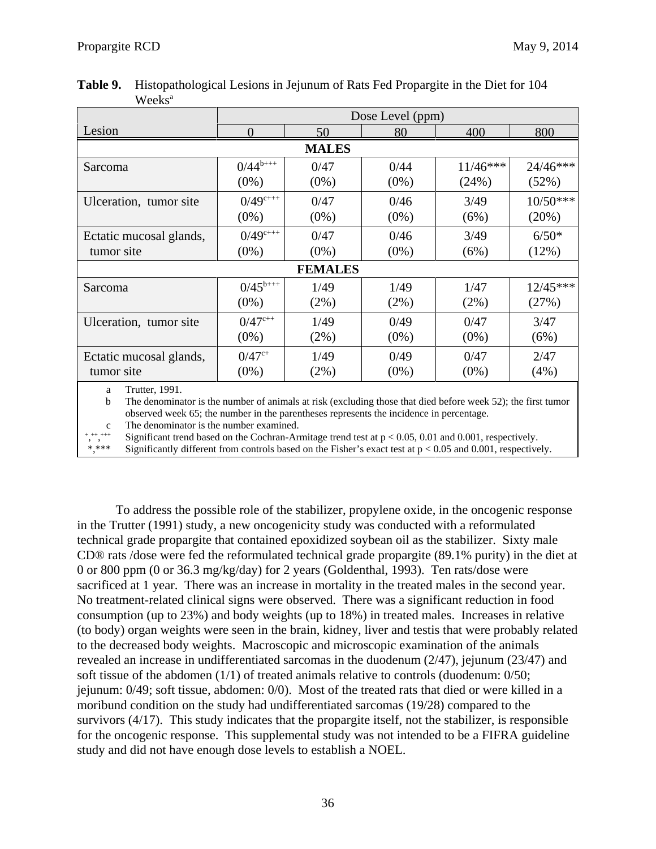|                                                                                                                                          | Dose Level (ppm) |                |         |            |            |  |  |  |  |  |
|------------------------------------------------------------------------------------------------------------------------------------------|------------------|----------------|---------|------------|------------|--|--|--|--|--|
| Lesion                                                                                                                                   |                  | 50             | 80      | 400        | 800        |  |  |  |  |  |
| <b>MALES</b>                                                                                                                             |                  |                |         |            |            |  |  |  |  |  |
| Sarcoma                                                                                                                                  | $0/44^{b+++}$    | 0/47           | 0/44    | $11/46***$ | 24/46***   |  |  |  |  |  |
|                                                                                                                                          | $(0\%)$          | $(0\%)$        | $(0\%)$ | (24%)      | (52%)      |  |  |  |  |  |
| Ulceration, tumor site                                                                                                                   | $0/49^{c+++}$    | 0/47           | 0/46    | 3/49       | $10/50***$ |  |  |  |  |  |
|                                                                                                                                          | $(0\%)$          | $(0\%)$        | $(0\%)$ | (6%)       | (20%)      |  |  |  |  |  |
| Ectatic mucosal glands,                                                                                                                  | $0/49^{c+++}$    | 0/47           | 0/46    | 3/49       | $6/50*$    |  |  |  |  |  |
| tumor site                                                                                                                               | $(0\%)$          | $(0\%)$        | $(0\%)$ | (6%)       | (12%)      |  |  |  |  |  |
|                                                                                                                                          |                  | <b>FEMALES</b> |         |            |            |  |  |  |  |  |
| Sarcoma                                                                                                                                  | $0/45^{b+++}$    | 1/49           | 1/49    | 1/47       | $12/45***$ |  |  |  |  |  |
|                                                                                                                                          | $(0\%)$          | $(2\%)$        | $(2\%)$ | $(2\%)$    | (27%)      |  |  |  |  |  |
| Ulceration, tumor site                                                                                                                   | $0/47^{c++}$     | 1/49           | 0/49    | 0/47       | 3/47       |  |  |  |  |  |
|                                                                                                                                          | $(0\%)$          | $(2\%)$        | $(0\%)$ | $(0\%)$    | (6%)       |  |  |  |  |  |
| Ectatic mucosal glands,                                                                                                                  | $0/47^{\rm c+}$  | 1/49           | 0/49    | 0/47       | 2/47       |  |  |  |  |  |
| tumor site                                                                                                                               | $(0\%)$          | (2%)           | $(0\%)$ | $(0\%)$    | (4%)       |  |  |  |  |  |
| Trutter, 1991.<br>a<br>The denominator is the number of animals at risk (excluding those that died before week 52); the first tumor<br>b |                  |                |         |            |            |  |  |  |  |  |

Table 9. **Table 9.** Histopathological Lesions in Jejunum of Rats Fed Propargite in the Diet for 104 Weeks<sup>a</sup>

b The denominator is the number of animals at risk (excluding those that died before week 52); the first tumor observed week 65; the number in the parentheses represents the incidence in percentage.

c The denominator is the number examined.

,  $^{++}$ , $^{+}$ Significant trend based on the Cochran-Armitage trend test at  $p < 0.05, 0.01$  and 0.001, respectively.

\*,\*\*\* Significantly different from controls based on the Fisher's exact test at p < 0.05 and 0.001, respectively.

To address the possible role of the stabilizer, propylene oxide, in the oncogenic response in the Trutter (1991) study, a new oncogenicity study was conducted with a reformulated technical grade propargite that contained epoxidized soybean oil as the stabilizer. Sixty male CD® rats /dose were fed the reformulated technical grade propargite (89.1% purity) in the diet at 0 or 800 ppm (0 or 36.3 mg/kg/day) for 2 years (Goldenthal, 1993). Ten rats/dose were sacrificed at 1 year. There was an increase in mortality in the treated males in the second year. No treatment-related clinical signs were observed. There was a significant reduction in food consumption (up to 23%) and body weights (up to 18%) in treated males. Increases in relative (to body) organ weights were seen in the brain, kidney, liver and testis that were probably related to the decreased body weights. Macroscopic and microscopic examination of the animals revealed an increase in undifferentiated sarcomas in the duodenum (2/47), jejunum (23/47) and soft tissue of the abdomen (1/1) of treated animals relative to controls (duodenum: 0/50; jejunum: 0/49; soft tissue, abdomen: 0/0). Most of the treated rats that died or were killed in a moribund condition on the study had undifferentiated sarcomas (19/28) compared to the survivors (4/17). This study indicates that the propargite itself, not the stabilizer, is responsible for the oncogenic response. This supplemental study was not intended to be a FIFRA guideline study and did not have enough dose levels to establish a NOEL.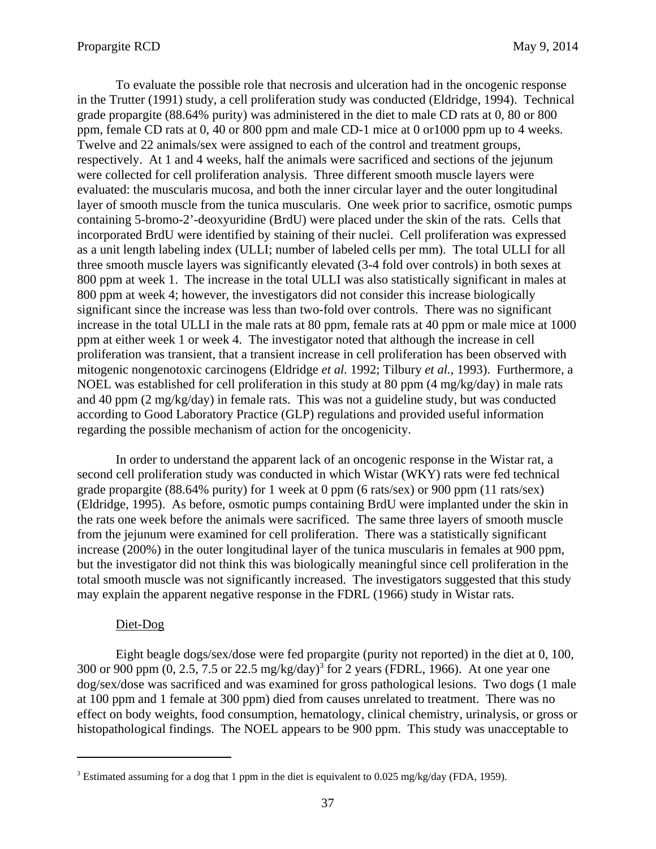To evaluate the possible role that necrosis and ulceration had in the oncogenic response in the Trutter (1991) study, a cell proliferation study was conducted (Eldridge, 1994). Technical grade propargite (88.64% purity) was administered in the diet to male CD rats at 0, 80 or 800 ppm, female CD rats at 0, 40 or 800 ppm and male CD-1 mice at 0 or1000 ppm up to 4 weeks. Twelve and 22 animals/sex were assigned to each of the control and treatment groups, respectively. At 1 and 4 weeks, half the animals were sacrificed and sections of the jejunum were collected for cell proliferation analysis. Three different smooth muscle layers were evaluated: the muscularis mucosa, and both the inner circular layer and the outer longitudinal layer of smooth muscle from the tunica muscularis. One week prior to sacrifice, osmotic pumps containing 5-bromo-2'-deoxyuridine (BrdU) were placed under the skin of the rats. Cells that incorporated BrdU were identified by staining of their nuclei. Cell proliferation was expressed as a unit length labeling index (ULLI; number of labeled cells per mm). The total ULLI for all three smooth muscle layers was significantly elevated (3-4 fold over controls) in both sexes at 800 ppm at week 1. The increase in the total ULLI was also statistically significant in males at 800 ppm at week 4; however, the investigators did not consider this increase biologically significant since the increase was less than two-fold over controls. There was no significant increase in the total ULLI in the male rats at 80 ppm, female rats at 40 ppm or male mice at 1000 ppm at either week 1 or week 4. The investigator noted that although the increase in cell proliferation was transient, that a transient increase in cell proliferation has been observed with mitogenic nongenotoxic carcinogens (Eldridge *et al.* 1992; Tilbury *et al.*, 1993). Furthermore, a NOEL was established for cell proliferation in this study at 80 ppm (4 mg/kg/day) in male rats and 40 ppm (2 mg/kg/day) in female rats. This was not a guideline study, but was conducted according to Good Laboratory Practice (GLP) regulations and provided useful information regarding the possible mechanism of action for the oncogenicity.

In order to understand the apparent lack of an oncogenic response in the Wistar rat, a second cell proliferation study was conducted in which Wistar (WKY) rats were fed technical grade propargite (88.64% purity) for 1 week at 0 ppm (6 rats/sex) or 900 ppm (11 rats/sex) (Eldridge, 1995). As before, osmotic pumps containing BrdU were implanted under the skin in the rats one week before the animals were sacrificed. The same three layers of smooth muscle from the jejunum were examined for cell proliferation. There was a statistically significant increase (200%) in the outer longitudinal layer of the tunica muscularis in females at 900 ppm, but the investigator did not think this was biologically meaningful since cell proliferation in the total smooth muscle was not significantly increased. The investigators suggested that this study may explain the apparent negative response in the FDRL (1966) study in Wistar rats.

#### Diet-Dog

Eight beagle dogs/sex/dose were fed propargite (purity not reported) in the diet at 0, 100, 300 or 900 ppm  $(0, 2.5, 7.5 \text{ or } 22.5 \text{ mg/kg/day})^3$  for 2 years (FDRL, 1966). At one year one dog/sex/dose was sacrificed and was examined for gross pathological lesions. Two dogs (1 male at 100 ppm and 1 female at 300 ppm) died from causes unrelated to treatment. There was no effect on body weights, food consumption, hematology, clinical chemistry, urinalysis, or gross or histopathological findings. The NOEL appears to be 900 ppm. This study was unacceptable to

<sup>&</sup>lt;sup>3</sup> Estimated assuming for a dog that 1 ppm in the diet is equivalent to 0.025 mg/kg/day (FDA, 1959).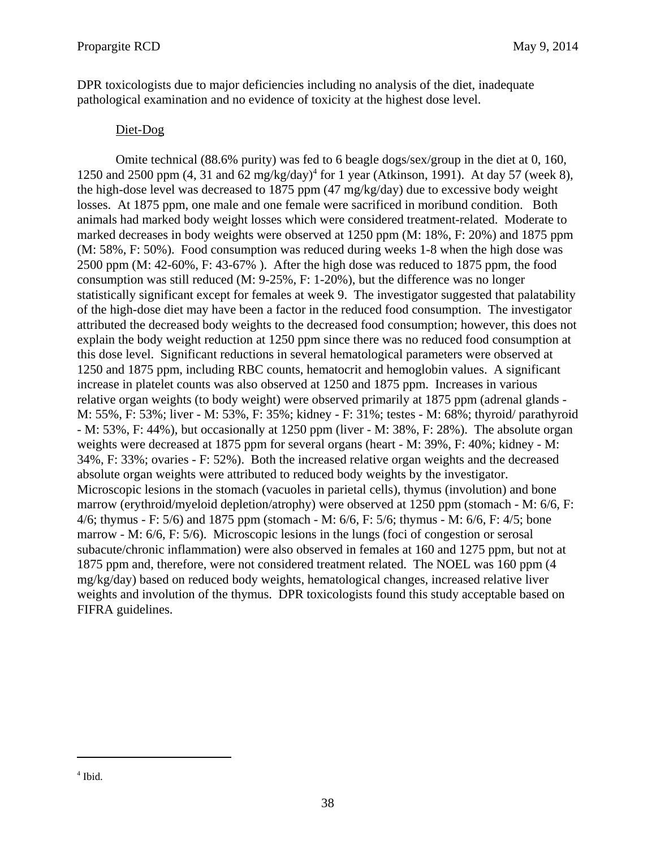DPR toxicologists due to major deficiencies including no analysis of the diet, inadequate pathological examination and no evidence of toxicity at the highest dose level.

# Diet-Dog

Omite technical (88.6% purity) was fed to 6 beagle dogs/sex/group in the diet at 0, 160, 1250 and 2500 ppm  $(4, 31 \text{ and } 62 \text{ mg/kg/day})^4$  for 1 year (Atkinson, 1991). At day 57 (week 8), the high-dose level was decreased to 1875 ppm (47 mg/kg/day) due to excessive body weight losses. At 1875 ppm, one male and one female were sacrificed in moribund condition. Both animals had marked body weight losses which were considered treatment-related. Moderate to marked decreases in body weights were observed at 1250 ppm (M: 18%, F: 20%) and 1875 ppm (M: 58%, F: 50%). Food consumption was reduced during weeks 1-8 when the high dose was 2500 ppm (M: 42-60%, F: 43-67% ). After the high dose was reduced to 1875 ppm, the food consumption was still reduced (M: 9-25%, F: 1-20%), but the difference was no longer statistically significant except for females at week 9. The investigator suggested that palatability of the high-dose diet may have been a factor in the reduced food consumption. The investigator attributed the decreased body weights to the decreased food consumption; however, this does not explain the body weight reduction at 1250 ppm since there was no reduced food consumption at this dose level. Significant reductions in several hematological parameters were observed at 1250 and 1875 ppm, including RBC counts, hematocrit and hemoglobin values. A significant increase in platelet counts was also observed at 1250 and 1875 ppm. Increases in various relative organ weights (to body weight) were observed primarily at 1875 ppm (adrenal glands M: 55%, F: 53%; liver - M: 53%, F: 35%; kidney - F: 31%; testes - M: 68%; thyroid/ parathyroid - M: 53%, F: 44%), but occasionally at 1250 ppm (liver - M: 38%, F: 28%). The absolute organ weights were decreased at 1875 ppm for several organs (heart - M: 39%, F: 40%; kidney - M: 34%, F: 33%; ovaries - F: 52%). Both the increased relative organ weights and the decreased absolute organ weights were attributed to reduced body weights by the investigator. Microscopic lesions in the stomach (vacuoles in parietal cells), thymus (involution) and bone marrow (erythroid/myeloid depletion/atrophy) were observed at 1250 ppm (stomach - M: 6/6, F: 4/6; thymus - F: 5/6) and 1875 ppm (stomach - M: 6/6, F: 5/6; thymus - M: 6/6, F: 4/5; bone marrow - M: 6/6, F: 5/6). Microscopic lesions in the lungs (foci of congestion or serosal subacute/chronic inflammation) were also observed in females at 160 and 1275 ppm, but not at 1875 ppm and, therefore, were not considered treatment related. The NOEL was 160 ppm (4 mg/kg/day) based on reduced body weights, hematological changes, increased relative liver weights and involution of the thymus. DPR toxicologists found this study acceptable based on FIFRA guidelines.

<sup>4</sup> Ibid.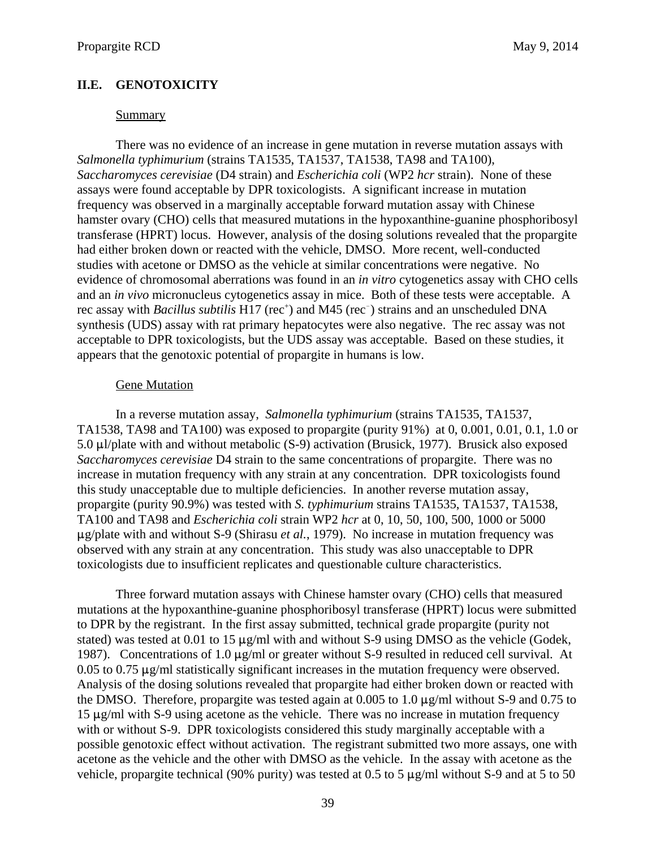# **II.E. GENOTOXICITY**

#### Summary

There was no evidence of an increase in gene mutation in reverse mutation assays with *Salmonella typhimurium* (strains TA1535, TA1537, TA1538, TA98 and TA100), *Saccharomyces cerevisiae* (D4 strain) and *Escherichia coli* (WP2 *hcr* strain). None of these assays were found acceptable by DPR toxicologists. A significant increase in mutation frequency was observed in a marginally acceptable forward mutation assay with Chinese hamster ovary (CHO) cells that measured mutations in the hypoxanthine-guanine phosphoribosyl transferase (HPRT) locus. However, analysis of the dosing solutions revealed that the propargite had either broken down or reacted with the vehicle, DMSO. More recent, well-conducted studies with acetone or DMSO as the vehicle at similar concentrations were negative. No evidence of chromosomal aberrations was found in an *in vitro* cytogenetics assay with CHO cells and an *in vivo* micronucleus cytogenetics assay in mice. Both of these tests were acceptable. A rec assay with *Bacillus subtilis* H17 (rec<sup>+</sup>) and M45 (rec<sup>-</sup>) strains and an unscheduled DNA synthesis (UDS) assay with rat primary hepatocytes were also negative. The rec assay was not acceptable to DPR toxicologists, but the UDS assay was acceptable. Based on these studies, it appears that the genotoxic potential of propargite in humans is low.

### Gene Mutation

In a reverse mutation assay, *Salmonella typhimurium* (strains TA1535, TA1537, TA1538, TA98 and TA100) was exposed to propargite (purity 91%) at 0, 0.001, 0.01, 0.1, 1.0 or 5.0  $\mu$ l/plate with and without metabolic (S-9) activation (Brusick, 1977). Brusick also exposed *Saccharomyces cerevisiae* D4 strain to the same concentrations of propargite. There was no increase in mutation frequency with any strain at any concentration. DPR toxicologists found this study unacceptable due to multiple deficiencies. In another reverse mutation assay, propargite (purity 90.9%) was tested with *S. typhimurium* strains TA1535, TA1537, TA1538, TA100 and TA98 and *Escherichia coli* strain WP2 *hcr* at 0, 10, 50, 100, 500, 1000 or 5000 :g/plate with and without S-9 (Shirasu *et al.*, 1979). No increase in mutation frequency was observed with any strain at any concentration. This study was also unacceptable to DPR toxicologists due to insufficient replicates and questionable culture characteristics.

Three forward mutation assays with Chinese hamster ovary (CHO) cells that measured mutations at the hypoxanthine-guanine phosphoribosyl transferase (HPRT) locus were submitted to DPR by the registrant. In the first assay submitted, technical grade propargite (purity not stated) was tested at 0.01 to 15  $\mu$ g/ml with and without S-9 using DMSO as the vehicle (Godek, 1987). Concentrations of 1.0  $\mu$ g/ml or greater without S-9 resulted in reduced cell survival. At  $0.05$  to  $0.75 \mu$ g/ml statistically significant increases in the mutation frequency were observed. Analysis of the dosing solutions revealed that propargite had either broken down or reacted with the DMSO. Therefore, propargite was tested again at  $0.005$  to 1.0  $\mu$ g/ml without S-9 and 0.75 to  $15 \mu g/ml$  with S-9 using acetone as the vehicle. There was no increase in mutation frequency with or without S-9. DPR toxicologists considered this study marginally acceptable with a possible genotoxic effect without activation. The registrant submitted two more assays, one with acetone as the vehicle and the other with DMSO as the vehicle. In the assay with acetone as the vehicle, propargite technical (90% purity) was tested at 0.5 to 5  $\mu$ g/ml without S-9 and at 5 to 50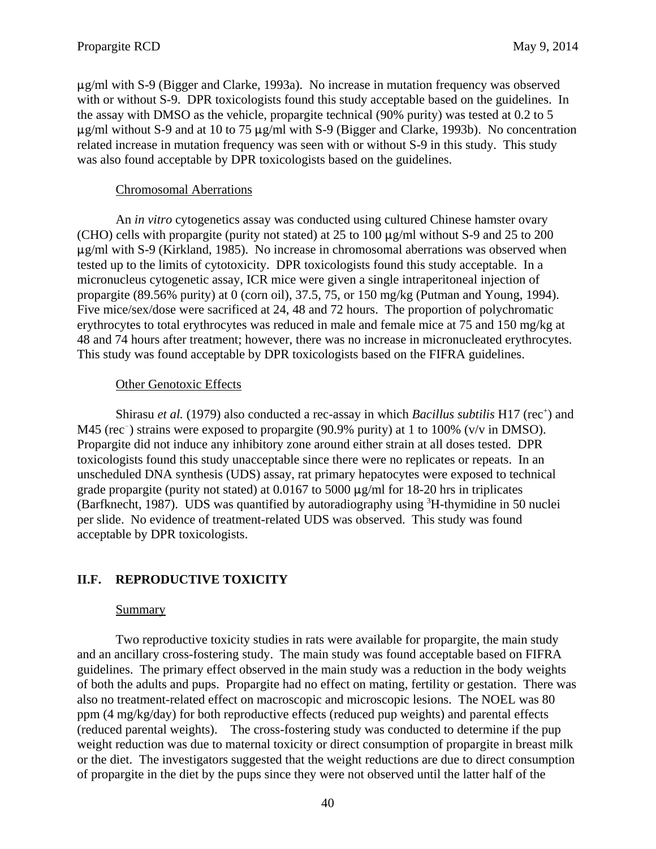$\mu$ g/ml with S-9 (Bigger and Clarke, 1993a). No increase in mutation frequency was observed with or without S-9. DPR toxicologists found this study acceptable based on the guidelines. In the assay with DMSO as the vehicle, propargite technical (90% purity) was tested at 0.2 to 5  $\mu$ g/ml without S-9 and at 10 to 75  $\mu$ g/ml with S-9 (Bigger and Clarke, 1993b). No concentration related increase in mutation frequency was seen with or without S-9 in this study. This study was also found acceptable by DPR toxicologists based on the guidelines.

## Chromosomal Aberrations

An *in vitro* cytogenetics assay was conducted using cultured Chinese hamster ovary (CHO) cells with propargite (purity not stated) at 25 to 100  $\mu$ g/ml without S-9 and 25 to 200  $\mu$ g/ml with S-9 (Kirkland, 1985). No increase in chromosomal aberrations was observed when tested up to the limits of cytotoxicity. DPR toxicologists found this study acceptable. In a micronucleus cytogenetic assay, ICR mice were given a single intraperitoneal injection of propargite (89.56% purity) at 0 (corn oil), 37.5, 75, or 150 mg/kg (Putman and Young, 1994). Five mice/sex/dose were sacrificed at 24, 48 and 72 hours. The proportion of polychromatic erythrocytes to total erythrocytes was reduced in male and female mice at 75 and 150 mg/kg at 48 and 74 hours after treatment; however, there was no increase in micronucleated erythrocytes. This study was found acceptable by DPR toxicologists based on the FIFRA guidelines.

# Other Genotoxic Effects

Shirasu et al. (1979) also conducted a rec-assay in which *Bacillus subtilis* H17 (rec<sup>+</sup>) and M45 (rec<sup>-</sup>) strains were exposed to propargite (90.9% purity) at 1 to 100% (v/v in DMSO). Propargite did not induce any inhibitory zone around either strain at all doses tested. DPR toxicologists found this study unacceptable since there were no replicates or repeats. In an unscheduled DNA synthesis (UDS) assay, rat primary hepatocytes were exposed to technical grade propargite (purity not stated) at  $0.0167$  to 5000  $\mu$ g/ml for 18-20 hrs in triplicates (Barfknecht, 1987). UDS was quantified by autoradiography using <sup>3</sup>H-thymidine in 50 nuclei per slide. No evidence of treatment-related UDS was observed. This study was found acceptable by DPR toxicologists.

# **II.F. REPRODUCTIVE TOXICITY**

# Summary

 (reduced parental weights). The cross-fostering study was conducted to determine if the pup Two reproductive toxicity studies in rats were available for propargite, the main study and an ancillary cross-fostering study. The main study was found acceptable based on FIFRA guidelines. The primary effect observed in the main study was a reduction in the body weights of both the adults and pups. Propargite had no effect on mating, fertility or gestation. There was also no treatment-related effect on macroscopic and microscopic lesions. The NOEL was 80 ppm (4 mg/kg/day) for both reproductive effects (reduced pup weights) and parental effects weight reduction was due to maternal toxicity or direct consumption of propargite in breast milk or the diet. The investigators suggested that the weight reductions are due to direct consumption of propargite in the diet by the pups since they were not observed until the latter half of the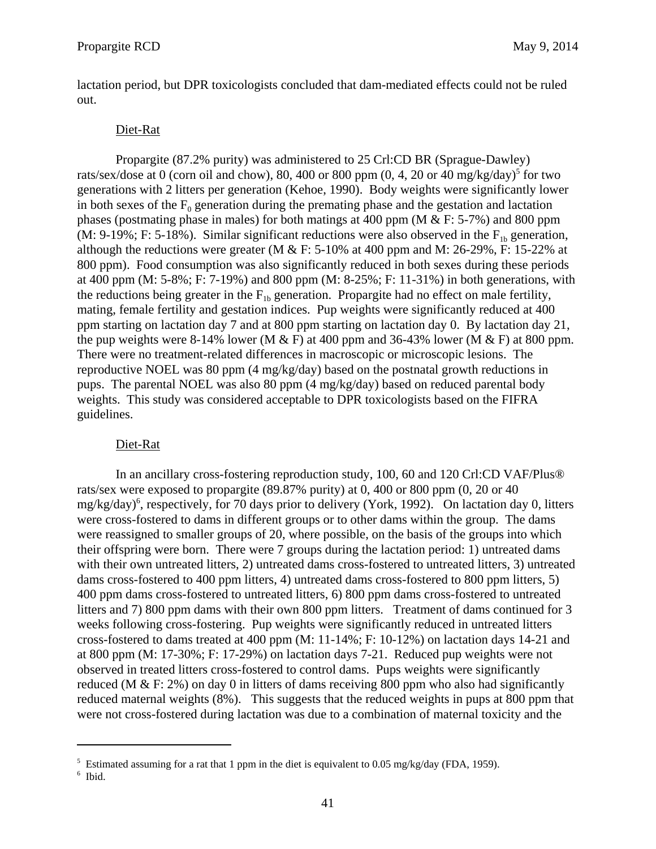lactation period, but DPR toxicologists concluded that dam-mediated effects could not be ruled out.

## Diet-Rat

Propargite (87.2% purity) was administered to 25 Crl:CD BR (Sprague-Dawley) rats/sex/dose at 0 (corn oil and chow), 80, 400 or 800 ppm  $(0, 4, 20$  or 40 mg/kg/day)<sup>5</sup> for two generations with 2 litters per generation (Kehoe, 1990). Body weights were significantly lower in both sexes of the  $F_0$  generation during the premating phase and the gestation and lactation phases (postmating phase in males) for both matings at 400 ppm (M & F: 5-7%) and 800 ppm (M: 9-19%; F: 5-18%). Similar significant reductions were also observed in the  $F_{1b}$  generation, although the reductions were greater (M  $\&$  F: 5-10% at 400 ppm and M: 26-29%, F: 15-22% at 800 ppm). Food consumption was also significantly reduced in both sexes during these periods at 400 ppm (M: 5-8%; F: 7-19%) and 800 ppm (M: 8-25%; F: 11-31%) in both generations, with the reductions being greater in the  $F_{1b}$  generation. Propargite had no effect on male fertility, mating, female fertility and gestation indices. Pup weights were significantly reduced at 400 ppm starting on lactation day 7 and at 800 ppm starting on lactation day 0. By lactation day 21, the pup weights were 8-14% lower (M  $\&$  F) at 400 ppm and 36-43% lower (M  $\&$  F) at 800 ppm. There were no treatment-related differences in macroscopic or microscopic lesions. The reproductive NOEL was 80 ppm (4 mg/kg/day) based on the postnatal growth reductions in pups. The parental NOEL was also 80 ppm (4 mg/kg/day) based on reduced parental body weights. This study was considered acceptable to DPR toxicologists based on the FIFRA guidelines.

#### Diet-Rat

In an ancillary cross-fostering reproduction study, 100, 60 and 120 Crl:CD VAF/Plus® rats/sex were exposed to propargite (89.87% purity) at 0, 400 or 800 ppm (0, 20 or 40 mg/kg/day)<sup>6</sup>, respectively, for 70 days prior to delivery (York, 1992). On lactation day 0, litters were cross-fostered to dams in different groups or to other dams within the group. The dams were reassigned to smaller groups of 20, where possible, on the basis of the groups into which their offspring were born. There were 7 groups during the lactation period: 1) untreated dams with their own untreated litters, 2) untreated dams cross-fostered to untreated litters, 3) untreated dams cross-fostered to 400 ppm litters, 4) untreated dams cross-fostered to 800 ppm litters, 5) 400 ppm dams cross-fostered to untreated litters, 6) 800 ppm dams cross-fostered to untreated litters and 7) 800 ppm dams with their own 800 ppm litters. Treatment of dams continued for 3 weeks following cross-fostering. Pup weights were significantly reduced in untreated litters cross-fostered to dams treated at 400 ppm (M: 11-14%; F: 10-12%) on lactation days 14-21 and at 800 ppm (M: 17-30%; F: 17-29%) on lactation days 7-21. Reduced pup weights were not observed in treated litters cross-fostered to control dams. Pups weights were significantly reduced (M  $&$  F: 2%) on day 0 in litters of dams receiving 800 ppm who also had significantly reduced maternal weights (8%). This suggests that the reduced weights in pups at 800 ppm that were not cross-fostered during lactation was due to a combination of maternal toxicity and the

<sup>&</sup>lt;sup>5</sup> Estimated assuming for a rat that 1 ppm in the diet is equivalent to 0.05 mg/kg/day (FDA, 1959).

<sup>6</sup> Ibid.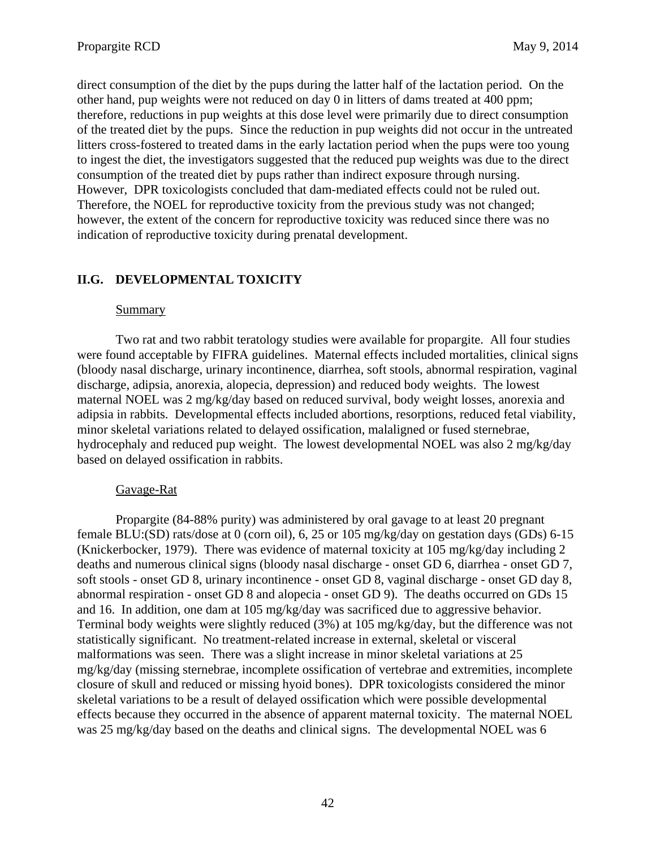direct consumption of the diet by the pups during the latter half of the lactation period. On the other hand, pup weights were not reduced on day 0 in litters of dams treated at 400 ppm; therefore, reductions in pup weights at this dose level were primarily due to direct consumption of the treated diet by the pups. Since the reduction in pup weights did not occur in the untreated litters cross-fostered to treated dams in the early lactation period when the pups were too young to ingest the diet, the investigators suggested that the reduced pup weights was due to the direct consumption of the treated diet by pups rather than indirect exposure through nursing. However, DPR toxicologists concluded that dam-mediated effects could not be ruled out. Therefore, the NOEL for reproductive toxicity from the previous study was not changed; however, the extent of the concern for reproductive toxicity was reduced since there was no indication of reproductive toxicity during prenatal development.

# **II.G. DEVELOPMENTAL TOXICITY**

## Summary

Two rat and two rabbit teratology studies were available for propargite. All four studies were found acceptable by FIFRA guidelines. Maternal effects included mortalities, clinical signs (bloody nasal discharge, urinary incontinence, diarrhea, soft stools, abnormal respiration, vaginal discharge, adipsia, anorexia, alopecia, depression) and reduced body weights. The lowest maternal NOEL was 2 mg/kg/day based on reduced survival, body weight losses, anorexia and adipsia in rabbits. Developmental effects included abortions, resorptions, reduced fetal viability, minor skeletal variations related to delayed ossification, malaligned or fused sternebrae, hydrocephaly and reduced pup weight. The lowest developmental NOEL was also 2 mg/kg/day based on delayed ossification in rabbits.

## Gavage-Rat

Propargite (84-88% purity) was administered by oral gavage to at least 20 pregnant female BLU:(SD) rats/dose at 0 (corn oil), 6, 25 or 105 mg/kg/day on gestation days (GDs) 6-15 (Knickerbocker, 1979). There was evidence of maternal toxicity at 105 mg/kg/day including 2 deaths and numerous clinical signs (bloody nasal discharge - onset GD 6, diarrhea - onset GD 7, soft stools - onset GD 8, urinary incontinence - onset GD 8, vaginal discharge - onset GD day 8, abnormal respiration - onset GD 8 and alopecia - onset GD 9). The deaths occurred on GDs 15 and 16. In addition, one dam at 105 mg/kg/day was sacrificed due to aggressive behavior. Terminal body weights were slightly reduced (3%) at 105 mg/kg/day, but the difference was not statistically significant. No treatment-related increase in external, skeletal or visceral malformations was seen. There was a slight increase in minor skeletal variations at 25 mg/kg/day (missing sternebrae, incomplete ossification of vertebrae and extremities, incomplete closure of skull and reduced or missing hyoid bones). DPR toxicologists considered the minor skeletal variations to be a result of delayed ossification which were possible developmental effects because they occurred in the absence of apparent maternal toxicity. The maternal NOEL was 25 mg/kg/day based on the deaths and clinical signs. The developmental NOEL was 6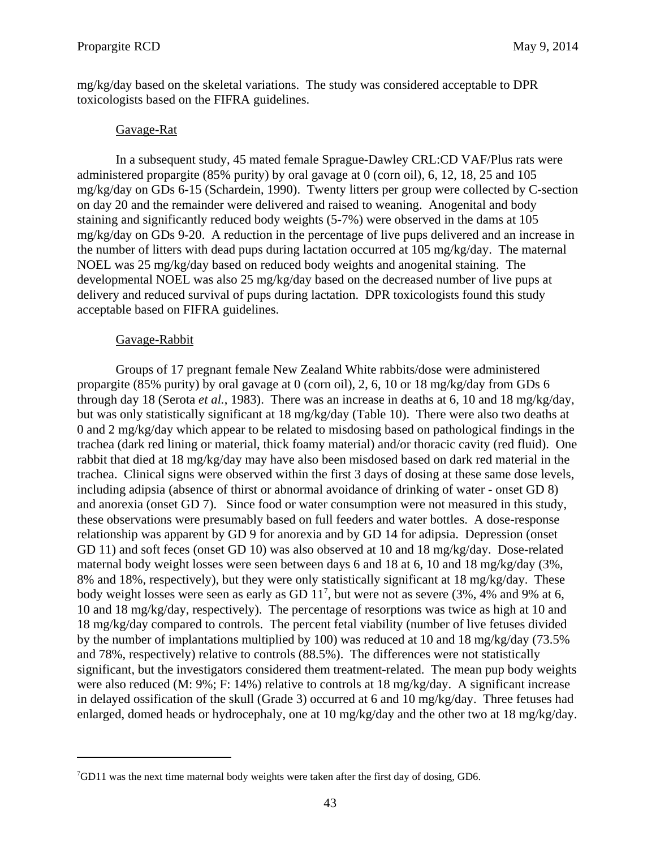mg/kg/day based on the skeletal variations. The study was considered acceptable to DPR toxicologists based on the FIFRA guidelines.

#### Gavage-Rat

In a subsequent study, 45 mated female Sprague-Dawley CRL:CD VAF/Plus rats were administered propargite (85% purity) by oral gavage at 0 (corn oil), 6, 12, 18, 25 and 105 mg/kg/day on GDs 6-15 (Schardein, 1990). Twenty litters per group were collected by C-section on day 20 and the remainder were delivered and raised to weaning. Anogenital and body staining and significantly reduced body weights (5-7%) were observed in the dams at 105 mg/kg/day on GDs 9-20. A reduction in the percentage of live pups delivered and an increase in the number of litters with dead pups during lactation occurred at 105 mg/kg/day. The maternal NOEL was 25 mg/kg/day based on reduced body weights and anogenital staining. The developmental NOEL was also 25 mg/kg/day based on the decreased number of live pups at delivery and reduced survival of pups during lactation. DPR toxicologists found this study acceptable based on FIFRA guidelines.

### Gavage-Rabbit

Groups of 17 pregnant female New Zealand White rabbits/dose were administered propargite (85% purity) by oral gavage at 0 (corn oil), 2, 6, 10 or 18 mg/kg/day from GDs 6 through day 18 (Serota *et al.*, 1983). There was an increase in deaths at 6, 10 and 18 mg/kg/day, but was only statistically significant at 18 mg/kg/day (Table 10). There were also two deaths at 0 and 2 mg/kg/day which appear to be related to misdosing based on pathological findings in the trachea (dark red lining or material, thick foamy material) and/or thoracic cavity (red fluid). One rabbit that died at 18 mg/kg/day may have also been misdosed based on dark red material in the trachea. Clinical signs were observed within the first 3 days of dosing at these same dose levels, including adipsia (absence of thirst or abnormal avoidance of drinking of water - onset GD 8) and anorexia (onset GD 7). Since food or water consumption were not measured in this study, these observations were presumably based on full feeders and water bottles. A dose-response relationship was apparent by GD 9 for anorexia and by GD 14 for adipsia. Depression (onset GD 11) and soft feces (onset GD 10) was also observed at 10 and 18 mg/kg/day. Dose-related maternal body weight losses were seen between days 6 and 18 at 6, 10 and 18 mg/kg/day (3%, 8% and 18%, respectively), but they were only statistically significant at 18 mg/kg/day. These body weight losses were seen as early as GD  $11^7$ , but were not as severe (3%, 4% and 9% at 6, 10 and 18 mg/kg/day, respectively). The percentage of resorptions was twice as high at 10 and 18 mg/kg/day compared to controls. The percent fetal viability (number of live fetuses divided by the number of implantations multiplied by 100) was reduced at 10 and 18 mg/kg/day (73.5% and 78%, respectively) relative to controls (88.5%). The differences were not statistically significant, but the investigators considered them treatment-related. The mean pup body weights were also reduced (M: 9%; F: 14%) relative to controls at 18 mg/kg/day. A significant increase in delayed ossification of the skull (Grade 3) occurred at 6 and 10 mg/kg/day. Three fetuses had enlarged, domed heads or hydrocephaly, one at 10 mg/kg/day and the other two at 18 mg/kg/day.

<sup>7</sup> GD11 was the next time maternal body weights were taken after the first day of dosing, GD6.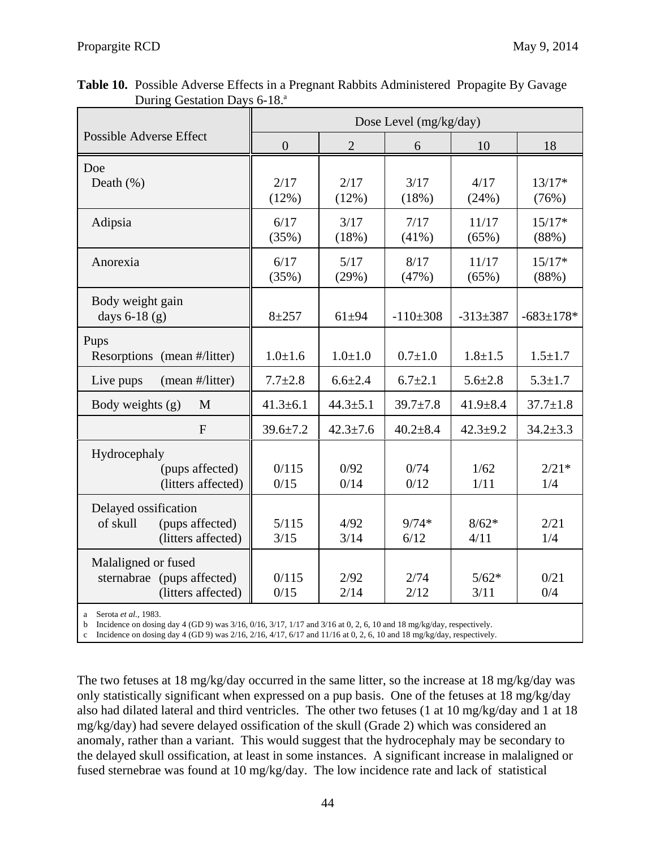|                                                                           |                |                | Dose Level (mg/kg/day) |                 |                   |
|---------------------------------------------------------------------------|----------------|----------------|------------------------|-----------------|-------------------|
| Possible Adverse Effect                                                   | $\overline{0}$ | $\overline{2}$ | 6                      | 10              | 18                |
| Doe<br>Death $(\%)$                                                       | 2/17<br>(12%)  | 2/17<br>(12%)  | 3/17<br>(18%)          | 4/17<br>(24%)   | $13/17*$<br>(76%) |
| Adipsia                                                                   | 6/17<br>(35%)  | 3/17<br>(18%)  | 7/17<br>$(41\%)$       | 11/17<br>(65%)  | $15/17*$<br>(88%) |
| Anorexia                                                                  | 6/17<br>(35%)  | 5/17<br>(29%)  | 8/17<br>(47%)          | 11/17<br>(65%)  | $15/17*$<br>(88%) |
| Body weight gain<br>days 6-18 (g)                                         | $8 + 257$      | $61 + 94$      | $-110\pm308$           | $-313+387$      | $-683 \pm 178$ *  |
| Pups<br>Resorptions (mean #/litter)                                       | $1.0 \pm 1.6$  | $1.0 + 1.0$    | $0.7 + 1.0$            | $1.8 + 1.5$     | $1.5 \pm 1.7$     |
| Live pups<br>(mean #/litter)                                              | $7.7 \pm 2.8$  | $6.6 \pm 2.4$  | $6.7 \pm 2.1$          | $5.6 \pm 2.8$   | $5.3 \pm 1.7$     |
| Body weights (g)<br>M                                                     | $41.3 \pm 6.1$ | $44.3 \pm 5.1$ | $39.7 \pm 7.8$         | $41.9 \pm 8.4$  | $37.7 \pm 1.8$    |
| F                                                                         | $39.6 \pm 7.2$ | $42.3 \pm 7.6$ | $40.2 \pm 8.4$         | $42.3 + 9.2$    | $34.2 \pm 3.3$    |
| Hydrocephaly<br>(pups affected)<br>(litters affected)                     | 0/115<br>0/15  | 0/92<br>0/14   | 0/74<br>0/12           | 1/62<br>1/11    | $2/21*$<br>1/4    |
| Delayed ossification<br>(pups affected)<br>of skull<br>(litters affected) | 5/115<br>3/15  | 4/92<br>3/14   | $9/74*$<br>6/12        | $8/62*$<br>4/11 | 2/21<br>1/4       |
| Malaligned or fused<br>sternabrae (pups affected)<br>(litters affected)   | 0/115<br>0/15  | 2/92<br>2/14   | 2/74<br>2/12           | $5/62*$<br>3/11 | 0/21<br>0/4       |

 **Table 10.** Possible Adverse Effects in a Pregnant Rabbits Administered Propagite By Gavage During Gestation Days 6-18.<sup>a</sup>

a Serota *et al.*, 1983.

b Incidence on dosing day 4 (GD 9) was 3/16, 0/16, 3/17, 1/17 and 3/16 at 0, 2, 6, 10 and 18 mg/kg/day, respectively.

c Incidence on dosing day 4 (GD 9) was  $2/16$ ,  $2/16$ ,  $4/17$ ,  $6/17$  and  $11/16$  at 0, 2, 6, 10 and 18 mg/kg/day, respectively.

The two fetuses at 18 mg/kg/day occurred in the same litter, so the increase at 18 mg/kg/day was only statistically significant when expressed on a pup basis. One of the fetuses at 18 mg/kg/day also had dilated lateral and third ventricles. The other two fetuses (1 at 10 mg/kg/day and 1 at 18 mg/kg/day) had severe delayed ossification of the skull (Grade 2) which was considered an anomaly, rather than a variant. This would suggest that the hydrocephaly may be secondary to the delayed skull ossification, at least in some instances. A significant increase in malaligned or fused sternebrae was found at 10 mg/kg/day. The low incidence rate and lack of statistical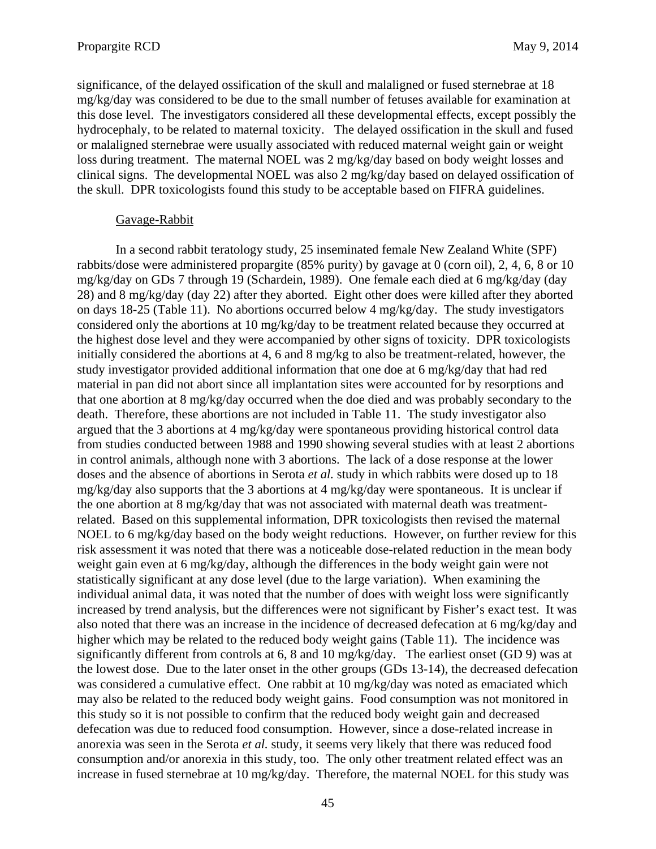significance, of the delayed ossification of the skull and malaligned or fused sternebrae at 18 mg/kg/day was considered to be due to the small number of fetuses available for examination at this dose level. The investigators considered all these developmental effects, except possibly the hydrocephaly, to be related to maternal toxicity. The delayed ossification in the skull and fused or malaligned sternebrae were usually associated with reduced maternal weight gain or weight loss during treatment. The maternal NOEL was 2 mg/kg/day based on body weight losses and clinical signs. The developmental NOEL was also 2 mg/kg/day based on delayed ossification of the skull. DPR toxicologists found this study to be acceptable based on FIFRA guidelines.

#### Gavage-Rabbit

In a second rabbit teratology study, 25 inseminated female New Zealand White (SPF) rabbits/dose were administered propargite (85% purity) by gavage at 0 (corn oil), 2, 4, 6, 8 or 10 mg/kg/day on GDs 7 through 19 (Schardein, 1989). One female each died at 6 mg/kg/day (day 28) and 8 mg/kg/day (day 22) after they aborted. Eight other does were killed after they aborted on days 18-25 (Table 11). No abortions occurred below 4 mg/kg/day. The study investigators considered only the abortions at 10 mg/kg/day to be treatment related because they occurred at the highest dose level and they were accompanied by other signs of toxicity. DPR toxicologists initially considered the abortions at 4, 6 and 8 mg/kg to also be treatment-related, however, the study investigator provided additional information that one doe at 6 mg/kg/day that had red material in pan did not abort since all implantation sites were accounted for by resorptions and that one abortion at 8 mg/kg/day occurred when the doe died and was probably secondary to the death. Therefore, these abortions are not included in Table 11. The study investigator also argued that the 3 abortions at 4 mg/kg/day were spontaneous providing historical control data from studies conducted between 1988 and 1990 showing several studies with at least 2 abortions in control animals, although none with 3 abortions. The lack of a dose response at the lower doses and the absence of abortions in Serota *et al.* study in which rabbits were dosed up to 18 mg/kg/day also supports that the 3 abortions at 4 mg/kg/day were spontaneous. It is unclear if the one abortion at 8 mg/kg/day that was not associated with maternal death was treatmentrelated. Based on this supplemental information, DPR toxicologists then revised the maternal NOEL to 6 mg/kg/day based on the body weight reductions. However, on further review for this risk assessment it was noted that there was a noticeable dose-related reduction in the mean body weight gain even at 6 mg/kg/day, although the differences in the body weight gain were not statistically significant at any dose level (due to the large variation). When examining the individual animal data, it was noted that the number of does with weight loss were significantly increased by trend analysis, but the differences were not significant by Fisher's exact test. It was also noted that there was an increase in the incidence of decreased defecation at 6 mg/kg/day and higher which may be related to the reduced body weight gains (Table 11). The incidence was significantly different from controls at 6, 8 and 10 mg/kg/day. The earliest onset (GD 9) was at the lowest dose. Due to the later onset in the other groups (GDs 13-14), the decreased defecation was considered a cumulative effect. One rabbit at 10 mg/kg/day was noted as emaciated which may also be related to the reduced body weight gains. Food consumption was not monitored in this study so it is not possible to confirm that the reduced body weight gain and decreased defecation was due to reduced food consumption. However, since a dose-related increase in anorexia was seen in the Serota *et al.* study, it seems very likely that there was reduced food consumption and/or anorexia in this study, too. The only other treatment related effect was an increase in fused sternebrae at 10 mg/kg/day. Therefore, the maternal NOEL for this study was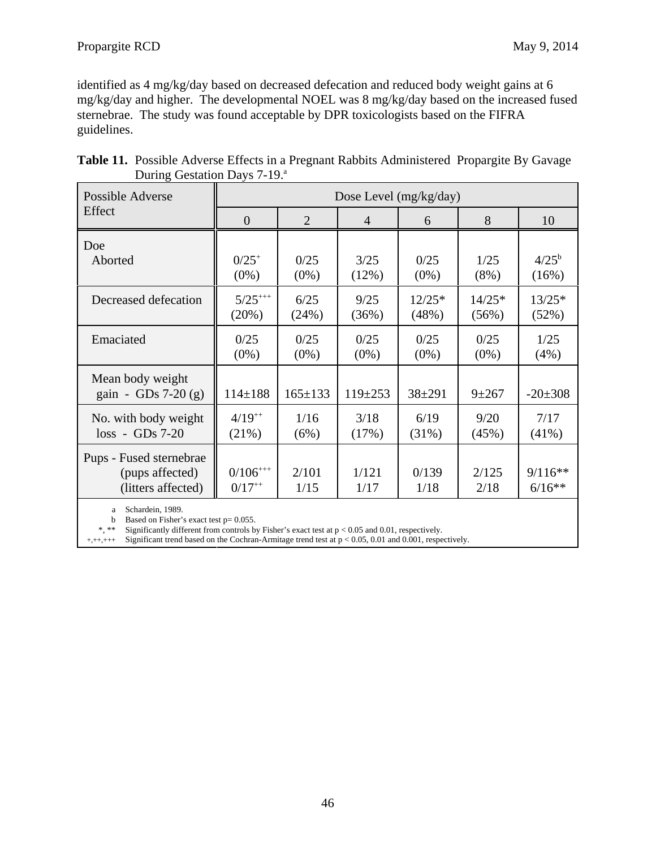identified as 4 mg/kg/day based on decreased defecation and reduced body weight gains at 6 mg/kg/day and higher. The developmental NOEL was 8 mg/kg/day based on the increased fused sternebrae. The study was found acceptable by DPR toxicologists based on the FIFRA guidelines.

| Table 11. Possible Adverse Effects in a Pregnant Rabbits Administered Propargite By Gavage |  |  |  |
|--------------------------------------------------------------------------------------------|--|--|--|
| During Gestation Days 7-19. <sup>a</sup>                                                   |  |  |  |

| Possible Adverse                                                 |                              |                | Dose Level $(mg/kg/day)$ |               |               |                       |
|------------------------------------------------------------------|------------------------------|----------------|--------------------------|---------------|---------------|-----------------------|
| Effect                                                           | $\overline{0}$               | $\overline{2}$ | $\overline{4}$           | 6             | 8             | 10                    |
| Doe                                                              | $0/25^{+}$                   | 0/25           | 3/25                     | 0/25          | 1/25          | $4/25^{\rm b}$        |
| Aborted                                                          | $(0\%)$                      | $(0\%)$        | (12%)                    | $(0\%)$       | $(8\%)$       | (16%)                 |
| Decreased defecation                                             | $5/25$ <sup>+++</sup>        | 6/25           | 9/25                     | $12/25*$      | $14/25*$      | $13/25*$              |
|                                                                  | $(20\%)$                     | (24%)          | (36%)                    | (48%)         | (56%)         | (52%)                 |
| Emaciated                                                        | 0/25                         | 0/25           | 0/25                     | 0/25          | 0/25          | 1/25                  |
|                                                                  | $(0\%)$                      | $(0\%)$        | $(0\%)$                  | $(0\%)$       | $(0\%)$       | (4%)                  |
| Mean body weight<br>gain - GDs 7-20 $(g)$                        | $114 \pm 188$                | $165 \pm 133$  | $119 \pm 253$            | $38 + 291$    | $9 + 267$     | $-20\pm 308$          |
| No. with body weight                                             | $4/19^{++}$                  | 1/16           | 3/18                     | 6/19          | 9/20          | 7/17                  |
| $loss - GDs 7-20$                                                | $(21\%)$                     | (6%)           | (17%)                    | $(31\%)$      | (45%)         | $(41\%)$              |
| Pups - Fused sternebrae<br>(pups affected)<br>(litters affected) | $0/106^{+++}$<br>$0/17^{++}$ | 2/101<br>1/15  | 1/121<br>1/17            | 0/139<br>1/18 | 2/125<br>2/18 | $9/116**$<br>$6/16**$ |

a Schardein, 1989.

b Based on Fisher's exact test  $p = 0.055$ .<br>\*, \*\* Significantly different from controls by

\*, \*\* Significantly different from controls by Fisher's exact test at p < 0.05 and 0.01, respectively.

+,++,+++ Significant trend based on the Cochran-Armitage trend test at p < 0.05, 0.01 and 0.001, respectively.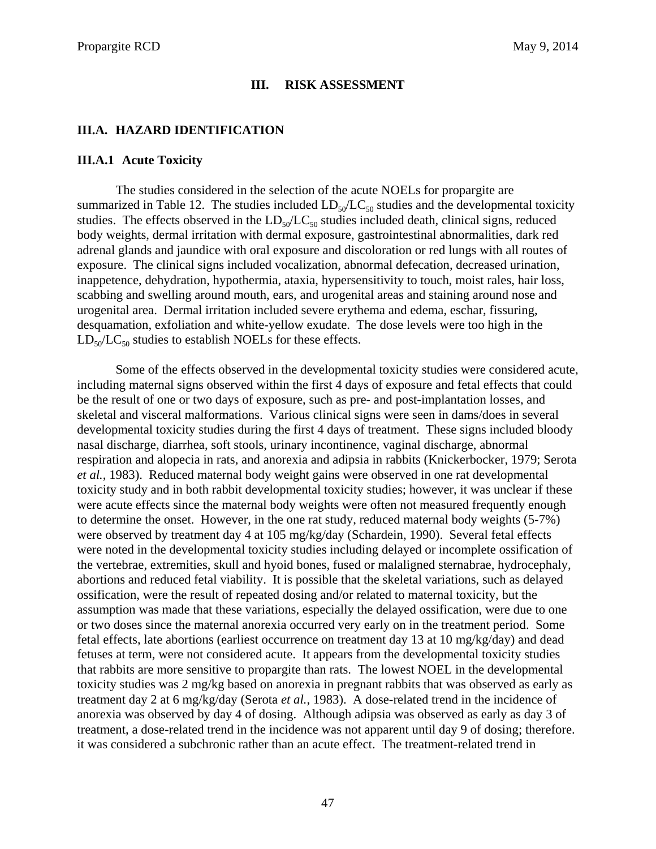## **III. RISK ASSESSMENT**

## **III.A. HAZARD IDENTIFICATION**

#### **III.A.1 Acute Toxicity**

The studies considered in the selection of the acute NOELs for propargite are summarized in Table 12. The studies included  $LD_{50}/LC_{50}$  studies and the developmental toxicity studies. The effects observed in the  $LD_{50}/LC_{50}$  studies included death, clinical signs, reduced body weights, dermal irritation with dermal exposure, gastrointestinal abnormalities, dark red adrenal glands and jaundice with oral exposure and discoloration or red lungs with all routes of exposure. The clinical signs included vocalization, abnormal defecation, decreased urination, inappetence, dehydration, hypothermia, ataxia, hypersensitivity to touch, moist rales, hair loss, scabbing and swelling around mouth, ears, and urogenital areas and staining around nose and urogenital area. Dermal irritation included severe erythema and edema, eschar, fissuring, desquamation, exfoliation and white-yellow exudate. The dose levels were too high in the  $LD_{50}/LC_{50}$  studies to establish NOELs for these effects.

Some of the effects observed in the developmental toxicity studies were considered acute, including maternal signs observed within the first 4 days of exposure and fetal effects that could be the result of one or two days of exposure, such as pre- and post-implantation losses, and skeletal and visceral malformations. Various clinical signs were seen in dams/does in several developmental toxicity studies during the first 4 days of treatment. These signs included bloody nasal discharge, diarrhea, soft stools, urinary incontinence, vaginal discharge, abnormal respiration and alopecia in rats, and anorexia and adipsia in rabbits (Knickerbocker, 1979; Serota *et al.*, 1983). Reduced maternal body weight gains were observed in one rat developmental toxicity study and in both rabbit developmental toxicity studies; however, it was unclear if these were acute effects since the maternal body weights were often not measured frequently enough to determine the onset. However, in the one rat study, reduced maternal body weights (5-7%) were observed by treatment day 4 at 105 mg/kg/day (Schardein, 1990). Several fetal effects were noted in the developmental toxicity studies including delayed or incomplete ossification of the vertebrae, extremities, skull and hyoid bones, fused or malaligned sternabrae, hydrocephaly, abortions and reduced fetal viability. It is possible that the skeletal variations, such as delayed ossification, were the result of repeated dosing and/or related to maternal toxicity, but the assumption was made that these variations, especially the delayed ossification, were due to one or two doses since the maternal anorexia occurred very early on in the treatment period. Some fetal effects, late abortions (earliest occurrence on treatment day 13 at 10 mg/kg/day) and dead fetuses at term, were not considered acute. It appears from the developmental toxicity studies that rabbits are more sensitive to propargite than rats. The lowest NOEL in the developmental toxicity studies was 2 mg/kg based on anorexia in pregnant rabbits that was observed as early as treatment day 2 at 6 mg/kg/day (Serota *et al.*, 1983). A dose-related trend in the incidence of anorexia was observed by day 4 of dosing. Although adipsia was observed as early as day 3 of treatment, a dose-related trend in the incidence was not apparent until day 9 of dosing; therefore. it was considered a subchronic rather than an acute effect. The treatment-related trend in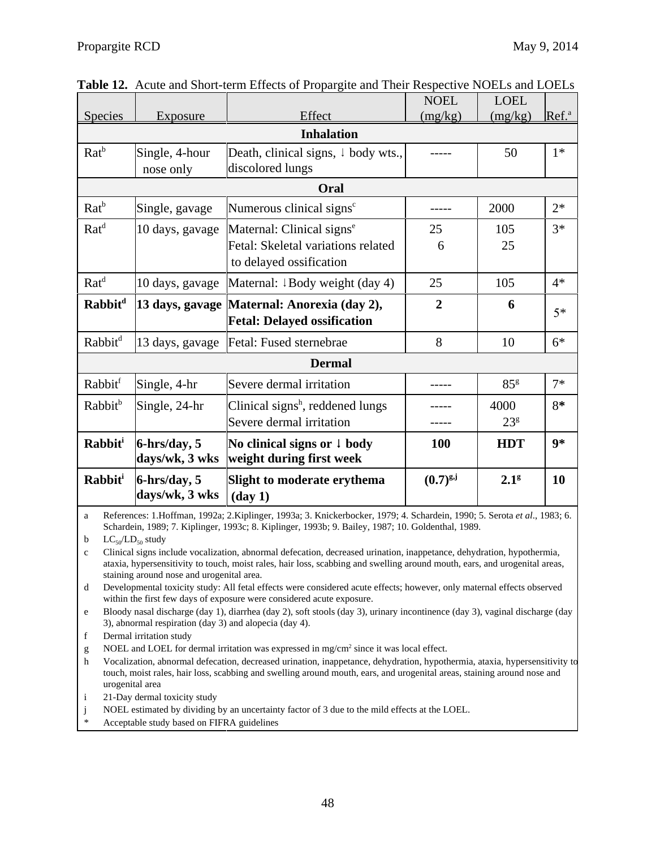|                            |                 |                                                | <b>NOEL</b>    | <b>LOEL</b>      |                   |
|----------------------------|-----------------|------------------------------------------------|----------------|------------------|-------------------|
| <b>Species</b>             | <b>Exposure</b> | Effect                                         | (mg/kg)        | (mg/kg)          | Ref. <sup>a</sup> |
|                            |                 |                                                |                |                  |                   |
| $Rat^b$                    | Single, 4-hour  | Death, clinical signs, $\downarrow$ body wts., |                | 50               | $1*$              |
|                            | nose only       | discolored lungs                               |                |                  |                   |
|                            |                 | Oral                                           |                |                  |                   |
| $Rat^b$                    | Single, gavage  | Numerous clinical signs <sup>c</sup>           |                | 2000             | $2*$              |
| Rat <sup>d</sup>           | 10 days, gavage | Maternal: Clinical signs <sup>e</sup>          | 25             | 105              | $3*$              |
|                            |                 | Fetal: Skeletal variations related             | 6              | 25               |                   |
|                            |                 | to delayed ossification                        |                |                  |                   |
| $Rat^d$                    | 10 days, gavage | Maternal: $\downarrow$ Body weight (day 4)     | 25             | 105              | $4*$              |
| <b>Rabbit</b> <sup>d</sup> |                 | 13 days, gavage   Maternal: Anorexia (day 2),  | $\overline{2}$ | 6                | $5*$              |
|                            |                 | <b>Fetal: Delayed ossification</b>             |                |                  |                   |
| Rabbit <sup>d</sup>        | 13 days, gavage | Fetal: Fused sternebrae                        | 8              | 10               | $6*$              |
|                            |                 | <b>Dermal</b>                                  |                |                  |                   |
| Rabbit <sup>f</sup>        | Single, 4-hr    | Severe dermal irritation                       |                | 85 <sup>g</sup>  | $7*$              |
| Rabbit <sup>b</sup>        | Single, 24-hr   | Clinical signs <sup>h</sup> , reddened lungs   |                | 4000             | $8*$              |
|                            |                 | Severe dermal irritation                       |                | 23 <sup>g</sup>  |                   |
| <b>Rabbit</b> <sup>i</sup> | $6$ -hrs/day, 5 | No clinical signs or $\downarrow$ body         | 100            | <b>HDT</b>       | $9*$              |
|                            | days/wk, 3 wks  | weight during first week                       |                |                  |                   |
| Rabbit <sup>i</sup>        | $6$ -hrs/day, 5 | Slight to moderate erythema                    | $(0.7)^{g,j}$  | 2.1 <sup>g</sup> | 10                |
|                            | days/wk, 3 wks  | $(\text{day } 1)$                              |                |                  |                   |

**Table 12.** Acute and Short-term Effects of Propargite and Their Respective NOELs and LOELs

a References: 1.Hoffman, 1992a; 2.Kiplinger, 1993a; 3. Knickerbocker, 1979; 4. Schardein, 1990; 5. Serota *et al*., 1983; 6. Schardein, 1989; 7. Kiplinger, 1993c; 8. Kiplinger, 1993b; 9. Bailey, 1987; 10. Goldenthal, 1989.

b  $LC_{50}/LD_{50}$  study

c Clinical signs include vocalization, abnormal defecation, decreased urination, inappetance, dehydration, hypothermia, ataxia, hypersensitivity to touch, moist rales, hair loss, scabbing and swelling around mouth, ears, and urogenital areas, staining around nose and urogenital area.

d Developmental toxicity study: All fetal effects were considered acute effects; however, only maternal effects observed within the first few days of exposure were considered acute exposure.

e Bloody nasal discharge (day 1), diarrhea (day 2), soft stools (day 3), urinary incontinence (day 3), vaginal discharge (day 3), abnormal respiration (day 3) and alopecia (day 4).

f Dermal irritation study

g NOEL and LOEL for dermal irritation was expressed in  $mg/cm^2$  since it was local effect.

h Vocalization, abnormal defecation, decreased urination, inappetance, dehydration, hypothermia, ataxia, hypersensitivity to touch, moist rales, hair loss, scabbing and swelling around mouth, ears, and urogenital areas, staining around nose and urogenital area

i 21-Day dermal toxicity study

j NOEL estimated by dividing by an uncertainty factor of 3 due to the mild effects at the LOEL.

Acceptable study based on FIFRA guidelines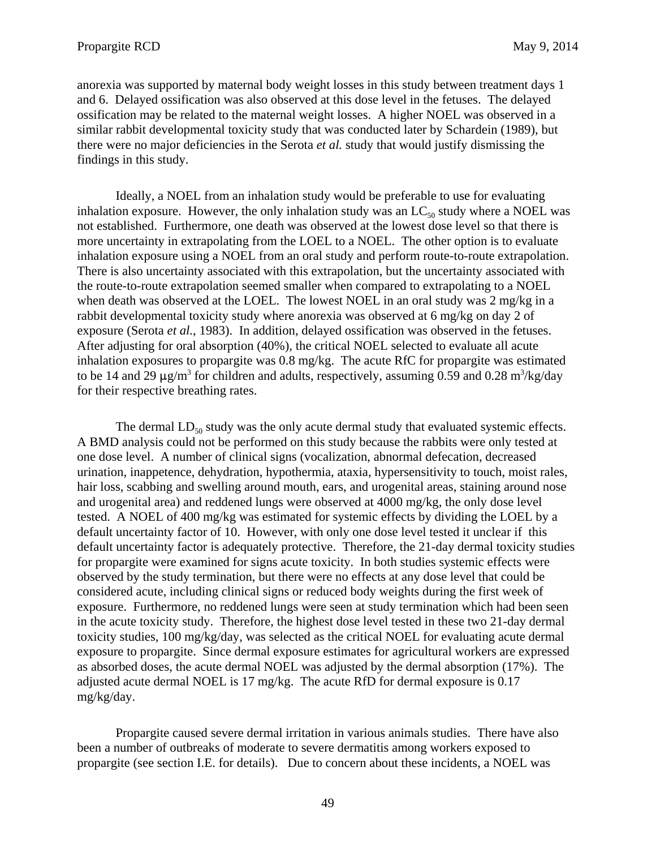anorexia was supported by maternal body weight losses in this study between treatment days 1 and 6. Delayed ossification was also observed at this dose level in the fetuses. The delayed ossification may be related to the maternal weight losses. A higher NOEL was observed in a similar rabbit developmental toxicity study that was conducted later by Schardein (1989), but there were no major deficiencies in the Serota *et al.* study that would justify dismissing the findings in this study.

Ideally, a NOEL from an inhalation study would be preferable to use for evaluating inhalation exposure. However, the only inhalation study was an  $LC_{50}$  study where a NOEL was not established. Furthermore, one death was observed at the lowest dose level so that there is more uncertainty in extrapolating from the LOEL to a NOEL. The other option is to evaluate inhalation exposure using a NOEL from an oral study and perform route-to-route extrapolation. There is also uncertainty associated with this extrapolation, but the uncertainty associated with the route-to-route extrapolation seemed smaller when compared to extrapolating to a NOEL when death was observed at the LOEL. The lowest NOEL in an oral study was 2 mg/kg in a rabbit developmental toxicity study where anorexia was observed at 6 mg/kg on day 2 of exposure (Serota *et al.*, 1983). In addition, delayed ossification was observed in the fetuses. After adjusting for oral absorption (40%), the critical NOEL selected to evaluate all acute inhalation exposures to propargite was 0.8 mg/kg. The acute RfC for propargite was estimated to be 14 and 29  $\mu$ g/m<sup>3</sup> for children and adults, respectively, assuming 0.59 and 0.28 m<sup>3</sup>/kg/day for their respective breathing rates.

The dermal  $LD_{50}$  study was the only acute dermal study that evaluated systemic effects. A BMD analysis could not be performed on this study because the rabbits were only tested at one dose level. A number of clinical signs (vocalization, abnormal defecation, decreased urination, inappetence, dehydration, hypothermia, ataxia, hypersensitivity to touch, moist rales, hair loss, scabbing and swelling around mouth, ears, and urogenital areas, staining around nose and urogenital area) and reddened lungs were observed at 4000 mg/kg, the only dose level tested. A NOEL of 400 mg/kg was estimated for systemic effects by dividing the LOEL by a default uncertainty factor of 10. However, with only one dose level tested it unclear if this default uncertainty factor is adequately protective. Therefore, the 21-day dermal toxicity studies for propargite were examined for signs acute toxicity. In both studies systemic effects were observed by the study termination, but there were no effects at any dose level that could be considered acute, including clinical signs or reduced body weights during the first week of exposure. Furthermore, no reddened lungs were seen at study termination which had been seen in the acute toxicity study. Therefore, the highest dose level tested in these two 21-day dermal toxicity studies, 100 mg/kg/day, was selected as the critical NOEL for evaluating acute dermal exposure to propargite. Since dermal exposure estimates for agricultural workers are expressed as absorbed doses, the acute dermal NOEL was adjusted by the dermal absorption (17%). The adjusted acute dermal NOEL is 17 mg/kg. The acute RfD for dermal exposure is 0.17 mg/kg/day.

Propargite caused severe dermal irritation in various animals studies. There have also been a number of outbreaks of moderate to severe dermatitis among workers exposed to propargite (see section I.E. for details). Due to concern about these incidents, a NOEL was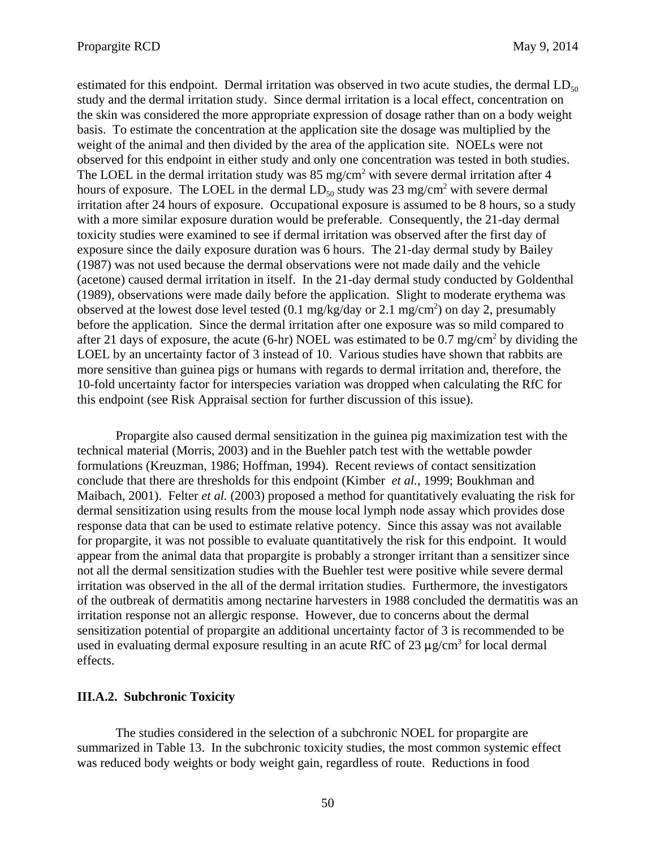estimated for this endpoint. Dermal irritation was observed in two acute studies, the dermal  $LD_{50}$ study and the dermal irritation study. Since dermal irritation is a local effect, concentration on the skin was considered the more appropriate expression of dosage rather than on a body weight basis. To estimate the concentration at the application site the dosage was multiplied by the weight of the animal and then divided by the area of the application site. NOELs were not observed for this endpoint in either study and only one concentration was tested in both studies. The LOEL in the dermal irritation study was  $85 \text{ mg/cm}^2$  with severe dermal irritation after 4 hours of exposure. The LOEL in the dermal  $LD_{50}$  study was 23 mg/cm<sup>2</sup> with severe dermal irritation after 24 hours of exposure. Occupational exposure is assumed to be 8 hours, so a study with a more similar exposure duration would be preferable. Consequently, the 21-day dermal toxicity studies were examined to see if dermal irritation was observed after the first day of exposure since the daily exposure duration was 6 hours. The 21-day dermal study by Bailey (1987) was not used because the dermal observations were not made daily and the vehicle (acetone) caused dermal irritation in itself. In the 21-day dermal study conducted by Goldenthal (1989), observations were made daily before the application. Slight to moderate erythema was observed at the lowest dose level tested  $(0.1 \text{ mg/kg/day or } 2.1 \text{ mg/cm}^2)$  on day 2, presumably before the application. Since the dermal irritation after one exposure was so mild compared to after 21 days of exposure, the acute (6-hr) NOEL was estimated to be  $0.7 \text{ mg/cm}^2$  by dividing the LOEL by an uncertainty factor of 3 instead of 10. Various studies have shown that rabbits are more sensitive than guinea pigs or humans with regards to dermal irritation and, therefore, the 10-fold uncertainty factor for interspecies variation was dropped when calculating the RfC for this endpoint (see Risk Appraisal section for further discussion of this issue).

Propargite also caused dermal sensitization in the guinea pig maximization test with the technical material (Morris, 2003) and in the Buehler patch test with the wettable powder formulations (Kreuzman, 1986; Hoffman, 1994). Recent reviews of contact sensitization conclude that there are thresholds for this endpoint (Kimber *et al.*, 1999; Boukhman and Maibach, 2001). Felter *et al.* (2003) proposed a method for quantitatively evaluating the risk for dermal sensitization using results from the mouse local lymph node assay which provides dose response data that can be used to estimate relative potency. Since this assay was not available for propargite, it was not possible to evaluate quantitatively the risk for this endpoint. It would appear from the animal data that propargite is probably a stronger irritant than a sensitizer since not all the dermal sensitization studies with the Buehler test were positive while severe dermal irritation was observed in the all of the dermal irritation studies. Furthermore, the investigators of the outbreak of dermatitis among nectarine harvesters in 1988 concluded the dermatitis was an irritation response not an allergic response. However, due to concerns about the dermal sensitization potential of propargite an additional uncertainty factor of 3 is recommended to be used in evaluating dermal exposure resulting in an acute RfC of  $23 \mu g/cm^3$  for local dermal effects.

#### **III.A.2. Subchronic Toxicity**

The studies considered in the selection of a subchronic NOEL for propargite are summarized in Table 13. In the subchronic toxicity studies, the most common systemic effect was reduced body weights or body weight gain, regardless of route. Reductions in food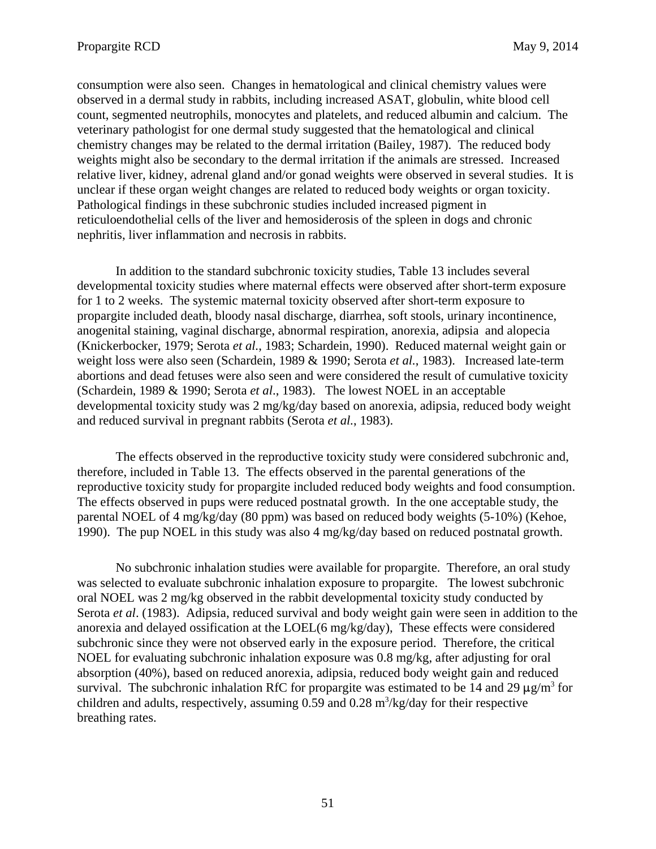consumption were also seen. Changes in hematological and clinical chemistry values were observed in a dermal study in rabbits, including increased ASAT, globulin, white blood cell count, segmented neutrophils, monocytes and platelets, and reduced albumin and calcium. The veterinary pathologist for one dermal study suggested that the hematological and clinical chemistry changes may be related to the dermal irritation (Bailey, 1987). The reduced body weights might also be secondary to the dermal irritation if the animals are stressed. Increased relative liver, kidney, adrenal gland and/or gonad weights were observed in several studies. It is unclear if these organ weight changes are related to reduced body weights or organ toxicity. Pathological findings in these subchronic studies included increased pigment in reticuloendothelial cells of the liver and hemosiderosis of the spleen in dogs and chronic nephritis, liver inflammation and necrosis in rabbits.

In addition to the standard subchronic toxicity studies, Table 13 includes several developmental toxicity studies where maternal effects were observed after short-term exposure for 1 to 2 weeks. The systemic maternal toxicity observed after short-term exposure to propargite included death, bloody nasal discharge, diarrhea, soft stools, urinary incontinence, anogenital staining, vaginal discharge, abnormal respiration, anorexia, adipsia and alopecia (Knickerbocker, 1979; Serota *et al.*, 1983; Schardein, 1990). Reduced maternal weight gain or weight loss were also seen (Schardein, 1989 & 1990; Serota *et al.*, 1983). Increased late-term abortions and dead fetuses were also seen and were considered the result of cumulative toxicity (Schardein, 1989 & 1990; Serota *et al*., 1983). The lowest NOEL in an acceptable developmental toxicity study was 2 mg/kg/day based on anorexia, adipsia, reduced body weight and reduced survival in pregnant rabbits (Serota *et al.*, 1983).

The effects observed in the reproductive toxicity study were considered subchronic and, therefore, included in Table 13. The effects observed in the parental generations of the reproductive toxicity study for propargite included reduced body weights and food consumption. The effects observed in pups were reduced postnatal growth. In the one acceptable study, the parental NOEL of 4 mg/kg/day (80 ppm) was based on reduced body weights (5-10%) (Kehoe, 1990). The pup NOEL in this study was also 4 mg/kg/day based on reduced postnatal growth.

No subchronic inhalation studies were available for propargite. Therefore, an oral study was selected to evaluate subchronic inhalation exposure to propargite. The lowest subchronic oral NOEL was 2 mg/kg observed in the rabbit developmental toxicity study conducted by Serota *et al*. (1983). Adipsia, reduced survival and body weight gain were seen in addition to the anorexia and delayed ossification at the LOEL(6 mg/kg/day), These effects were considered subchronic since they were not observed early in the exposure period. Therefore, the critical NOEL for evaluating subchronic inhalation exposure was 0.8 mg/kg, after adjusting for oral absorption (40%), based on reduced anorexia, adipsia, reduced body weight gain and reduced survival. The subchronic inhalation RfC for propargite was estimated to be 14 and 29  $\mu$ g/m<sup>3</sup> for children and adults, respectively, assuming  $0.59$  and  $0.28$  m<sup>3</sup>/kg/day for their respective breathing rates.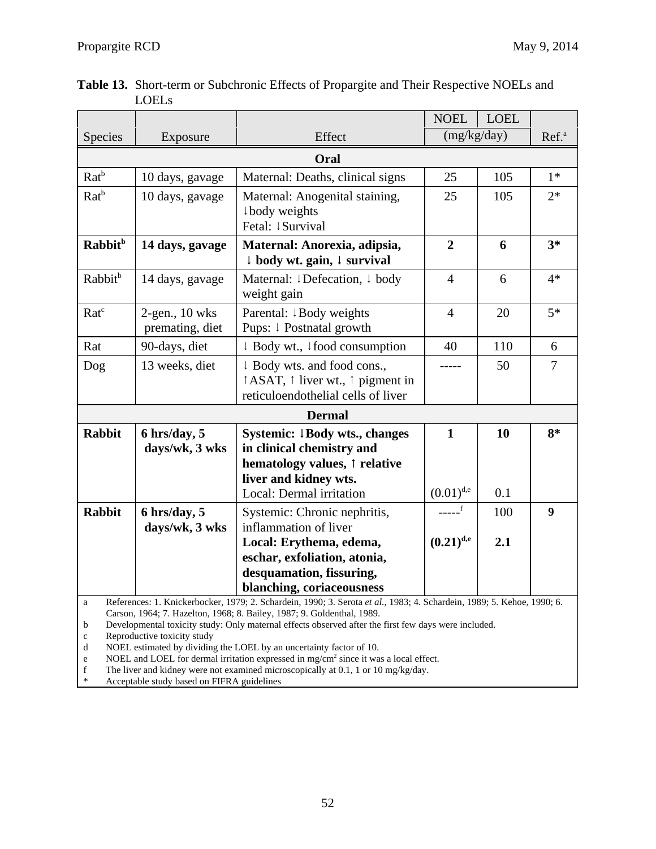|                                                     |                                      |                                                                                                                                                                                                                                                                                                                                                                                                                                                                                                                                                                          | <b>NOEL</b>                    | <b>LOEL</b>       |                |  |  |  |  |
|-----------------------------------------------------|--------------------------------------|--------------------------------------------------------------------------------------------------------------------------------------------------------------------------------------------------------------------------------------------------------------------------------------------------------------------------------------------------------------------------------------------------------------------------------------------------------------------------------------------------------------------------------------------------------------------------|--------------------------------|-------------------|----------------|--|--|--|--|
| Species                                             | Exposure                             | Effect                                                                                                                                                                                                                                                                                                                                                                                                                                                                                                                                                                   | (mg/kg/day)                    | Ref. <sup>a</sup> |                |  |  |  |  |
| Oral                                                |                                      |                                                                                                                                                                                                                                                                                                                                                                                                                                                                                                                                                                          |                                |                   |                |  |  |  |  |
| $Rat^b$                                             | 10 days, gavage                      | Maternal: Deaths, clinical signs                                                                                                                                                                                                                                                                                                                                                                                                                                                                                                                                         | 25                             | 105               | $1*$           |  |  |  |  |
| $Rat^b$                                             | 10 days, gavage                      | Maternal: Anogenital staining,<br>body weights<br>Fetal: <i>Survival</i>                                                                                                                                                                                                                                                                                                                                                                                                                                                                                                 | 25                             | 105               | $2*$           |  |  |  |  |
| Rabbit <sup>b</sup>                                 | 14 days, gavage                      | Maternal: Anorexia, adipsia,<br>↓ body wt. gain, ↓ survival                                                                                                                                                                                                                                                                                                                                                                                                                                                                                                              | $\overline{2}$                 | 6                 | $3*$           |  |  |  |  |
| Rabbit <sup>b</sup>                                 | 14 days, gavage                      | Maternal: ↓Defecation, ↓ body<br>weight gain                                                                                                                                                                                                                                                                                                                                                                                                                                                                                                                             | $\overline{4}$                 | 6                 | $4*$           |  |  |  |  |
| Ratc                                                | $2$ -gen., 10 wks<br>premating, diet | Parental: ↓Body weights<br>Pups: ↓ Postnatal growth                                                                                                                                                                                                                                                                                                                                                                                                                                                                                                                      | $\overline{4}$                 | 20                | $5*$           |  |  |  |  |
| Rat                                                 | 90-days, diet                        | $\downarrow$ Body wt., $\downarrow$ food consumption                                                                                                                                                                                                                                                                                                                                                                                                                                                                                                                     | 40                             | 110               | 6              |  |  |  |  |
| Dog                                                 | 13 weeks, diet                       | ↓ Body wts. and food cons.,<br>↑ ASAT, ↑ liver wt., ↑ pigment in<br>reticuloendothelial cells of liver                                                                                                                                                                                                                                                                                                                                                                                                                                                                   | -----                          | 50                | $\overline{7}$ |  |  |  |  |
|                                                     |                                      | <b>Dermal</b>                                                                                                                                                                                                                                                                                                                                                                                                                                                                                                                                                            |                                |                   |                |  |  |  |  |
| <b>Rabbit</b>                                       | $6$ hrs/day, $5$<br>days/wk, 3 wks   | Systemic: 1Body wts., changes<br>in clinical chemistry and<br>hematology values, 1 relative<br>liver and kidney wts.<br>Local: Dermal irritation                                                                                                                                                                                                                                                                                                                                                                                                                         | $\mathbf{1}$<br>$(0.01)^{d,e}$ | 10<br>0.1         | $8*$           |  |  |  |  |
| <b>Rabbit</b><br>$6$ hrs/day, $5$<br>days/wk, 3 wks |                                      | Systemic: Chronic nephritis,<br>inflammation of liver<br>Local: Erythema, edema,<br>eschar, exfoliation, atonia,                                                                                                                                                                                                                                                                                                                                                                                                                                                         | _____f<br>$(0.21)^{d,e}$       | 100<br>2.1        | 9              |  |  |  |  |
|                                                     |                                      | desquamation, fissuring,<br>blanching, coriaceousness                                                                                                                                                                                                                                                                                                                                                                                                                                                                                                                    |                                |                   |                |  |  |  |  |
| a<br>b<br>$\mathbf c$<br>d<br>e<br>f                | Reproductive toxicity study          | References: 1. Knickerbocker, 1979; 2. Schardein, 1990; 3. Serota et al., 1983; 4. Schardein, 1989; 5. Kehoe, 1990; 6.<br>Carson, 1964; 7. Hazelton, 1968; 8. Bailey, 1987; 9. Goldenthal, 1989.<br>Developmental toxicity study: Only maternal effects observed after the first few days were included.<br>NOEL estimated by dividing the LOEL by an uncertainty factor of 10.<br>NOEL and LOEL for dermal irritation expressed in mg/cm <sup>2</sup> since it was a local effect.<br>The liver and kidney were not examined microscopically at 0.1, 1 or 10 mg/kg/day. |                                |                   |                |  |  |  |  |

 **Table 13.** Short-term or Subchronic Effects of Propargite and Their Respective NOELs and LOELs

\* Acceptable study based on FIFRA guidelines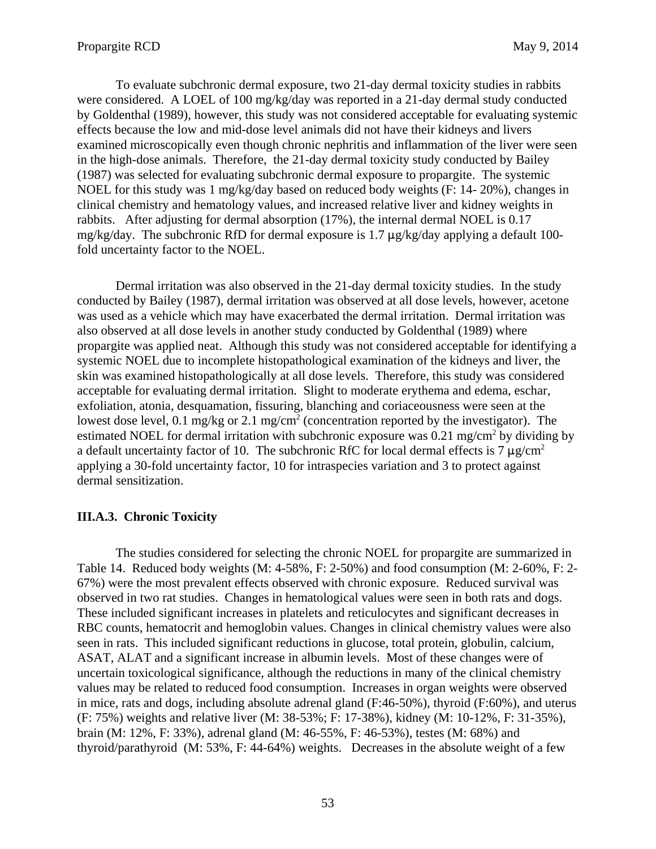To evaluate subchronic dermal exposure, two 21-day dermal toxicity studies in rabbits were considered. A LOEL of 100 mg/kg/day was reported in a 21-day dermal study conducted by Goldenthal (1989), however, this study was not considered acceptable for evaluating systemic effects because the low and mid-dose level animals did not have their kidneys and livers examined microscopically even though chronic nephritis and inflammation of the liver were seen in the high-dose animals. Therefore, the 21-day dermal toxicity study conducted by Bailey (1987) was selected for evaluating subchronic dermal exposure to propargite. The systemic NOEL for this study was 1 mg/kg/day based on reduced body weights (F: 14- 20%), changes in clinical chemistry and hematology values, and increased relative liver and kidney weights in rabbits. After adjusting for dermal absorption (17%), the internal dermal NOEL is 0.17 mg/kg/day. The subchronic RfD for dermal exposure is 1.7  $\mu$ g/kg/day applying a default 100fold uncertainty factor to the NOEL.

Dermal irritation was also observed in the 21-day dermal toxicity studies. In the study conducted by Bailey (1987), dermal irritation was observed at all dose levels, however, acetone was used as a vehicle which may have exacerbated the dermal irritation. Dermal irritation was also observed at all dose levels in another study conducted by Goldenthal (1989) where propargite was applied neat. Although this study was not considered acceptable for identifying a systemic NOEL due to incomplete histopathological examination of the kidneys and liver, the skin was examined histopathologically at all dose levels. Therefore, this study was considered acceptable for evaluating dermal irritation. Slight to moderate erythema and edema, eschar, exfoliation, atonia, desquamation, fissuring, blanching and coriaceousness were seen at the lowest dose level, 0.1 mg/kg or 2.1 mg/cm<sup>2</sup> (concentration reported by the investigator). The estimated NOEL for dermal irritation with subchronic exposure was  $0.21 \text{ mg/cm}^2$  by dividing by a default uncertainty factor of 10. The subchronic RfC for local dermal effects is 7  $\mu$ g/cm<sup>2</sup> applying a 30-fold uncertainty factor, 10 for intraspecies variation and 3 to protect against dermal sensitization.

## **III.A.3. Chronic Toxicity**

The studies considered for selecting the chronic NOEL for propargite are summarized in Table 14. Reduced body weights  $(M: 4-58\% \text{ F}: 2-50\%)$  and food consumption  $(M: 2-60\% \text{ F}: 2-50\%)$ 67%) were the most prevalent effects observed with chronic exposure. Reduced survival was observed in two rat studies. Changes in hematological values were seen in both rats and dogs. These included significant increases in platelets and reticulocytes and significant decreases in RBC counts, hematocrit and hemoglobin values. Changes in clinical chemistry values were also seen in rats. This included significant reductions in glucose, total protein, globulin, calcium, ASAT, ALAT and a significant increase in albumin levels. Most of these changes were of uncertain toxicological significance, although the reductions in many of the clinical chemistry values may be related to reduced food consumption. Increases in organ weights were observed in mice, rats and dogs, including absolute adrenal gland (F:46-50%), thyroid (F:60%), and uterus (F: 75%) weights and relative liver (M: 38-53%; F: 17-38%), kidney (M: 10-12%, F: 31-35%), brain (M: 12%, F: 33%), adrenal gland (M: 46-55%, F: 46-53%), testes (M: 68%) and thyroid/parathyroid (M: 53%, F: 44-64%) weights. Decreases in the absolute weight of a few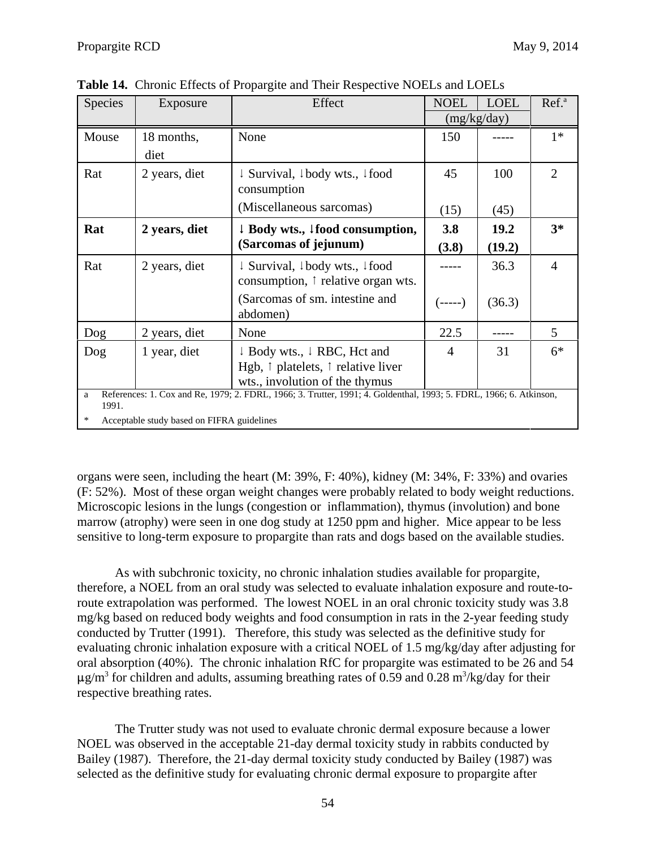| Species         | Exposure                                   | Effect                                                                                                                                      | <b>NOEL</b>    | <b>LOEL</b> | Ref. <sup>a</sup> |
|-----------------|--------------------------------------------|---------------------------------------------------------------------------------------------------------------------------------------------|----------------|-------------|-------------------|
|                 |                                            |                                                                                                                                             |                | (mg/kg/day) |                   |
| Mouse           | 18 months,                                 | None                                                                                                                                        | 150            |             | $1*$              |
|                 | diet                                       |                                                                                                                                             |                |             |                   |
| Rat             | 2 years, diet                              | $\downarrow$ Survival, $\downarrow$ body wts., $\downarrow$ food<br>consumption                                                             | 45             | 100         | $\overline{2}$    |
|                 |                                            | (Miscellaneous sarcomas)                                                                                                                    | (15)           | (45)        |                   |
| Rat             | 2 years, diet                              | $\downarrow$ Body wts., $\downarrow$ food consumption,                                                                                      | 3.8            | 19.2        | $3*$              |
|                 |                                            | (Sarcomas of jejunum)                                                                                                                       | (3.8)          | (19.2)      |                   |
| Rat             | 2 years, diet                              | ↓ Survival, ↓body wts., ↓food<br>consumption, $\uparrow$ relative organ wts.                                                                |                | 36.3        | $\overline{4}$    |
|                 |                                            | (Sarcomas of sm. intestine and<br>abdomen)                                                                                                  | (-----)        | (36.3)      |                   |
| Dog             | 2 years, diet                              | None                                                                                                                                        | 22.5           |             | 5                 |
| Dog             | 1 year, diet                               | $\downarrow$ Body wts., $\downarrow$ RBC, Hct and<br>Hgb, $\uparrow$ platelets, $\uparrow$ relative liver<br>wts., involution of the thymus | $\overline{4}$ | 31          | $6*$              |
| a<br>1991.<br>∗ | Acceptable study based on FIFRA guidelines | References: 1. Cox and Re, 1979; 2. FDRL, 1966; 3. Trutter, 1991; 4. Goldenthal, 1993; 5. FDRL, 1966; 6. Atkinson,                          |                |             |                   |

**Table 14.** Chronic Effects of Propargite and Their Respective NOELs and LOELs

organs were seen, including the heart (M: 39%, F: 40%), kidney (M: 34%, F: 33%) and ovaries (F: 52%). Most of these organ weight changes were probably related to body weight reductions. Microscopic lesions in the lungs (congestion or inflammation), thymus (involution) and bone marrow (atrophy) were seen in one dog study at 1250 ppm and higher. Mice appear to be less sensitive to long-term exposure to propargite than rats and dogs based on the available studies.

As with subchronic toxicity, no chronic inhalation studies available for propargite, therefore, a NOEL from an oral study was selected to evaluate inhalation exposure and route-toroute extrapolation was performed. The lowest NOEL in an oral chronic toxicity study was 3.8 mg/kg based on reduced body weights and food consumption in rats in the 2-year feeding study conducted by Trutter (1991). Therefore, this study was selected as the definitive study for evaluating chronic inhalation exposure with a critical NOEL of 1.5 mg/kg/day after adjusting for oral absorption (40%). The chronic inhalation RfC for propargite was estimated to be 26 and 54  $\mu$ g/m<sup>3</sup> for children and adults, assuming breathing rates of 0.59 and 0.28 m<sup>3</sup>/kg/day for their respective breathing rates.

The Trutter study was not used to evaluate chronic dermal exposure because a lower NOEL was observed in the acceptable 21-day dermal toxicity study in rabbits conducted by Bailey (1987). Therefore, the 21-day dermal toxicity study conducted by Bailey (1987) was selected as the definitive study for evaluating chronic dermal exposure to propargite after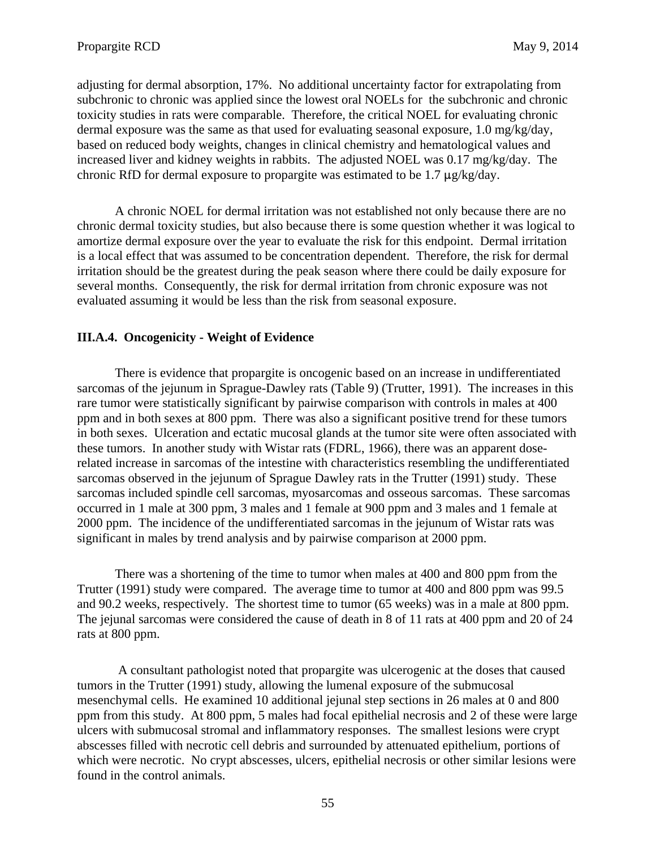adjusting for dermal absorption, 17%. No additional uncertainty factor for extrapolating from subchronic to chronic was applied since the lowest oral NOELs for the subchronic and chronic toxicity studies in rats were comparable. Therefore, the critical NOEL for evaluating chronic dermal exposure was the same as that used for evaluating seasonal exposure, 1.0 mg/kg/day, based on reduced body weights, changes in clinical chemistry and hematological values and increased liver and kidney weights in rabbits. The adjusted NOEL was 0.17 mg/kg/day. The chronic RfD for dermal exposure to propargite was estimated to be  $1.7 \mu g/kg/day$ .

A chronic NOEL for dermal irritation was not established not only because there are no chronic dermal toxicity studies, but also because there is some question whether it was logical to amortize dermal exposure over the year to evaluate the risk for this endpoint. Dermal irritation is a local effect that was assumed to be concentration dependent. Therefore, the risk for dermal irritation should be the greatest during the peak season where there could be daily exposure for several months. Consequently, the risk for dermal irritation from chronic exposure was not evaluated assuming it would be less than the risk from seasonal exposure.

## **III.A.4. Oncogenicity - Weight of Evidence**

There is evidence that propargite is oncogenic based on an increase in undifferentiated sarcomas of the jejunum in Sprague-Dawley rats (Table 9) (Trutter, 1991). The increases in this rare tumor were statistically significant by pairwise comparison with controls in males at 400 ppm and in both sexes at 800 ppm. There was also a significant positive trend for these tumors in both sexes. Ulceration and ectatic mucosal glands at the tumor site were often associated with these tumors. In another study with Wistar rats (FDRL, 1966), there was an apparent doserelated increase in sarcomas of the intestine with characteristics resembling the undifferentiated sarcomas observed in the jejunum of Sprague Dawley rats in the Trutter (1991) study. These sarcomas included spindle cell sarcomas, myosarcomas and osseous sarcomas. These sarcomas occurred in 1 male at 300 ppm, 3 males and 1 female at 900 ppm and 3 males and 1 female at 2000 ppm. The incidence of the undifferentiated sarcomas in the jejunum of Wistar rats was significant in males by trend analysis and by pairwise comparison at 2000 ppm.

There was a shortening of the time to tumor when males at 400 and 800 ppm from the Trutter (1991) study were compared. The average time to tumor at 400 and 800 ppm was 99.5 and 90.2 weeks, respectively. The shortest time to tumor (65 weeks) was in a male at 800 ppm. The jejunal sarcomas were considered the cause of death in 8 of 11 rats at 400 ppm and 20 of 24 rats at 800 ppm.

 A consultant pathologist noted that propargite was ulcerogenic at the doses that caused tumors in the Trutter (1991) study, allowing the lumenal exposure of the submucosal mesenchymal cells. He examined 10 additional jejunal step sections in 26 males at 0 and 800 ppm from this study. At 800 ppm, 5 males had focal epithelial necrosis and 2 of these were large ulcers with submucosal stromal and inflammatory responses. The smallest lesions were crypt abscesses filled with necrotic cell debris and surrounded by attenuated epithelium, portions of which were necrotic. No crypt abscesses, ulcers, epithelial necrosis or other similar lesions were found in the control animals.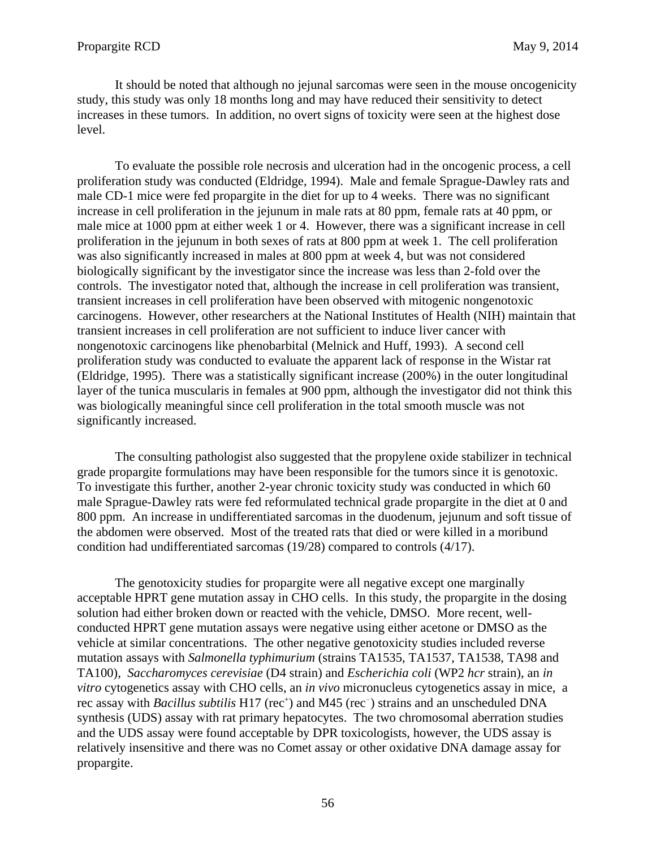It should be noted that although no jejunal sarcomas were seen in the mouse oncogenicity study, this study was only 18 months long and may have reduced their sensitivity to detect increases in these tumors. In addition, no overt signs of toxicity were seen at the highest dose level.

To evaluate the possible role necrosis and ulceration had in the oncogenic process, a cell proliferation study was conducted (Eldridge, 1994). Male and female Sprague-Dawley rats and male CD-1 mice were fed propargite in the diet for up to 4 weeks. There was no significant increase in cell proliferation in the jejunum in male rats at 80 ppm, female rats at 40 ppm, or male mice at 1000 ppm at either week 1 or 4. However, there was a significant increase in cell proliferation in the jejunum in both sexes of rats at 800 ppm at week 1. The cell proliferation was also significantly increased in males at 800 ppm at week 4, but was not considered biologically significant by the investigator since the increase was less than 2-fold over the controls. The investigator noted that, although the increase in cell proliferation was transient, transient increases in cell proliferation have been observed with mitogenic nongenotoxic carcinogens. However, other researchers at the National Institutes of Health (NIH) maintain that transient increases in cell proliferation are not sufficient to induce liver cancer with nongenotoxic carcinogens like phenobarbital (Melnick and Huff, 1993). A second cell proliferation study was conducted to evaluate the apparent lack of response in the Wistar rat (Eldridge, 1995). There was a statistically significant increase (200%) in the outer longitudinal layer of the tunica muscularis in females at 900 ppm, although the investigator did not think this was biologically meaningful since cell proliferation in the total smooth muscle was not significantly increased.

The consulting pathologist also suggested that the propylene oxide stabilizer in technical grade propargite formulations may have been responsible for the tumors since it is genotoxic. To investigate this further, another 2-year chronic toxicity study was conducted in which 60 male Sprague-Dawley rats were fed reformulated technical grade propargite in the diet at 0 and 800 ppm. An increase in undifferentiated sarcomas in the duodenum, jejunum and soft tissue of the abdomen were observed. Most of the treated rats that died or were killed in a moribund condition had undifferentiated sarcomas (19/28) compared to controls (4/17).

The genotoxicity studies for propargite were all negative except one marginally acceptable HPRT gene mutation assay in CHO cells. In this study, the propargite in the dosing solution had either broken down or reacted with the vehicle, DMSO. More recent, wellconducted HPRT gene mutation assays were negative using either acetone or DMSO as the vehicle at similar concentrations. The other negative genotoxicity studies included reverse mutation assays with *Salmonella typhimurium* (strains TA1535, TA1537, TA1538, TA98 and TA100), *Saccharomyces cerevisiae* (D4 strain) and *Escherichia coli* (WP2 *hcr* strain), an *in vitro* cytogenetics assay with CHO cells, an *in vivo* micronucleus cytogenetics assay in mice, a rec assay with *Bacillus subtilis* H17 (rec<sup>+</sup>) and M45 (rec<sup>-</sup>) strains and an unscheduled DNA synthesis (UDS) assay with rat primary hepatocytes. The two chromosomal aberration studies and the UDS assay were found acceptable by DPR toxicologists, however, the UDS assay is relatively insensitive and there was no Comet assay or other oxidative DNA damage assay for propargite.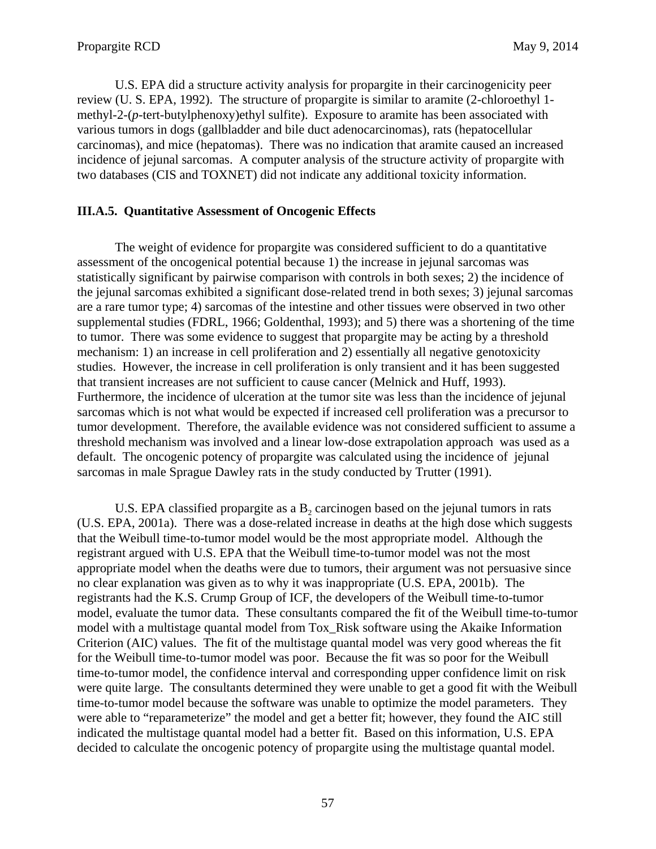U.S. EPA did a structure activity analysis for propargite in their carcinogenicity peer review (U. S. EPA, 1992). The structure of propargite is similar to aramite (2-chloroethyl 1 methyl-2-(*p*-tert-butylphenoxy)ethyl sulfite). Exposure to aramite has been associated with various tumors in dogs (gallbladder and bile duct adenocarcinomas), rats (hepatocellular carcinomas), and mice (hepatomas). There was no indication that aramite caused an increased incidence of jejunal sarcomas. A computer analysis of the structure activity of propargite with two databases (CIS and TOXNET) did not indicate any additional toxicity information.

## **III.A.5. Quantitative Assessment of Oncogenic Effects**

The weight of evidence for propargite was considered sufficient to do a quantitative assessment of the oncogenical potential because 1) the increase in jejunal sarcomas was statistically significant by pairwise comparison with controls in both sexes; 2) the incidence of the jejunal sarcomas exhibited a significant dose-related trend in both sexes; 3) jejunal sarcomas are a rare tumor type; 4) sarcomas of the intestine and other tissues were observed in two other supplemental studies (FDRL, 1966; Goldenthal, 1993); and 5) there was a shortening of the time to tumor. There was some evidence to suggest that propargite may be acting by a threshold mechanism: 1) an increase in cell proliferation and 2) essentially all negative genotoxicity studies. However, the increase in cell proliferation is only transient and it has been suggested that transient increases are not sufficient to cause cancer (Melnick and Huff, 1993). Furthermore, the incidence of ulceration at the tumor site was less than the incidence of jejunal sarcomas which is not what would be expected if increased cell proliferation was a precursor to tumor development. Therefore, the available evidence was not considered sufficient to assume a threshold mechanism was involved and a linear low-dose extrapolation approach was used as a default. The oncogenic potency of propargite was calculated using the incidence of jejunal sarcomas in male Sprague Dawley rats in the study conducted by Trutter (1991).

U.S. EPA classified propargite as a  $B<sub>2</sub>$  carcinogen based on the jejunal tumors in rats (U.S. EPA, 2001a). There was a dose-related increase in deaths at the high dose which suggests that the Weibull time-to-tumor model would be the most appropriate model. Although the registrant argued with U.S. EPA that the Weibull time-to-tumor model was not the most appropriate model when the deaths were due to tumors, their argument was not persuasive since no clear explanation was given as to why it was inappropriate (U.S. EPA, 2001b). The registrants had the K.S. Crump Group of ICF, the developers of the Weibull time-to-tumor model, evaluate the tumor data. These consultants compared the fit of the Weibull time-to-tumor model with a multistage quantal model from Tox\_Risk software using the Akaike Information Criterion (AIC) values. The fit of the multistage quantal model was very good whereas the fit for the Weibull time-to-tumor model was poor. Because the fit was so poor for the Weibull time-to-tumor model, the confidence interval and corresponding upper confidence limit on risk were quite large. The consultants determined they were unable to get a good fit with the Weibull time-to-tumor model because the software was unable to optimize the model parameters. They were able to "reparameterize" the model and get a better fit; however, they found the AIC still indicated the multistage quantal model had a better fit. Based on this information, U.S. EPA decided to calculate the oncogenic potency of propargite using the multistage quantal model.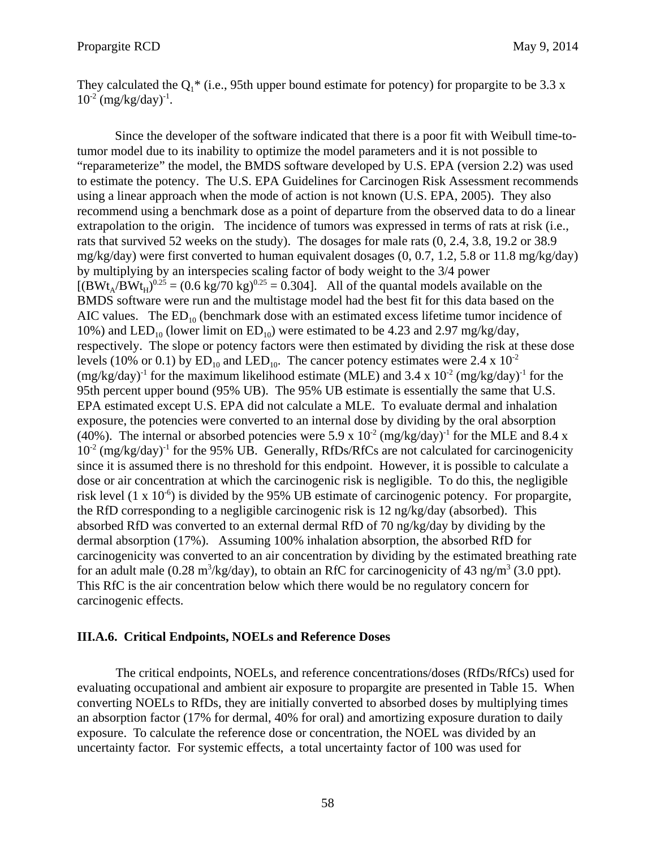They calculated the  $Q_1^*$  (i.e., 95th upper bound estimate for potency) for propargite to be 3.3 x  $10^{-2}$  (mg/kg/day)<sup>-1</sup>.

Since the developer of the software indicated that there is a poor fit with Weibull time-totumor model due to its inability to optimize the model parameters and it is not possible to "reparameterize" the model, the BMDS software developed by U.S. EPA (version 2.2) was used to estimate the potency. The U.S. EPA Guidelines for Carcinogen Risk Assessment recommends using a linear approach when the mode of action is not known (U.S. EPA, 2005). They also recommend using a benchmark dose as a point of departure from the observed data to do a linear extrapolation to the origin. The incidence of tumors was expressed in terms of rats at risk (i.e., rats that survived 52 weeks on the study). The dosages for male rats (0, 2.4, 3.8, 19.2 or 38.9 mg/kg/day) were first converted to human equivalent dosages (0, 0.7, 1.2, 5.8 or 11.8 mg/kg/day) by multiplying by an interspecies scaling factor of body weight to the 3/4 power  $[(BWt_A/BWt_H)^{0.25} = (0.6 \text{ kg}/70 \text{ kg})^{0.25} = 0.304]$ . All of the quantal models available on the BMDS software were run and the multistage model had the best fit for this data based on the AIC values. The  $ED_{10}$  (benchmark dose with an estimated excess lifetime tumor incidence of 10%) and LED<sub>10</sub> (lower limit on ED<sub>10</sub>) were estimated to be 4.23 and 2.97 mg/kg/day, respectively. The slope or potency factors were then estimated by dividing the risk at these dose levels (10% or 0.1) by  $ED_{10}$  and  $LED_{10}$ . The cancer potency estimates were 2.4 x 10<sup>-2</sup>  $(mg/kg/day)^{-1}$  for the maximum likelihood estimate (MLE) and 3.4 x 10<sup>-2</sup> (mg/kg/day)<sup>-1</sup> for the 95th percent upper bound (95% UB). The 95% UB estimate is essentially the same that U.S. EPA estimated except U.S. EPA did not calculate a MLE. To evaluate dermal and inhalation exposure, the potencies were converted to an internal dose by dividing by the oral absorption (40%). The internal or absorbed potencies were 5.9 x  $10^{-2}$  (mg/kg/day)<sup>-1</sup> for the MLE and 8.4 x  $10^{-2}$  (mg/kg/day)<sup>-1</sup> for the 95% UB. Generally, RfDs/RfCs are not calculated for carcinogenicity since it is assumed there is no threshold for this endpoint. However, it is possible to calculate a dose or air concentration at which the carcinogenic risk is negligible. To do this, the negligible risk level  $(1 \times 10^{-6})$  is divided by the 95% UB estimate of carcinogenic potency. For propargite, the RfD corresponding to a negligible carcinogenic risk is 12 ng/kg/day (absorbed). This absorbed RfD was converted to an external dermal RfD of 70 ng/kg/day by dividing by the dermal absorption (17%). Assuming 100% inhalation absorption, the absorbed RfD for carcinogenicity was converted to an air concentration by dividing by the estimated breathing rate for an adult male (0.28 m<sup>3</sup>/kg/day), to obtain an RfC for carcinogenicity of 43 ng/m<sup>3</sup> (3.0 ppt). This RfC is the air concentration below which there would be no regulatory concern for carcinogenic effects.

#### **III.A.6. Critical Endpoints, NOELs and Reference Doses**

The critical endpoints, NOELs, and reference concentrations/doses (RfDs/RfCs) used for evaluating occupational and ambient air exposure to propargite are presented in Table 15. When converting NOELs to RfDs, they are initially converted to absorbed doses by multiplying times an absorption factor (17% for dermal, 40% for oral) and amortizing exposure duration to daily exposure. To calculate the reference dose or concentration, the NOEL was divided by an uncertainty factor. For systemic effects, a total uncertainty factor of 100 was used for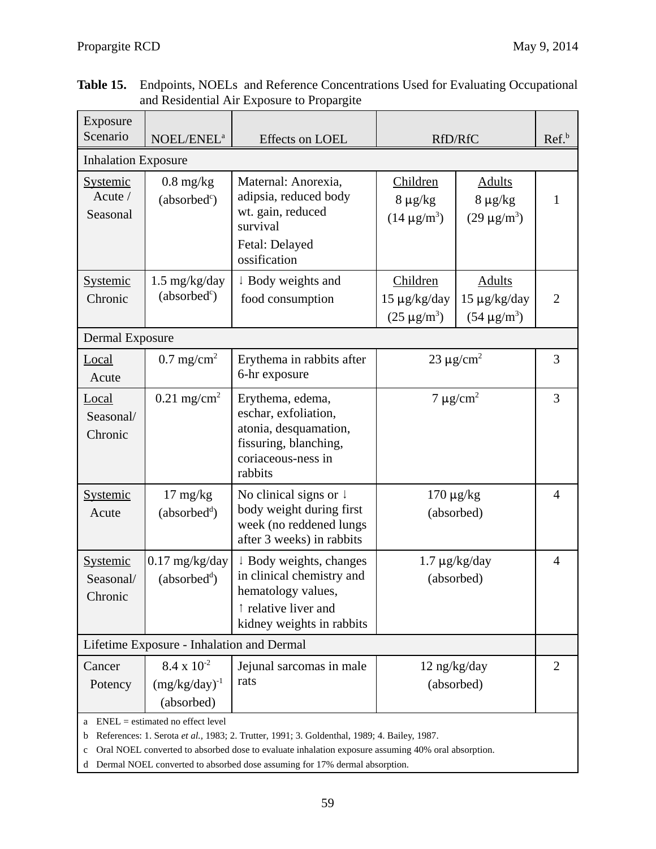| Exposure<br>Scenario                    | NOEL/ENEL <sup>a</sup>                                                                                                                                                                                                                  | Effects on LOEL                                                                                                                 | RfD/RfC                                                                                               | Ref. <sup>b</sup>          |                |  |  |  |
|-----------------------------------------|-----------------------------------------------------------------------------------------------------------------------------------------------------------------------------------------------------------------------------------------|---------------------------------------------------------------------------------------------------------------------------------|-------------------------------------------------------------------------------------------------------|----------------------------|----------------|--|--|--|
| <b>Inhalation Exposure</b>              |                                                                                                                                                                                                                                         |                                                                                                                                 |                                                                                                       |                            |                |  |  |  |
| <b>Systemic</b><br>Acute /<br>Seasonal  | $0.8$ mg/kg<br>(absorbed <sup>c</sup> )                                                                                                                                                                                                 | Maternal: Anorexia,<br>adipsia, reduced body<br>wt. gain, reduced<br>survival<br>Fetal: Delayed<br>ossification                 | Children<br><b>Adults</b><br>$8 \mu g/kg$<br>$8 \mu g/kg$<br>$(14 \,\mu g/m^3)$<br>$(29 \,\mu g/m^3)$ |                            | $\mathbf{1}$   |  |  |  |
| <b>Systemic</b><br>Chronic              | $1.5 \text{ mg/kg/day}$<br>(absorbed <sup>c</sup> )                                                                                                                                                                                     | ↓ Body weights and<br>food consumption                                                                                          | Children<br>$15 \mu g/kg/day$<br>$(25 \,\mu g/m^3)$                                                   | $\overline{2}$             |                |  |  |  |
| <b>Dermal Exposure</b>                  |                                                                                                                                                                                                                                         |                                                                                                                                 |                                                                                                       |                            |                |  |  |  |
| Local<br>Acute                          | $0.7 \text{ mg/cm}^2$                                                                                                                                                                                                                   | Erythema in rabbits after<br>6-hr exposure                                                                                      |                                                                                                       | 23 $\mu$ g/cm <sup>2</sup> |                |  |  |  |
| Local<br>Seasonal/<br>Chronic           | $0.21$ mg/cm <sup>2</sup>                                                                                                                                                                                                               | Erythema, edema,<br>eschar, exfoliation,<br>atonia, desquamation,<br>fissuring, blanching,<br>coriaceous-ness in<br>rabbits     | $7 \mu g/cm^2$                                                                                        | 3                          |                |  |  |  |
| <b>Systemic</b><br>Acute                | $17 \text{ mg/kg}$<br>(absorbed <sup>d</sup> )                                                                                                                                                                                          | No clinical signs or $\downarrow$<br>body weight during first<br>week (no reddened lungs<br>after 3 weeks) in rabbits           | $170 \mu g/kg$<br>(absorbed)                                                                          |                            | $\overline{4}$ |  |  |  |
| <b>Systemic</b><br>Seasonal/<br>Chronic | $0.17$ mg/kg/day<br>(absorbed <sup>d</sup> )                                                                                                                                                                                            | ↓ Body weights, changes<br>in clinical chemistry and<br>hematology values,<br>↑ relative liver and<br>kidney weights in rabbits | $1.7 \mu g/kg/day$<br>(absorbed)                                                                      |                            | $\overline{4}$ |  |  |  |
|                                         | Lifetime Exposure - Inhalation and Dermal                                                                                                                                                                                               |                                                                                                                                 |                                                                                                       |                            |                |  |  |  |
| Cancer<br>Potency                       | $8.4 \times 10^{-2}$<br>$(mg/kg/day)^{-1}$<br>(absorbed)                                                                                                                                                                                | Jejunal sarcomas in male<br>rats                                                                                                | $12$ ng/kg/day<br>(absorbed)                                                                          |                            | $\overline{2}$ |  |  |  |
| a<br>b<br>$\mathbf c$                   | $ENEL = estimated no effect level$<br>References: 1. Serota et al., 1983; 2. Trutter, 1991; 3. Goldenthal, 1989; 4. Bailey, 1987.<br>Oral NOEL converted to absorbed dose to evaluate inhalation exposure assuming 40% oral absorption. |                                                                                                                                 |                                                                                                       |                            |                |  |  |  |

| <b>Table 15.</b> Endpoints, NOELs and Reference Concentrations Used for Evaluating Occupational |
|-------------------------------------------------------------------------------------------------|
| and Residential Air Exposure to Propargite                                                      |

d Dermal NOEL converted to absorbed dose assuming for 17% dermal absorption.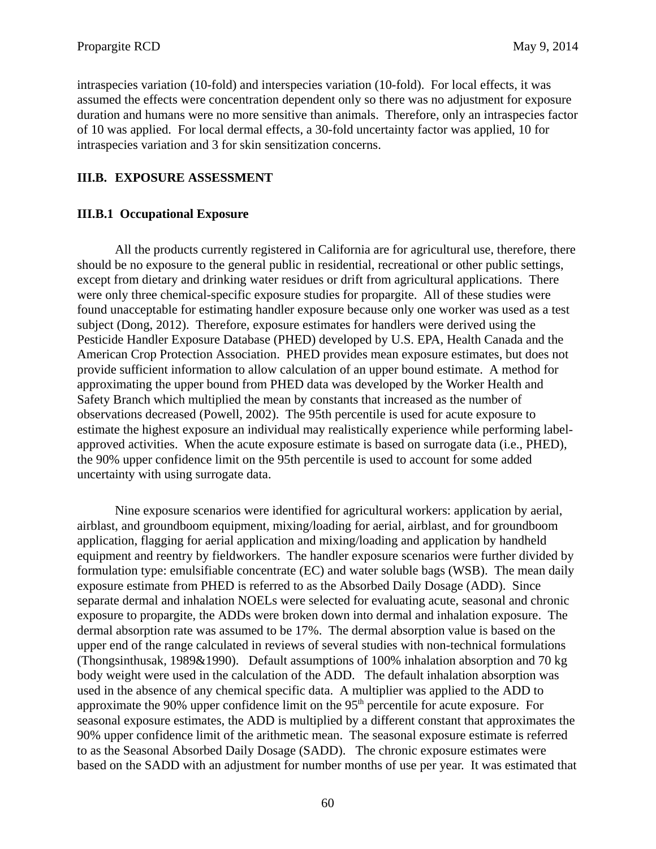intraspecies variation (10-fold) and interspecies variation (10-fold). For local effects, it was assumed the effects were concentration dependent only so there was no adjustment for exposure duration and humans were no more sensitive than animals. Therefore, only an intraspecies factor of 10 was applied. For local dermal effects, a 30-fold uncertainty factor was applied, 10 for intraspecies variation and 3 for skin sensitization concerns.

## **III.B. EXPOSURE ASSESSMENT**

### **III.B.1 Occupational Exposure**

All the products currently registered in California are for agricultural use, therefore, there should be no exposure to the general public in residential, recreational or other public settings, except from dietary and drinking water residues or drift from agricultural applications. There were only three chemical-specific exposure studies for propargite. All of these studies were found unacceptable for estimating handler exposure because only one worker was used as a test subject (Dong, 2012). Therefore, exposure estimates for handlers were derived using the Pesticide Handler Exposure Database (PHED) developed by U.S. EPA, Health Canada and the American Crop Protection Association. PHED provides mean exposure estimates, but does not provide sufficient information to allow calculation of an upper bound estimate. A method for approximating the upper bound from PHED data was developed by the Worker Health and Safety Branch which multiplied the mean by constants that increased as the number of observations decreased (Powell, 2002). The 95th percentile is used for acute exposure to estimate the highest exposure an individual may realistically experience while performing labelapproved activities. When the acute exposure estimate is based on surrogate data (i.e., PHED), the 90% upper confidence limit on the 95th percentile is used to account for some added uncertainty with using surrogate data.

Nine exposure scenarios were identified for agricultural workers: application by aerial, airblast, and groundboom equipment, mixing/loading for aerial, airblast, and for groundboom application, flagging for aerial application and mixing/loading and application by handheld equipment and reentry by fieldworkers. The handler exposure scenarios were further divided by formulation type: emulsifiable concentrate (EC) and water soluble bags (WSB). The mean daily exposure estimate from PHED is referred to as the Absorbed Daily Dosage (ADD). Since separate dermal and inhalation NOELs were selected for evaluating acute, seasonal and chronic exposure to propargite, the ADDs were broken down into dermal and inhalation exposure. The dermal absorption rate was assumed to be 17%. The dermal absorption value is based on the upper end of the range calculated in reviews of several studies with non-technical formulations (Thongsinthusak, 1989&1990). Default assumptions of 100% inhalation absorption and 70 kg body weight were used in the calculation of the ADD. The default inhalation absorption was used in the absence of any chemical specific data. A multiplier was applied to the ADD to approximate the 90% upper confidence limit on the  $95<sup>th</sup>$  percentile for acute exposure. For seasonal exposure estimates, the ADD is multiplied by a different constant that approximates the 90% upper confidence limit of the arithmetic mean. The seasonal exposure estimate is referred to as the Seasonal Absorbed Daily Dosage (SADD). The chronic exposure estimates were based on the SADD with an adjustment for number months of use per year. It was estimated that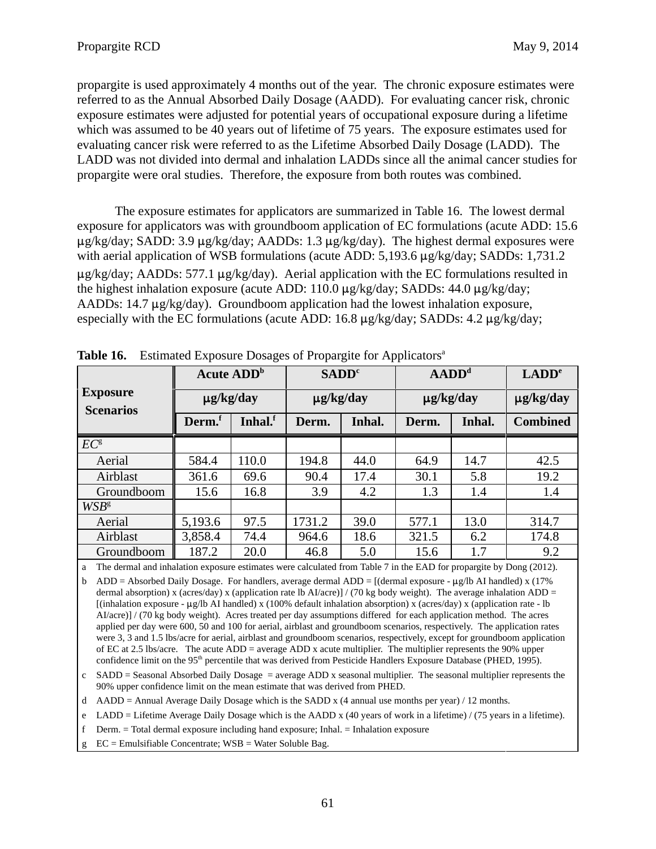propargite is used approximately 4 months out of the year. The chronic exposure estimates were referred to as the Annual Absorbed Daily Dosage (AADD). For evaluating cancer risk, chronic exposure estimates were adjusted for potential years of occupational exposure during a lifetime which was assumed to be 40 years out of lifetime of 75 years. The exposure estimates used for evaluating cancer risk were referred to as the Lifetime Absorbed Daily Dosage (LADD). The LADD was not divided into dermal and inhalation LADDs since all the animal cancer studies for propargite were oral studies. Therefore, the exposure from both routes was combined.

The exposure estimates for applicators are summarized in Table 16. The lowest dermal exposure for applicators was with groundboom application of EC formulations (acute ADD: 15.6  $\mu$ g/kg/day; SADD: 3.9  $\mu$ g/kg/day; AADDs: 1.3  $\mu$ g/kg/day). The highest dermal exposures were with aerial application of WSB formulations (acute ADD:  $5,193.6 \mu g/kg/day$ ; SADDs: 1,731.2  $\mu$ g/kg/day; AADDs: 577.1  $\mu$ g/kg/day). Aerial application with the EC formulations resulted in the highest inhalation exposure (acute ADD: 110.0  $\mu$ g/kg/day; SADDs: 44.0  $\mu$ g/kg/day; AADDs: 14.7  $\mu$ g/kg/day). Groundboom application had the lowest inhalation exposure, especially with the EC formulations (acute ADD: 16.8  $\mu$ g/kg/day; SADDs: 4.2  $\mu$ g/kg/day;

| . .                                 |                                                 |         |                |                   |                |        |                 |  |  |
|-------------------------------------|-------------------------------------------------|---------|----------------|-------------------|----------------|--------|-----------------|--|--|
|                                     | <b>Acute ADD</b> <sup>b</sup><br>$\mu$ g/kg/day |         |                | SADD <sup>c</sup> |                | $ADDd$ |                 |  |  |
| <b>Exposure</b><br><b>Scenarios</b> |                                                 |         | $\mu$ g/kg/day |                   | $\mu$ g/kg/day |        | $\mu$ g/kg/day  |  |  |
|                                     | Derm. <sup>f</sup>                              | Inhal.f | Derm.          | Inhal.            | Derm.          | Inhal. | <b>Combined</b> |  |  |
| $EC^{\rm g}$                        |                                                 |         |                |                   |                |        |                 |  |  |
| Aerial                              | 584.4                                           | 110.0   | 194.8          | 44.0              | 64.9           | 14.7   | 42.5            |  |  |
| Airblast                            | 361.6                                           | 69.6    | 90.4           | 17.4              | 30.1           | 5.8    | 19.2            |  |  |
| Groundboom                          | 15.6                                            | 16.8    | 3.9            | 4.2               | 1.3            | 1.4    | 1.4             |  |  |
| $WSB^g$                             |                                                 |         |                |                   |                |        |                 |  |  |
| Aerial                              | 5,193.6                                         | 97.5    | 1731.2         | 39.0              | 577.1          | 13.0   | 314.7           |  |  |
| Airblast                            | 3,858.4                                         | 74.4    | 964.6          | 18.6              | 321.5          | 6.2    | 174.8           |  |  |
| Groundboom                          | 187.2                                           | 20.0    | 46.8           | 5.0               | 15.6           | 1.7    | 9.2             |  |  |

**Table 16.** Estimated Exposure Dosages of Propargite for Applicators<sup>a</sup>

a The dermal and inhalation exposure estimates were calculated from Table 7 in the EAD for propargite by Dong (2012).

b ADD = Absorbed Daily Dosage. For handlers, average dermal ADD =  $[(\text{dermal exposure - }\mu\text{g/lb AI handled}) x (17%)$ dermal absorption) x (acres/day) x (application rate lb AI/acre)] / (70 kg body weight). The average inhalation  $ADD =$ [(inhalation exposure -  $\mu$ g/lb AI handled) x (100% default inhalation absorption) x (acres/day) x (application rate - lb AI/acre)] / (70 kg body weight). Acres treated per day assumptions differed for each application method. The acres applied per day were 600, 50 and 100 for aerial, airblast and groundboom scenarios, respectively. The application rates were 3, 3 and 1.5 lbs/acre for aerial, airblast and groundboom scenarios, respectively, except for groundboom application of EC at 2.5 lbs/acre. The acute ADD = average ADD x acute multiplier. The multiplier represents the 90% upper confidence limit on the 95<sup>th</sup> percentile that was derived from Pesticide Handlers Exposure Database (PHED, 1995).

 $c$  SADD = Seasonal Absorbed Daily Dosage = average ADD x seasonal multiplier. The seasonal multiplier represents the 90% upper confidence limit on the mean estimate that was derived from PHED.

d AADD = Annual Average Daily Dosage which is the SADD x (4 annual use months per year) / 12 months.

e LADD = Lifetime Average Daily Dosage which is the AADD x (40 years of work in a lifetime) / (75 years in a lifetime).<br>f Derm. = Total dermal exposure including hand exposure; Inhal. = Inhalation exposure

g  $EC =$  Emulsifiable Concentrate;  $WSB =$  Water Soluble Bag.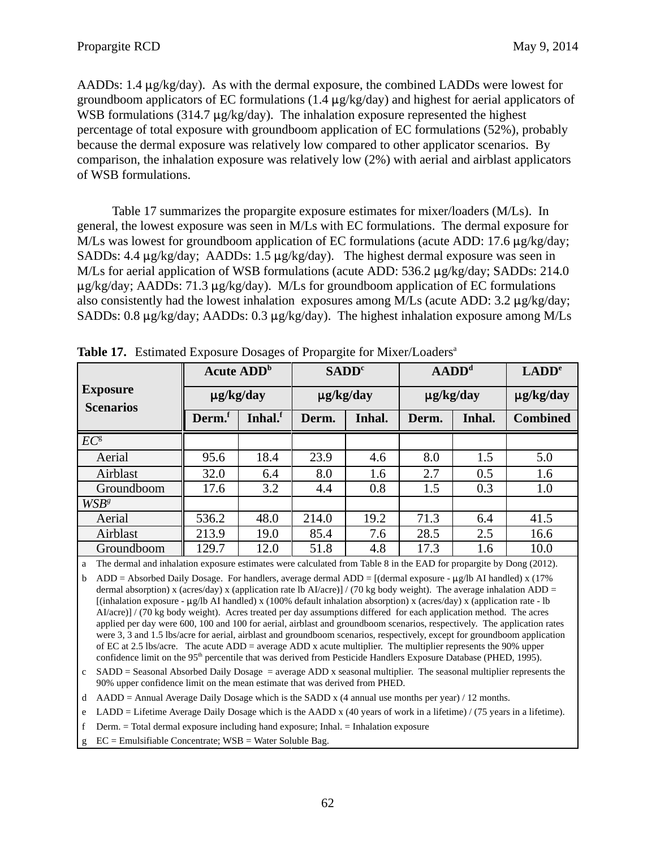AADDs: 1.4  $\mu$ g/kg/day). As with the dermal exposure, the combined LADDs were lowest for groundboom applicators of EC formulations (1.4  $\mu$ g/kg/day) and highest for aerial applicators of WSB formulations (314.7  $\mu$ g/kg/day). The inhalation exposure represented the highest percentage of total exposure with groundboom application of EC formulations (52%), probably because the dermal exposure was relatively low compared to other applicator scenarios. By comparison, the inhalation exposure was relatively low (2%) with aerial and airblast applicators of WSB formulations.

Table 17 summarizes the propargite exposure estimates for mixer/loaders (M/Ls). In general, the lowest exposure was seen in M/Ls with EC formulations. The dermal exposure for M/Ls was lowest for groundboom application of EC formulations (acute ADD: 17.6  $\mu$ g/kg/day; SADDs: 4.4  $\mu$ g/kg/day; AADDs: 1.5  $\mu$ g/kg/day). The highest dermal exposure was seen in M/Ls for aerial application of WSB formulations (acute ADD:  $536.2 \mu g/kg/day$ ; SADDs: 214.0  $\mu$ g/kg/day; AADDs: 71.3  $\mu$ g/kg/day). M/Ls for groundboom application of EC formulations also consistently had the lowest inhalation exposures among M/Ls (acute ADD:  $3.2 \mu$ g/kg/day; SADDs: 0.8  $\mu$ g/kg/day; AADDs: 0.3  $\mu$ g/kg/day). The highest inhalation exposure among M/Ls

|                                     | <b>Acute ADD</b> <sup>b</sup><br>$\mu$ g/kg/day |         |                | SADD <sup>c</sup> |                | $ADDd$ |                 |  |
|-------------------------------------|-------------------------------------------------|---------|----------------|-------------------|----------------|--------|-----------------|--|
| <b>Exposure</b><br><b>Scenarios</b> |                                                 |         | $\mu$ g/kg/day |                   | $\mu$ g/kg/day |        | $\mu$ g/kg/day  |  |
|                                     | Derm.                                           | Inhal.f | Derm.          | Inhal.            | Derm.          | Inhal. | <b>Combined</b> |  |
| $EC^{\rm g}$                        |                                                 |         |                |                   |                |        |                 |  |
| Aerial                              | 95.6                                            | 18.4    | 23.9           | 4.6               | 8.0            | 1.5    | 5.0             |  |
| Airblast                            | 32.0                                            | 6.4     | 8.0            | 1.6               | 2.7            | 0.5    | 1.6             |  |
| Groundboom                          | 17.6                                            | 3.2     | 4.4            | 0.8               | 1.5            | 0.3    | 1.0             |  |
| $WSB^g$                             |                                                 |         |                |                   |                |        |                 |  |
| Aerial                              | 536.2                                           | 48.0    | 214.0          | 19.2              | 71.3           | 6.4    | 41.5            |  |
| Airblast                            | 213.9                                           | 19.0    | 85.4           | 7.6               | 28.5           | 2.5    | 16.6            |  |
| Groundboom                          | 129.7                                           | 12.0    | 51.8           | 4.8               | 17.3           | 1.6    | 10.0            |  |

**Table 17.** Estimated Exposure Dosages of Propargite for Mixer/Loaders<sup>a</sup>

a The dermal and inhalation exposure estimates were calculated from Table 8 in the EAD for propargite by Dong (2012).

b ADD = Absorbed Daily Dosage. For handlers, average dermal ADD =  $[(\text{dermal exposure - }\mu\text{g/lb AI handled}) x (17%)$ dermal absorption) x (acres/day) x (application rate lb AI/acre)] / (70 kg body weight). The average inhalation ADD =  $\int \sinh A \sin A$  (inhalation exposure -  $\mu g / b$  AI handled) x (100% default inhalation absorption) x (acres/day) x (application rate - lb AI/acre)] / (70 kg body weight). Acres treated per day assumptions differed for each application method. The acres applied per day were 600, 100 and 100 for aerial, airblast and groundboom scenarios, respectively. The application rates were 3, 3 and 1.5 lbs/acre for aerial, airblast and groundboom scenarios, respectively, except for groundboom application of EC at 2.5 lbs/acre. The acute ADD = average ADD x acute multiplier. The multiplier represents the 90% upper confidence limit on the 95<sup>th</sup> percentile that was derived from Pesticide Handlers Exposure Database (PHED, 1995).

c SADD = Seasonal Absorbed Daily Dosage = average ADD x seasonal multiplier. The seasonal multiplier represents the 90% upper confidence limit on the mean estimate that was derived from PHED.

d AADD = Annual Average Daily Dosage which is the SADD x (4 annual use months per year) / 12 months.

e LADD = Lifetime Average Daily Dosage which is the AADD x (40 years of work in a lifetime) / (75 years in a lifetime).<br>f Derm. = Total dermal exposure including hand exposure; Inhal. = Inhalation exposure

g  $EC =$  Emulsifiable Concentrate; WSB = Water Soluble Bag.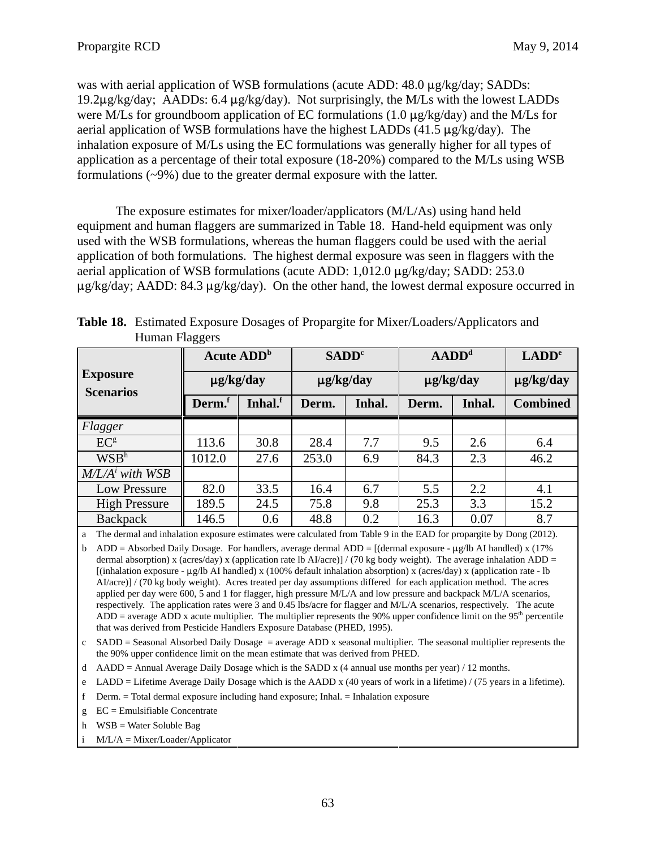was with aerial application of WSB formulations (acute ADD:  $48.0 \mu g/kg/day$ ; SADDs: 19.2 $\mu$ g/kg/day; AADDs: 6.4  $\mu$ g/kg/day). Not surprisingly, the M/Ls with the lowest LADDs were M/Ls for groundboom application of EC formulations (1.0  $\mu$ g/kg/day) and the M/Ls for aerial application of WSB formulations have the highest LADDs  $(41.5 \mu g/kg/day)$ . The inhalation exposure of M/Ls using the EC formulations was generally higher for all types of application as a percentage of their total exposure (18-20%) compared to the M/Ls using WSB formulations (~9%) due to the greater dermal exposure with the latter.

The exposure estimates for mixer/loader/applicators (M/L/As) using hand held equipment and human flaggers are summarized in Table 18. Hand-held equipment was only used with the WSB formulations, whereas the human flaggers could be used with the aerial application of both formulations. The highest dermal exposure was seen in flaggers with the aerial application of WSB formulations (acute ADD:  $1,012.0 \mu$ g/kg/day; SADD: 253.0  $\mu$ g/kg/day; AADD: 84.3  $\mu$ g/kg/day). On the other hand, the lowest dermal exposure occurred in

|                                     | <b>Acute ADD</b> <sup>b</sup> |         | SADD <sup>c</sup> |        | $ADDd$         |        | LADD <sup>e</sup> |
|-------------------------------------|-------------------------------|---------|-------------------|--------|----------------|--------|-------------------|
| <b>Exposure</b><br><b>Scenarios</b> | $\mu$ g/kg/day                |         | $\mu$ g/kg/day    |        | $\mu$ g/kg/day |        | $\mu$ g/kg/day    |
|                                     | Derm. <sup>r</sup>            | Inhal.f | Derm.             | Inhal. | Derm.          | Inhal. | <b>Combined</b>   |
| Flagger                             |                               |         |                   |        |                |        |                   |
| EC <sup>g</sup>                     | 113.6                         | 30.8    | 28.4              | 7.7    | 9.5            | 2.6    | 6.4               |
| WSB <sup>h</sup>                    | 1012.0                        | 27.6    | 253.0             | 6.9    | 84.3           | 2.3    | 46.2              |
| $M/L/Ai$ with WSB                   |                               |         |                   |        |                |        |                   |
| <b>Low Pressure</b>                 | 82.0                          | 33.5    | 16.4              | 6.7    | 5.5            | 2.2    | 4.1               |
| <b>High Pressure</b>                | 189.5                         | 24.5    | 75.8              | 9.8    | 25.3           | 3.3    | 15.2              |
| <b>Backpack</b>                     | 146.5                         | 0.6     | 48.8              | 0.2    | 16.3           | 0.07   | 8.7               |

 **Table 18.** Estimated Exposure Dosages of Propargite for Mixer/Loaders/Applicators and Human Flaggers

a The dermal and inhalation exposure estimates were calculated from Table 9 in the EAD for propargite by Dong (2012).

b ADD = Absorbed Daily Dosage. For handlers, average dermal ADD = [(dermal exposure -  $\mu$ g/lb AI handled) x (17% dermal absorption) x (acres/day) x (application rate lb AI/acre)] / (70 kg body weight). The average inhalation  $ADD =$ [(inhalation exposure -  $\mu$ g/lb AI handled) x (100% default inhalation absorption) x (acres/day) x (application rate - lb AI/acre)] / (70 kg body weight). Acres treated per day assumptions differed for each application method. The acres applied per day were 600, 5 and 1 for flagger, high pressure M/L/A and low pressure and backpack M/L/A scenarios, respectively. The application rates were 3 and 0.45 lbs/acre for flagger and M/L/A scenarios, respectively. The acute ADD = average ADD x acute multiplier. The multiplier represents the 90% upper confidence limit on the  $95<sup>th</sup>$  percentile that was derived from Pesticide Handlers Exposure Database (PHED, 1995).

 $c$  SADD = Seasonal Absorbed Daily Dosage = average ADD x seasonal multiplier. The seasonal multiplier represents the the 90% upper confidence limit on the mean estimate that was derived from PHED.

- d AADD = Annual Average Daily Dosage which is the SADD x (4 annual use months per year) / 12 months.
- e LADD = Lifetime Average Daily Dosage which is the AADD x (40 years of work in a lifetime) / (75 years in a lifetime).<br>f Derm. = Total dermal exposure including hand exposure; Inhal. = Inhalation exposure
- 
- g EC = Emulsifiable Concentrate
- h WSB = Water Soluble Bag

i M/L/A = Mixer/Loader/Applicator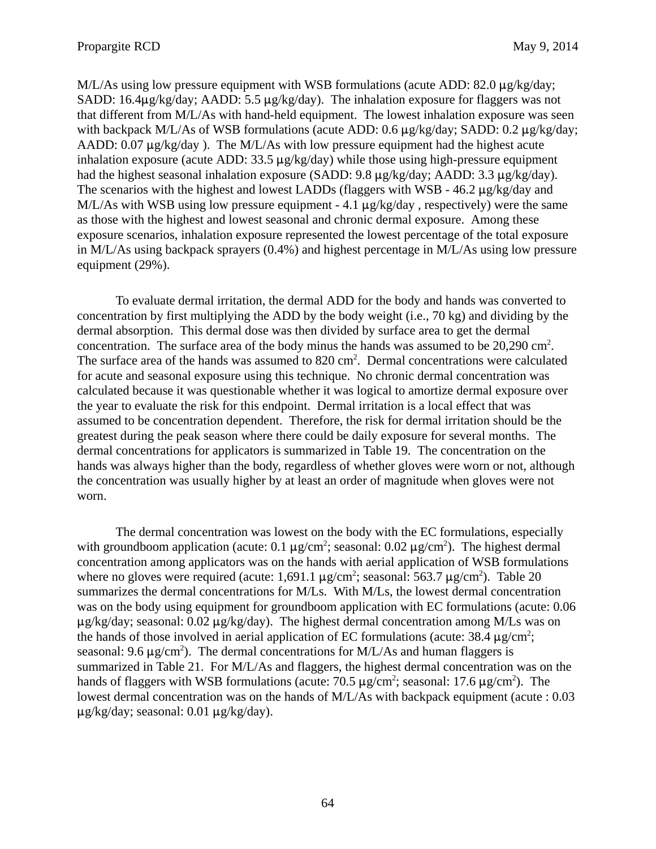$M/L/As$  using low pressure equipment with WSB formulations (acute ADD: 82.0  $\mu$ g/kg/day; SADD: 16.4 $\mu$ g/kg/day; AADD: 5.5  $\mu$ g/kg/day). The inhalation exposure for flaggers was not that different from M/L/As with hand-held equipment. The lowest inhalation exposure was seen with backpack M/L/As of WSB formulations (acute ADD: 0.6  $\mu$ g/kg/day; SADD: 0.2  $\mu$ g/kg/day; AADD:  $0.07 \mu$ g/kg/day ). The M/L/As with low pressure equipment had the highest acute inhalation exposure (acute ADD:  $33.5 \mu g/kg/day$ ) while those using high-pressure equipment had the highest seasonal inhalation exposure (SADD:  $9.8 \mu$ g/kg/day; AADD:  $3.3 \mu$ g/kg/day). The scenarios with the highest and lowest LADDs (flaggers with WSB -  $46.2 \mu g/kg/day$  and M/L/As with WSB using low pressure equipment - 4.1  $\mu$ g/kg/day, respectively) were the same as those with the highest and lowest seasonal and chronic dermal exposure. Among these exposure scenarios, inhalation exposure represented the lowest percentage of the total exposure in M/L/As using backpack sprayers (0.4%) and highest percentage in M/L/As using low pressure equipment (29%).

To evaluate dermal irritation, the dermal ADD for the body and hands was converted to concentration by first multiplying the ADD by the body weight (i.e., 70 kg) and dividing by the dermal absorption. This dermal dose was then divided by surface area to get the dermal concentration. The surface area of the body minus the hands was assumed to be  $20,290 \text{ cm}^2$ . The surface area of the hands was assumed to 820 cm<sup>2</sup>. Dermal concentrations were calculated for acute and seasonal exposure using this technique. No chronic dermal concentration was calculated because it was questionable whether it was logical to amortize dermal exposure over the year to evaluate the risk for this endpoint. Dermal irritation is a local effect that was assumed to be concentration dependent. Therefore, the risk for dermal irritation should be the greatest during the peak season where there could be daily exposure for several months. The dermal concentrations for applicators is summarized in Table 19. The concentration on the hands was always higher than the body, regardless of whether gloves were worn or not, although the concentration was usually higher by at least an order of magnitude when gloves were not worn.

The dermal concentration was lowest on the body with the EC formulations, especially with groundboom application (acute:  $0.1 \mu g/cm^2$ ; seasonal:  $0.02 \mu g/cm^2$ ). The highest dermal concentration among applicators was on the hands with aerial application of WSB formulations where no gloves were required (acute: 1,691.1  $\mu$ g/cm<sup>2</sup>; seasonal: 563.7  $\mu$ g/cm<sup>2</sup>). Table 20 summarizes the dermal concentrations for M/Ls. With M/Ls, the lowest dermal concentration was on the body using equipment for groundboom application with EC formulations (acute: 0.06  $\mu$ g/kg/day; seasonal: 0.02  $\mu$ g/kg/day). The highest dermal concentration among M/Ls was on the hands of those involved in aerial application of EC formulations (acute:  $38.4 \mu g/cm^2$ ; seasonal: 9.6  $\mu$ g/cm<sup>2</sup>). The dermal concentrations for M/L/As and human flaggers is summarized in Table 21. For M/L/As and flaggers, the highest dermal concentration was on the hands of flaggers with WSB formulations (acute:  $70.5 \mu$ g/cm<sup>2</sup>; seasonal:  $17.6 \mu$ g/cm<sup>2</sup>). The lowest dermal concentration was on the hands of M/L/As with backpack equipment (acute : 0.03  $\mu$ g/kg/day; seasonal: 0.01  $\mu$ g/kg/day).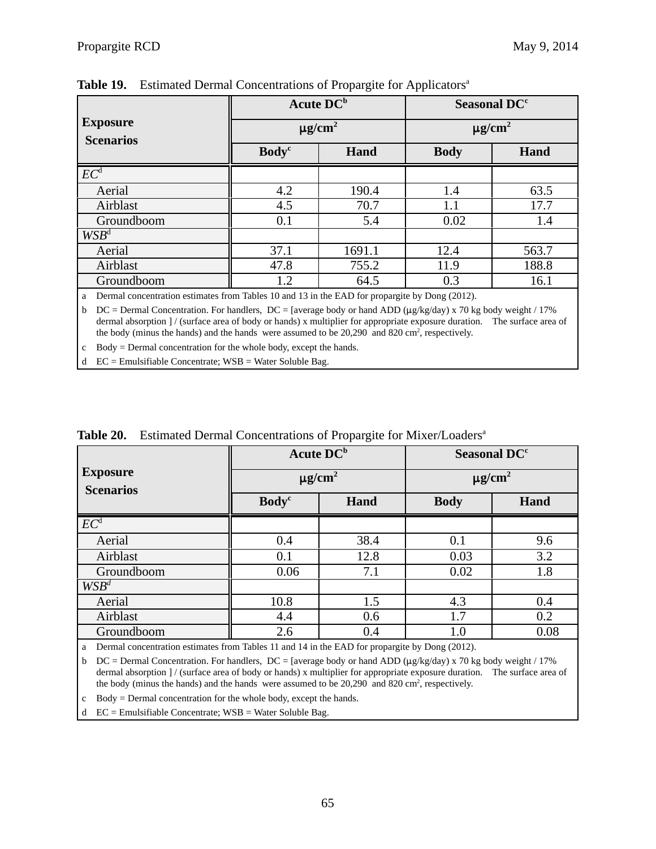|                                                            |                                  | Acute DC <sup>b</sup>   | Seasonal DC <sup>c</sup><br>$\mu$ g/cm <sup>2</sup> |       |  |  |
|------------------------------------------------------------|----------------------------------|-------------------------|-----------------------------------------------------|-------|--|--|
| <b>Exposure</b><br><b>Scenarios</b>                        |                                  | $\mu$ g/cm <sup>2</sup> |                                                     |       |  |  |
|                                                            | <b>Body</b> <sup>c</sup><br>Hand |                         | <b>Body</b><br>Hand                                 |       |  |  |
| EC <sup>d</sup>                                            |                                  |                         |                                                     |       |  |  |
| Aerial                                                     | 4.2                              | 190.4                   | 1.4                                                 | 63.5  |  |  |
| Airblast                                                   | 4.5                              | 70.7                    | 1.1                                                 | 17.7  |  |  |
| Groundboom                                                 | 0.1                              | 5.4                     | 0.02                                                | 1.4   |  |  |
| $WSB^d$                                                    |                                  |                         |                                                     |       |  |  |
| Aerial                                                     | 37.1                             | 1691.1                  | 12.4                                                | 563.7 |  |  |
| Airblast                                                   | 47.8                             | 755.2                   | 11.9                                                | 188.8 |  |  |
| Groundboom                                                 | 1.2                              | 64.5                    | 0.3                                                 | 16.1  |  |  |
| $-11$<br>$\cdots$<br>$\lambda$ and $\lambda$ and $\lambda$ |                                  |                         |                                                     |       |  |  |

Table 19. Estimated Dermal Concentrations of Propargite for Applicators<sup>a</sup>

a Dermal concentration estimates from Tables 10 and 13 in the EAD for propargite by Dong (2012).

 dermal absorption ] / (surface area of body or hands) x multiplier for appropriate exposure duration. The surface area of b DC = Dermal Concentration. For handlers, DC = [average body or hand ADD ( $\mu$ g/kg/day) x 70 kg body weight / 17% the body (minus the hands) and the hands were assumed to be  $20,290$  and  $820 \text{ cm}^2$ , respectively.

c Body = Dermal concentration for the whole body, except the hands.

d EC = Emulsifiable Concentrate; WSB = Water Soluble Bag.

| <b>Exposure</b><br><b>Scenarios</b> | <b>Acute DCb</b>         |      | Seasonal DC <sup>c</sup><br>$\mu$ g/cm <sup>2</sup> |      |  |
|-------------------------------------|--------------------------|------|-----------------------------------------------------|------|--|
|                                     | $\mu$ g/cm <sup>2</sup>  |      |                                                     |      |  |
|                                     | <b>Body</b> <sup>c</sup> | Hand | <b>Body</b>                                         | Hand |  |
| $\overline{EC}^d$                   |                          |      |                                                     |      |  |
| Aerial                              | 0.4                      | 38.4 | 0.1                                                 | 9.6  |  |
| Airblast                            | 0.1                      | 12.8 | 0.03                                                | 3.2  |  |
| Groundboom                          | 0.06                     | 7.1  | 0.02                                                | 1.8  |  |
| $WSB^d$                             |                          |      |                                                     |      |  |
| Aerial                              | 10.8                     | 1.5  | 4.3                                                 | 0.4  |  |
| Airblast                            | 4.4                      | 0.6  | 1.7                                                 | 0.2  |  |
| Groundboom                          | 2.6                      | 0.4  | 1.0                                                 | 0.08 |  |

**Table 20.** Estimated Dermal Concentrations of Propargite for Mixer/Loaders<sup>a</sup>

a Dermal concentration estimates from Tables 11 and 14 in the EAD for propargite by Dong (2012).

 dermal absorption ] / (surface area of body or hands) x multiplier for appropriate exposure duration. The surface area of b DC = Dermal Concentration. For handlers, DC = [average body or hand ADD ( $\mu$ g/kg/day) x 70 kg body weight / 17% the body (minus the hands) and the hands were assumed to be  $20,290$  and  $820 \text{ cm}^2$ , respectively.

c Body = Dermal concentration for the whole body, except the hands.

d EC = Emulsifiable Concentrate; WSB = Water Soluble Bag.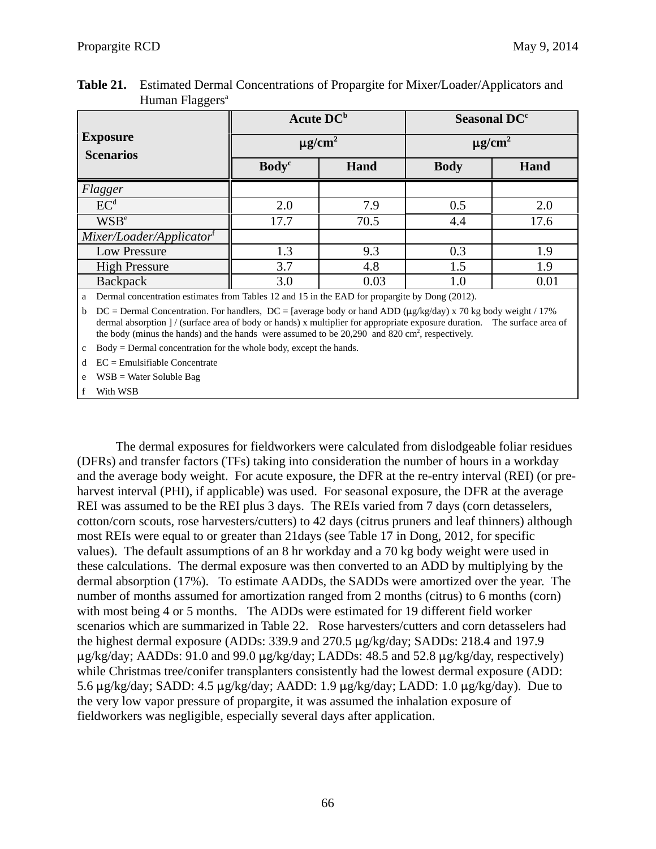|                                     |                          | <b>Acute DC</b> <sup>b</sup> | Seasonal DC <sup>c</sup><br>$\mu$ g/cm <sup>2</sup> |      |  |
|-------------------------------------|--------------------------|------------------------------|-----------------------------------------------------|------|--|
| <b>Exposure</b><br><b>Scenarios</b> |                          | $\mu$ g/cm <sup>2</sup>      |                                                     |      |  |
|                                     | <b>Body</b> <sup>c</sup> | Hand                         | <b>Body</b>                                         | Hand |  |
| Flagger                             |                          |                              |                                                     |      |  |
| EC <sup>d</sup>                     | 2.0                      | 7.9                          | 0.5                                                 | 2.0  |  |
| <b>WSB</b> <sup>e</sup>             | 17.7                     | 70.5                         | 4.4                                                 | 17.6 |  |
| Mixer/Loader/Applicator             |                          |                              |                                                     |      |  |
| Low Pressure                        | 1.3                      | 9.3                          | 0.3                                                 | 1.9  |  |
| <b>High Pressure</b>                | 3.7                      | 4.8                          | 1.5                                                 | 1.9  |  |
| Backpack                            | 3.0                      | 0.03                         | $1.0\,$                                             | 0.01 |  |

| <b>Table 21.</b> Estimated Dermal Concentrations of Propargite for Mixer/Loader/Applicators and |
|-------------------------------------------------------------------------------------------------|
| Human Flaggers <sup>a</sup>                                                                     |

a Dermal concentration estimates from Tables 12 and 15 in the EAD for propargite by Dong (2012).

 dermal absorption ] / (surface area of body or hands) x multiplier for appropriate exposure duration. The surface area of b DC = Dermal Concentration. For handlers, DC = [average body or hand ADD ( $\mu$ g/kg/day) x 70 kg body weight / 17% the body (minus the hands) and the hands were assumed to be  $20,290$  and  $820 \text{ cm}^2$ , respectively.

c Body = Dermal concentration for the whole body, except the hands.

 $d$  EC = Emulsifiable Concentrate

e WSB = Water Soluble Bag

f With WSB

The dermal exposures for fieldworkers were calculated from dislodgeable foliar residues (DFRs) and transfer factors (TFs) taking into consideration the number of hours in a workday and the average body weight. For acute exposure, the DFR at the re-entry interval (REI) (or preharvest interval (PHI), if applicable) was used. For seasonal exposure, the DFR at the average REI was assumed to be the REI plus 3 days. The REIs varied from 7 days (corn detasselers, cotton/corn scouts, rose harvesters/cutters) to 42 days (citrus pruners and leaf thinners) although most REIs were equal to or greater than 21days (see Table 17 in Dong, 2012, for specific values). The default assumptions of an 8 hr workday and a 70 kg body weight were used in these calculations. The dermal exposure was then converted to an ADD by multiplying by the dermal absorption (17%). To estimate AADDs, the SADDs were amortized over the year. The number of months assumed for amortization ranged from 2 months (citrus) to 6 months (corn) with most being 4 or 5 months. The ADDs were estimated for 19 different field worker scenarios which are summarized in Table 22. Rose harvesters/cutters and corn detasselers had the highest dermal exposure (ADDs: 339.9 and 270.5  $\mu$ g/kg/day; SADDs: 218.4 and 197.9  $\mu$ g/kg/day; AADDs: 91.0 and 99.0  $\mu$ g/kg/day; LADDs: 48.5 and 52.8  $\mu$ g/kg/day, respectively) while Christmas tree/conifer transplanters consistently had the lowest dermal exposure (ADD: 5.6  $\mu$ g/kg/day; SADD: 4.5  $\mu$ g/kg/day; AADD: 1.9  $\mu$ g/kg/day; LADD: 1.0  $\mu$ g/kg/day). Due to the very low vapor pressure of propargite, it was assumed the inhalation exposure of fieldworkers was negligible, especially several days after application.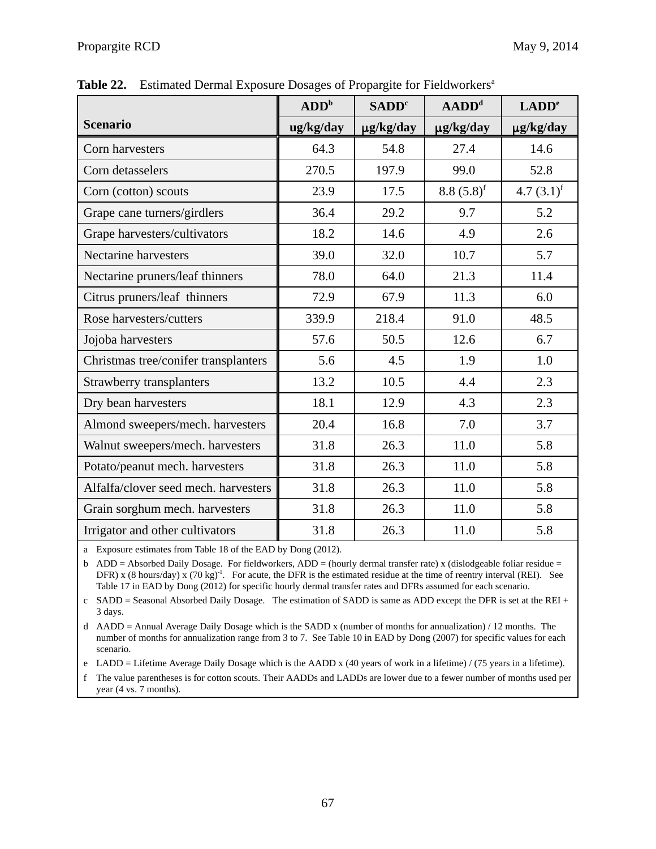|                                      | ADD <sup>b</sup> | <b>SADD</b> <sup>c</sup> | $ADDd$         | LADD <sup>e</sup>        |
|--------------------------------------|------------------|--------------------------|----------------|--------------------------|
| <b>Scenario</b>                      | ug/kg/day        | $\mu$ g/kg/day           | $\mu$ g/kg/day | $\mu$ g/kg/day           |
| Corn harvesters                      | 64.3             | 54.8                     | 27.4           | 14.6                     |
| Corn detasselers                     | 270.5            | 197.9                    | 99.0           | 52.8                     |
| Corn (cotton) scouts                 | 23.9             | 17.5                     | $8.8(5.8)^f$   | 4.7 $(3.1)$ <sup>f</sup> |
| Grape cane turners/girdlers          | 36.4             | 29.2                     | 9.7            | 5.2                      |
| Grape harvesters/cultivators         | 18.2             | 14.6                     | 4.9            | 2.6                      |
| <b>Nectarine harvesters</b>          | 39.0             | 32.0                     | 10.7           | 5.7                      |
| Nectarine pruners/leaf thinners      | 78.0             | 64.0                     | 21.3           | 11.4                     |
| Citrus pruners/leaf thinners         | 72.9             | 67.9                     | 11.3           | 6.0                      |
| Rose harvesters/cutters              | 339.9            | 218.4                    | 91.0           | 48.5                     |
| Jojoba harvesters                    | 57.6             | 50.5                     | 12.6           | 6.7                      |
| Christmas tree/conifer transplanters | 5.6              | 4.5                      | 1.9            | 1.0                      |
| Strawberry transplanters             | 13.2             | 10.5                     | 4.4            | 2.3                      |
| Dry bean harvesters                  | 18.1             | 12.9                     | 4.3            | 2.3                      |
| Almond sweepers/mech. harvesters     | 20.4             | 16.8                     | 7.0            | 3.7                      |
| Walnut sweepers/mech. harvesters     | 31.8             | 26.3                     | 11.0           | 5.8                      |
| Potato/peanut mech. harvesters       | 31.8             | 26.3                     | 11.0           | 5.8                      |
| Alfalfa/clover seed mech. harvesters | 31.8             | 26.3                     | 11.0           | 5.8                      |
| Grain sorghum mech. harvesters       | 31.8             | 26.3                     | 11.0           | 5.8                      |
| Irrigator and other cultivators      | 31.8             | 26.3                     | 11.0           | 5.8                      |

**Table 22.** Estimated Dermal Exposure Dosages of Propargite for Fieldworkers<sup>a</sup>

a Exposure estimates from Table 18 of the EAD by Dong (2012).

b ADD = Absorbed Daily Dosage. For fieldworkers, ADD = (hourly dermal transfer rate) x (dislodgeable foliar residue = DFR) x (8 hours/day) x (70 kg)<sup>-1</sup>. For acute, the DFR is the estimated residue at the time of reentry interval (REI). See Table 17 in EAD by Dong (2012) for specific hourly dermal transfer rates and DFRs assumed for each scenario.

c SADD = Seasonal Absorbed Daily Dosage. The estimation of SADD is same as ADD except the DFR is set at the REI + 3 days.

d AADD = Annual Average Daily Dosage which is the SADD x (number of months for annualization) / 12 months. The number of months for annualization range from 3 to 7. See Table 10 in EAD by Dong (2007) for specific values for each scenario.

e LADD = Lifetime Average Daily Dosage which is the AADD x (40 years of work in a lifetime) / (75 years in a lifetime).

f The value parentheses is for cotton scouts. Their AADDs and LADDs are lower due to a fewer number of months used per year (4 vs. 7 months).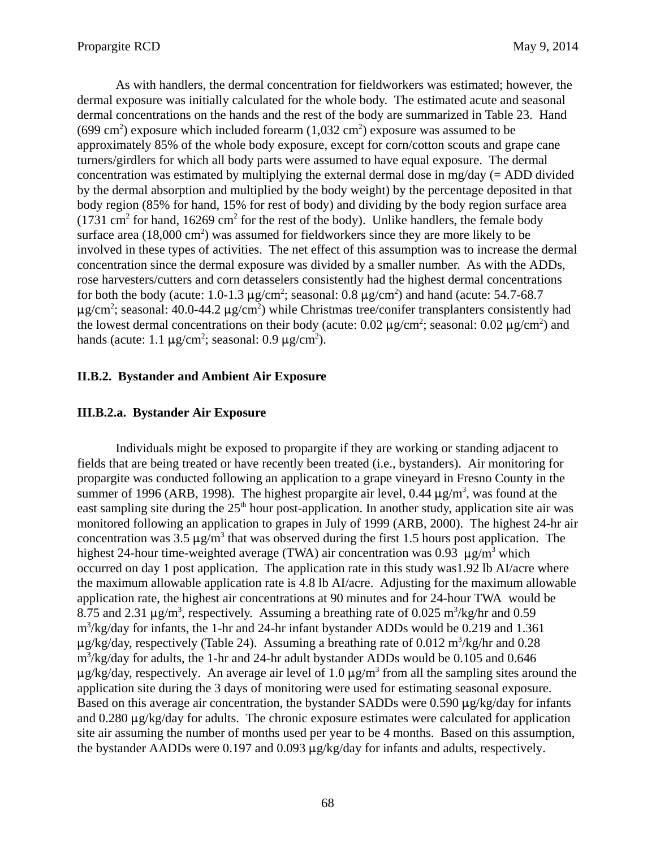As with handlers, the dermal concentration for fieldworkers was estimated; however, the dermal exposure was initially calculated for the whole body. The estimated acute and seasonal dermal concentrations on the hands and the rest of the body are summarized in Table 23. Hand (699 cm<sup>2</sup>) exposure which included forearm  $(1,032 \text{ cm}^2)$  exposure was assumed to be approximately 85% of the whole body exposure, except for corn/cotton scouts and grape cane turners/girdlers for which all body parts were assumed to have equal exposure. The dermal concentration was estimated by multiplying the external dermal dose in mg/day (= ADD divided by the dermal absorption and multiplied by the body weight) by the percentage deposited in that body region (85% for hand, 15% for rest of body) and dividing by the body region surface area  $(1731 \text{ cm}^2 \text{ for hand}, 16269 \text{ cm}^2 \text{ for the rest of the body})$ . Unlike handlers, the female body surface area  $(18,000 \text{ cm}^2)$  was assumed for fieldworkers since they are more likely to be involved in these types of activities. The net effect of this assumption was to increase the dermal concentration since the dermal exposure was divided by a smaller number. As with the ADDs, rose harvesters/cutters and corn detasselers consistently had the highest dermal concentrations for both the body (acute: 1.0-1.3  $\mu$ g/cm<sup>2</sup>; seasonal: 0.8  $\mu$ g/cm<sup>2</sup>) and hand (acute: 54.7-68.7  $\mu$ g/cm<sup>2</sup>; seasonal: 40.0-44.2  $\mu$ g/cm<sup>2</sup>) while Christmas tree/conifer transplanters consistently had the lowest dermal concentrations on their body (acute:  $0.02 \mu g/cm^2$ ; seasonal:  $0.02 \mu g/cm^2$ ) and hands (acute: 1.1  $\mu$ g/cm<sup>2</sup>; seasonal: 0.9  $\mu$ g/cm<sup>2</sup>).

### **II.B.2. Bystander and Ambient Air Exposure**

### **III.B.2.a. Bystander Air Exposure**

Individuals might be exposed to propargite if they are working or standing adjacent to fields that are being treated or have recently been treated (i.e., bystanders). Air monitoring for propargite was conducted following an application to a grape vineyard in Fresno County in the summer of 1996 (ARB, 1998). The highest propargite air level,  $0.44 \mu g/m^3$ , was found at the east sampling site during the  $25<sup>th</sup>$  hour post-application. In another study, application site air was monitored following an application to grapes in July of 1999 (ARB, 2000). The highest 24-hr air concentration was 3.5  $\mu$ g/m<sup>3</sup> that was observed during the first 1.5 hours post application. The highest 24-hour time-weighted average (TWA) air concentration was 0.93  $\mu$ g/m<sup>3</sup> which occurred on day 1 post application. The application rate in this study was1.92 lb AI/acre where the maximum allowable application rate is 4.8 lb AI/acre. Adjusting for the maximum allowable application rate, the highest air concentrations at 90 minutes and for 24-hour TWA would be 8.75 and 2.31  $\mu$ g/m<sup>3</sup>, respectively. Assuming a breathing rate of 0.025 m<sup>3</sup>/kg/hr and 0.59 m<sup>3</sup>/kg/day for infants, the 1-hr and 24-hr infant bystander ADDs would be 0.219 and 1.361  $\mu$ g/kg/day, respectively (Table 24). Assuming a breathing rate of 0.012 m<sup>3</sup>/kg/hr and 0.28 m<sup>3</sup>/kg/day for adults, the 1-hr and 24-hr adult bystander ADDs would be 0.105 and 0.646  $\mu$ g/kg/day, respectively. An average air level of 1.0  $\mu$ g/m<sup>3</sup> from all the sampling sites around the application site during the 3 days of monitoring were used for estimating seasonal exposure. Based on this average air concentration, the bystander SADDs were 0.590  $\mu$ g/kg/day for infants and  $0.280 \mu$ g/kg/day for adults. The chronic exposure estimates were calculated for application site air assuming the number of months used per year to be 4 months. Based on this assumption, the bystander AADDs were 0.197 and 0.093  $\mu$ g/kg/day for infants and adults, respectively.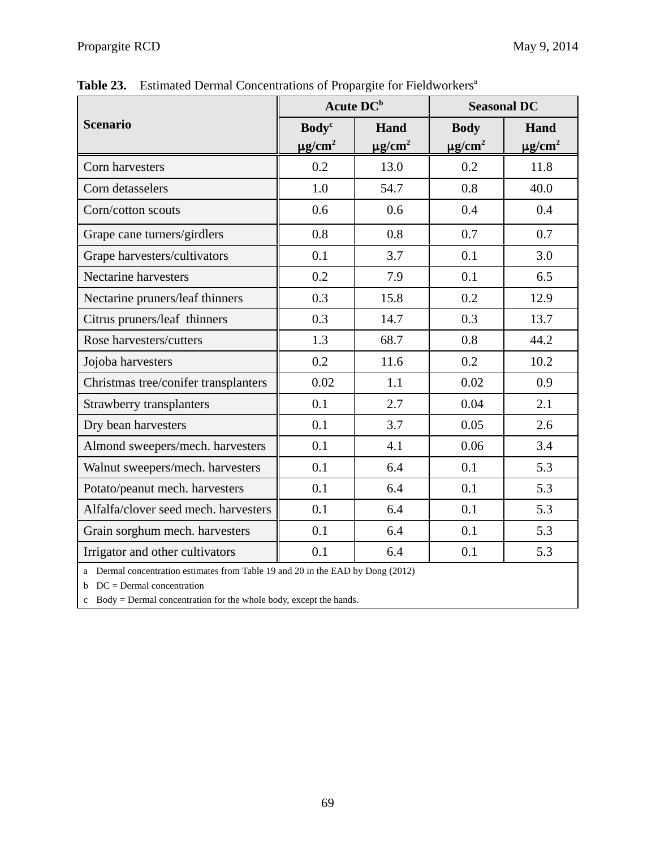|                                                                                 | Acute DC <sup>b</sup>    |                         | <b>Seasonal DC</b>      |                         |  |
|---------------------------------------------------------------------------------|--------------------------|-------------------------|-------------------------|-------------------------|--|
| <b>Scenario</b>                                                                 | <b>Body</b> <sup>c</sup> | Hand                    | <b>Body</b>             | Hand                    |  |
|                                                                                 | $\mu$ g/cm <sup>2</sup>  | $\mu$ g/cm <sup>2</sup> | $\mu$ g/cm <sup>2</sup> | $\mu$ g/cm <sup>2</sup> |  |
| Corn harvesters                                                                 | 0.2                      | 13.0                    | 0.2                     | 11.8                    |  |
| Corn detasselers                                                                | 1.0                      | 54.7                    | 0.8                     | 40.0                    |  |
| Corn/cotton scouts                                                              | 0.6                      | 0.6                     | 0.4                     | 0.4                     |  |
| Grape cane turners/girdlers                                                     | 0.8                      | 0.8                     | 0.7                     | 0.7                     |  |
| Grape harvesters/cultivators                                                    | 0.1                      | 3.7                     | 0.1                     | 3.0                     |  |
| <b>Nectarine harvesters</b>                                                     | 0.2                      | 7.9                     | 0.1                     | 6.5                     |  |
| Nectarine pruners/leaf thinners                                                 | 0.3                      | 15.8                    | 0.2                     | 12.9                    |  |
| Citrus pruners/leaf thinners                                                    | 0.3                      | 14.7                    | 0.3                     | 13.7                    |  |
| Rose harvesters/cutters                                                         | 1.3                      | 68.7                    | 0.8                     | 44.2                    |  |
| Jojoba harvesters                                                               | 0.2                      | 11.6                    | 0.2                     | 10.2                    |  |
| Christmas tree/conifer transplanters                                            | 0.02                     | 1.1                     | 0.02                    | 0.9                     |  |
| <b>Strawberry transplanters</b>                                                 | 0.1                      | 2.7                     | 0.04                    | 2.1                     |  |
| Dry bean harvesters                                                             | 0.1                      | 3.7                     | 0.05                    | 2.6                     |  |
| Almond sweepers/mech. harvesters                                                | 0.1                      | 4.1                     | 0.06                    | 3.4                     |  |
| Walnut sweepers/mech. harvesters                                                | 0.1                      | 6.4                     | 0.1                     | 5.3                     |  |
| Potato/peanut mech. harvesters                                                  | 0.1                      | 6.4                     | 0.1                     | 5.3                     |  |
| Alfalfa/clover seed mech. harvesters                                            | 0.1                      | 6.4                     | 0.1                     | 5.3                     |  |
| Grain sorghum mech. harvesters                                                  | 0.1                      | 6.4                     | 0.1                     | 5.3                     |  |
| Irrigator and other cultivators                                                 | 0.1                      | 6.4                     | 0.1                     | 5.3                     |  |
| a Dermal concentration estimates from Table 19 and 20 in the EAD by Dong (2012) |                          |                         |                         |                         |  |

Table 23. Estimated Dermal Concentrations of Propargite for Fieldworkers<sup>a</sup>

 $b$  DC = Dermal concentration

c Body = Dermal concentration for the whole body, except the hands.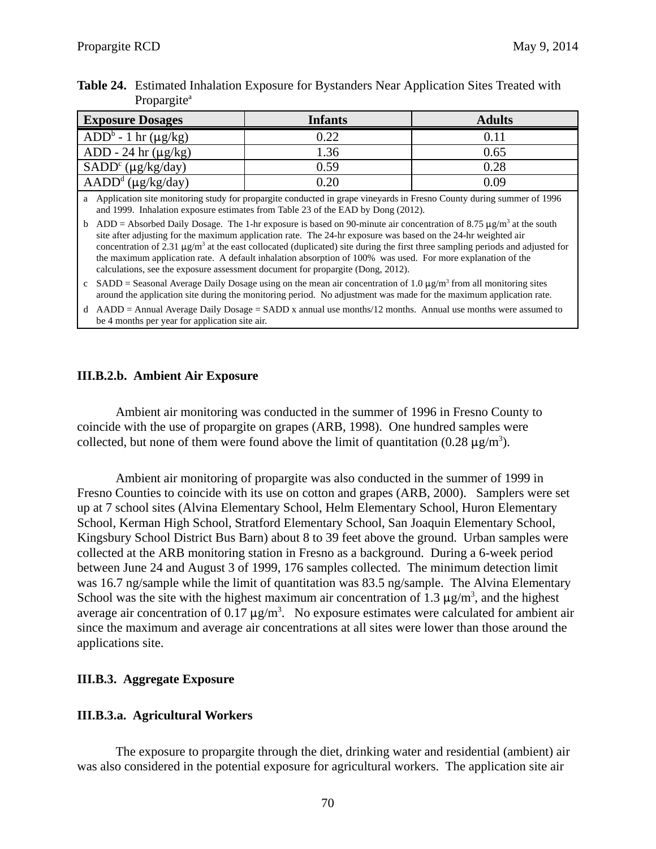| Table 24. Estimated Inhalation Exposure for Bystanders Near Application Sites Treated with |
|--------------------------------------------------------------------------------------------|
| Propargite <sup>a</sup>                                                                    |

| <b>Exposure Dosages</b>      | <b>Infants</b> | <b>Adults</b> |
|------------------------------|----------------|---------------|
| $ADD^b - 1$ hr ( $\mu$ g/kg) | 0.22           | 0.11          |
| ADD - 24 hr $(\mu g/kg)$     | 1.36           | 0.65          |
| $SADDc (\mu g/kg/day)$       | 0.59           | 0.28          |
| $\text{AADD}^d$ (µg/kg/day)  | 0.20           | 0.09          |

a Application site monitoring study for propargite conducted in grape vineyards in Fresno County during summer of 1996 and 1999. Inhalation exposure estimates from Table 23 of the EAD by Dong (2012).

b ADD = Absorbed Daily Dosage. The 1-hr exposure is based on 90-minute air concentration of 8.75  $\mu$ g/m<sup>3</sup> at the south site after adjusting for the maximum application rate. The 24-hr exposure was based on the 24-hr weighted air concentration of 2.31  $\mu$ g/m<sup>3</sup> at the east collocated (duplicated) site during the first three sampling periods and adjusted for the maximum application rate. A default inhalation absorption of 100% was used. For more explanation of the calculations, see the exposure assessment document for propargite (Dong, 2012).

c SADD = Seasonal Average Daily Dosage using on the mean air concentration of 1.0  $\mu$ g/m<sup>3</sup> from all monitoring sites around the application site during the monitoring period. No adjustment was made for the maximum application rate.

d AADD = Annual Average Daily Dosage = SADD x annual use months/12 months. Annual use months were assumed to be 4 months per year for application site air.

#### **III.B.2.b. Ambient Air Exposure**

Ambient air monitoring was conducted in the summer of 1996 in Fresno County to coincide with the use of propargite on grapes (ARB, 1998). One hundred samples were collected, but none of them were found above the limit of quantitation (0.28  $\mu$ g/m<sup>3</sup>).

Ambient air monitoring of propargite was also conducted in the summer of 1999 in Fresno Counties to coincide with its use on cotton and grapes (ARB, 2000). Samplers were set up at 7 school sites (Alvina Elementary School, Helm Elementary School, Huron Elementary School, Kerman High School, Stratford Elementary School, San Joaquin Elementary School, Kingsbury School District Bus Barn) about 8 to 39 feet above the ground. Urban samples were collected at the ARB monitoring station in Fresno as a background. During a 6-week period between June 24 and August 3 of 1999, 176 samples collected. The minimum detection limit was 16.7 ng/sample while the limit of quantitation was 83.5 ng/sample. The Alvina Elementary School was the site with the highest maximum air concentration of 1.3  $\mu$ g/m<sup>3</sup>, and the highest average air concentration of 0.17  $\mu$ g/m<sup>3</sup>. No exposure estimates were calculated for ambient air since the maximum and average air concentrations at all sites were lower than those around the applications site.

### **III.B.3. Aggregate Exposure**

### **III.B.3.a. Agricultural Workers**

The exposure to propargite through the diet, drinking water and residential (ambient) air was also considered in the potential exposure for agricultural workers. The application site air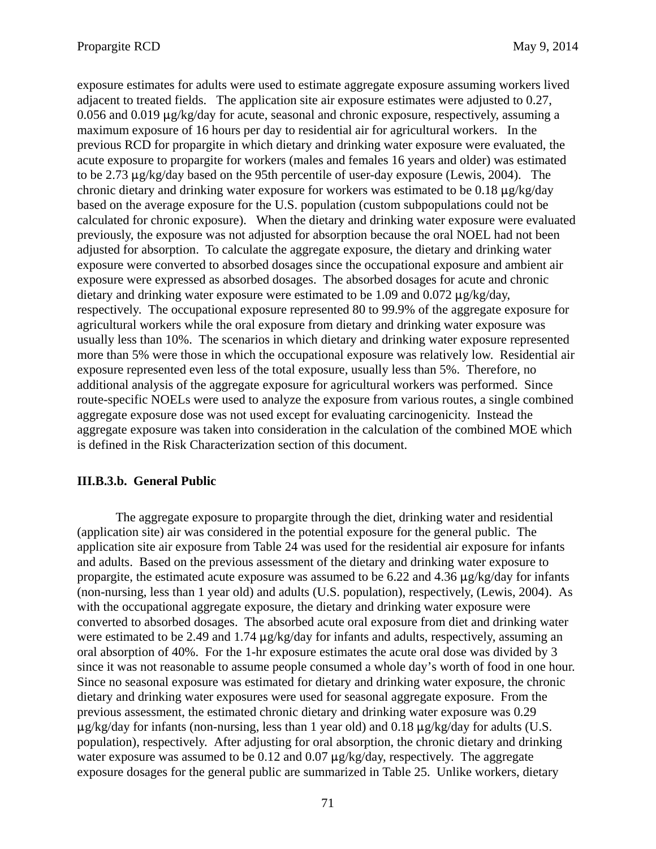exposure estimates for adults were used to estimate aggregate exposure assuming workers lived adjacent to treated fields. The application site air exposure estimates were adjusted to 0.27,  $0.056$  and  $0.019 \mu$ g/kg/day for acute, seasonal and chronic exposure, respectively, assuming a maximum exposure of 16 hours per day to residential air for agricultural workers. In the previous RCD for propargite in which dietary and drinking water exposure were evaluated, the acute exposure to propargite for workers (males and females 16 years and older) was estimated to be 2.73  $\mu$ g/kg/day based on the 95th percentile of user-day exposure (Lewis, 2004). The chronic dietary and drinking water exposure for workers was estimated to be  $0.18 \mu g/kg/day$ based on the average exposure for the U.S. population (custom subpopulations could not be calculated for chronic exposure). When the dietary and drinking water exposure were evaluated previously, the exposure was not adjusted for absorption because the oral NOEL had not been adjusted for absorption. To calculate the aggregate exposure, the dietary and drinking water exposure were converted to absorbed dosages since the occupational exposure and ambient air exposure were expressed as absorbed dosages. The absorbed dosages for acute and chronic dietary and drinking water exposure were estimated to be 1.09 and 0.072  $\mu$ g/kg/day, respectively. The occupational exposure represented 80 to 99.9% of the aggregate exposure for agricultural workers while the oral exposure from dietary and drinking water exposure was usually less than 10%. The scenarios in which dietary and drinking water exposure represented more than 5% were those in which the occupational exposure was relatively low. Residential air exposure represented even less of the total exposure, usually less than 5%. Therefore, no additional analysis of the aggregate exposure for agricultural workers was performed. Since route-specific NOELs were used to analyze the exposure from various routes, a single combined aggregate exposure dose was not used except for evaluating carcinogenicity. Instead the aggregate exposure was taken into consideration in the calculation of the combined MOE which is defined in the Risk Characterization section of this document.

### **III.B.3.b. General Public**

The aggregate exposure to propargite through the diet, drinking water and residential (application site) air was considered in the potential exposure for the general public. The application site air exposure from Table 24 was used for the residential air exposure for infants and adults. Based on the previous assessment of the dietary and drinking water exposure to propargite, the estimated acute exposure was assumed to be  $6.22$  and  $4.36 \mu g/kg/day$  for infants (non-nursing, less than 1 year old) and adults (U.S. population), respectively, (Lewis, 2004). As with the occupational aggregate exposure, the dietary and drinking water exposure were converted to absorbed dosages. The absorbed acute oral exposure from diet and drinking water were estimated to be 2.49 and 1.74  $\mu$ g/kg/day for infants and adults, respectively, assuming an oral absorption of 40%. For the 1-hr exposure estimates the acute oral dose was divided by 3 since it was not reasonable to assume people consumed a whole day's worth of food in one hour. Since no seasonal exposure was estimated for dietary and drinking water exposure, the chronic dietary and drinking water exposures were used for seasonal aggregate exposure. From the previous assessment, the estimated chronic dietary and drinking water exposure was 0.29  $\mu$ g/kg/day for infants (non-nursing, less than 1 year old) and 0.18  $\mu$ g/kg/day for adults (U.S. population), respectively. After adjusting for oral absorption, the chronic dietary and drinking water exposure was assumed to be  $0.12$  and  $0.07 \mu g/kg/day$ , respectively. The aggregate exposure dosages for the general public are summarized in Table 25. Unlike workers, dietary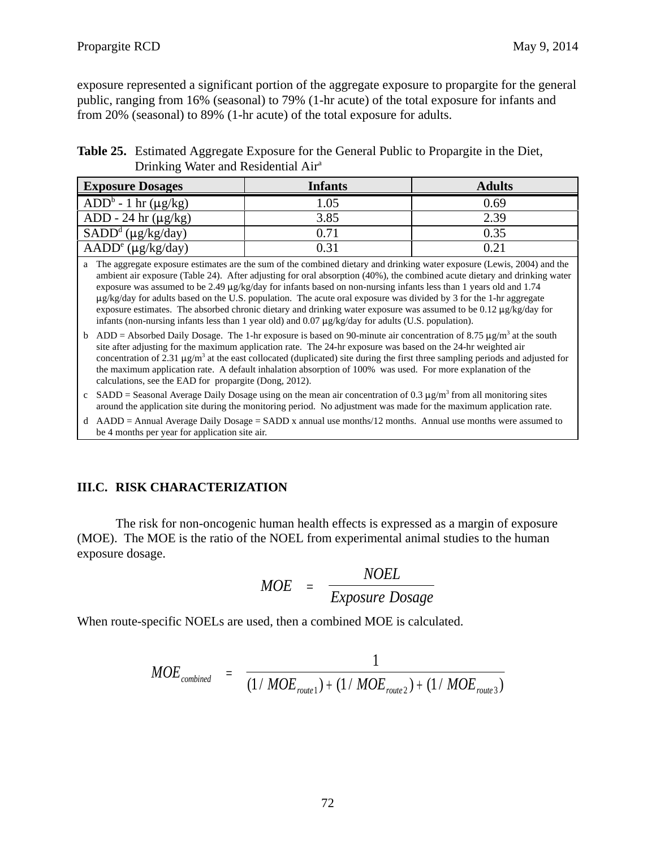exposure represented a significant portion of the aggregate exposure to propargite for the general public, ranging from 16% (seasonal) to 79% (1-hr acute) of the total exposure for infants and from 20% (seasonal) to 89% (1-hr acute) of the total exposure for adults.

 **Table 25.** Estimated Aggregate Exposure for the General Public to Propargite in the Diet, Drinking Water and Residential Air<sup>a</sup>

| <b>Exposure Dosages</b>                | <b>Infants</b> | <b>Adults</b> |
|----------------------------------------|----------------|---------------|
| $ADD^b - 1$ hr ( $\mu$ g/kg)           | 1.05           | 0.69          |
| ADD - 24 hr $(\mu g/kg)$               | 3.85           | 2.39          |
| $\overline{\text{SADD}^d}$ (µg/kg/day) | 0.71           | 0.35          |
| $\text{AADD}^e$ (µg/kg/day)            | 0.31           | 0.21          |

a The aggregate exposure estimates are the sum of the combined dietary and drinking water exposure (Lewis, 2004) and the ambient air exposure (Table 24). After adjusting for oral absorption (40%), the combined acute dietary and drinking water exposure was assumed to be 2.49  $\mu$ g/kg/day for infants based on non-nursing infants less than 1 years old and 1.74 µg/kg/day for adults based on the U.S. population. The acute oral exposure was divided by 3 for the 1-hr aggregate exposure estimates. The absorbed chronic dietary and drinking water exposure was assumed to be 0.12  $\mu$ g/kg/day for infants (non-nursing infants less than 1 year old) and 0.07  $\mu$ g/kg/day for adults (U.S. population).

- b ADD = Absorbed Daily Dosage. The 1-hr exposure is based on 90-minute air concentration of 8.75  $\mu$ g/m<sup>3</sup> at the south site after adjusting for the maximum application rate. The 24-hr exposure was based on the 24-hr weighted air concentration of 2.31  $\mu$ g/m<sup>3</sup> at the east collocated (duplicated) site during the first three sampling periods and adjusted for the maximum application rate. A default inhalation absorption of 100% was used. For more explanation of the calculations, see the EAD for propargite (Dong, 2012).
- c SADD = Seasonal Average Daily Dosage using on the mean air concentration of 0.3  $\mu$ g/m<sup>3</sup> from all monitoring sites around the application site during the monitoring period. No adjustment was made for the maximum application rate.
- d AADD = Annual Average Daily Dosage = SADD x annual use months/12 months. Annual use months were assumed to be 4 months per year for application site air.

### **III.C. RISK CHARACTERIZATION**

The risk for non-oncogenic human health effects is expressed as a margin of exposure (MOE). The MOE is the ratio of the NOEL from experimental animal studies to the human exposure dosage.

$$
MOE = \frac{NOEL}{Exposure\,Dosage}
$$

When route-specific NOELs are used, then a combined MOE is calculated.

$$
MOE_{combined} = \frac{1}{(1/MOE_{route1}) + (1/MOE_{route2}) + (1/MOE_{route3})}
$$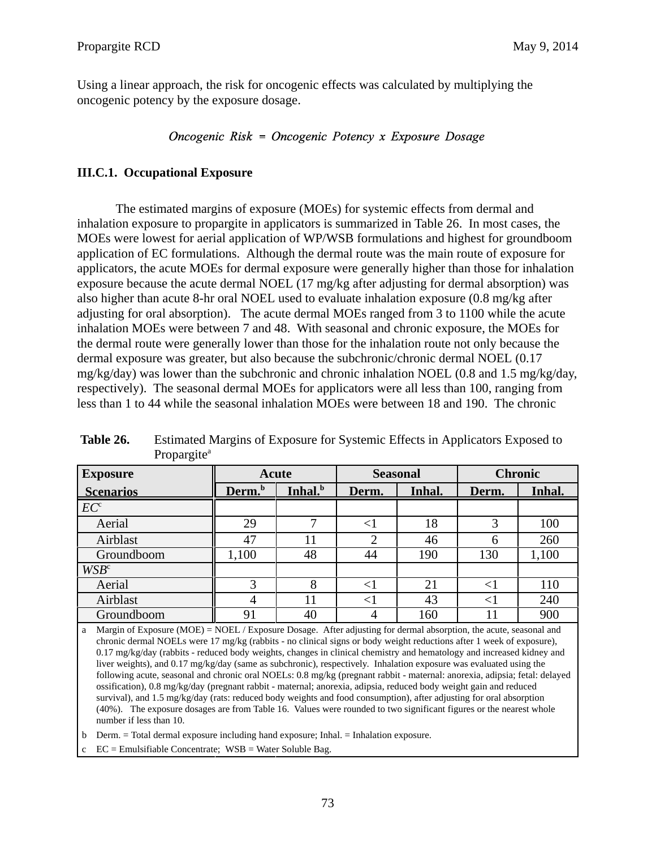Using a linear approach, the risk for oncogenic effects was calculated by multiplying the oncogenic potency by the exposure dosage.

## Oncogenic Risk = Oncogenic Potency x Exposure Dosage

#### **III.C.1. Occupational Exposure**

The estimated margins of exposure (MOEs) for systemic effects from dermal and inhalation exposure to propargite in applicators is summarized in Table 26. In most cases, the MOEs were lowest for aerial application of WP/WSB formulations and highest for groundboom application of EC formulations. Although the dermal route was the main route of exposure for applicators, the acute MOEs for dermal exposure were generally higher than those for inhalation exposure because the acute dermal NOEL (17 mg/kg after adjusting for dermal absorption) was also higher than acute 8-hr oral NOEL used to evaluate inhalation exposure (0.8 mg/kg after adjusting for oral absorption). The acute dermal MOEs ranged from 3 to 1100 while the acute inhalation MOEs were between 7 and 48. With seasonal and chronic exposure, the MOEs for the dermal route were generally lower than those for the inhalation route not only because the dermal exposure was greater, but also because the subchronic/chronic dermal NOEL (0.17  $mg/kg/day$ ) was lower than the subchronic and chronic inhalation NOEL (0.8 and 1.5 mg/kg/day, respectively). The seasonal dermal MOEs for applicators were all less than 100, ranging from less than 1 to 44 while the seasonal inhalation MOEs were between 18 and 190. The chronic

| <b>Exposure</b>  |                    | <b>Acute</b>        |       | <b>Seasonal</b> |       | <b>Chronic</b> |  |
|------------------|--------------------|---------------------|-------|-----------------|-------|----------------|--|
| <b>Scenarios</b> | Derm. <sup>b</sup> | Inhal. <sup>b</sup> | Derm. | Inhal.          | Derm. | Inhal.         |  |
| EC <sup>c</sup>  |                    |                     |       |                 |       |                |  |
| Aerial           | 29                 | ⇁                   | $<$ 1 | 18              | 3     | 100            |  |
| Airblast         | 47                 | 11                  | ◠     | 46              | h     | 260            |  |
| Groundboom       | 1,100              | 48                  | 44    | 190             | 130   | 1,100          |  |
| WSB <sup>c</sup> |                    |                     |       |                 |       |                |  |
| Aerial           |                    |                     |       | 21              |       | 110            |  |
| Airblast         |                    |                     |       | 43              |       | 240            |  |
| Groundboom       | 91                 | 40                  | 4     | 160             |       | 900            |  |

| Table 26. | Estimated Margins of Exposure for Systemic Effects in Applicators Exposed to |
|-----------|------------------------------------------------------------------------------|
|           | Propargite <sup>a</sup>                                                      |

a Margin of Exposure (MOE) = NOEL / Exposure Dosage. After adjusting for dermal absorption, the acute, seasonal and chronic dermal NOELs were 17 mg/kg (rabbits - no clinical signs or body weight reductions after 1 week of exposure), 0.17 mg/kg/day (rabbits - reduced body weights, changes in clinical chemistry and hematology and increased kidney and liver weights), and 0.17 mg/kg/day (same as subchronic), respectively. Inhalation exposure was evaluated using the following acute, seasonal and chronic oral NOELs: 0.8 mg/kg (pregnant rabbit - maternal: anorexia, adipsia; fetal: delayed ossification), 0.8 mg/kg/day (pregnant rabbit - maternal; anorexia, adipsia, reduced body weight gain and reduced survival), and 1.5 mg/kg/day (rats: reduced body weights and food consumption), after adjusting for oral absorption (40%). The exposure dosages are from Table 16. Values were rounded to two significant figures or the nearest whole number if less than 10.

b Derm. = Total dermal exposure including hand exposure; Inhal. = Inhalation exposure.

 $EC =$  Emulsifiable Concentrate;  $WSB =$  Water Soluble Bag.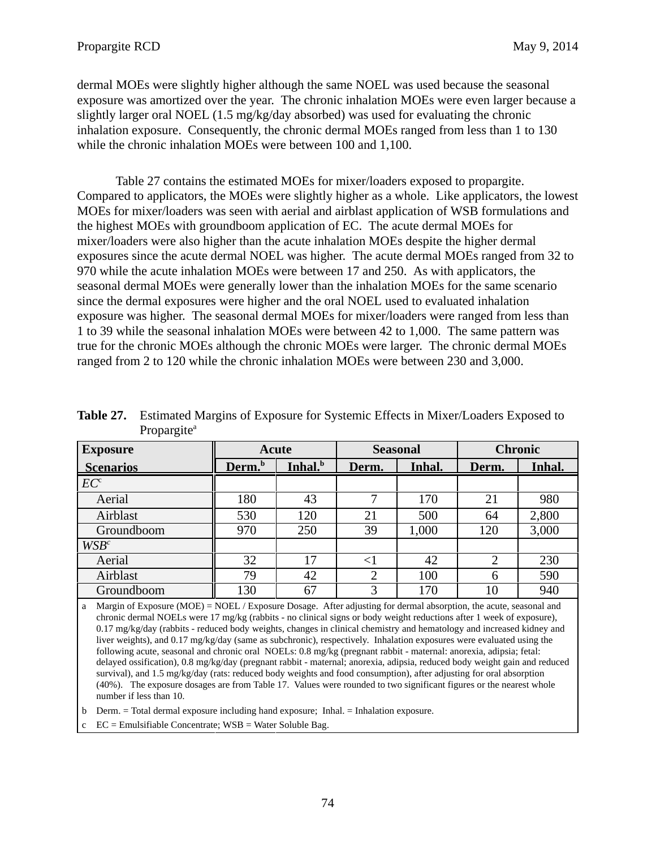dermal MOEs were slightly higher although the same NOEL was used because the seasonal exposure was amortized over the year. The chronic inhalation MOEs were even larger because a slightly larger oral NOEL  $(1.5 \text{ mg/kg/day}$  absorbed) was used for evaluating the chronic inhalation exposure. Consequently, the chronic dermal MOEs ranged from less than 1 to 130 while the chronic inhalation MOEs were between 100 and 1,100.

Table 27 contains the estimated MOEs for mixer/loaders exposed to propargite. Compared to applicators, the MOEs were slightly higher as a whole. Like applicators, the lowest MOEs for mixer/loaders was seen with aerial and airblast application of WSB formulations and the highest MOEs with groundboom application of EC. The acute dermal MOEs for mixer/loaders were also higher than the acute inhalation MOEs despite the higher dermal exposures since the acute dermal NOEL was higher. The acute dermal MOEs ranged from 32 to 970 while the acute inhalation MOEs were between 17 and 250. As with applicators, the seasonal dermal MOEs were generally lower than the inhalation MOEs for the same scenario since the dermal exposures were higher and the oral NOEL used to evaluated inhalation exposure was higher. The seasonal dermal MOEs for mixer/loaders were ranged from less than 1 to 39 while the seasonal inhalation MOEs were between 42 to 1,000. The same pattern was true for the chronic MOEs although the chronic MOEs were larger. The chronic dermal MOEs ranged from 2 to 120 while the chronic inhalation MOEs were between 230 and 3,000.

| <b>Exposure</b>  |                    | <b>Seasonal</b><br>Acute |                 | <b>Chronic</b> |       |        |
|------------------|--------------------|--------------------------|-----------------|----------------|-------|--------|
| <b>Scenarios</b> | Derm. <sup>b</sup> | Inhal. <sup>b</sup>      | Inhal.<br>Derm. |                | Derm. | Inhal. |
| EC <sup>c</sup>  |                    |                          |                 |                |       |        |
| Aerial           | 180                | 43                       | ⇁               | 170            | 21    | 980    |
| Airblast         | 530                | 120                      | 21              | 500            | 64    | 2,800  |
| Groundboom       | 970                | 250                      | 39              | 1,000          | 120   | 3,000  |
| $WSB^c$          |                    |                          |                 |                |       |        |
| Aerial           | 32                 | 17                       |                 | 42             | ◠     | 230    |
| Airblast         | 79                 | 42                       | $\overline{2}$  | 100            | 6     | 590    |
| Groundboom       | 130                | 67                       | 3               | 170            | 10    | 940    |

Table 27. **Table 27.** Estimated Margins of Exposure for Systemic Effects in Mixer/Loaders Exposed to Propargite<sup>a</sup>

a Margin of Exposure (MOE) = NOEL / Exposure Dosage. After adjusting for dermal absorption, the acute, seasonal and chronic dermal NOELs were 17 mg/kg (rabbits - no clinical signs or body weight reductions after 1 week of exposure), 0.17 mg/kg/day (rabbits - reduced body weights, changes in clinical chemistry and hematology and increased kidney and liver weights), and 0.17 mg/kg/day (same as subchronic), respectively. Inhalation exposures were evaluated using the following acute, seasonal and chronic oral NOELs: 0.8 mg/kg (pregnant rabbit - maternal: anorexia, adipsia; fetal: delayed ossification), 0.8 mg/kg/day (pregnant rabbit - maternal; anorexia, adipsia, reduced body weight gain and reduced survival), and 1.5 mg/kg/day (rats: reduced body weights and food consumption), after adjusting for oral absorption (40%). The exposure dosages are from Table 17. Values were rounded to two significant figures or the nearest whole number if less than 10.

b Derm. = Total dermal exposure including hand exposure; Inhal. = Inhalation exposure.

 $EC =$  Emulsifiable Concentrate;  $WSB =$  Water Soluble Bag.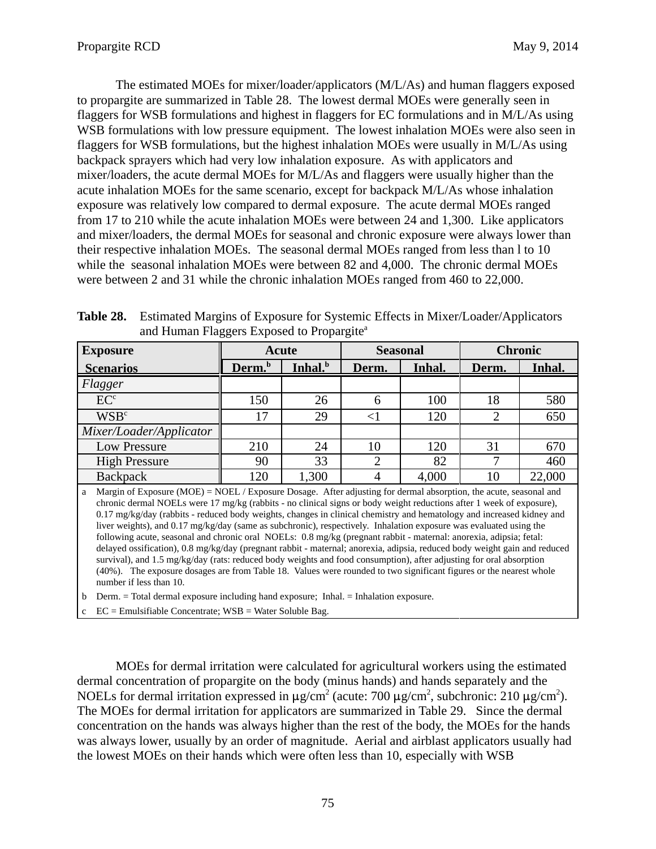The estimated MOEs for mixer/loader/applicators (M/L/As) and human flaggers exposed to propargite are summarized in Table 28. The lowest dermal MOEs were generally seen in flaggers for WSB formulations and highest in flaggers for EC formulations and in M/L/As using WSB formulations with low pressure equipment. The lowest inhalation MOEs were also seen in flaggers for WSB formulations, but the highest inhalation MOEs were usually in M/L/As using backpack sprayers which had very low inhalation exposure. As with applicators and mixer/loaders, the acute dermal MOEs for M/L/As and flaggers were usually higher than the acute inhalation MOEs for the same scenario, except for backpack M/L/As whose inhalation exposure was relatively low compared to dermal exposure. The acute dermal MOEs ranged from 17 to 210 while the acute inhalation MOEs were between 24 and 1,300. Like applicators and mixer/loaders, the dermal MOEs for seasonal and chronic exposure were always lower than their respective inhalation MOEs. The seasonal dermal MOEs ranged from less than l to 10 while the seasonal inhalation MOEs were between 82 and 4,000. The chronic dermal MOEs were between 2 and 31 while the chronic inhalation MOEs ranged from 460 to 22,000.

| ັ                                                                                                                         |                                           |       |                 |        |                |        |
|---------------------------------------------------------------------------------------------------------------------------|-------------------------------------------|-------|-----------------|--------|----------------|--------|
| <b>Exposure</b>                                                                                                           | Acute                                     |       | <b>Seasonal</b> |        | <b>Chronic</b> |        |
| <b>Scenarios</b>                                                                                                          | Inhal. <sup>b</sup><br>Derm. <sup>b</sup> |       | Derm.           | Inhal. | Derm.          | Inhal. |
| Flagger                                                                                                                   |                                           |       |                 |        |                |        |
| EC <sup>c</sup>                                                                                                           | 150                                       | 26    | 6               | 100    | 18             | 580    |
| WSB <sup>c</sup>                                                                                                          | 17                                        | 29    | $<$ 1           | 120    |                | 650    |
| Mixer/Loader/Applicator                                                                                                   |                                           |       |                 |        |                |        |
| Low Pressure                                                                                                              | 210                                       | 24    | 10              | 120    | 31             | 670    |
| <b>High Pressure</b>                                                                                                      | 90                                        | 33    |                 | 82     |                | 460    |
| <b>Backpack</b>                                                                                                           | 120                                       | 1,300 |                 | 4,000  | 10             | 22,000 |
| <b>A</b> Mergin of Exposure (MOE) – MOEI (Exposure Dessee). After edivating for dermal ebserption, the sense seesagel and |                                           |       |                 |        |                |        |

Table 28. Estimated Margins of Exposure for Systemic Effects in Mixer/Loader/Applicators and Human Flaggers Exposed to Propargite<sup>a</sup>

a Margin of Exposure (MOE) = NOEL / Exposure Dosage. After adjusting for dermal absorption, the acute, seasonal and chronic dermal NOELs were 17 mg/kg (rabbits - no clinical signs or body weight reductions after 1 week of exposure), 0.17 mg/kg/day (rabbits - reduced body weights, changes in clinical chemistry and hematology and increased kidney and liver weights), and 0.17 mg/kg/day (same as subchronic), respectively. Inhalation exposure was evaluated using the following acute, seasonal and chronic oral NOELs: 0.8 mg/kg (pregnant rabbit - maternal: anorexia, adipsia; fetal: delayed ossification), 0.8 mg/kg/day (pregnant rabbit - maternal; anorexia, adipsia, reduced body weight gain and reduced survival), and 1.5 mg/kg/day (rats: reduced body weights and food consumption), after adjusting for oral absorption (40%). The exposure dosages are from Table 18. Values were rounded to two significant figures or the nearest whole number if less than 10.

b Derm. = Total dermal exposure including hand exposure; Inhal. = Inhalation exposure.

 $c$  EC = Emulsifiable Concentrate; WSB = Water Soluble Bag.

MOEs for dermal irritation were calculated for agricultural workers using the estimated dermal concentration of propargite on the body (minus hands) and hands separately and the NOELs for dermal irritation expressed in  $\mu$ g/cm<sup>2</sup> (acute: 700  $\mu$ g/cm<sup>2</sup>, subchronic: 210  $\mu$ g/cm<sup>2</sup>). The MOEs for dermal irritation for applicators are summarized in Table 29. Since the dermal concentration on the hands was always higher than the rest of the body, the MOEs for the hands was always lower, usually by an order of magnitude. Aerial and airblast applicators usually had the lowest MOEs on their hands which were often less than 10, especially with WSB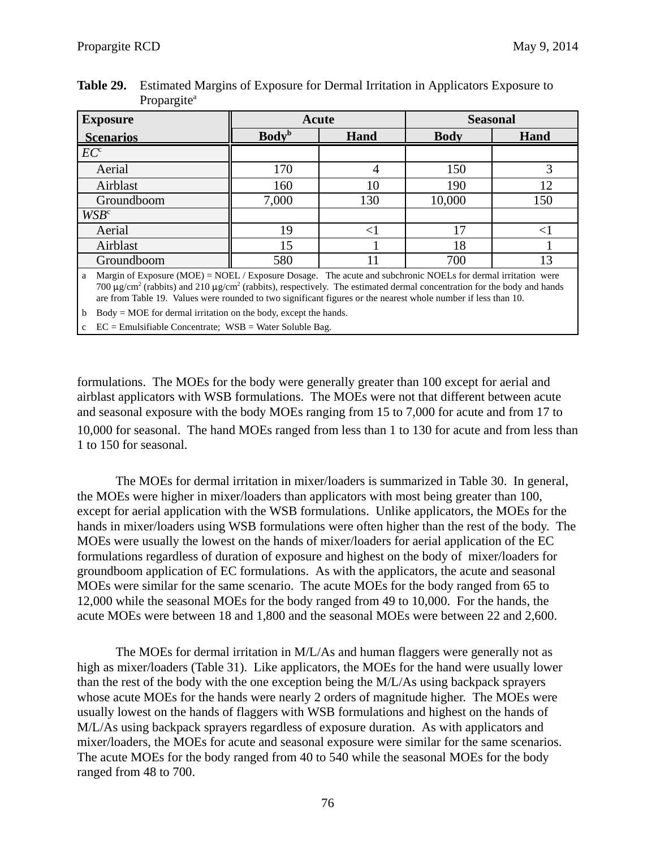| <b>Exposure</b>   |                          | Acute | <b>Seasonal</b> |      |  |
|-------------------|--------------------------|-------|-----------------|------|--|
| <b>Scenarios</b>  | <b>Body</b> <sup>b</sup> | Hand  |                 | Hand |  |
| $\overline{EC}^c$ |                          |       |                 |      |  |
| Aerial            | 170                      |       | 150             |      |  |
| Airblast          | 160                      | 10    | 190             | 12   |  |
| Groundboom        | 7,000                    | 130   | 10,000          | 150  |  |
| WSB <sup>c</sup>  |                          |       |                 |      |  |
| Aerial            | 19                       |       | ⇁               |      |  |
| Airblast          | 15                       |       | 18              |      |  |
| Groundboom        | 580                      |       | 700             |      |  |

Table 29. **Table 29.** Estimated Margins of Exposure for Dermal Irritation in Applicators Exposure to Propargite<sup>a</sup>

700  $\mu$ g/cm<sup>2</sup> (rabbits) and 210  $\mu$ g/cm<sup>2</sup> (rabbits), respectively. The estimated dermal concentration for the body and hands a Margin of Exposure (MOE) = NOEL / Exposure Dosage. The acute and subchronic NOELs for dermal irritation were are from Table 19. Values were rounded to two significant figures or the nearest whole number if less than 10.

b Body = MOE for dermal irritation on the body, except the hands.

 $EC =$  Emulsifiable Concentrate;  $WSB =$  Water Soluble Bag.

formulations. The MOEs for the body were generally greater than 100 except for aerial and airblast applicators with WSB formulations. The MOEs were not that different between acute and seasonal exposure with the body MOEs ranging from 15 to 7,000 for acute and from 17 to 10,000 for seasonal. The hand MOEs ranged from less than 1 to 130 for acute and from less than 1 to 150 for seasonal.

The MOEs for dermal irritation in mixer/loaders is summarized in Table 30. In general, the MOEs were higher in mixer/loaders than applicators with most being greater than 100, except for aerial application with the WSB formulations. Unlike applicators, the MOEs for the hands in mixer/loaders using WSB formulations were often higher than the rest of the body. The MOEs were usually the lowest on the hands of mixer/loaders for aerial application of the EC formulations regardless of duration of exposure and highest on the body of mixer/loaders for groundboom application of EC formulations. As with the applicators, the acute and seasonal MOEs were similar for the same scenario. The acute MOEs for the body ranged from 65 to 12,000 while the seasonal MOEs for the body ranged from 49 to 10,000. For the hands, the acute MOEs were between 18 and 1,800 and the seasonal MOEs were between 22 and 2,600.

The MOEs for dermal irritation in M/L/As and human flaggers were generally not as high as mixer/loaders (Table 31). Like applicators, the MOEs for the hand were usually lower than the rest of the body with the one exception being the M/L/As using backpack sprayers whose acute MOEs for the hands were nearly 2 orders of magnitude higher. The MOEs were usually lowest on the hands of flaggers with WSB formulations and highest on the hands of M/L/As using backpack sprayers regardless of exposure duration. As with applicators and mixer/loaders, the MOEs for acute and seasonal exposure were similar for the same scenarios. The acute MOEs for the body ranged from 40 to 540 while the seasonal MOEs for the body ranged from 48 to 700.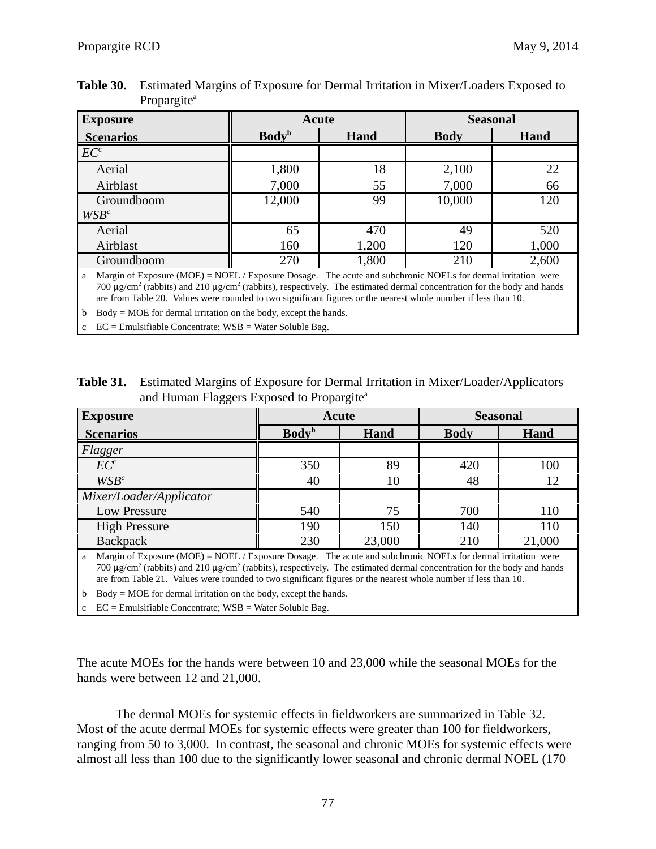| <b>Exposure</b>  | Acute                            |       | <b>Seasonal</b> |       |
|------------------|----------------------------------|-------|-----------------|-------|
| <b>Scenarios</b> | <b>Body</b> <sup>b</sup><br>Hand |       | <b>Body</b>     | Hand  |
| EC <sup>c</sup>  |                                  |       |                 |       |
| Aerial           | 1,800                            | 18    | 2,100           | 22    |
| Airblast         | 7,000                            | 55    | 7,000           | 66    |
| Groundboom       | 12,000                           | 99    | 10,000          | 120   |
| $WSB^c$          |                                  |       |                 |       |
| Aerial           | 65                               | 470   | 49              | 520   |
| Airblast         | 160                              | 1,200 | 120             | 1,000 |
| Groundboom       | 270                              | 1,800 | 210             | 2,600 |

Table 30. **Table 30.** Estimated Margins of Exposure for Dermal Irritation in Mixer/Loaders Exposed to Propargite<sup>a</sup>

700  $\mu$ g/cm<sup>2</sup> (rabbits) and 210  $\mu$ g/cm<sup>2</sup> (rabbits), respectively. The estimated dermal concentration for the body and hands a Margin of Exposure (MOE) = NOEL / Exposure Dosage. The acute and subchronic NOELs for dermal irritation were are from Table 20. Values were rounded to two significant figures or the nearest whole number if less than 10.

b Body = MOE for dermal irritation on the body, except the hands.

 $EC =$  Emulsifiable Concentrate;  $WSB =$  Water Soluble Bag.

**Table 31.** Estimated Margins of Exposure for Dermal Irritation in Mixer/Loader/Applicators and Human Flaggers Exposed to Propargite<sup>a</sup>

| <b>Exposure</b>                                     | Acute                          |        | <b>Seasonal</b> |        |
|-----------------------------------------------------|--------------------------------|--------|-----------------|--------|
| <b>Scenarios</b>                                    | <b>Body</b> <sup>b</sup>       | Hand   | <b>Body</b>     | Hand   |
| Flagger                                             |                                |        |                 |        |
| EC <sup>c</sup>                                     | 350                            | 89     | 420             | 100    |
| $WSB^c$                                             | 40                             | 10     | 48              |        |
| Mixer/Loader/Applicator                             |                                |        |                 |        |
| Low Pressure                                        | 540                            | 75     | 700             | 110    |
| <b>High Pressure</b>                                | 190                            | 150    | 140             | 110    |
| <b>Backpack</b>                                     | 230                            | 23,000 | 210             | 21,000 |
| $\mathbf{v}$ $\mathbf{v}$<br>$(110T)$ $110T$ $(17)$ | $\mathbf{r}$<br><b>COMPUTE</b> |        | $\mathbf{1}$    |        |

700  $\mu$ g/cm<sup>2</sup> (rabbits) and 210  $\mu$ g/cm<sup>2</sup> (rabbits), respectively. The estimated dermal concentration for the body and hands a Margin of Exposure (MOE) = NOEL / Exposure Dosage. The acute and subchronic NOELs for dermal irritation were are from Table 21. Values were rounded to two significant figures or the nearest whole number if less than 10.

b Body = MOE for dermal irritation on the body, except the hands.

 $EC =$  Emulsifiable Concentrate;  $WSB =$  Water Soluble Bag.

The acute MOEs for the hands were between 10 and 23,000 while the seasonal MOEs for the hands were between 12 and 21,000.

The dermal MOEs for systemic effects in fieldworkers are summarized in Table 32. Most of the acute dermal MOEs for systemic effects were greater than 100 for fieldworkers, ranging from 50 to 3,000. In contrast, the seasonal and chronic MOEs for systemic effects were almost all less than 100 due to the significantly lower seasonal and chronic dermal NOEL (170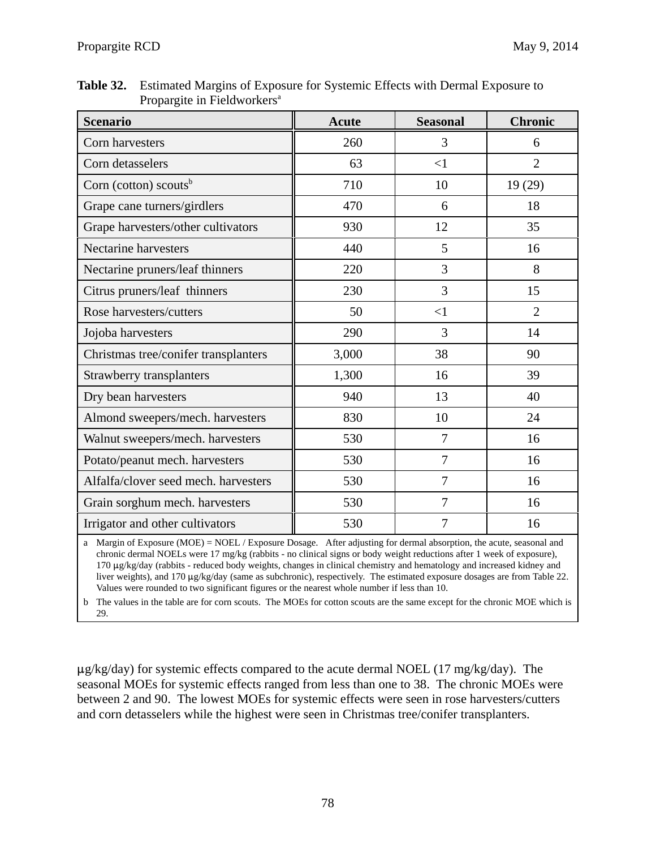| <b>Table 32.</b> Estimated Margins of Exposure for Systemic Effects with Dermal Exposure to |
|---------------------------------------------------------------------------------------------|
| Propargite in Fieldworkers <sup>a</sup>                                                     |

| <b>Scenario</b>                      | <b>Acute</b> | <b>Seasonal</b> | <b>Chronic</b> |
|--------------------------------------|--------------|-----------------|----------------|
| Corn harvesters                      | 260          | 3               | 6              |
| Corn detasselers                     | 63           | $\leq$ 1        | $\overline{2}$ |
| Corn (cotton) scouts <sup>b</sup>    | 710          | 10              | 19(29)         |
| Grape cane turners/girdlers          | 470          | 6               | 18             |
| Grape harvesters/other cultivators   | 930          | 12              | 35             |
| <b>Nectarine harvesters</b>          | 440          | 5               | 16             |
| Nectarine pruners/leaf thinners      | 220          | 3               | 8              |
| Citrus pruners/leaf thinners         | 230          | 3               | 15             |
| Rose harvesters/cutters              | 50           | $<$ 1           | $\overline{2}$ |
| Jojoba harvesters                    | 290          | 3               | 14             |
| Christmas tree/conifer transplanters | 3,000        | 38              | 90             |
| Strawberry transplanters             | 1,300        | 16              | 39             |
| Dry bean harvesters                  | 940          | 13              | 40             |
| Almond sweepers/mech. harvesters     | 830          | 10              | 24             |
| Walnut sweepers/mech. harvesters     | 530          | 7               | 16             |
| Potato/peanut mech. harvesters       | 530          | 7               | 16             |
| Alfalfa/clover seed mech. harvesters | 530          | 7               | 16             |
| Grain sorghum mech. harvesters       | 530          | $\overline{7}$  | 16             |
| Irrigator and other cultivators      | 530          | 7               | 16             |

a Margin of Exposure (MOE) = NOEL / Exposure Dosage. After adjusting for dermal absorption, the acute, seasonal and chronic dermal NOELs were 17 mg/kg (rabbits - no clinical signs or body weight reductions after 1 week of exposure), 170 µg/kg/day (rabbits - reduced body weights, changes in clinical chemistry and hematology and increased kidney and liver weights), and 170  $\mu$ g/kg/day (same as subchronic), respectively. The estimated exposure dosages are from Table 22. Values were rounded to two significant figures or the nearest whole number if less than 10.

b The values in the table are for corn scouts. The MOEs for cotton scouts are the same except for the chronic MOE which is 29.

 $\mu$ g/kg/day) for systemic effects compared to the acute dermal NOEL (17 mg/kg/day). The seasonal MOEs for systemic effects ranged from less than one to 38. The chronic MOEs were between 2 and 90. The lowest MOEs for systemic effects were seen in rose harvesters/cutters and corn detasselers while the highest were seen in Christmas tree/conifer transplanters.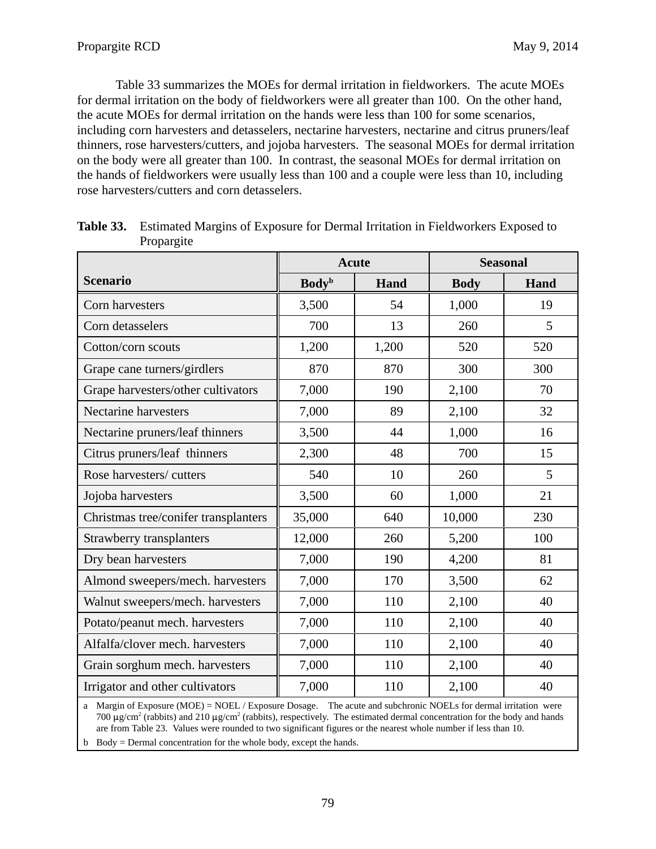Table 33 summarizes the MOEs for dermal irritation in fieldworkers. The acute MOEs for dermal irritation on the body of fieldworkers were all greater than 100. On the other hand, the acute MOEs for dermal irritation on the hands were less than 100 for some scenarios, including corn harvesters and detasselers, nectarine harvesters, nectarine and citrus pruners/leaf thinners, rose harvesters/cutters, and jojoba harvesters. The seasonal MOEs for dermal irritation on the body were all greater than 100. In contrast, the seasonal MOEs for dermal irritation on the hands of fieldworkers were usually less than 100 and a couple were less than 10, including rose harvesters/cutters and corn detasselers.

|                                                                                | <b>Acute</b>             |       | <b>Seasonal</b>                    |      |
|--------------------------------------------------------------------------------|--------------------------|-------|------------------------------------|------|
| <b>Scenario</b>                                                                | <b>Body</b> <sup>b</sup> | Hand  | <b>Body</b>                        | Hand |
| Corn harvesters                                                                | 3,500                    | 54    | 1,000                              | 19   |
| Corn detasselers                                                               | 700                      | 13    | 260                                | 5    |
| Cotton/corn scouts                                                             | 1,200                    | 1,200 | 520                                | 520  |
| Grape cane turners/girdlers                                                    | 870                      | 870   | 300                                | 300  |
| Grape harvesters/other cultivators                                             | 7,000                    | 190   | 2,100                              | 70   |
| <b>Nectarine harvesters</b>                                                    | 7,000                    | 89    | 2,100                              | 32   |
| Nectarine pruners/leaf thinners                                                | 3,500                    | 44    | 1,000                              | 16   |
| Citrus pruners/leaf thinners                                                   | 2,300                    | 48    | 700                                | 15   |
| Rose harvesters/cutters                                                        | 540                      | 10    | 260                                | 5    |
| Jojoba harvesters                                                              | 3,500                    | 60    | 1,000                              | 21   |
| Christmas tree/conifer transplanters                                           | 35,000                   | 640   | 10,000                             | 230  |
| Strawberry transplanters                                                       | 12,000                   | 260   | 5,200                              | 100  |
| Dry bean harvesters                                                            | 7,000                    | 190   | 4,200                              | 81   |
| Almond sweepers/mech. harvesters                                               | 7,000                    | 170   | 3,500                              | 62   |
| Walnut sweepers/mech. harvesters                                               | 7,000                    | 110   | 2,100                              | 40   |
| Potato/peanut mech. harvesters                                                 | 7,000                    | 110   | 2,100                              | 40   |
| Alfalfa/clover mech. harvesters                                                | 7,000                    | 110   | 2,100                              | 40   |
| Grain sorghum mech. harvesters                                                 | 7,000                    | 110   | 2,100                              | 40   |
| Irrigator and other cultivators                                                | 7,000                    | 110   | 2,100                              | 40   |
| $M_{\text{cutoff}}$ of $F_{\text{cutoff}}$ (MOE) $M$ OEI ( $F_{\text{cutoff}}$ | $\sim$ D $\sim$          |       | $1 - M$ OEI $-$ for domain $1 + M$ |      |

| Table 33. Estimated Margins of Exposure for Dermal Irritation in Fieldworkers Exposed to |
|------------------------------------------------------------------------------------------|
| Propargite                                                                               |

700  $\mu$ g/cm<sup>2</sup> (rabbits) and 210  $\mu$ g/cm<sup>2</sup> (rabbits), respectively. The estimated dermal concentration for the body and hands a Margin of Exposure (MOE) = NOEL / Exposure Dosage. The acute and subchronic NOELs for dermal irritation were are from Table 23. Values were rounded to two significant figures or the nearest whole number if less than 10.

b Body = Dermal concentration for the whole body, except the hands.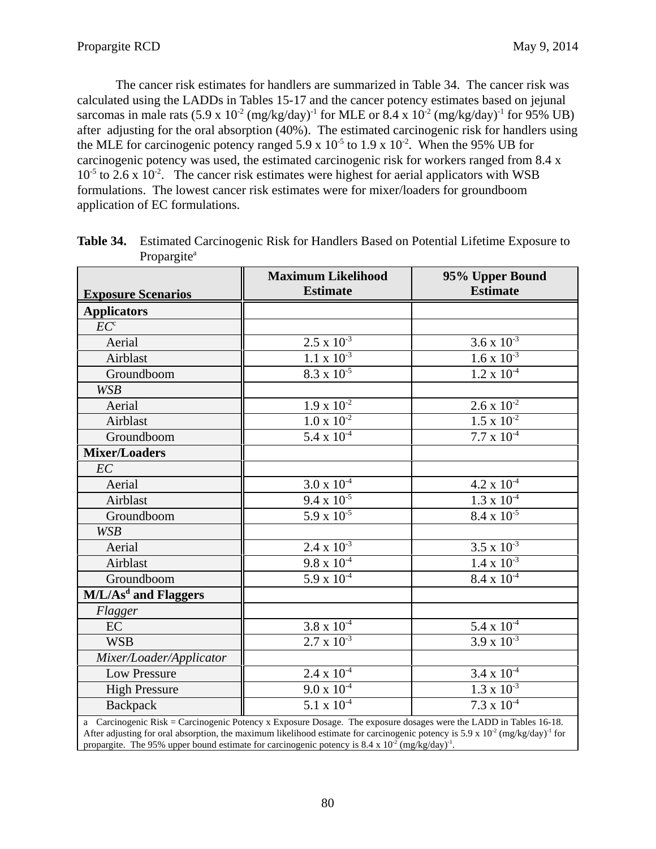The cancer risk estimates for handlers are summarized in Table 34. The cancer risk was calculated using the LADDs in Tables 15-17 and the cancer potency estimates based on jejunal sarcomas in male rats  $(5.9 \times 10^{-2} \text{ (mg/kg/day)}^{-1}$  for MLE or  $8.4 \times 10^{-2} \text{ (mg/kg/day)}^{-1}$  for 95% UB) after adjusting for the oral absorption (40%). The estimated carcinogenic risk for handlers using the MLE for carcinogenic potency ranged  $5.9 \times 10^{-5}$  to  $1.9 \times 10^{-2}$ . When the 95% UB for carcinogenic potency was used, the estimated carcinogenic risk for workers ranged from 8.4 x  $10^{-5}$  to 2.6 x 10<sup>-2</sup>. The cancer risk estimates were highest for aerial applicators with WSB formulations. The lowest cancer risk estimates were for mixer/loaders for groundboom application of EC formulations.

|                                  | <b>Maximum Likelihood</b> | 95% Upper Bound      |
|----------------------------------|---------------------------|----------------------|
| <b>Exposure Scenarios</b>        | <b>Estimate</b>           | <b>Estimate</b>      |
| <b>Applicators</b>               |                           |                      |
| $\overline{EC}^c$                |                           |                      |
| Aerial                           | $2.5 \times 10^{-3}$      | 3.6 x $10^{-3}$      |
| Airblast                         | $1.1 \times 10^{-3}$      | $1.6 \times 10^{-3}$ |
| Groundboom                       | $8.3 \times 10^{-5}$      | $1.2 \times 10^{-4}$ |
| <b>WSB</b>                       |                           |                      |
| Aerial                           | $1.9 \times 10^{-2}$      | $2.6 \times 10^{-2}$ |
| Airblast                         | $1.0 \times 10^{-2}$      | $1.5 \times 10^{-2}$ |
| Groundboom                       | $5.4 \times 10^{-4}$      | $7.7 \times 10^{-4}$ |
| <b>Mixer/Loaders</b>             |                           |                      |
| EC                               |                           |                      |
| Aerial                           | $3.0 \times 10^{-4}$      | $4.2 \times 10^{-4}$ |
| Airblast                         | $9.4 \times 10^{-5}$      | $1.3 \times 10^{-4}$ |
| Groundboom                       | $5.9 \times 10^{-5}$      | $8.4 \times 10^{-5}$ |
| <b>WSB</b>                       |                           |                      |
| Aerial                           | $2.4 \times 10^{-3}$      | $3.5 \times 10^{-3}$ |
| Airblast                         | $9.8 \times 10^{-4}$      | $1.4 \times 10^{-3}$ |
| Groundboom                       | $5.9 \times 10^{-4}$      | $8.4 \times 10^{-4}$ |
| M/L/As <sup>d</sup> and Flaggers |                           |                      |
| Flagger                          |                           |                      |
| EC                               | $3.8 \times 10^{-4}$      | $5.4 \times 10^{-4}$ |
| <b>WSB</b>                       | $2.7 \times 10^{-3}$      | $3.9 \times 10^{-3}$ |
| Mixer/Loader/Applicator          |                           |                      |
| <b>Low Pressure</b>              | $2.4 \times 10^{-4}$      | $3.4 \times 10^{-4}$ |
| <b>High Pressure</b>             | $9.0 \times 10^{-4}$      | $1.3 \times 10^{-3}$ |
| Backpack                         | $5.1 \times 10^{-4}$      | $7.3 \times 10^{-4}$ |

 **Table 34.** Estimated Carcinogenic Risk for Handlers Based on Potential Lifetime Exposure to Propargite<sup>a</sup>

a Carcinogenic Risk = Carcinogenic Potency x Exposure Dosage. The exposure dosages were the LADD in Tables 16-18. After adjusting for oral absorption, the maximum likelihood estimate for carcinogenic potency is 5.9 x  $10^2$  (mg/kg/day)<sup>-1</sup> for propargite. The 95% upper bound estimate for carcinogenic potency is 8.4 x  $10^{-2}$  (mg/kg/day)<sup>-1</sup>.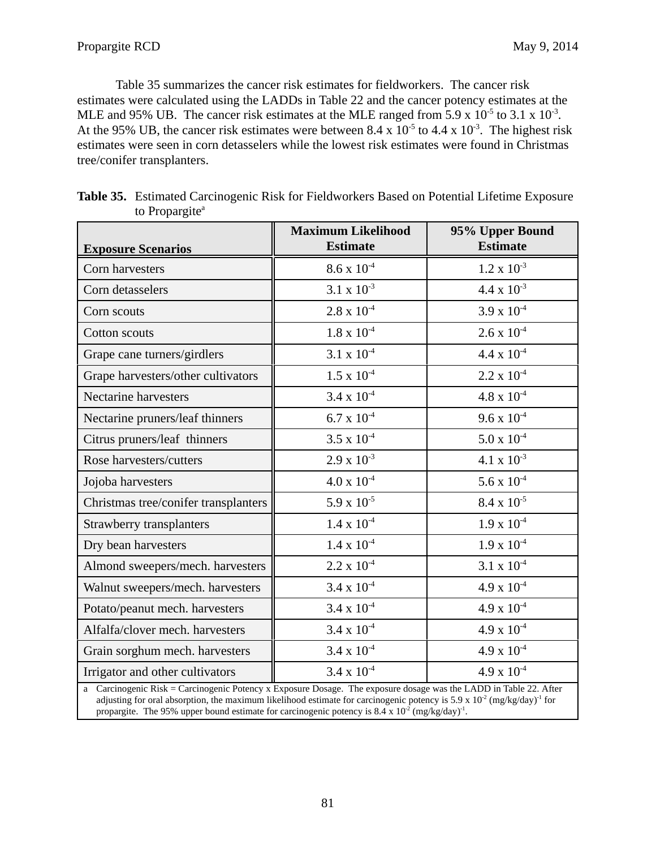Table 35 summarizes the cancer risk estimates for fieldworkers. The cancer risk estimates were calculated using the LADDs in Table 22 and the cancer potency estimates at the MLE and 95% UB. The cancer risk estimates at the MLE ranged from 5.9 x  $10^{-5}$  to 3.1 x  $10^{-3}$ . At the 95% UB, the cancer risk estimates were between 8.4 x  $10^{-5}$  to 4.4 x  $10^{-3}$ . The highest risk estimates were seen in corn detasselers while the lowest risk estimates were found in Christmas tree/conifer transplanters.

| <b>Exposure Scenarios</b>                                                                                                                                                                                                                                           | <b>Maximum Likelihood</b><br><b>Estimate</b> | 95% Upper Bound<br><b>Estimate</b> |
|---------------------------------------------------------------------------------------------------------------------------------------------------------------------------------------------------------------------------------------------------------------------|----------------------------------------------|------------------------------------|
| Corn harvesters                                                                                                                                                                                                                                                     | $8.6 \times 10^{-4}$                         | $1.2 \times 10^{-3}$               |
| Corn detasselers                                                                                                                                                                                                                                                    | $3.1 \times 10^{-3}$                         | $4.4 \times 10^{-3}$               |
| Corn scouts                                                                                                                                                                                                                                                         | $2.8$ x $10^{\text{-}4}$                     | $3.9 \times 10^{-4}$               |
| Cotton scouts                                                                                                                                                                                                                                                       | $1.8 \times 10^{-4}$                         | $2.6 \times 10^{-4}$               |
| Grape cane turners/girdlers                                                                                                                                                                                                                                         | $3.1\ge10^4$                                 | $4.4 \times 10^{-4}$               |
| Grape harvesters/other cultivators                                                                                                                                                                                                                                  | $1.5$ x $10^{\text{-}4}$                     | $2.2 \times 10^{-4}$               |
| Nectarine harvesters                                                                                                                                                                                                                                                | $3.4 \times 10^{-4}$                         | $4.8 \times 10^{-4}$               |
| Nectarine pruners/leaf thinners                                                                                                                                                                                                                                     | $6.7 \times 10^{-4}$                         | $9.6 \times 10^{-4}$               |
| Citrus pruners/leaf thinners                                                                                                                                                                                                                                        | $3.5 \times 10^{-4}$                         | $5.0 \times 10^{-4}$               |
| Rose harvesters/cutters                                                                                                                                                                                                                                             | $2.9 \times 10^{-3}$                         | $4.1 \times 10^{-3}$               |
| Jojoba harvesters                                                                                                                                                                                                                                                   | $4.0 \ge 10^{4}$                             | $5.6 \times 10^{-4}$               |
| Christmas tree/conifer transplanters                                                                                                                                                                                                                                | $5.9 \times 10^{-5}$                         | $8.4 \times 10^{-5}$               |
| Strawberry transplanters                                                                                                                                                                                                                                            | $1.4 \times 10^{-4}$                         | $1.9 \times 10^{-4}$               |
| Dry bean harvesters                                                                                                                                                                                                                                                 | $1.4 \times 10^{-4}$                         | $1.9 \times 10^{-4}$               |
| Almond sweepers/mech. harvesters                                                                                                                                                                                                                                    | $2.2 \times 10^{-4}$                         | $3.1 \times 10^{-4}$               |
| Walnut sweepers/mech. harvesters                                                                                                                                                                                                                                    | $3.4 \times 10^{-4}$                         | $4.9 \times 10^{-4}$               |
| Potato/peanut mech. harvesters                                                                                                                                                                                                                                      | $3.4 \times 10^{-4}$                         | $4.9 \times 10^{-4}$               |
| Alfalfa/clover mech. harvesters                                                                                                                                                                                                                                     | $3.4 \times 10^{-4}$                         | $4.9 \times 10^{-4}$               |
| Grain sorghum mech. harvesters                                                                                                                                                                                                                                      | $3.4 \times 10^{-4}$                         | $4.9 \times 10^{-4}$               |
| Irrigator and other cultivators                                                                                                                                                                                                                                     | $3.4 \times 10^{-4}$                         | $4.9 \times 10^{-4}$               |
| a Carcinogenic Risk = Carcinogenic Potency x Exposure Dosage. The exposure dosage was the LADD in Table 22. After<br>adjusting for oral absorption, the maximum likelihood estimate for carcinogenic potency is 5.9 x 10 <sup>2</sup> (mg/kg/day) <sup>-1</sup> for |                                              |                                    |

| <b>Table 35.</b> Estimated Carcinogenic Risk for Fieldworkers Based on Potential Lifetime Exposure |
|----------------------------------------------------------------------------------------------------|
| to Propargite <sup>a</sup>                                                                         |

propargite. The 95% upper bound estimate for carcinogenic potency is  $8.4 \times 10^{-2}$  (mg/kg/day)<sup>-1</sup>.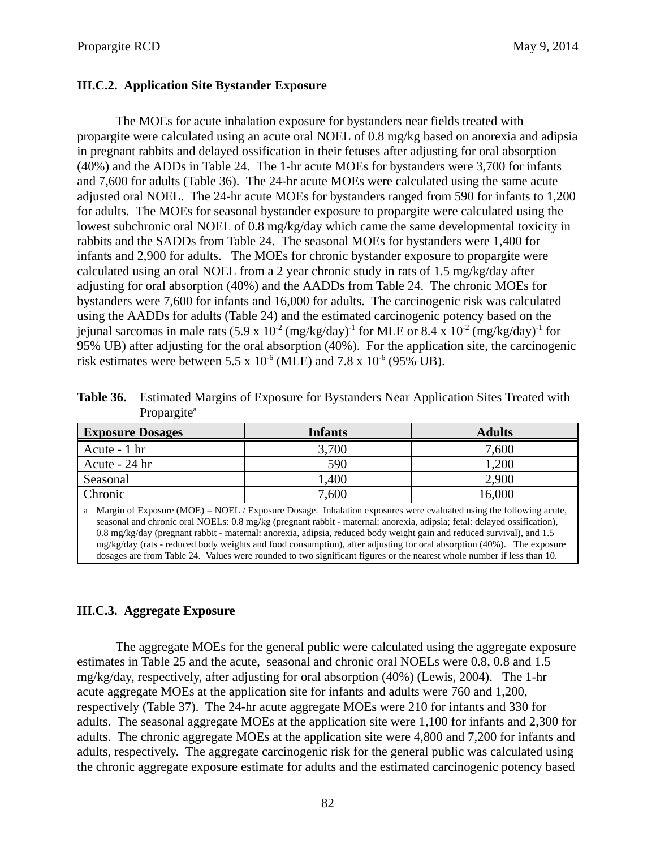## **III.C.2. Application Site Bystander Exposure**

The MOEs for acute inhalation exposure for bystanders near fields treated with propargite were calculated using an acute oral NOEL of 0.8 mg/kg based on anorexia and adipsia in pregnant rabbits and delayed ossification in their fetuses after adjusting for oral absorption (40%) and the ADDs in Table 24. The 1-hr acute MOEs for bystanders were 3,700 for infants and 7,600 for adults (Table 36). The 24-hr acute MOEs were calculated using the same acute adjusted oral NOEL. The 24-hr acute MOEs for bystanders ranged from 590 for infants to 1,200 for adults. The MOEs for seasonal bystander exposure to propargite were calculated using the lowest subchronic oral NOEL of 0.8 mg/kg/day which came the same developmental toxicity in rabbits and the SADDs from Table 24. The seasonal MOEs for bystanders were 1,400 for infants and 2,900 for adults. The MOEs for chronic bystander exposure to propargite were calculated using an oral NOEL from a 2 year chronic study in rats of 1.5 mg/kg/day after adjusting for oral absorption (40%) and the AADDs from Table 24. The chronic MOEs for bystanders were 7,600 for infants and 16,000 for adults. The carcinogenic risk was calculated using the AADDs for adults (Table 24) and the estimated carcinogenic potency based on the jejunal sarcomas in male rats  $(5.9 \times 10^{-2} \text{ (mg/kg/day)}^1$  for MLE or  $8.4 \times 10^{-2} \text{ (mg/kg/day)}^1$  for 95% UB) after adjusting for the oral absorption (40%). For the application site, the carcinogenic risk estimates were between 5.5 x  $10^{-6}$  (MLE) and 7.8 x  $10^{-6}$  (95% UB).

 **Table 36.** Estimated Margins of Exposure for Bystanders Near Application Sites Treated with Propargite<sup>a</sup>

| <b>Exposure Dosages</b>                                                                                                                                                                                                                                              | Infants | <b>Adults</b> |
|----------------------------------------------------------------------------------------------------------------------------------------------------------------------------------------------------------------------------------------------------------------------|---------|---------------|
| Acute - 1 hr                                                                                                                                                                                                                                                         | 3,700   | 7,600         |
| Acute - 24 hr                                                                                                                                                                                                                                                        | 590     | 1,200         |
| Seasonal                                                                                                                                                                                                                                                             | 1,400   | 2,900         |
| Chronic                                                                                                                                                                                                                                                              | 7,600   | 16,000        |
| a Margin of Exposure (MOE) = NOEL / Exposure Dosage. Inhalation exposures were evaluated using the following acute,<br>$\sim$ 1 1 1 $\sim$ 1 MOPI 00 4 ( $\sim$ 11) $\sim$ 1 $\sim$ 1 $\sim$ 1 $\sim$ 1 $\sim$ 1 $\sim$ 1 $\sim$ 1 $\sim$ 1 $\sim$ 1 $\sim$ 1 $\sim$ |         |               |

seasonal and chronic oral NOELs: 0.8 mg/kg (pregnant rabbit - maternal: anorexia, adipsia; fetal: delayed ossification), 0.8 mg/kg/day (pregnant rabbit - maternal: anorexia, adipsia, reduced body weight gain and reduced survival), and 1.5 mg/kg/day (rats - reduced body weights and food consumption), after adjusting for oral absorption (40%). The exposure dosages are from Table 24. Values were rounded to two significant figures or the nearest whole number if less than 10.

# **III.C.3. Aggregate Exposure**

The aggregate MOEs for the general public were calculated using the aggregate exposure estimates in Table 25 and the acute, seasonal and chronic oral NOELs were 0.8, 0.8 and 1.5 mg/kg/day, respectively, after adjusting for oral absorption (40%) (Lewis, 2004). The 1-hr acute aggregate MOEs at the application site for infants and adults were 760 and 1,200, respectively (Table 37). The 24-hr acute aggregate MOEs were 210 for infants and 330 for adults. The seasonal aggregate MOEs at the application site were 1,100 for infants and 2,300 for adults. The chronic aggregate MOEs at the application site were 4,800 and 7,200 for infants and adults, respectively. The aggregate carcinogenic risk for the general public was calculated using the chronic aggregate exposure estimate for adults and the estimated carcinogenic potency based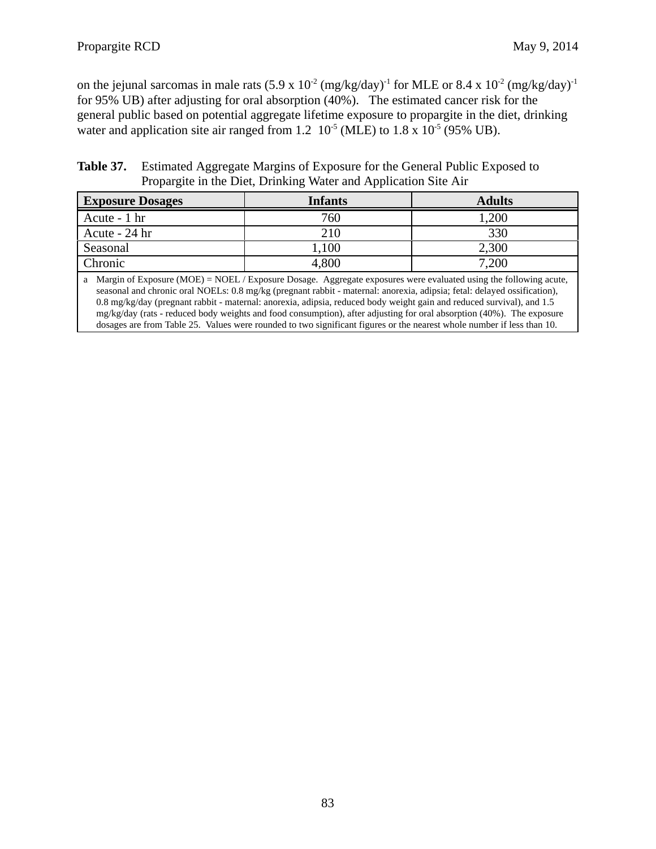on the jejunal sarcomas in male rats  $(5.9 \times 10^{-2} \text{ (mg/kg/day)}^{-1}$  for MLE or 8.4 x  $10^{-2} \text{ (mg/kg/day)}^{-1}$ for 95% UB) after adjusting for oral absorption (40%). The estimated cancer risk for the general public based on potential aggregate lifetime exposure to propargite in the diet, drinking water and application site air ranged from 1.2  $10^{-5}$  (MLE) to 1.8 x  $10^{-5}$  (95% UB).

Table 37. **Estimated Aggregate Margins of Exposure for the General Public Exposed to** Propargite in the Diet, Drinking Water and Application Site Air

| <b>Exposure Dosages</b>                                                                                                                                       | <b>Infants</b> | <b>Adults</b> |
|---------------------------------------------------------------------------------------------------------------------------------------------------------------|----------------|---------------|
| Acute - 1 hr                                                                                                                                                  | 760            | 1,200         |
| Acute - 24 hr                                                                                                                                                 | 210            | 330           |
| Seasonal                                                                                                                                                      | 1,100          | 2,300         |
| Chronic                                                                                                                                                       | 4,800          | 7,200         |
| $\cdots$<br>$\mathcal{C}$ T <sub>1</sub><br>$(110T)$ $110T$ $T$<br>$\mathbf{1}$ and $\mathbf{1}$ and $\mathbf{1}$ and $\mathbf{1}$<br>$\sqrt{ }$<br>$\lambda$ |                |               |

a Margin of Exposure (MOE) = NOEL / Exposure Dosage. Aggregate exposures were evaluated using the following acute, seasonal and chronic oral NOELs: 0.8 mg/kg (pregnant rabbit - maternal: anorexia, adipsia; fetal: delayed ossification), 0.8 mg/kg/day (pregnant rabbit - maternal: anorexia, adipsia, reduced body weight gain and reduced survival), and 1.5 mg/kg/day (rats - reduced body weights and food consumption), after adjusting for oral absorption (40%). The exposure dosages are from Table 25. Values were rounded to two significant figures or the nearest whole number if less than 10.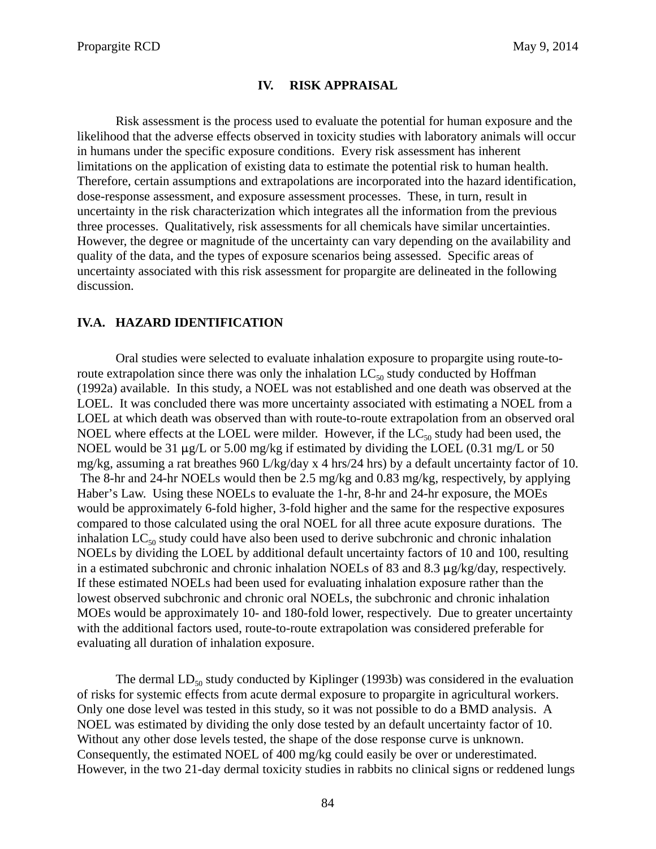#### **IV. RISK APPRAISAL**

Risk assessment is the process used to evaluate the potential for human exposure and the likelihood that the adverse effects observed in toxicity studies with laboratory animals will occur in humans under the specific exposure conditions. Every risk assessment has inherent limitations on the application of existing data to estimate the potential risk to human health. Therefore, certain assumptions and extrapolations are incorporated into the hazard identification, dose-response assessment, and exposure assessment processes. These, in turn, result in uncertainty in the risk characterization which integrates all the information from the previous three processes. Qualitatively, risk assessments for all chemicals have similar uncertainties. However, the degree or magnitude of the uncertainty can vary depending on the availability and quality of the data, and the types of exposure scenarios being assessed. Specific areas of uncertainty associated with this risk assessment for propargite are delineated in the following discussion.

#### **IV.A. HAZARD IDENTIFICATION**

Oral studies were selected to evaluate inhalation exposure to propargite using route-toroute extrapolation since there was only the inhalation  $LC_{50}$  study conducted by Hoffman (1992a) available. In this study, a NOEL was not established and one death was observed at the LOEL. It was concluded there was more uncertainty associated with estimating a NOEL from a LOEL at which death was observed than with route-to-route extrapolation from an observed oral NOEL where effects at the LOEL were milder. However, if the  $LC_{50}$  study had been used, the NOEL would be 31  $\mu$ g/L or 5.00 mg/kg if estimated by dividing the LOEL (0.31 mg/L or 50 mg/kg, assuming a rat breathes 960 L/kg/day x 4 hrs/24 hrs) by a default uncertainty factor of 10. The 8-hr and 24-hr NOELs would then be 2.5 mg/kg and 0.83 mg/kg, respectively, by applying Haber's Law. Using these NOELs to evaluate the 1-hr, 8-hr and 24-hr exposure, the MOEs would be approximately 6-fold higher, 3-fold higher and the same for the respective exposures compared to those calculated using the oral NOEL for all three acute exposure durations. The inhalation  $LC_{50}$  study could have also been used to derive subchronic and chronic inhalation NOELs by dividing the LOEL by additional default uncertainty factors of 10 and 100, resulting in a estimated subchronic and chronic inhalation NOELs of 83 and 8.3  $\mu$ g/kg/day, respectively. If these estimated NOELs had been used for evaluating inhalation exposure rather than the lowest observed subchronic and chronic oral NOELs, the subchronic and chronic inhalation MOEs would be approximately 10- and 180-fold lower, respectively. Due to greater uncertainty with the additional factors used, route-to-route extrapolation was considered preferable for evaluating all duration of inhalation exposure.

The dermal  $LD_{50}$  study conducted by Kiplinger (1993b) was considered in the evaluation of risks for systemic effects from acute dermal exposure to propargite in agricultural workers. Only one dose level was tested in this study, so it was not possible to do a BMD analysis. A NOEL was estimated by dividing the only dose tested by an default uncertainty factor of 10. Without any other dose levels tested, the shape of the dose response curve is unknown. Consequently, the estimated NOEL of 400 mg/kg could easily be over or underestimated. However, in the two 21-day dermal toxicity studies in rabbits no clinical signs or reddened lungs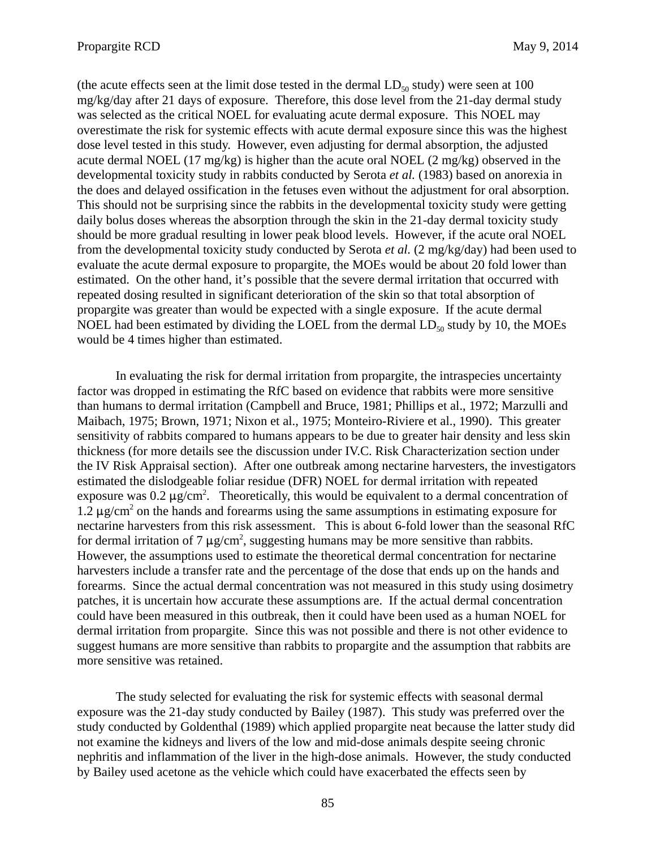(the acute effects seen at the limit dose tested in the dermal  $LD_{50}$  study) were seen at 100 mg/kg/day after 21 days of exposure. Therefore, this dose level from the 21-day dermal study was selected as the critical NOEL for evaluating acute dermal exposure. This NOEL may overestimate the risk for systemic effects with acute dermal exposure since this was the highest dose level tested in this study. However, even adjusting for dermal absorption, the adjusted acute dermal NOEL (17 mg/kg) is higher than the acute oral NOEL (2 mg/kg) observed in the developmental toxicity study in rabbits conducted by Serota *et al.* (1983) based on anorexia in the does and delayed ossification in the fetuses even without the adjustment for oral absorption. This should not be surprising since the rabbits in the developmental toxicity study were getting daily bolus doses whereas the absorption through the skin in the 21-day dermal toxicity study should be more gradual resulting in lower peak blood levels. However, if the acute oral NOEL from the developmental toxicity study conducted by Serota *et al.* (2 mg/kg/day) had been used to evaluate the acute dermal exposure to propargite, the MOEs would be about 20 fold lower than estimated. On the other hand, it's possible that the severe dermal irritation that occurred with repeated dosing resulted in significant deterioration of the skin so that total absorption of propargite was greater than would be expected with a single exposure. If the acute dermal NOEL had been estimated by dividing the LOEL from the dermal  $LD_{50}$  study by 10, the MOEs would be 4 times higher than estimated.

In evaluating the risk for dermal irritation from propargite, the intraspecies uncertainty factor was dropped in estimating the RfC based on evidence that rabbits were more sensitive than humans to dermal irritation (Campbell and Bruce, 1981; Phillips et al., 1972; Marzulli and Maibach, 1975; Brown, 1971; Nixon et al., 1975; Monteiro-Riviere et al., 1990). This greater sensitivity of rabbits compared to humans appears to be due to greater hair density and less skin thickness (for more details see the discussion under IV.C. Risk Characterization section under the IV Risk Appraisal section). After one outbreak among nectarine harvesters, the investigators estimated the dislodgeable foliar residue (DFR) NOEL for dermal irritation with repeated exposure was 0.2  $\mu$ g/cm<sup>2</sup>. Theoretically, this would be equivalent to a dermal concentration of  $1.2 \,\mu$ g/cm<sup>2</sup> on the hands and forearms using the same assumptions in estimating exposure for nectarine harvesters from this risk assessment. This is about 6-fold lower than the seasonal RfC for dermal irritation of 7  $\mu$ g/cm<sup>2</sup>, suggesting humans may be more sensitive than rabbits. However, the assumptions used to estimate the theoretical dermal concentration for nectarine harvesters include a transfer rate and the percentage of the dose that ends up on the hands and forearms. Since the actual dermal concentration was not measured in this study using dosimetry patches, it is uncertain how accurate these assumptions are. If the actual dermal concentration could have been measured in this outbreak, then it could have been used as a human NOEL for dermal irritation from propargite. Since this was not possible and there is not other evidence to suggest humans are more sensitive than rabbits to propargite and the assumption that rabbits are more sensitive was retained.

The study selected for evaluating the risk for systemic effects with seasonal dermal exposure was the 21-day study conducted by Bailey (1987). This study was preferred over the study conducted by Goldenthal (1989) which applied propargite neat because the latter study did not examine the kidneys and livers of the low and mid-dose animals despite seeing chronic nephritis and inflammation of the liver in the high-dose animals. However, the study conducted by Bailey used acetone as the vehicle which could have exacerbated the effects seen by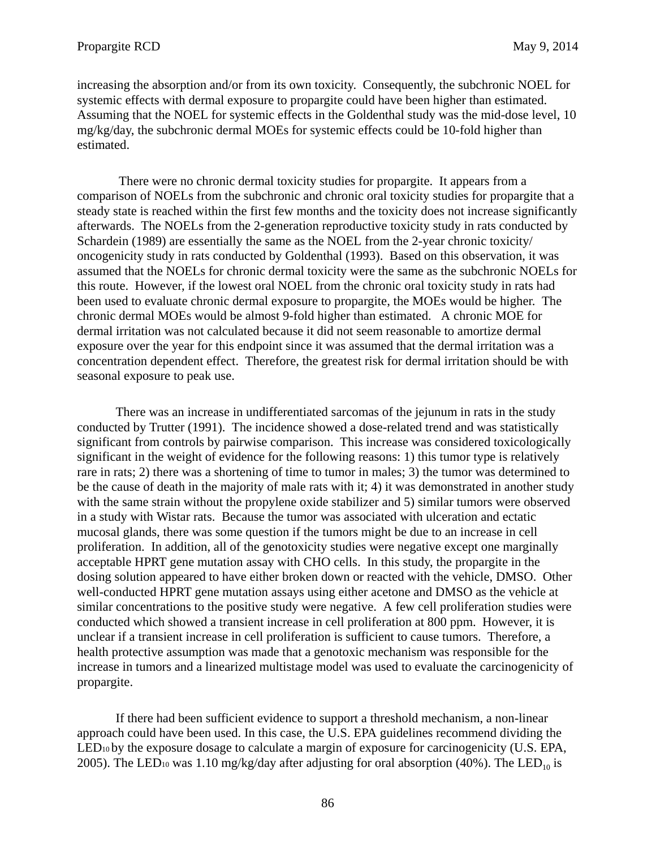increasing the absorption and/or from its own toxicity. Consequently, the subchronic NOEL for systemic effects with dermal exposure to propargite could have been higher than estimated. Assuming that the NOEL for systemic effects in the Goldenthal study was the mid-dose level, 10 mg/kg/day, the subchronic dermal MOEs for systemic effects could be 10-fold higher than estimated.

 There were no chronic dermal toxicity studies for propargite. It appears from a comparison of NOELs from the subchronic and chronic oral toxicity studies for propargite that a steady state is reached within the first few months and the toxicity does not increase significantly afterwards. The NOELs from the 2-generation reproductive toxicity study in rats conducted by Schardein (1989) are essentially the same as the NOEL from the 2-year chronic toxicity/ oncogenicity study in rats conducted by Goldenthal (1993). Based on this observation, it was assumed that the NOELs for chronic dermal toxicity were the same as the subchronic NOELs for this route. However, if the lowest oral NOEL from the chronic oral toxicity study in rats had been used to evaluate chronic dermal exposure to propargite, the MOEs would be higher. The chronic dermal MOEs would be almost 9-fold higher than estimated. A chronic MOE for dermal irritation was not calculated because it did not seem reasonable to amortize dermal exposure over the year for this endpoint since it was assumed that the dermal irritation was a concentration dependent effect. Therefore, the greatest risk for dermal irritation should be with seasonal exposure to peak use.

There was an increase in undifferentiated sarcomas of the jejunum in rats in the study conducted by Trutter (1991). The incidence showed a dose-related trend and was statistically significant from controls by pairwise comparison. This increase was considered toxicologically significant in the weight of evidence for the following reasons: 1) this tumor type is relatively rare in rats; 2) there was a shortening of time to tumor in males; 3) the tumor was determined to be the cause of death in the majority of male rats with it; 4) it was demonstrated in another study with the same strain without the propylene oxide stabilizer and 5) similar tumors were observed in a study with Wistar rats. Because the tumor was associated with ulceration and ectatic mucosal glands, there was some question if the tumors might be due to an increase in cell proliferation. In addition, all of the genotoxicity studies were negative except one marginally acceptable HPRT gene mutation assay with CHO cells. In this study, the propargite in the dosing solution appeared to have either broken down or reacted with the vehicle, DMSO. Other well-conducted HPRT gene mutation assays using either acetone and DMSO as the vehicle at similar concentrations to the positive study were negative. A few cell proliferation studies were conducted which showed a transient increase in cell proliferation at 800 ppm. However, it is unclear if a transient increase in cell proliferation is sufficient to cause tumors. Therefore, a health protective assumption was made that a genotoxic mechanism was responsible for the increase in tumors and a linearized multistage model was used to evaluate the carcinogenicity of propargite.

If there had been sufficient evidence to support a threshold mechanism, a non-linear approach could have been used. In this case, the U.S. EPA guidelines recommend dividing the LED<sub>10</sub> by the exposure dosage to calculate a margin of exposure for carcinogenicity (U.S. EPA, 2005). The LED<sub>10</sub> was 1.10 mg/kg/day after adjusting for oral absorption (40%). The LED<sub>10</sub> is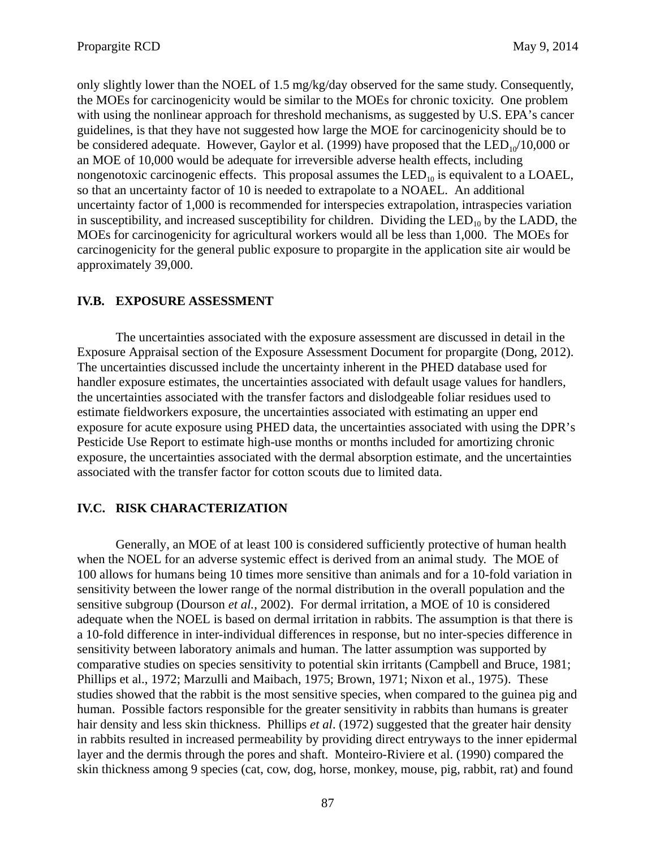only slightly lower than the NOEL of 1.5 mg/kg/day observed for the same study. Consequently, the MOEs for carcinogenicity would be similar to the MOEs for chronic toxicity. One problem with using the nonlinear approach for threshold mechanisms, as suggested by U.S. EPA's cancer guidelines, is that they have not suggested how large the MOE for carcinogenicity should be to be considered adequate. However, Gaylor et al. (1999) have proposed that the  $LED_{10}/10,000$  or an MOE of 10,000 would be adequate for irreversible adverse health effects, including nongenotoxic carcinogenic effects. This proposal assumes the  $LED_{10}$  is equivalent to a LOAEL, so that an uncertainty factor of 10 is needed to extrapolate to a NOAEL. An additional uncertainty factor of 1,000 is recommended for interspecies extrapolation, intraspecies variation in susceptibility, and increased susceptibility for children. Dividing the LED<sub>10</sub> by the LADD, the MOEs for carcinogenicity for agricultural workers would all be less than 1,000. The MOEs for carcinogenicity for the general public exposure to propargite in the application site air would be approximately 39,000.

### **IV.B. EXPOSURE ASSESSMENT**

The uncertainties associated with the exposure assessment are discussed in detail in the Exposure Appraisal section of the Exposure Assessment Document for propargite (Dong, 2012). The uncertainties discussed include the uncertainty inherent in the PHED database used for handler exposure estimates, the uncertainties associated with default usage values for handlers, the uncertainties associated with the transfer factors and dislodgeable foliar residues used to estimate fieldworkers exposure, the uncertainties associated with estimating an upper end exposure for acute exposure using PHED data, the uncertainties associated with using the DPR's Pesticide Use Report to estimate high-use months or months included for amortizing chronic exposure, the uncertainties associated with the dermal absorption estimate, and the uncertainties associated with the transfer factor for cotton scouts due to limited data.

#### **IV.C. RISK CHARACTERIZATION**

Generally, an MOE of at least 100 is considered sufficiently protective of human health when the NOEL for an adverse systemic effect is derived from an animal study. The MOE of 100 allows for humans being 10 times more sensitive than animals and for a 10-fold variation in sensitivity between the lower range of the normal distribution in the overall population and the sensitive subgroup (Dourson *et al.*, 2002). For dermal irritation, a MOE of 10 is considered adequate when the NOEL is based on dermal irritation in rabbits. The assumption is that there is a 10-fold difference in inter-individual differences in response, but no inter-species difference in sensitivity between laboratory animals and human. The latter assumption was supported by comparative studies on species sensitivity to potential skin irritants (Campbell and Bruce, 1981; Phillips et al., 1972; Marzulli and Maibach, 1975; Brown, 1971; Nixon et al., 1975). These studies showed that the rabbit is the most sensitive species, when compared to the guinea pig and human. Possible factors responsible for the greater sensitivity in rabbits than humans is greater hair density and less skin thickness. Phillips *et al*. (1972) suggested that the greater hair density in rabbits resulted in increased permeability by providing direct entryways to the inner epidermal layer and the dermis through the pores and shaft. Monteiro-Riviere et al. (1990) compared the skin thickness among 9 species (cat, cow, dog, horse, monkey, mouse, pig, rabbit, rat) and found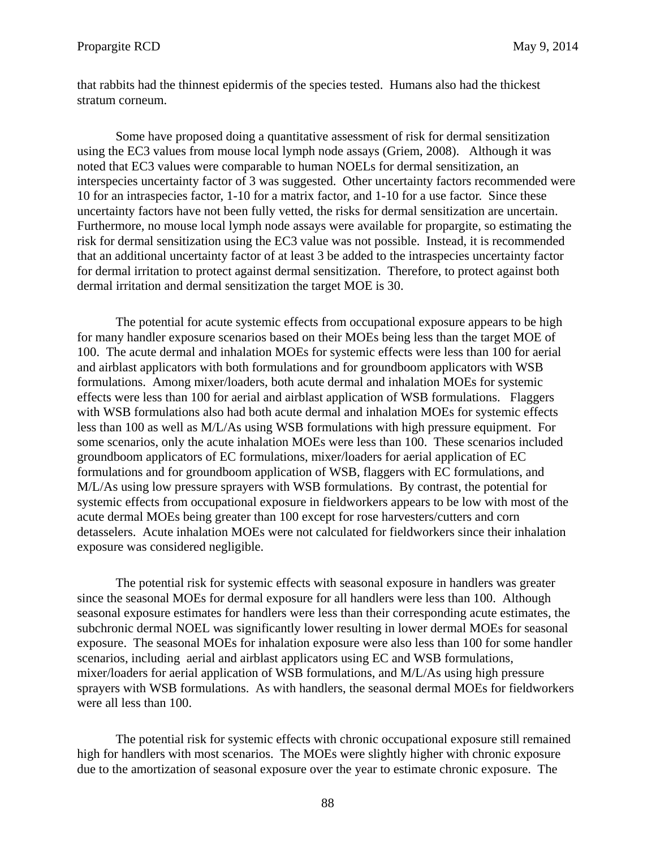stratum corneum. that rabbits had the thinnest epidermis of the species tested. Humans also had the thickest

Some have proposed doing a quantitative assessment of risk for dermal sensitization using the EC3 values from mouse local lymph node assays (Griem, 2008). Although it was noted that EC3 values were comparable to human NOELs for dermal sensitization, an interspecies uncertainty factor of 3 was suggested. Other uncertainty factors recommended were 10 for an intraspecies factor, 1-10 for a matrix factor, and 1-10 for a use factor. Since these uncertainty factors have not been fully vetted, the risks for dermal sensitization are uncertain. Furthermore, no mouse local lymph node assays were available for propargite, so estimating the risk for dermal sensitization using the EC3 value was not possible. Instead, it is recommended that an additional uncertainty factor of at least 3 be added to the intraspecies uncertainty factor for dermal irritation to protect against dermal sensitization. Therefore, to protect against both dermal irritation and dermal sensitization the target MOE is 30.

The potential for acute systemic effects from occupational exposure appears to be high for many handler exposure scenarios based on their MOEs being less than the target MOE of 100. The acute dermal and inhalation MOEs for systemic effects were less than 100 for aerial and airblast applicators with both formulations and for groundboom applicators with WSB formulations. Among mixer/loaders, both acute dermal and inhalation MOEs for systemic effects were less than 100 for aerial and airblast application of WSB formulations. Flaggers with WSB formulations also had both acute dermal and inhalation MOEs for systemic effects less than 100 as well as M/L/As using WSB formulations with high pressure equipment. For some scenarios, only the acute inhalation MOEs were less than 100. These scenarios included groundboom applicators of EC formulations, mixer/loaders for aerial application of EC formulations and for groundboom application of WSB, flaggers with EC formulations, and M/L/As using low pressure sprayers with WSB formulations. By contrast, the potential for systemic effects from occupational exposure in fieldworkers appears to be low with most of the acute dermal MOEs being greater than 100 except for rose harvesters/cutters and corn detasselers. Acute inhalation MOEs were not calculated for fieldworkers since their inhalation exposure was considered negligible.

The potential risk for systemic effects with seasonal exposure in handlers was greater since the seasonal MOEs for dermal exposure for all handlers were less than 100. Although seasonal exposure estimates for handlers were less than their corresponding acute estimates, the subchronic dermal NOEL was significantly lower resulting in lower dermal MOEs for seasonal exposure. The seasonal MOEs for inhalation exposure were also less than 100 for some handler scenarios, including aerial and airblast applicators using EC and WSB formulations, mixer/loaders for aerial application of WSB formulations, and M/L/As using high pressure sprayers with WSB formulations. As with handlers, the seasonal dermal MOEs for fieldworkers were all less than 100.

The potential risk for systemic effects with chronic occupational exposure still remained high for handlers with most scenarios. The MOEs were slightly higher with chronic exposure due to the amortization of seasonal exposure over the year to estimate chronic exposure. The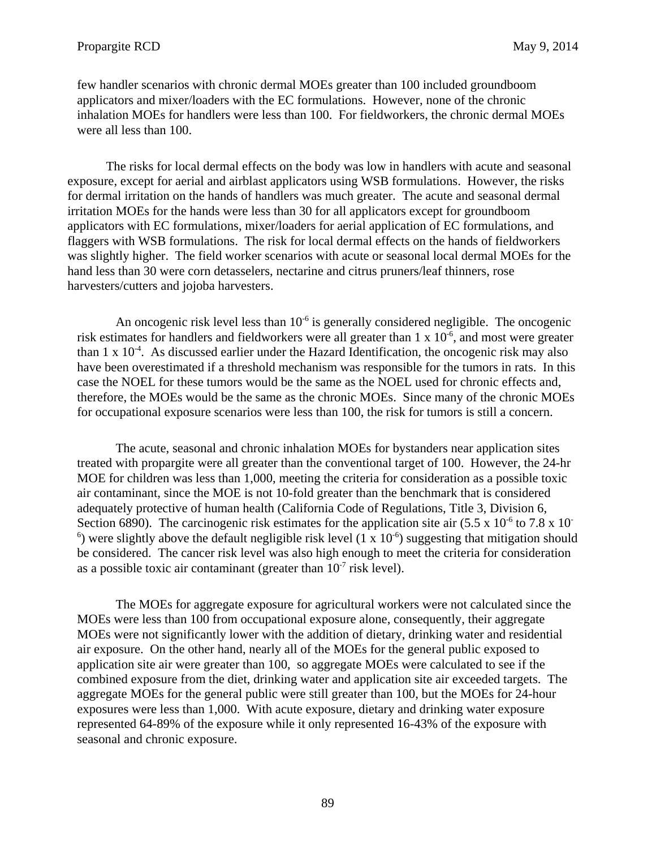few handler scenarios with chronic dermal MOEs greater than 100 included groundboom applicators and mixer/loaders with the EC formulations. However, none of the chronic inhalation MOEs for handlers were less than 100. For fieldworkers, the chronic dermal MOEs were all less than 100.

The risks for local dermal effects on the body was low in handlers with acute and seasonal exposure, except for aerial and airblast applicators using WSB formulations. However, the risks for dermal irritation on the hands of handlers was much greater. The acute and seasonal dermal irritation MOEs for the hands were less than 30 for all applicators except for groundboom applicators with EC formulations, mixer/loaders for aerial application of EC formulations, and flaggers with WSB formulations. The risk for local dermal effects on the hands of fieldworkers was slightly higher. The field worker scenarios with acute or seasonal local dermal MOEs for the hand less than 30 were corn detasselers, nectarine and citrus pruners/leaf thinners, rose harvesters/cutters and jojoba harvesters.

An oncogenic risk level less than  $10^{-6}$  is generally considered negligible. The oncogenic risk estimates for handlers and fieldworkers were all greater than  $1 \times 10^{-6}$ , and most were greater than  $1 \times 10^{-4}$ . As discussed earlier under the Hazard Identification, the oncogenic risk may also have been overestimated if a threshold mechanism was responsible for the tumors in rats. In this case the NOEL for these tumors would be the same as the NOEL used for chronic effects and, therefore, the MOEs would be the same as the chronic MOEs. Since many of the chronic MOEs for occupational exposure scenarios were less than 100, the risk for tumors is still a concern.

The acute, seasonal and chronic inhalation MOEs for bystanders near application sites treated with propargite were all greater than the conventional target of 100. However, the 24-hr MOE for children was less than 1,000, meeting the criteria for consideration as a possible toxic air contaminant, since the MOE is not 10-fold greater than the benchmark that is considered adequately protective of human health (California Code of Regulations, Title 3, Division 6, Section 6890). The carcinogenic risk estimates for the application site air  $(5.5 \times 10^{-6} \text{ to } 7.8 \times 10^{-6} \text{ m})$  $<sup>6</sup>$ ) were slightly above the default negligible risk level (1 x 10<sup>-6</sup>) suggesting that mitigation should</sup> be considered. The cancer risk level was also high enough to meet the criteria for consideration as a possible toxic air contaminant (greater than  $10^{-7}$  risk level).

The MOEs for aggregate exposure for agricultural workers were not calculated since the MOEs were less than 100 from occupational exposure alone, consequently, their aggregate MOEs were not significantly lower with the addition of dietary, drinking water and residential air exposure. On the other hand, nearly all of the MOEs for the general public exposed to application site air were greater than 100, so aggregate MOEs were calculated to see if the combined exposure from the diet, drinking water and application site air exceeded targets. The aggregate MOEs for the general public were still greater than 100, but the MOEs for 24-hour exposures were less than 1,000. With acute exposure, dietary and drinking water exposure represented 64-89% of the exposure while it only represented 16-43% of the exposure with seasonal and chronic exposure.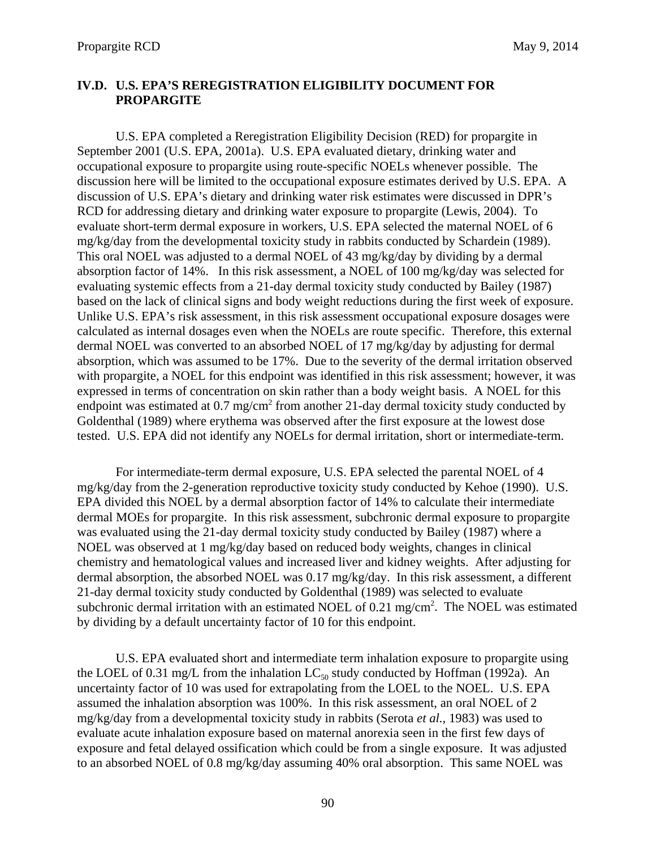## **IV.D. U.S. EPA'S REREGISTRATION ELIGIBILITY DOCUMENT FOR PROPARGITE**

U.S. EPA completed a Reregistration Eligibility Decision (RED) for propargite in September 2001 (U.S. EPA, 2001a). U.S. EPA evaluated dietary, drinking water and occupational exposure to propargite using route-specific NOELs whenever possible. The discussion here will be limited to the occupational exposure estimates derived by U.S. EPA. A discussion of U.S. EPA's dietary and drinking water risk estimates were discussed in DPR's RCD for addressing dietary and drinking water exposure to propargite (Lewis, 2004). To evaluate short-term dermal exposure in workers, U.S. EPA selected the maternal NOEL of 6 mg/kg/day from the developmental toxicity study in rabbits conducted by Schardein (1989). This oral NOEL was adjusted to a dermal NOEL of 43 mg/kg/day by dividing by a dermal absorption factor of 14%. In this risk assessment, a NOEL of 100 mg/kg/day was selected for evaluating systemic effects from a 21-day dermal toxicity study conducted by Bailey (1987) based on the lack of clinical signs and body weight reductions during the first week of exposure. Unlike U.S. EPA's risk assessment, in this risk assessment occupational exposure dosages were calculated as internal dosages even when the NOELs are route specific. Therefore, this external dermal NOEL was converted to an absorbed NOEL of 17 mg/kg/day by adjusting for dermal absorption, which was assumed to be 17%. Due to the severity of the dermal irritation observed with propargite, a NOEL for this endpoint was identified in this risk assessment; however, it was expressed in terms of concentration on skin rather than a body weight basis. A NOEL for this endpoint was estimated at  $0.7 \text{ mg/cm}^2$  from another 21-day dermal toxicity study conducted by Goldenthal (1989) where erythema was observed after the first exposure at the lowest dose

 tested. U.S. EPA did not identify any NOELs for dermal irritation, short or intermediate-term. For intermediate-term dermal exposure, U.S. EPA selected the parental NOEL of 4 mg/kg/day from the 2-generation reproductive toxicity study conducted by Kehoe (1990). U.S. EPA divided this NOEL by a dermal absorption factor of 14% to calculate their intermediate dermal MOEs for propargite. In this risk assessment, subchronic dermal exposure to propargite was evaluated using the 21-day dermal toxicity study conducted by Bailey (1987) where a NOEL was observed at 1 mg/kg/day based on reduced body weights, changes in clinical chemistry and hematological values and increased liver and kidney weights. After adjusting for dermal absorption, the absorbed NOEL was 0.17 mg/kg/day. In this risk assessment, a different 21-day dermal toxicity study conducted by Goldenthal (1989) was selected to evaluate subchronic dermal irritation with an estimated NOEL of  $0.21 \text{ mg/cm}^2$ . The NOEL was estimated by dividing by a default uncertainty factor of 10 for this endpoint.

U.S. EPA evaluated short and intermediate term inhalation exposure to propargite using the LOEL of 0.31 mg/L from the inhalation  $LC_{50}$  study conducted by Hoffman (1992a). An uncertainty factor of 10 was used for extrapolating from the LOEL to the NOEL. U.S. EPA assumed the inhalation absorption was 100%. In this risk assessment, an oral NOEL of 2 mg/kg/day from a developmental toxicity study in rabbits (Serota *et al.*, 1983) was used to evaluate acute inhalation exposure based on maternal anorexia seen in the first few days of exposure and fetal delayed ossification which could be from a single exposure. It was adjusted to an absorbed NOEL of 0.8 mg/kg/day assuming 40% oral absorption. This same NOEL was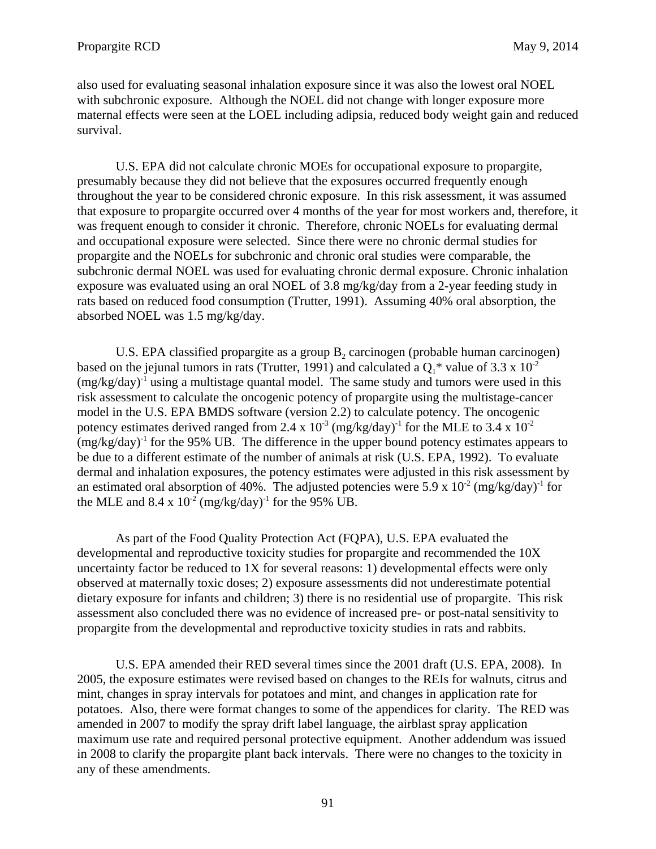also used for evaluating seasonal inhalation exposure since it was also the lowest oral NOEL with subchronic exposure. Although the NOEL did not change with longer exposure more maternal effects were seen at the LOEL including adipsia, reduced body weight gain and reduced survival.

U.S. EPA did not calculate chronic MOEs for occupational exposure to propargite, presumably because they did not believe that the exposures occurred frequently enough throughout the year to be considered chronic exposure. In this risk assessment, it was assumed that exposure to propargite occurred over 4 months of the year for most workers and, therefore, it was frequent enough to consider it chronic. Therefore, chronic NOELs for evaluating dermal and occupational exposure were selected. Since there were no chronic dermal studies for propargite and the NOELs for subchronic and chronic oral studies were comparable, the subchronic dermal NOEL was used for evaluating chronic dermal exposure. Chronic inhalation exposure was evaluated using an oral NOEL of 3.8 mg/kg/day from a 2-year feeding study in rats based on reduced food consumption (Trutter, 1991). Assuming 40% oral absorption, the absorbed NOEL was 1.5 mg/kg/day.

U.S. EPA classified propargite as a group  $B_2$  carcinogen (probable human carcinogen) based on the jejunal tumors in rats (Trutter, 1991) and calculated a  $Q_1^*$  value of 3.3 x 10<sup>-2</sup>  $(mg/kg/day)^{-1}$  using a multistage quantal model. The same study and tumors were used in this risk assessment to calculate the oncogenic potency of propargite using the multistage-cancer model in the U.S. EPA BMDS software (version 2.2) to calculate potency. The oncogenic potency estimates derived ranged from 2.4 x  $10^{-3}$  (mg/kg/day)<sup>-1</sup> for the MLE to 3.4 x  $10^{-2}$  $(mg/kg/day)^{-1}$  for the 95% UB. The difference in the upper bound potency estimates appears to be due to a different estimate of the number of animals at risk (U.S. EPA, 1992). To evaluate dermal and inhalation exposures, the potency estimates were adjusted in this risk assessment by an estimated oral absorption of 40%. The adjusted potencies were 5.9 x  $10^{-2}$  (mg/kg/day)<sup>-1</sup> for the MLE and  $8.4 \times 10^{-2}$  (mg/kg/day)<sup>-1</sup> for the 95% UB.

As part of the Food Quality Protection Act (FQPA), U.S. EPA evaluated the developmental and reproductive toxicity studies for propargite and recommended the 10X uncertainty factor be reduced to 1X for several reasons: 1) developmental effects were only observed at maternally toxic doses; 2) exposure assessments did not underestimate potential dietary exposure for infants and children; 3) there is no residential use of propargite. This risk assessment also concluded there was no evidence of increased pre- or post-natal sensitivity to propargite from the developmental and reproductive toxicity studies in rats and rabbits.

U.S. EPA amended their RED several times since the 2001 draft (U.S. EPA, 2008). In 2005, the exposure estimates were revised based on changes to the REIs for walnuts, citrus and mint, changes in spray intervals for potatoes and mint, and changes in application rate for potatoes. Also, there were format changes to some of the appendices for clarity. The RED was amended in 2007 to modify the spray drift label language, the airblast spray application maximum use rate and required personal protective equipment. Another addendum was issued in 2008 to clarify the propargite plant back intervals. There were no changes to the toxicity in any of these amendments.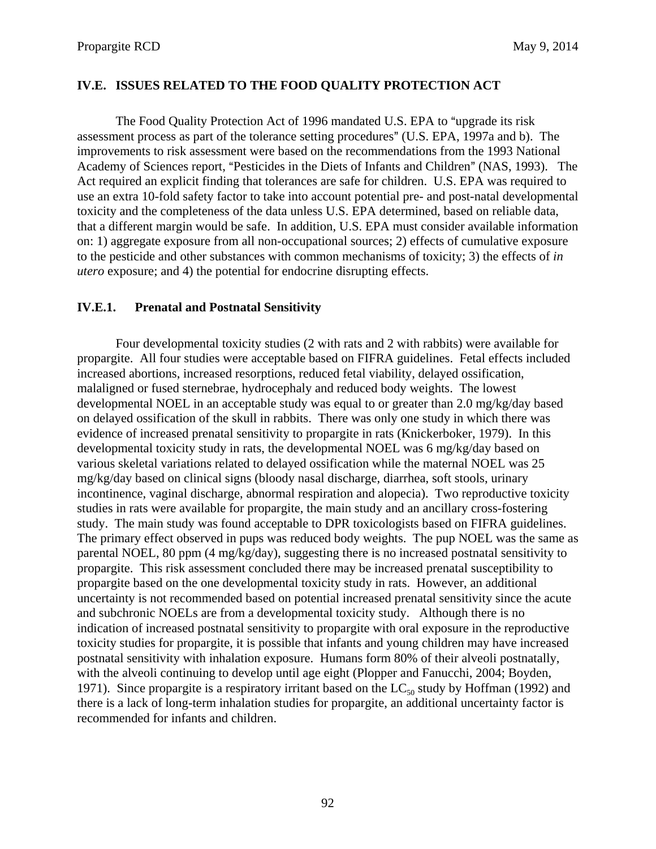## **IV.E. ISSUES RELATED TO THE FOOD QUALITY PROTECTION ACT**

The Food Quality Protection Act of 1996 mandated U.S. EPA to "upgrade its risk" assessment process as part of the tolerance setting procedures" (U.S. EPA, 1997a and b). The improvements to risk assessment were based on the recommendations from the 1993 National Academy of Sciences report, "Pesticides in the Diets of Infants and Children" (NAS, 1993). The Act required an explicit finding that tolerances are safe for children. U.S. EPA was required to use an extra 10-fold safety factor to take into account potential pre- and post-natal developmental toxicity and the completeness of the data unless U.S. EPA determined, based on reliable data, that a different margin would be safe. In addition, U.S. EPA must consider available information on: 1) aggregate exposure from all non-occupational sources; 2) effects of cumulative exposure to the pesticide and other substances with common mechanisms of toxicity; 3) the effects of *in utero* exposure; and 4) the potential for endocrine disrupting effects.

### **IV.E.1. Prenatal and Postnatal Sensitivity**

Four developmental toxicity studies (2 with rats and 2 with rabbits) were available for propargite. All four studies were acceptable based on FIFRA guidelines. Fetal effects included increased abortions, increased resorptions, reduced fetal viability, delayed ossification, malaligned or fused sternebrae, hydrocephaly and reduced body weights. The lowest developmental NOEL in an acceptable study was equal to or greater than 2.0 mg/kg/day based on delayed ossification of the skull in rabbits. There was only one study in which there was evidence of increased prenatal sensitivity to propargite in rats (Knickerboker, 1979). In this developmental toxicity study in rats, the developmental NOEL was 6 mg/kg/day based on various skeletal variations related to delayed ossification while the maternal NOEL was 25 mg/kg/day based on clinical signs (bloody nasal discharge, diarrhea, soft stools, urinary incontinence, vaginal discharge, abnormal respiration and alopecia). Two reproductive toxicity studies in rats were available for propargite, the main study and an ancillary cross-fostering study. The main study was found acceptable to DPR toxicologists based on FIFRA guidelines. The primary effect observed in pups was reduced body weights. The pup NOEL was the same as parental NOEL, 80 ppm (4 mg/kg/day), suggesting there is no increased postnatal sensitivity to propargite. This risk assessment concluded there may be increased prenatal susceptibility to propargite based on the one developmental toxicity study in rats. However, an additional uncertainty is not recommended based on potential increased prenatal sensitivity since the acute and subchronic NOELs are from a developmental toxicity study. Although there is no indication of increased postnatal sensitivity to propargite with oral exposure in the reproductive toxicity studies for propargite, it is possible that infants and young children may have increased postnatal sensitivity with inhalation exposure. Humans form 80% of their alveoli postnatally, with the alveoli continuing to develop until age eight (Plopper and Fanucchi, 2004; Boyden, 1971). Since propargite is a respiratory irritant based on the  $LC_{50}$  study by Hoffman (1992) and there is a lack of long-term inhalation studies for propargite, an additional uncertainty factor is recommended for infants and children.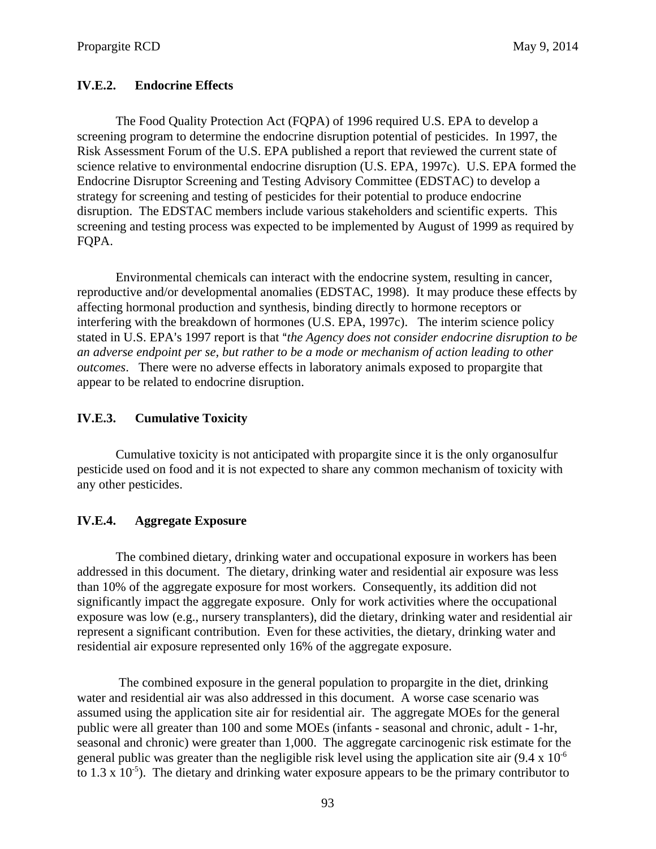## **IV.E.2. Endocrine Effects**

The Food Quality Protection Act (FQPA) of 1996 required U.S. EPA to develop a screening program to determine the endocrine disruption potential of pesticides. In 1997, the Risk Assessment Forum of the U.S. EPA published a report that reviewed the current state of science relative to environmental endocrine disruption (U.S. EPA, 1997c). U.S. EPA formed the Endocrine Disruptor Screening and Testing Advisory Committee (EDSTAC) to develop a strategy for screening and testing of pesticides for their potential to produce endocrine disruption. The EDSTAC members include various stakeholders and scientific experts. This screening and testing process was expected to be implemented by August of 1999 as required by FQPA.

Environmental chemicals can interact with the endocrine system, resulting in cancer, reproductive and/or developmental anomalies (EDSTAC, 1998). It may produce these effects by affecting hormonal production and synthesis, binding directly to hormone receptors or interfering with the breakdown of hormones (U.S. EPA, 1997c). The interim science policy stated in U.S. EPA's 1997 report is that "*the Agency does not consider endocrine disruption to be an adverse endpoint per se, but rather to be a mode or mechanism of action leading to other outcomes*. There were no adverse effects in laboratory animals exposed to propargite that appear to be related to endocrine disruption.

## **IV.E.3. Cumulative Toxicity**

Cumulative toxicity is not anticipated with propargite since it is the only organosulfur pesticide used on food and it is not expected to share any common mechanism of toxicity with any other pesticides.

### **IV.E.4. Aggregate Exposure**

The combined dietary, drinking water and occupational exposure in workers has been addressed in this document. The dietary, drinking water and residential air exposure was less than 10% of the aggregate exposure for most workers. Consequently, its addition did not significantly impact the aggregate exposure. Only for work activities where the occupational exposure was low (e.g., nursery transplanters), did the dietary, drinking water and residential air represent a significant contribution. Even for these activities, the dietary, drinking water and residential air exposure represented only 16% of the aggregate exposure.

 The combined exposure in the general population to propargite in the diet, drinking water and residential air was also addressed in this document. A worse case scenario was assumed using the application site air for residential air. The aggregate MOEs for the general public were all greater than 100 and some MOEs (infants - seasonal and chronic, adult - 1-hr, seasonal and chronic) were greater than 1,000. The aggregate carcinogenic risk estimate for the general public was greater than the negligible risk level using the application site air  $(9.4 \times 10^{-6})$ to 1.3 x  $10^{-5}$ ). The dietary and drinking water exposure appears to be the primary contributor to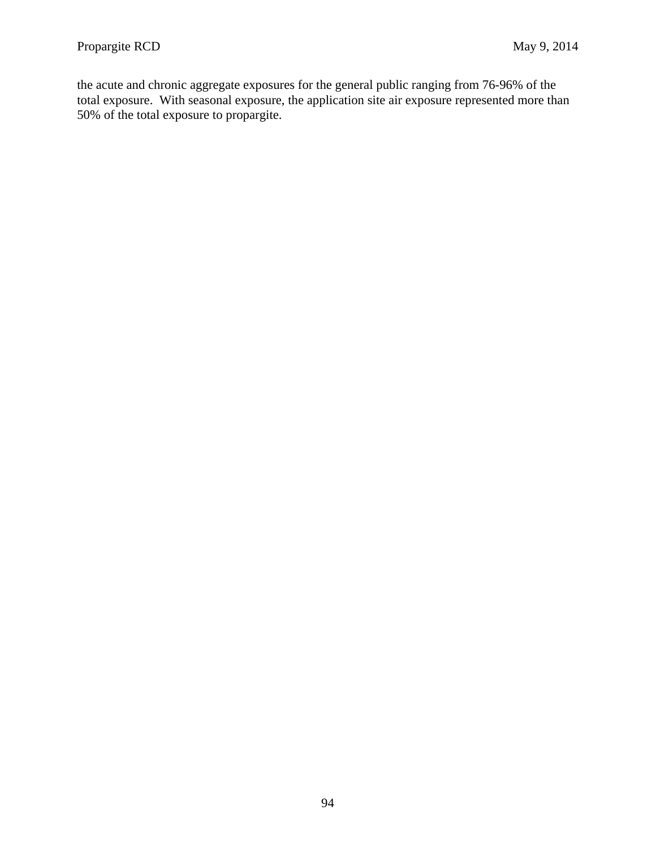the acute and chronic aggregate exposures for the general public ranging from 76-96% of the total exposure. With seasonal exposure, the application site air exposure represented more than 50% of the total exposure to propargite.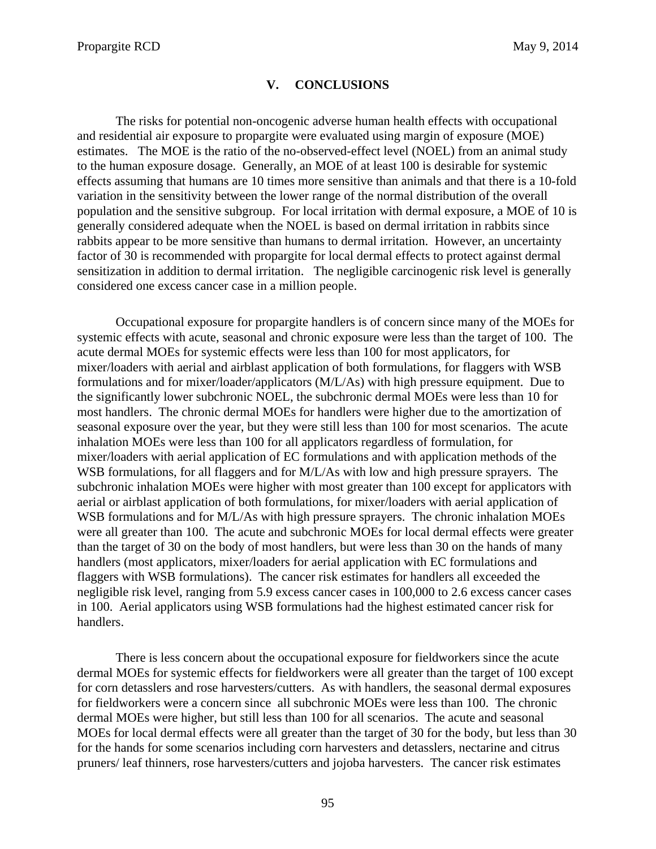#### **V. CONCLUSIONS**

The risks for potential non-oncogenic adverse human health effects with occupational and residential air exposure to propargite were evaluated using margin of exposure (MOE) estimates. The MOE is the ratio of the no-observed-effect level (NOEL) from an animal study to the human exposure dosage. Generally, an MOE of at least 100 is desirable for systemic effects assuming that humans are 10 times more sensitive than animals and that there is a 10-fold variation in the sensitivity between the lower range of the normal distribution of the overall population and the sensitive subgroup. For local irritation with dermal exposure, a MOE of 10 is generally considered adequate when the NOEL is based on dermal irritation in rabbits since rabbits appear to be more sensitive than humans to dermal irritation. However, an uncertainty factor of 30 is recommended with propargite for local dermal effects to protect against dermal sensitization in addition to dermal irritation. The negligible carcinogenic risk level is generally considered one excess cancer case in a million people.

Occupational exposure for propargite handlers is of concern since many of the MOEs for systemic effects with acute, seasonal and chronic exposure were less than the target of 100. The acute dermal MOEs for systemic effects were less than 100 for most applicators, for mixer/loaders with aerial and airblast application of both formulations, for flaggers with WSB formulations and for mixer/loader/applicators (M/L/As) with high pressure equipment. Due to the significantly lower subchronic NOEL, the subchronic dermal MOEs were less than 10 for most handlers. The chronic dermal MOEs for handlers were higher due to the amortization of seasonal exposure over the year, but they were still less than 100 for most scenarios. The acute inhalation MOEs were less than 100 for all applicators regardless of formulation, for mixer/loaders with aerial application of EC formulations and with application methods of the WSB formulations, for all flaggers and for M/L/As with low and high pressure sprayers. The subchronic inhalation MOEs were higher with most greater than 100 except for applicators with aerial or airblast application of both formulations, for mixer/loaders with aerial application of WSB formulations and for M/L/As with high pressure sprayers. The chronic inhalation MOEs were all greater than 100. The acute and subchronic MOEs for local dermal effects were greater than the target of 30 on the body of most handlers, but were less than 30 on the hands of many handlers (most applicators, mixer/loaders for aerial application with EC formulations and flaggers with WSB formulations). The cancer risk estimates for handlers all exceeded the negligible risk level, ranging from 5.9 excess cancer cases in 100,000 to 2.6 excess cancer cases in 100. Aerial applicators using WSB formulations had the highest estimated cancer risk for handlers.

There is less concern about the occupational exposure for fieldworkers since the acute dermal MOEs for systemic effects for fieldworkers were all greater than the target of 100 except for corn detasslers and rose harvesters/cutters. As with handlers, the seasonal dermal exposures for fieldworkers were a concern since all subchronic MOEs were less than 100. The chronic dermal MOEs were higher, but still less than 100 for all scenarios. The acute and seasonal MOEs for local dermal effects were all greater than the target of 30 for the body, but less than 30 for the hands for some scenarios including corn harvesters and detasslers, nectarine and citrus pruners/ leaf thinners, rose harvesters/cutters and jojoba harvesters. The cancer risk estimates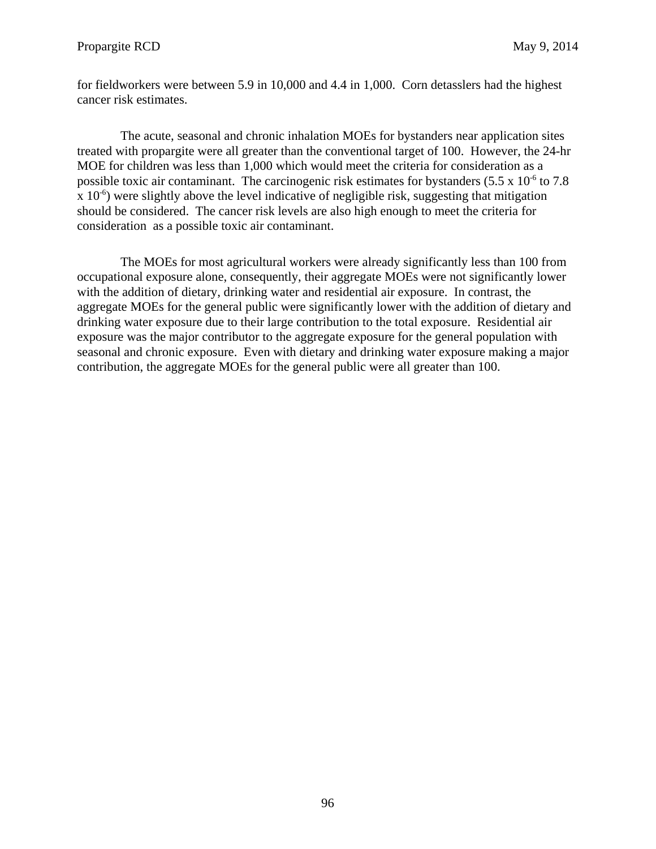for fieldworkers were between 5.9 in 10,000 and 4.4 in 1,000. Corn detasslers had the highest cancer risk estimates.

The acute, seasonal and chronic inhalation MOEs for bystanders near application sites treated with propargite were all greater than the conventional target of 100. However, the 24-hr MOE for children was less than 1,000 which would meet the criteria for consideration as a possible toxic air contaminant. The carcinogenic risk estimates for bystanders  $(5.5 \times 10^{-6} \text{ to } 7.8)$  $\chi$  10<sup>-6</sup>) were slightly above the level indicative of negligible risk, suggesting that mitigation should be considered. The cancer risk levels are also high enough to meet the criteria for consideration as a possible toxic air contaminant.

The MOEs for most agricultural workers were already significantly less than 100 from occupational exposure alone, consequently, their aggregate MOEs were not significantly lower with the addition of dietary, drinking water and residential air exposure. In contrast, the aggregate MOEs for the general public were significantly lower with the addition of dietary and drinking water exposure due to their large contribution to the total exposure. Residential air exposure was the major contributor to the aggregate exposure for the general population with seasonal and chronic exposure. Even with dietary and drinking water exposure making a major contribution, the aggregate MOEs for the general public were all greater than 100.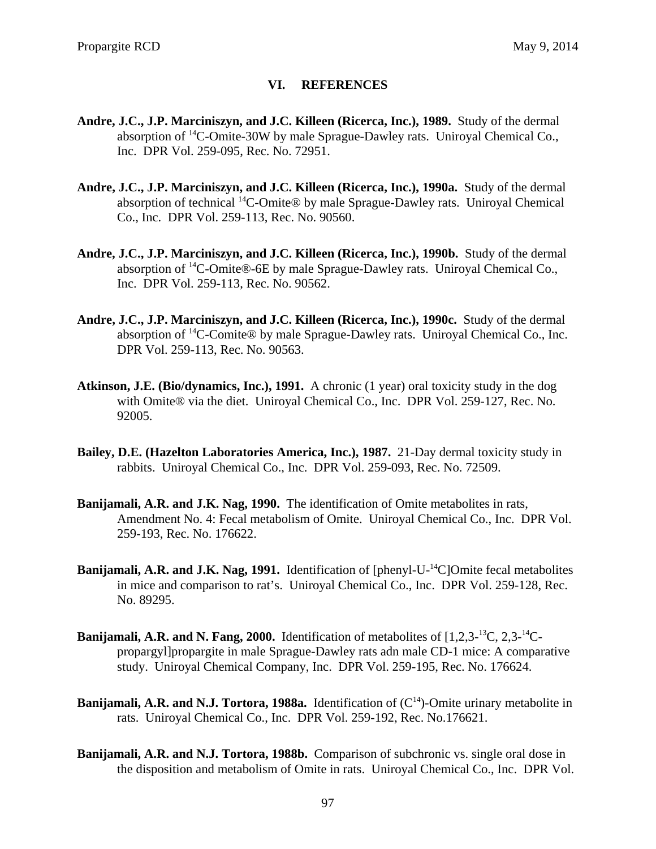### **VI. REFERENCES**

- **Andre, J.C., J.P. Marciniszyn, and J.C. Killeen (Ricerca, Inc.), 1989.** Study of the dermal absorption of 14C-Omite-30W by male Sprague-Dawley rats. Uniroyal Chemical Co., Inc. DPR Vol. 259-095, Rec. No. 72951.
- **Andre, J.C., J.P. Marciniszyn, and J.C. Killeen (Ricerca, Inc.), 1990a.** Study of the dermal absorption of technical 14C-Omite® by male Sprague-Dawley rats. Uniroyal Chemical Co., Inc. DPR Vol. 259-113, Rec. No. 90560.
- **Andre, J.C., J.P. Marciniszyn, and J.C. Killeen (Ricerca, Inc.), 1990b.** Study of the dermal absorption of 14C-Omite®-6E by male Sprague-Dawley rats. Uniroyal Chemical Co., Inc. DPR Vol. 259-113, Rec. No. 90562.
- **Andre, J.C., J.P. Marciniszyn, and J.C. Killeen (Ricerca, Inc.), 1990c.** Study of the dermal absorption of 14C-Comite® by male Sprague-Dawley rats. Uniroyal Chemical Co., Inc. DPR Vol. 259-113, Rec. No. 90563.
- **Atkinson, J.E. (Bio/dynamics, Inc.), 1991.** A chronic (1 year) oral toxicity study in the dog with Omite® via the diet. Uniroyal Chemical Co., Inc. DPR Vol. 259-127, Rec. No. 92005.
- **Bailey, D.E. (Hazelton Laboratories America, Inc.), 1987.** 21-Day dermal toxicity study in rabbits. Uniroyal Chemical Co., Inc. DPR Vol. 259-093, Rec. No. 72509.
- **Banijamali, A.R. and J.K. Nag, 1990.** The identification of Omite metabolites in rats, Amendment No. 4: Fecal metabolism of Omite. Uniroyal Chemical Co., Inc. DPR Vol. 259-193, Rec. No. 176622.
- **Banijamali, A.R. and J.K. Nag, 1991.** Identification of [phenyl-U-<sup>14</sup>C]Omite fecal metabolites in mice and comparison to rat's. Uniroyal Chemical Co., Inc. DPR Vol. 259-128, Rec. No. 89295.
- **Banijamali, A.R. and N. Fang, 2000.** Identification of metabolites of [1,2,3-13C, 2,3-14Cpropargyl]propargite in male Sprague-Dawley rats adn male CD-1 mice: A comparative study. Uniroyal Chemical Company, Inc. DPR Vol. 259-195, Rec. No. 176624.
- **Banijamali, A.R. and N.J. Tortora, 1988a.** Identification of  $(C<sup>14</sup>)$ -Omite urinary metabolite in rats. Uniroyal Chemical Co., Inc. DPR Vol. 259-192, Rec. No.176621.
- **Banijamali, A.R. and N.J. Tortora, 1988b.** Comparison of subchronic vs. single oral dose in the disposition and metabolism of Omite in rats. Uniroyal Chemical Co., Inc. DPR Vol.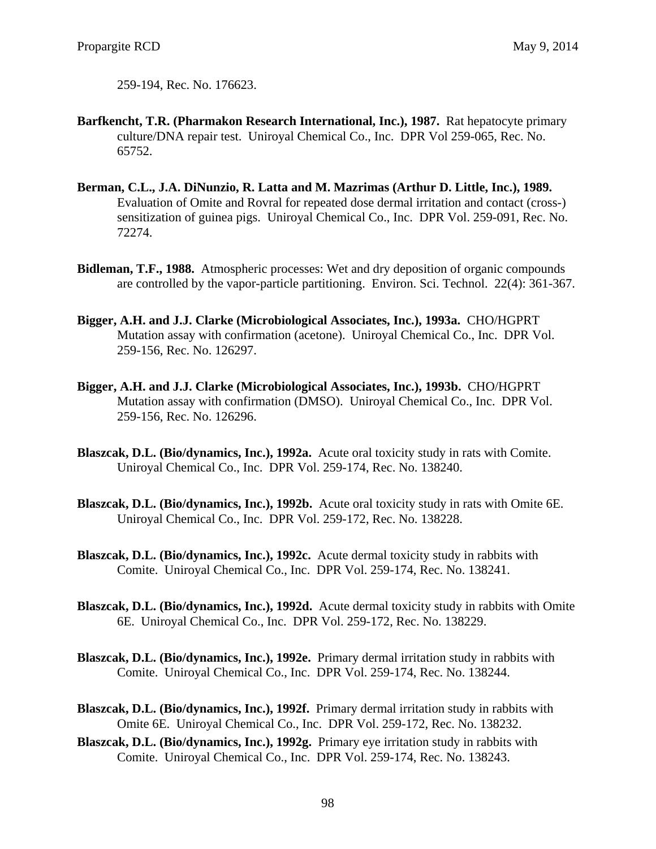259-194, Rec. No. 176623.

- **Barfkencht, T.R. (Pharmakon Research International, Inc.), 1987.** Rat hepatocyte primary culture/DNA repair test. Uniroyal Chemical Co., Inc. DPR Vol 259-065, Rec. No. 65752.
- **Berman, C.L., J.A. DiNunzio, R. Latta and M. Mazrimas (Arthur D. Little, Inc.), 1989.**  Evaluation of Omite and Rovral for repeated dose dermal irritation and contact (cross-) sensitization of guinea pigs. Uniroyal Chemical Co., Inc. DPR Vol. 259-091, Rec. No. 72274.
- **Bidleman, T.F., 1988.** Atmospheric processes: Wet and dry deposition of organic compounds are controlled by the vapor-particle partitioning. Environ. Sci. Technol. 22(4): 361-367.
- **Bigger, A.H. and J.J. Clarke (Microbiological Associates, Inc.), 1993a.** CHO/HGPRT Mutation assay with confirmation (acetone). Uniroyal Chemical Co., Inc. DPR Vol. 259-156, Rec. No. 126297.
- **Bigger, A.H. and J.J. Clarke (Microbiological Associates, Inc.), 1993b.** CHO/HGPRT Mutation assay with confirmation (DMSO). Uniroyal Chemical Co., Inc. DPR Vol. 259-156, Rec. No. 126296.
- **Blaszcak, D.L. (Bio/dynamics, Inc.), 1992a.** Acute oral toxicity study in rats with Comite. Uniroyal Chemical Co., Inc. DPR Vol. 259-174, Rec. No. 138240.
- **Blaszcak, D.L. (Bio/dynamics, Inc.), 1992b.** Acute oral toxicity study in rats with Omite 6E. Uniroyal Chemical Co., Inc. DPR Vol. 259-172, Rec. No. 138228.
- **Blaszcak, D.L. (Bio/dynamics, Inc.), 1992c.** Acute dermal toxicity study in rabbits with Comite. Uniroyal Chemical Co., Inc. DPR Vol. 259-174, Rec. No. 138241.
- **Blaszcak, D.L. (Bio/dynamics, Inc.), 1992d.** Acute dermal toxicity study in rabbits with Omite 6E. Uniroyal Chemical Co., Inc. DPR Vol. 259-172, Rec. No. 138229.
- **Blaszcak, D.L. (Bio/dynamics, Inc.), 1992e.** Primary dermal irritation study in rabbits with Comite. Uniroyal Chemical Co., Inc. DPR Vol. 259-174, Rec. No. 138244.
- **Blaszcak, D.L. (Bio/dynamics, Inc.), 1992f.** Primary dermal irritation study in rabbits with Omite 6E. Uniroyal Chemical Co., Inc. DPR Vol. 259-172, Rec. No. 138232.
- **Blaszcak, D.L. (Bio/dynamics, Inc.), 1992g.** Primary eye irritation study in rabbits with Comite. Uniroyal Chemical Co., Inc. DPR Vol. 259-174, Rec. No. 138243.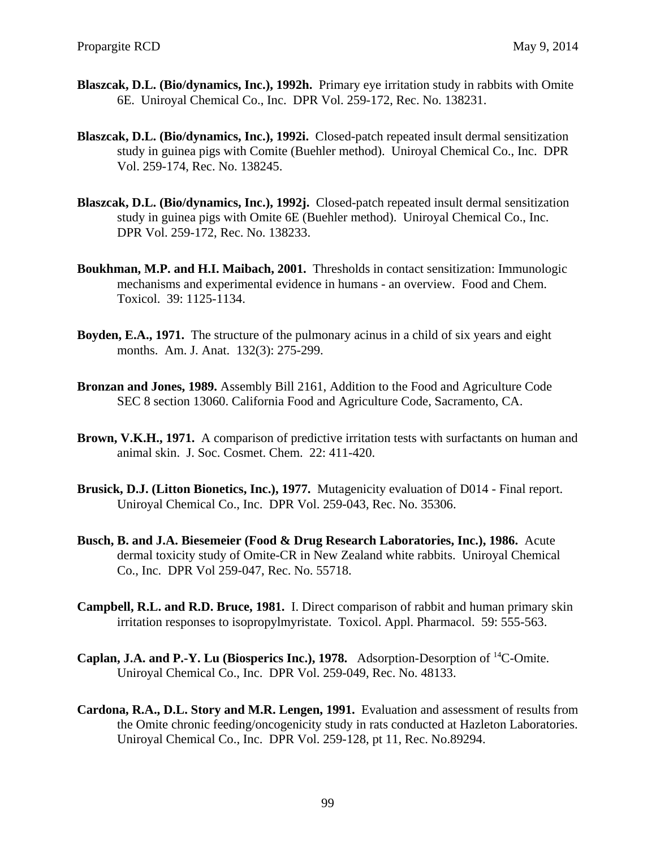- **Blaszcak, D.L. (Bio/dynamics, Inc.), 1992h.** Primary eye irritation study in rabbits with Omite 6E. Uniroyal Chemical Co., Inc. DPR Vol. 259-172, Rec. No. 138231.
- **Blaszcak, D.L. (Bio/dynamics, Inc.), 1992i.** Closed-patch repeated insult dermal sensitization study in guinea pigs with Comite (Buehler method). Uniroyal Chemical Co., Inc. DPR Vol. 259-174, Rec. No. 138245.
- **Blaszcak, D.L. (Bio/dynamics, Inc.), 1992j.** Closed-patch repeated insult dermal sensitization study in guinea pigs with Omite 6E (Buehler method). Uniroyal Chemical Co., Inc. DPR Vol. 259-172, Rec. No. 138233.
- **Boukhman, M.P. and H.I. Maibach, 2001.** Thresholds in contact sensitization: Immunologic mechanisms and experimental evidence in humans - an overview. Food and Chem. Toxicol. 39: 1125-1134.
- **Boyden, E.A., 1971.** The structure of the pulmonary acinus in a child of six years and eight months. Am. J. Anat. 132(3): 275-299.
- **Bronzan and Jones, 1989.** Assembly Bill 2161, Addition to the Food and Agriculture Code SEC 8 section 13060. California Food and Agriculture Code, Sacramento, CA.
- **Brown, V.K.H., 1971.** A comparison of predictive irritation tests with surfactants on human and animal skin. J. Soc. Cosmet. Chem. 22: 411-420.
- **Brusick, D.J. (Litton Bionetics, Inc.), 1977.** Mutagenicity evaluation of D014 Final report. Uniroyal Chemical Co., Inc. DPR Vol. 259-043, Rec. No. 35306.
- **Busch, B. and J.A. Biesemeier (Food & Drug Research Laboratories, Inc.), 1986.** Acute dermal toxicity study of Omite-CR in New Zealand white rabbits. Uniroyal Chemical Co., Inc. DPR Vol 259-047, Rec. No. 55718.
- **Campbell, R.L. and R.D. Bruce, 1981.** I. Direct comparison of rabbit and human primary skin irritation responses to isopropylmyristate. Toxicol. Appl. Pharmacol. 59: 555-563.
- **Caplan, J.A. and P.-Y. Lu (Biosperics Inc.), 1978.** Adsorption-Desorption of 14C-Omite. Uniroyal Chemical Co., Inc. DPR Vol. 259-049, Rec. No. 48133.
- **Cardona, R.A., D.L. Story and M.R. Lengen, 1991.** Evaluation and assessment of results from the Omite chronic feeding/oncogenicity study in rats conducted at Hazleton Laboratories. Uniroyal Chemical Co., Inc. DPR Vol. 259-128, pt 11, Rec. No.89294.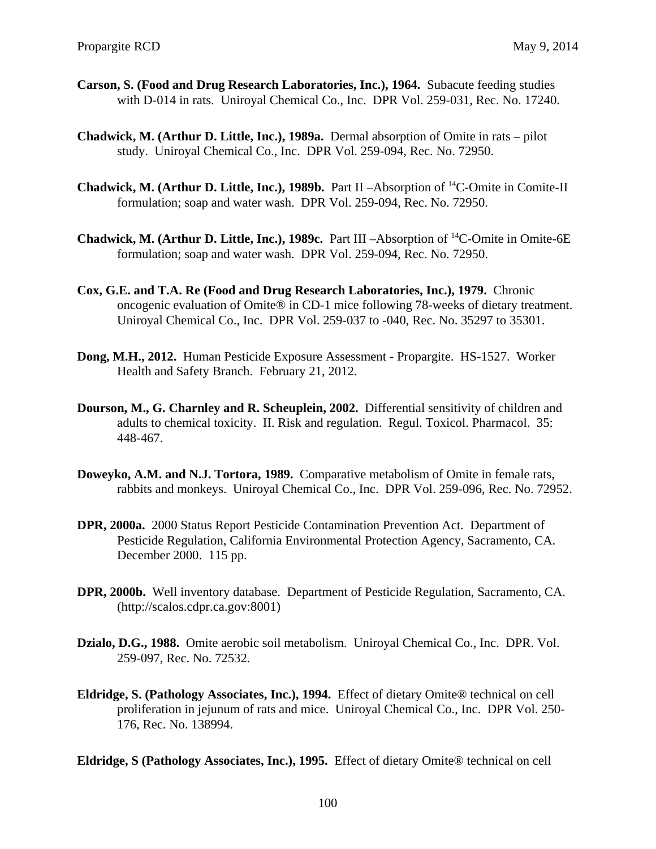- **Carson, S. (Food and Drug Research Laboratories, Inc.), 1964.** Subacute feeding studies with D-014 in rats. Uniroyal Chemical Co., Inc. DPR Vol. 259-031, Rec. No. 17240.
- **Chadwick, M. (Arthur D. Little, Inc.), 1989a.** Dermal absorption of Omite in rats pilot study. Uniroyal Chemical Co., Inc. DPR Vol. 259-094, Rec. No. 72950.
- **Chadwick, M. (Arthur D. Little, Inc.), 1989b.** Part II –Absorption of <sup>14</sup>C-Omite in Comite-II formulation; soap and water wash. DPR Vol. 259-094, Rec. No. 72950.
- **Chadwick, M. (Arthur D. Little, Inc.), 1989c.** Part III –Absorption of <sup>14</sup>C-Omite in Omite-6E formulation; soap and water wash. DPR Vol. 259-094, Rec. No. 72950.
- **Cox, G.E. and T.A. Re (Food and Drug Research Laboratories, Inc.), 1979.** Chronic oncogenic evaluation of Omite® in CD-1 mice following 78-weeks of dietary treatment. Uniroyal Chemical Co., Inc. DPR Vol. 259-037 to -040, Rec. No. 35297 to 35301.
- **Dong, M.H., 2012.** Human Pesticide Exposure Assessment Propargite. HS-1527. Worker Health and Safety Branch. February 21, 2012.
- **Dourson, M., G. Charnley and R. Scheuplein, 2002.** Differential sensitivity of children and adults to chemical toxicity. II. Risk and regulation. Regul. Toxicol. Pharmacol. 35: 448-467.
- **Doweyko, A.M. and N.J. Tortora, 1989.** Comparative metabolism of Omite in female rats, rabbits and monkeys. Uniroyal Chemical Co., Inc. DPR Vol. 259-096, Rec. No. 72952.
- **DPR, 2000a.** 2000 Status Report Pesticide Contamination Prevention Act. Department of Pesticide Regulation, California Environmental Protection Agency, Sacramento, CA. December 2000. 115 pp.
- **DPR, 2000b.** Well inventory database. Department of Pesticide Regulation, Sacramento, CA. (http://scalos.cdpr.ca.gov:8001)
- **Dzialo, D.G., 1988.** Omite aerobic soil metabolism. Uniroyal Chemical Co., Inc. DPR. Vol. 259-097, Rec. No. 72532.
- **Eldridge, S. (Pathology Associates, Inc.), 1994.** Effect of dietary Omite® technical on cell proliferation in jejunum of rats and mice. Uniroyal Chemical Co., Inc. DPR Vol. 250 176, Rec. No. 138994.

**Eldridge, S (Pathology Associates, Inc.), 1995.** Effect of dietary Omite® technical on cell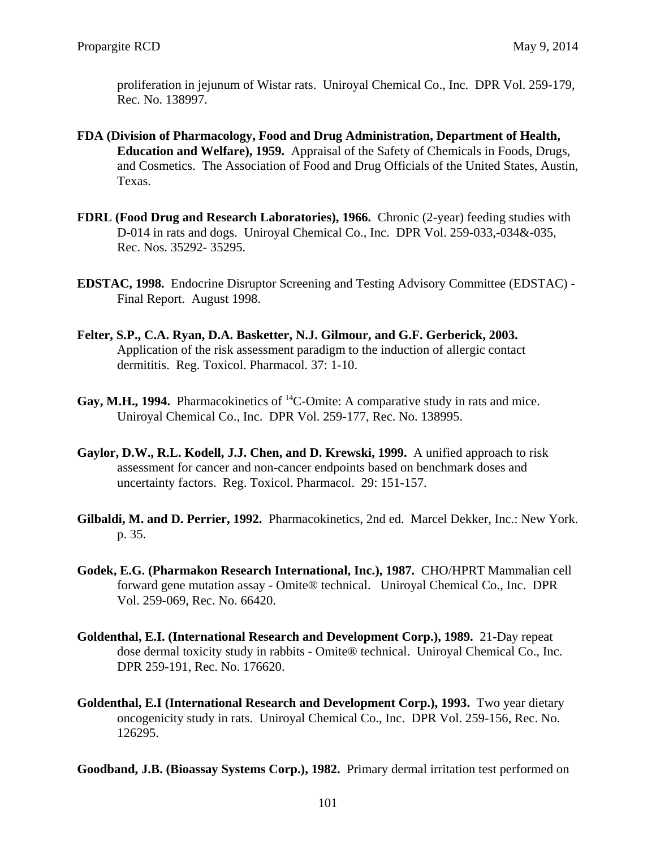proliferation in jejunum of Wistar rats. Uniroyal Chemical Co., Inc. DPR Vol. 259-179, Rec. No. 138997.

- **FDA (Division of Pharmacology, Food and Drug Administration, Department of Health, Education and Welfare), 1959.** Appraisal of the Safety of Chemicals in Foods, Drugs, and Cosmetics. The Association of Food and Drug Officials of the United States, Austin, Texas.
- **FDRL (Food Drug and Research Laboratories), 1966.** Chronic (2-year) feeding studies with D-014 in rats and dogs. Uniroyal Chemical Co., Inc. DPR Vol. 259-033,-034&-035, Rec. Nos. 35292- 35295.
- **EDSTAC, 1998.** Endocrine Disruptor Screening and Testing Advisory Committee (EDSTAC) Final Report. August 1998.
- **Felter, S.P., C.A. Ryan, D.A. Basketter, N.J. Gilmour, and G.F. Gerberick, 2003.**  Application of the risk assessment paradigm to the induction of allergic contact dermititis. Reg. Toxicol. Pharmacol. 37: 1-10.
- Gay, M.H., 1994. Pharmacokinetics of <sup>14</sup>C-Omite: A comparative study in rats and mice. Uniroyal Chemical Co., Inc. DPR Vol. 259-177, Rec. No. 138995.
- **Gaylor, D.W., R.L. Kodell, J.J. Chen, and D. Krewski, 1999.** A unified approach to risk assessment for cancer and non-cancer endpoints based on benchmark doses and uncertainty factors. Reg. Toxicol. Pharmacol. 29: 151-157.
- **Gilbaldi, M. and D. Perrier, 1992.** Pharmacokinetics, 2nd ed. Marcel Dekker, Inc.: New York. p. 35.
- **Godek, E.G. (Pharmakon Research International, Inc.), 1987.** CHO/HPRT Mammalian cell forward gene mutation assay - Omite® technical. Uniroyal Chemical Co., Inc. DPR Vol. 259-069, Rec. No. 66420.
- **Goldenthal, E.I. (International Research and Development Corp.), 1989.** 21-Day repeat dose dermal toxicity study in rabbits - Omite® technical. Uniroyal Chemical Co., Inc. DPR 259-191, Rec. No. 176620.
- **Goldenthal, E.I (International Research and Development Corp.), 1993.** Two year dietary oncogenicity study in rats. Uniroyal Chemical Co., Inc. DPR Vol. 259-156, Rec. No. 126295.

**Goodband, J.B. (Bioassay Systems Corp.), 1982.** Primary dermal irritation test performed on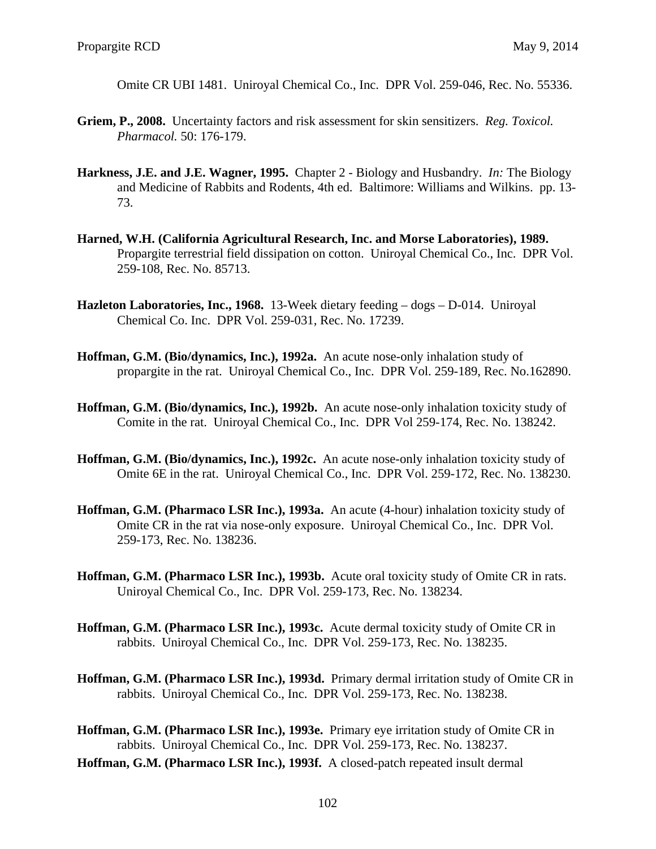Omite CR UBI 1481. Uniroyal Chemical Co., Inc. DPR Vol. 259-046, Rec. No. 55336.

- **Griem, P., 2008.** Uncertainty factors and risk assessment for skin sensitizers. *Reg. Toxicol. Pharmacol.* 50: 176-179.
- **Harkness, J.E. and J.E. Wagner, 1995.** Chapter 2 Biology and Husbandry. *In:* The Biology and Medicine of Rabbits and Rodents, 4th ed. Baltimore: Williams and Wilkins. pp. 13 73.
- **Harned, W.H. (California Agricultural Research, Inc. and Morse Laboratories), 1989.**  Propargite terrestrial field dissipation on cotton. Uniroyal Chemical Co., Inc. DPR Vol. 259-108, Rec. No. 85713.
- **Hazleton Laboratories, Inc., 1968.** 13-Week dietary feeding dogs D-014. Uniroyal Chemical Co. Inc. DPR Vol. 259-031, Rec. No. 17239.
- **Hoffman, G.M. (Bio/dynamics, Inc.), 1992a.** An acute nose-only inhalation study of propargite in the rat. Uniroyal Chemical Co., Inc. DPR Vol. 259-189, Rec. No.162890.
- **Hoffman, G.M. (Bio/dynamics, Inc.), 1992b.** An acute nose-only inhalation toxicity study of Comite in the rat. Uniroyal Chemical Co., Inc. DPR Vol 259-174, Rec. No. 138242.
- **Hoffman, G.M. (Bio/dynamics, Inc.), 1992c.** An acute nose-only inhalation toxicity study of Omite 6E in the rat. Uniroyal Chemical Co., Inc. DPR Vol. 259-172, Rec. No. 138230.
- **Hoffman, G.M. (Pharmaco LSR Inc.), 1993a.** An acute (4-hour) inhalation toxicity study of Omite CR in the rat via nose-only exposure. Uniroyal Chemical Co., Inc. DPR Vol. 259-173, Rec. No. 138236.
- **Hoffman, G.M. (Pharmaco LSR Inc.), 1993b.** Acute oral toxicity study of Omite CR in rats. Uniroyal Chemical Co., Inc. DPR Vol. 259-173, Rec. No. 138234.
- **Hoffman, G.M. (Pharmaco LSR Inc.), 1993c.** Acute dermal toxicity study of Omite CR in rabbits. Uniroyal Chemical Co., Inc. DPR Vol. 259-173, Rec. No. 138235.
- **Hoffman, G.M. (Pharmaco LSR Inc.), 1993d.** Primary dermal irritation study of Omite CR in rabbits. Uniroyal Chemical Co., Inc. DPR Vol. 259-173, Rec. No. 138238.
- **Hoffman, G.M. (Pharmaco LSR Inc.), 1993e.** Primary eye irritation study of Omite CR in rabbits. Uniroyal Chemical Co., Inc. DPR Vol. 259-173, Rec. No. 138237.
- **Hoffman, G.M. (Pharmaco LSR Inc.), 1993f.** A closed-patch repeated insult dermal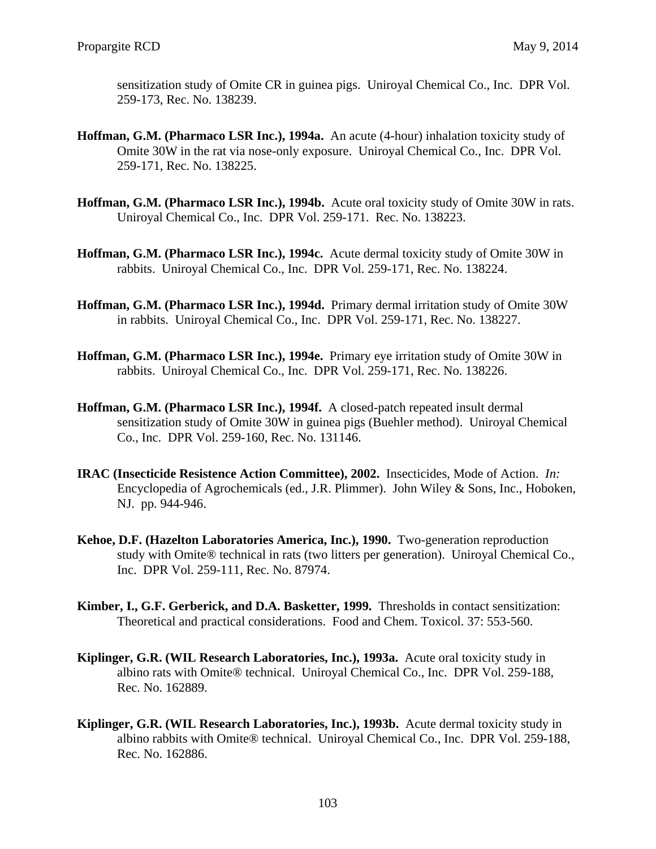sensitization study of Omite CR in guinea pigs. Uniroyal Chemical Co., Inc. DPR Vol. 259-173, Rec. No. 138239.

- **Hoffman, G.M. (Pharmaco LSR Inc.), 1994a.** An acute (4-hour) inhalation toxicity study of Omite 30W in the rat via nose-only exposure. Uniroyal Chemical Co., Inc. DPR Vol. 259-171, Rec. No. 138225.
- **Hoffman, G.M. (Pharmaco LSR Inc.), 1994b.** Acute oral toxicity study of Omite 30W in rats. Uniroyal Chemical Co., Inc. DPR Vol. 259-171. Rec. No. 138223.
- **Hoffman, G.M. (Pharmaco LSR Inc.), 1994c.** Acute dermal toxicity study of Omite 30W in rabbits. Uniroyal Chemical Co., Inc. DPR Vol. 259-171, Rec. No. 138224.
- **Hoffman, G.M. (Pharmaco LSR Inc.), 1994d.** Primary dermal irritation study of Omite 30W in rabbits. Uniroyal Chemical Co., Inc. DPR Vol. 259-171, Rec. No. 138227.
- **Hoffman, G.M. (Pharmaco LSR Inc.), 1994e.** Primary eye irritation study of Omite 30W in rabbits. Uniroyal Chemical Co., Inc. DPR Vol. 259-171, Rec. No. 138226.
- **Hoffman, G.M. (Pharmaco LSR Inc.), 1994f.** A closed-patch repeated insult dermal sensitization study of Omite 30W in guinea pigs (Buehler method). Uniroyal Chemical Co., Inc. DPR Vol. 259-160, Rec. No. 131146.
- **IRAC (Insecticide Resistence Action Committee), 2002.** Insecticides, Mode of Action. *In:*  Encyclopedia of Agrochemicals (ed., J.R. Plimmer). John Wiley & Sons, Inc., Hoboken, NJ. pp. 944-946.
- **Kehoe, D.F. (Hazelton Laboratories America, Inc.), 1990.** Two-generation reproduction study with Omite® technical in rats (two litters per generation). Uniroyal Chemical Co., Inc. DPR Vol. 259-111, Rec. No. 87974.
- **Kimber, I., G.F. Gerberick, and D.A. Basketter, 1999.** Thresholds in contact sensitization: Theoretical and practical considerations. Food and Chem. Toxicol. 37: 553-560.
- **Kiplinger, G.R. (WIL Research Laboratories, Inc.), 1993a.** Acute oral toxicity study in albino rats with Omite® technical. Uniroyal Chemical Co., Inc. DPR Vol. 259-188, Rec. No. 162889.
- **Kiplinger, G.R. (WIL Research Laboratories, Inc.), 1993b.** Acute dermal toxicity study in albino rabbits with Omite® technical. Uniroyal Chemical Co., Inc. DPR Vol. 259-188, Rec. No. 162886.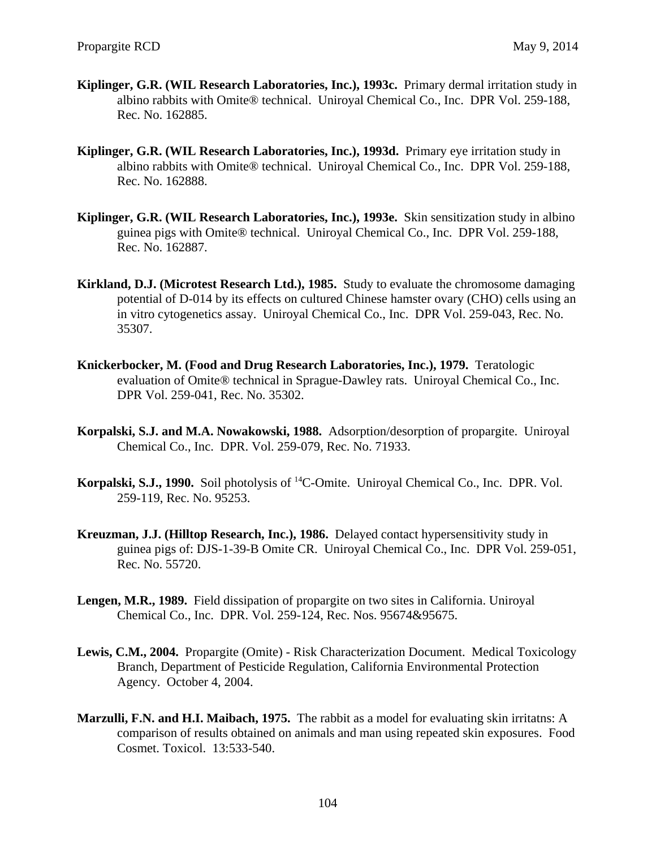- **Kiplinger, G.R. (WIL Research Laboratories, Inc.), 1993c.** Primary dermal irritation study in albino rabbits with Omite® technical. Uniroyal Chemical Co., Inc. DPR Vol. 259-188, Rec. No. 162885.
- **Kiplinger, G.R. (WIL Research Laboratories, Inc.), 1993d.** Primary eye irritation study in albino rabbits with Omite® technical. Uniroyal Chemical Co., Inc. DPR Vol. 259-188, Rec. No. 162888.
- **Kiplinger, G.R. (WIL Research Laboratories, Inc.), 1993e.** Skin sensitization study in albino guinea pigs with Omite® technical. Uniroyal Chemical Co., Inc. DPR Vol. 259-188, Rec. No. 162887.
- **Kirkland, D.J. (Microtest Research Ltd.), 1985.** Study to evaluate the chromosome damaging potential of D-014 by its effects on cultured Chinese hamster ovary (CHO) cells using an in vitro cytogenetics assay. Uniroyal Chemical Co., Inc. DPR Vol. 259-043, Rec. No. 35307.
- **Knickerbocker, M. (Food and Drug Research Laboratories, Inc.), 1979.** Teratologic evaluation of Omite® technical in Sprague-Dawley rats. Uniroyal Chemical Co., Inc. DPR Vol. 259-041, Rec. No. 35302.
- **Korpalski, S.J. and M.A. Nowakowski, 1988.** Adsorption/desorption of propargite. Uniroyal Chemical Co., Inc. DPR. Vol. 259-079, Rec. No. 71933.
- **Korpalski, S.J., 1990.** Soil photolysis of 14C-Omite. Uniroyal Chemical Co., Inc. DPR. Vol. 259-119, Rec. No. 95253.
- **Kreuzman, J.J. (Hilltop Research, Inc.), 1986.** Delayed contact hypersensitivity study in guinea pigs of: DJS-1-39-B Omite CR. Uniroyal Chemical Co., Inc. DPR Vol. 259-051, Rec. No. 55720.
- **Lengen, M.R., 1989.** Field dissipation of propargite on two sites in California. Uniroyal Chemical Co., Inc. DPR. Vol. 259-124, Rec. Nos. 95674&95675.
- **Lewis, C.M., 2004.** Propargite (Omite) Risk Characterization Document. Medical Toxicology Branch, Department of Pesticide Regulation, California Environmental Protection Agency. October 4, 2004.
- **Marzulli, F.N. and H.I. Maibach, 1975.** The rabbit as a model for evaluating skin irritatns: A comparison of results obtained on animals and man using repeated skin exposures. Food Cosmet. Toxicol. 13:533-540.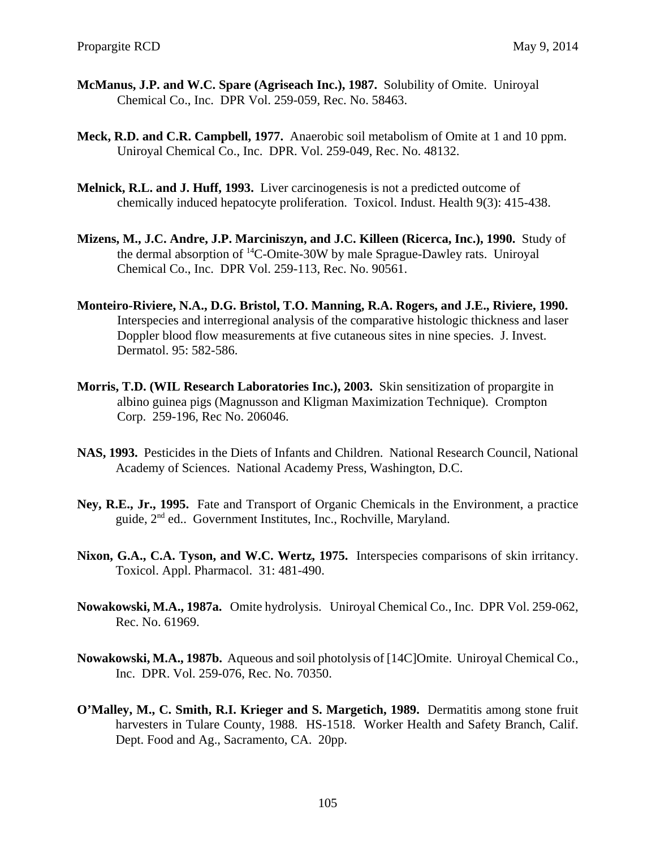- **McManus, J.P. and W.C. Spare (Agriseach Inc.), 1987.** Solubility of Omite. Uniroyal Chemical Co., Inc. DPR Vol. 259-059, Rec. No. 58463.
- **Meck, R.D. and C.R. Campbell, 1977.** Anaerobic soil metabolism of Omite at 1 and 10 ppm. Uniroyal Chemical Co., Inc. DPR. Vol. 259-049, Rec. No. 48132.
- **Melnick, R.L. and J. Huff, 1993.** Liver carcinogenesis is not a predicted outcome of chemically induced hepatocyte proliferation. Toxicol. Indust. Health 9(3): 415-438.
- **Mizens, M., J.C. Andre, J.P. Marciniszyn, and J.C. Killeen (Ricerca, Inc.), 1990.** Study of the dermal absorption of  ${}^{14}C$ -Omite-30W by male Sprague-Dawley rats. Uniroyal Chemical Co., Inc. DPR Vol. 259-113, Rec. No. 90561.
- **Monteiro-Riviere, N.A., D.G. Bristol, T.O. Manning, R.A. Rogers, and J.E., Riviere, 1990.**  Interspecies and interregional analysis of the comparative histologic thickness and laser Doppler blood flow measurements at five cutaneous sites in nine species. J. Invest. Dermatol. 95: 582-586.
- **Morris, T.D. (WIL Research Laboratories Inc.), 2003.** Skin sensitization of propargite in albino guinea pigs (Magnusson and Kligman Maximization Technique). Crompton Corp. 259-196, Rec No. 206046.
- **NAS, 1993.** Pesticides in the Diets of Infants and Children. National Research Council, National Academy of Sciences. National Academy Press, Washington, D.C.
- **Ney, R.E., Jr., 1995.** Fate and Transport of Organic Chemicals in the Environment, a practice guide, 2nd ed.. Government Institutes, Inc., Rochville, Maryland.
- Nixon, G.A., C.A. Tyson, and W.C. Wertz, 1975. Interspecies comparisons of skin irritancy. Toxicol. Appl. Pharmacol. 31: 481-490.
- **Nowakowski, M.A., 1987a.** Omite hydrolysis. Uniroyal Chemical Co., Inc. DPR Vol. 259-062, Rec. No. 61969.
- **Nowakowski, M.A., 1987b.** Aqueous and soil photolysis of [14C]Omite. Uniroyal Chemical Co., Inc. DPR. Vol. 259-076, Rec. No. 70350.
- **O'Malley, M., C. Smith, R.I. Krieger and S. Margetich, 1989.** Dermatitis among stone fruit harvesters in Tulare County, 1988. HS-1518. Worker Health and Safety Branch, Calif. Dept. Food and Ag., Sacramento, CA. 20pp.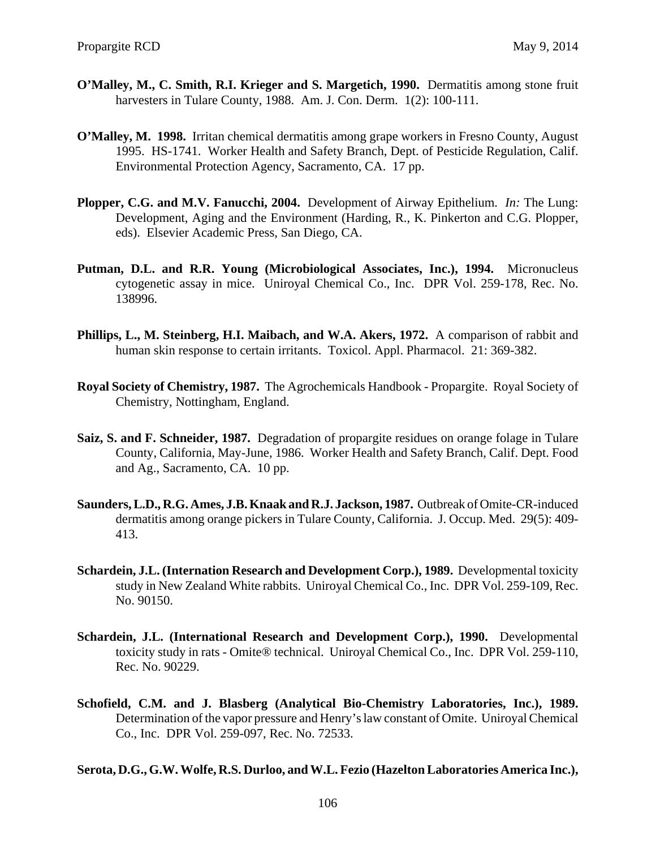- **O'Malley, M., C. Smith, R.I. Krieger and S. Margetich, 1990.** Dermatitis among stone fruit harvesters in Tulare County, 1988. Am. J. Con. Derm. 1(2): 100-111.
- **O'Malley, M. 1998.** Irritan chemical dermatitis among grape workers in Fresno County, August 1995. HS-1741. Worker Health and Safety Branch, Dept. of Pesticide Regulation, Calif. Environmental Protection Agency, Sacramento, CA. 17 pp.
- **Plopper, C.G. and M.V. Fanucchi, 2004.** Development of Airway Epithelium. *In:* The Lung: Development, Aging and the Environment (Harding, R., K. Pinkerton and C.G. Plopper, eds). Elsevier Academic Press, San Diego, CA.
- **Putman, D.L. and R.R. Young (Microbiological Associates, Inc.), 1994.** Micronucleus cytogenetic assay in mice. Uniroyal Chemical Co., Inc. DPR Vol. 259-178, Rec. No. 138996.
- **Phillips, L., M. Steinberg, H.I. Maibach, and W.A. Akers, 1972.** A comparison of rabbit and human skin response to certain irritants. Toxicol. Appl. Pharmacol. 21: 369-382.
- **Royal Society of Chemistry, 1987.** The Agrochemicals Handbook Propargite. Royal Society of Chemistry, Nottingham, England.
- **Saiz, S. and F. Schneider, 1987.** Degradation of propargite residues on orange folage in Tulare County, California, May-June, 1986. Worker Health and Safety Branch, Calif. Dept. Food and Ag., Sacramento, CA. 10 pp.
- **Saunders, L.D., R.G. Ames, J.B. Knaak and R.J. Jackson, 1987.** Outbreak of Omite-CR-induced dermatitis among orange pickers in Tulare County, California. J. Occup. Med. 29(5): 409 413.
- **Schardein, J.L. (Internation Research and Development Corp.), 1989.** Developmental toxicity study in New Zealand White rabbits. Uniroyal Chemical Co., Inc. DPR Vol. 259-109, Rec. No. 90150.
- **Schardein, J.L. (International Research and Development Corp.), 1990.** Developmental toxicity study in rats - Omite® technical. Uniroyal Chemical Co., Inc. DPR Vol. 259-110, Rec. No. 90229.
- **Schofield, C.M. and J. Blasberg (Analytical Bio-Chemistry Laboratories, Inc.), 1989.**  Determination of the vapor pressure and Henry's law constant of Omite. Uniroyal Chemical Co., Inc. DPR Vol. 259-097, Rec. No. 72533.

**Serota, D.G., G.W. Wolfe, R.S. Durloo, and W.L. Fezio (Hazelton Laboratories America Inc.),**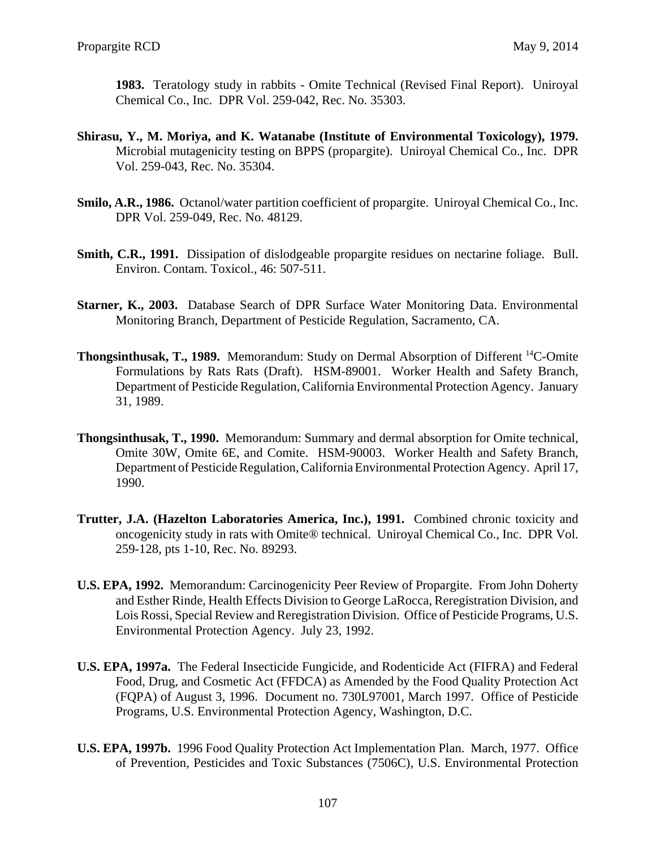**1983.** Teratology study in rabbits - Omite Technical (Revised Final Report). Uniroyal Chemical Co., Inc. DPR Vol. 259-042, Rec. No. 35303.

- **Shirasu, Y., M. Moriya, and K. Watanabe (Institute of Environmental Toxicology), 1979.**  Microbial mutagenicity testing on BPPS (propargite). Uniroyal Chemical Co., Inc. DPR Vol. 259-043, Rec. No. 35304.
- **Smilo, A.R., 1986.** Octanol/water partition coefficient of propargite. Uniroyal Chemical Co., Inc. DPR Vol. 259-049, Rec. No. 48129.
- **Smith, C.R., 1991.** Dissipation of dislodgeable propargite residues on nectarine foliage. Bull. Environ. Contam. Toxicol., 46: 507-511.
- **Starner, K., 2003.** Database Search of DPR Surface Water Monitoring Data. Environmental Monitoring Branch, Department of Pesticide Regulation, Sacramento, CA.
- **Thongsinthusak, T., 1989.** Memorandum: Study on Dermal Absorption of Different 14C-Omite Formulations by Rats Rats (Draft). HSM-89001. Worker Health and Safety Branch, Department of Pesticide Regulation, California Environmental Protection Agency. January 31, 1989.
- **Thongsinthusak, T., 1990.** Memorandum: Summary and dermal absorption for Omite technical, Omite 30W, Omite 6E, and Comite. HSM-90003. Worker Health and Safety Branch, Department of Pesticide Regulation, California Environmental Protection Agency. April 17, 1990.
- **Trutter, J.A. (Hazelton Laboratories America, Inc.), 1991.** Combined chronic toxicity and oncogenicity study in rats with Omite® technical. Uniroyal Chemical Co., Inc. DPR Vol. 259-128, pts 1-10, Rec. No. 89293.
- **U.S. EPA, 1992.** Memorandum: Carcinogenicity Peer Review of Propargite. From John Doherty and Esther Rinde, Health Effects Division to George LaRocca, Reregistration Division, and Lois Rossi, Special Review and Reregistration Division. Office of Pesticide Programs, U.S. Environmental Protection Agency. July 23, 1992.
- **U.S. EPA, 1997a.** The Federal Insecticide Fungicide, and Rodenticide Act (FIFRA) and Federal Food, Drug, and Cosmetic Act (FFDCA) as Amended by the Food Quality Protection Act (FQPA) of August 3, 1996. Document no. 730L97001, March 1997. Office of Pesticide Programs, U.S. Environmental Protection Agency, Washington, D.C.
- **U.S. EPA, 1997b.** 1996 Food Quality Protection Act Implementation Plan. March, 1977. Office of Prevention, Pesticides and Toxic Substances (7506C), U.S. Environmental Protection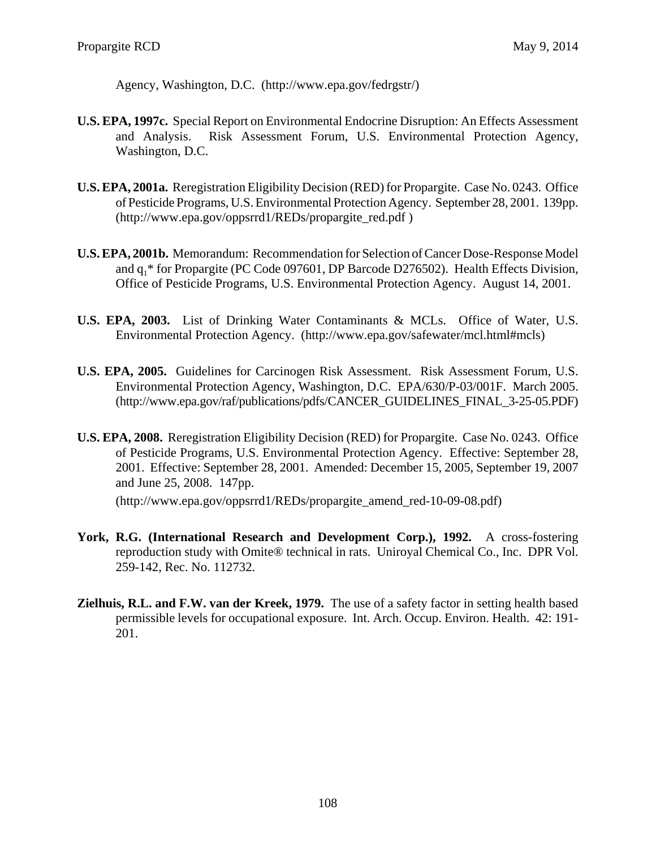Agency, Washington, D.C. (http://www.epa.gov/fedrgstr/)

- **U.S. EPA, 1997c.** Special Report on Environmental Endocrine Disruption: An Effects Assessment and Analysis. Risk Assessment Forum, U.S. Environmental Protection Agency, Washington, D.C.
- **U.S. EPA, 2001a.** Reregistration Eligibility Decision (RED) for Propargite. Case No. 0243. Office of Pesticide Programs, U.S. Environmental Protection Agency. September 28, 2001. 139pp. (http://www.epa.gov/oppsrrd1/REDs/propargite\_red.pdf)
- **U.S. EPA, 2001b.** Memorandum: Recommendation for Selection of Cancer Dose-Response Model and  $q_1$ <sup>\*</sup> for Propargite (PC Code 097601, DP Barcode D276502). Health Effects Division, Office of Pesticide Programs, U.S. Environmental Protection Agency. August 14, 2001.
- **U.S. EPA, 2003.** List of Drinking Water Contaminants & MCLs. Office of Water, U.S. Environmental Protection Agency. (http://www.epa.gov/safewater/mcl.html#mcls)
- **U.S. EPA, 2005.** Guidelines for Carcinogen Risk Assessment. Risk Assessment Forum, U.S. Environmental Protection Agency, Washington, D.C. EPA/630/P-03/001F. March 2005. (http://www.epa.gov/raf/publications/pdfs/CANCER\_GUIDELINES\_FINAL\_3-25-05.PDF)
- **U.S. EPA, 2008.** Reregistration Eligibility Decision (RED) for Propargite. Case No. 0243. Office of Pesticide Programs, U.S. Environmental Protection Agency. Effective: September 28, 2001. Effective: September 28, 2001. Amended: December 15, 2005, September 19, 2007 and June 25, 2008. 147pp.

(http://www.epa.gov/oppsrrd1/REDs/propargite\_amend\_red-10-09-08.pdf)

- York, R.G. (International Research and Development Corp.), 1992. A cross-fostering reproduction study with Omite® technical in rats. Uniroyal Chemical Co., Inc. DPR Vol. 259-142, Rec. No. 112732.
- **Zielhuis, R.L. and F.W. van der Kreek, 1979.** The use of a safety factor in setting health based permissible levels for occupational exposure. Int. Arch. Occup. Environ. Health. 42: 191 201.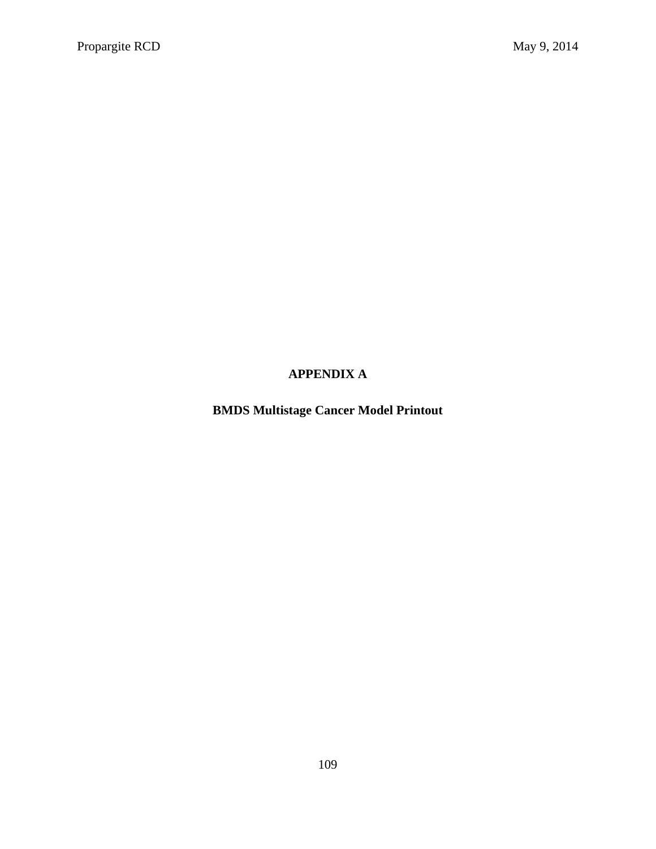## **APPENDIX A**

**BMDS Multistage Cancer Model Printout**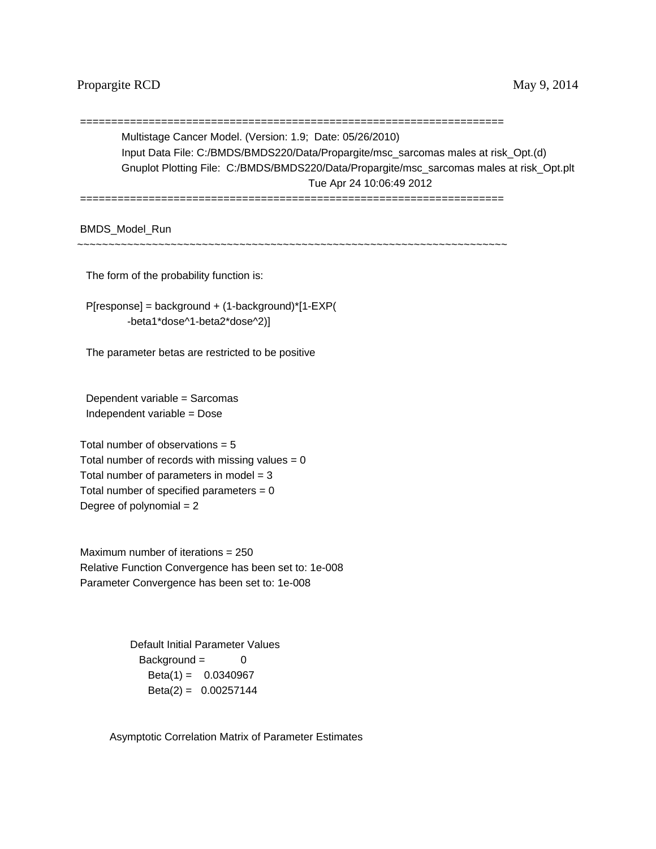## Propargite RCD May 9, 2014

 ==================================================================== Multistage Cancer Model. (Version: 1.9; Date: 05/26/2010) Input Data File: C:/BMDS/BMDS220/Data/Propargite/msc\_sarcomas males at risk\_Opt.(d) Gnuplot Plotting File: C:/BMDS/BMDS220/Data/Propargite/msc\_sarcomas males at risk\_Opt.plt Tue Apr 24 10:06:49 2012 ====================================================================

BMDS\_Model\_Run

~~~~~~~~~~~~~~~~~~~~~~~~~~~~~~~~~~~~~~~~~~~~~~~~~~~~~~~~~~~~~~~~~~~~~

The form of the probability function is:

P[response] = background + (1-background)\*[1-EXP( -beta1\*dose^1-beta2\*dose^2)]

The parameter betas are restricted to be positive

 Dependent variable = Sarcomas Independent variable = Dose

Total number of observations  $= 5$ Total number of records with missing values  $= 0$ Total number of parameters in model  $= 3$ Total number of specified parameters  $= 0$ Degree of polynomial  $= 2$ 

 Maximum number of iterations = 250 Relative Function Convergence has been set to: 1e-008 Parameter Convergence has been set to: 1e-008

> Background = 0  $Beta(1) = 0.0340967$  Default Initial Parameter Values  $Beta(2) = 0.00257144$

Asymptotic Correlation Matrix of Parameter Estimates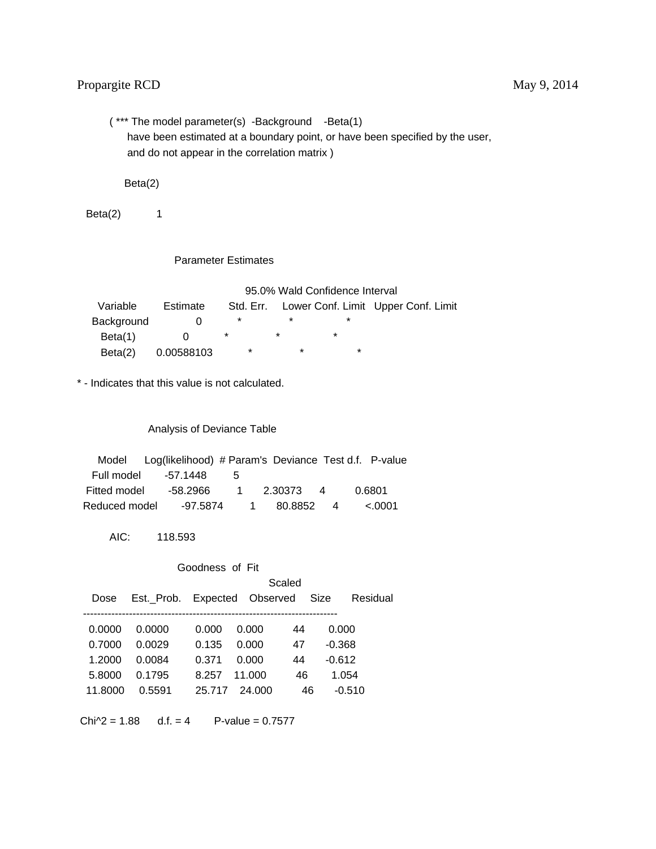( \*\*\* The model parameter(s) -Background -Beta(1) have been estimated at a boundary point, or have been specified by the user, and do not appear in the correlation matrix )

Beta(2)

 $Beta(2)$  1

Parameter Estimates

95.0% Wald Confidence Interval

| Variable   | Estimate   | Std. Err. |   |   | Lower Conf. Limit Upper Conf. Limit |
|------------|------------|-----------|---|---|-------------------------------------|
| Background |            |           |   |   |                                     |
| Beta(1)    |            |           | * | * |                                     |
| Beta(2)    | 0.00588103 | $\star$   | * | * |                                     |

\* - Indicates that this value is not calculated.

Analysis of Deviance Table

|               | Model Log(likelihood) # Param's Deviance Test d.f. P-value |   |                         |  |        |  |
|---------------|------------------------------------------------------------|---|-------------------------|--|--------|--|
|               | Full model -57.1448                                        | 5 |                         |  |        |  |
| Fitted model  | -58.2966   1                                               |   | 2.30373 4               |  | 0.6801 |  |
| Reduced model |                                                            |   | -97.5874  1  80.8852  4 |  | <.0001 |  |

AIC: 118.593

| Goodness of Fit |                              |        |        |    |          |          |  |  |
|-----------------|------------------------------|--------|--------|----|----------|----------|--|--|
|                 |                              | Scaled |        |    |          |          |  |  |
| Dose            | Est. Prob. Expected Observed |        |        |    | Size     | Residual |  |  |
|                 |                              |        |        |    |          |          |  |  |
| 0.0000          | 0.0000                       | 0.000  | 0.000  | 44 | 0.000    |          |  |  |
| 0.7000          | 0.0029                       | 0.135  | 0.000  | 47 | $-0.368$ |          |  |  |
| 1.2000          | 0.0084                       | 0.371  | 0.000  | 44 | $-0.612$ |          |  |  |
| 5.8000          | 0.1795                       | 8.257  | 11.000 | 46 | 1.054    |          |  |  |
| 11.8000         | 0.5591                       | 25.717 | 24,000 | 46 | $-0.510$ |          |  |  |

 $Chi^2 = 1.88$  d.f. = 4 P-value = 0.7577